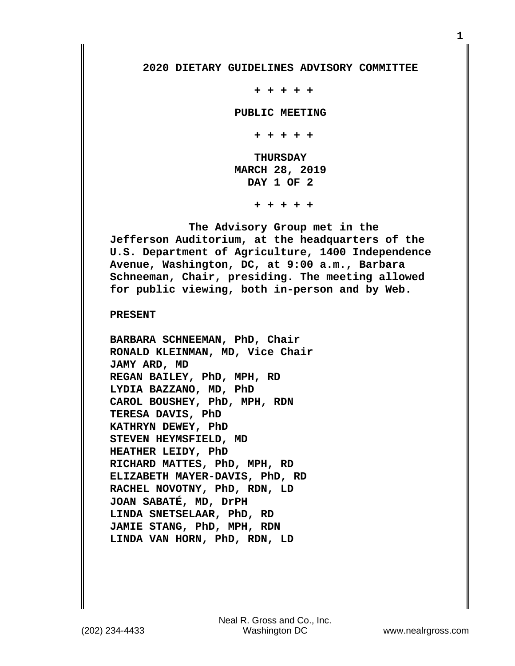## **2020 DIETARY GUIDELINES ADVISORY COMMITTEE**

 **+ + + + +**

 **PUBLIC MEETING**

 **+ + + + +**

 **THURSDAY MARCH 28, 2019 DAY 1 OF 2**

 **+ + + + +**

 **The Advisory Group met in the Jefferson Auditorium, at the headquarters of the U.S. Department of Agriculture, 1400 Independence Avenue, Washington, DC, at 9:00 a.m., Barbara Schneeman, Chair, presiding. The meeting allowed for public viewing, both in-person and by Web.**

## **PRESENT**

**BARBARA SCHNEEMAN, PhD, Chair RONALD KLEINMAN, MD, Vice Chair JAMY ARD, MD REGAN BAILEY, PhD, MPH, RD LYDIA BAZZANO, MD, PhD CAROL BOUSHEY, PhD, MPH, RDN TERESA DAVIS, PhD KATHRYN DEWEY, PhD STEVEN HEYMSFIELD, MD HEATHER LEIDY, PhD RICHARD MATTES, PhD, MPH, RD ELIZABETH MAYER-DAVIS, PhD, RD RACHEL NOVOTNY, PhD, RDN, LD JOAN SABATÉ, MD, DrPH LINDA SNETSELAAR, PhD, RD JAMIE STANG, PhD, MPH, RDN LINDA VAN HORN, PhD, RDN, LD**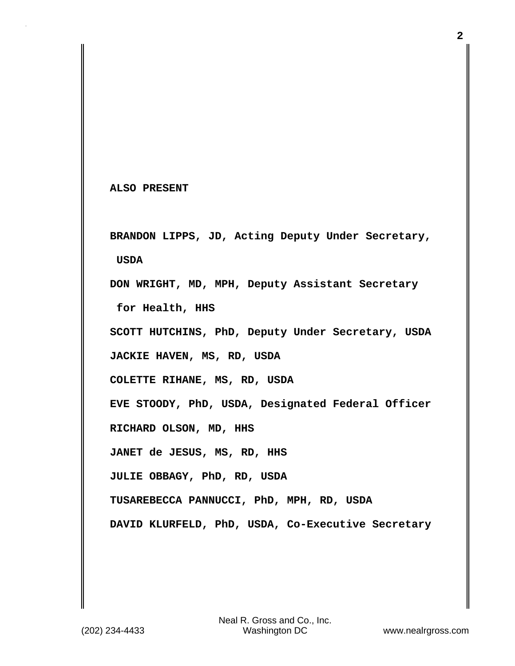**ALSO PRESENT**

**BRANDON LIPPS, JD, Acting Deputy Under Secretary, USDA DON WRIGHT, MD, MPH, Deputy Assistant Secretary for Health, HHS**

**SCOTT HUTCHINS, PhD, Deputy Under Secretary, USDA**

**JACKIE HAVEN, MS, RD, USDA**

**COLETTE RIHANE, MS, RD, USDA**

**EVE STOODY, PhD, USDA, Designated Federal Officer**

**RICHARD OLSON, MD, HHS**

**JANET de JESUS, MS, RD, HHS**

**JULIE OBBAGY, PhD, RD, USDA**

**TUSAREBECCA PANNUCCI, PhD, MPH, RD, USDA**

**DAVID KLURFELD, PhD, USDA, Co-Executive Secretary**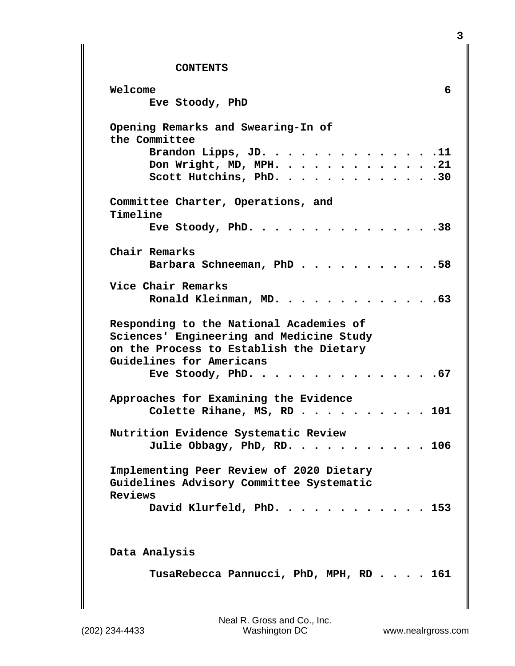## **CONTENTS**

| Welcome<br>Eve Stoody, PhD                                                                                                                                 |  |  | 6     |
|------------------------------------------------------------------------------------------------------------------------------------------------------------|--|--|-------|
| Opening Remarks and Swearing-In of<br>the Committee                                                                                                        |  |  |       |
| Brandon Lipps, JD. 11<br>Don Wright, MD, MPH. 21<br>Scott Hutchins, PhD. 30                                                                                |  |  |       |
| Committee Charter, Operations, and<br>Timeline                                                                                                             |  |  |       |
| Eve Stoody, PhD. 38                                                                                                                                        |  |  |       |
| Chair Remarks<br>Barbara Schneeman, PhD. 58                                                                                                                |  |  |       |
| Vice Chair Remarks<br>Ronald Kleinman, MD. 63                                                                                                              |  |  |       |
| Responding to the National Academies of<br>Sciences' Engineering and Medicine Study<br>on the Process to Establish the Dietary<br>Guidelines for Americans |  |  |       |
| . 67<br>Eve Stoody, PhD. $\cdots$                                                                                                                          |  |  |       |
| Approaches for Examining the Evidence<br>Colette Rihane, MS, RD 101                                                                                        |  |  |       |
| Nutrition Evidence Systematic Review<br>Julie Obbagy, PhD, RD. 106                                                                                         |  |  |       |
| Implementing Peer Review of 2020 Dietary<br>Guidelines Advisory Committee Systematic<br>Reviews                                                            |  |  |       |
| David Klurfeld, PhD.                                                                                                                                       |  |  | . 153 |
| Data Analysis                                                                                                                                              |  |  |       |
| TusaRebecca Pannucci, PhD, MPH, RD 161                                                                                                                     |  |  |       |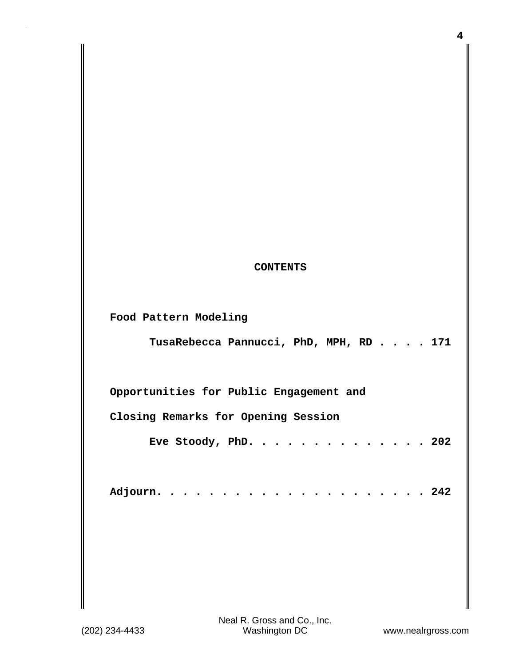## **CONTENTS**

**Food Pattern Modeling**

 **TusaRebecca Pannucci, PhD, MPH, RD . . . . 171**

**Opportunities for Public Engagement and**

**Closing Remarks for Opening Session**

 **Eve Stoody, PhD. . . . . . . . . . . . . . 202**

|--|--|--|--|--|--|--|--|--|--|--|--|--|--|--|--|--|--|--|--|--|--|--|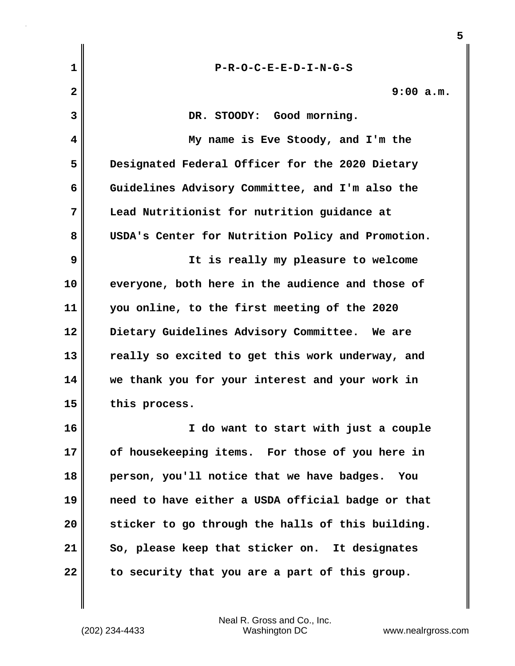| $\mathbf{1}$            | $P-R-O-C-E-E-D-I-N-G-S$                           |
|-------------------------|---------------------------------------------------|
| $\overline{\mathbf{2}}$ | 9:00 a.m.                                         |
| 3                       | DR. STOODY: Good morning.                         |
| 4                       | My name is Eve Stoody, and I'm the                |
| 5                       | Designated Federal Officer for the 2020 Dietary   |
| 6                       | Guidelines Advisory Committee, and I'm also the   |
| 7                       | Lead Nutritionist for nutrition guidance at       |
| 8                       | USDA's Center for Nutrition Policy and Promotion. |
| 9                       | It is really my pleasure to welcome               |
| 10                      | everyone, both here in the audience and those of  |
| 11                      | you online, to the first meeting of the 2020      |
| 12                      | Dietary Guidelines Advisory Committee. We are     |
| 13                      | really so excited to get this work underway, and  |
| 14                      | we thank you for your interest and your work in   |
| 15                      | this process.                                     |
| 16                      | I do want to start with just a couple             |
| 17                      | of housekeeping items. For those of you here in   |
| 18                      | person, you'll notice that we have badges.<br>You |
| 19                      | need to have either a USDA official badge or that |
| 20                      | sticker to go through the halls of this building. |
| 21                      | So, please keep that sticker on. It designates    |
| 22                      | to security that you are a part of this group.    |

(202) 234-4433 Washington DC www.nealrgross.com Neal R. Gross and Co., Inc.

**5**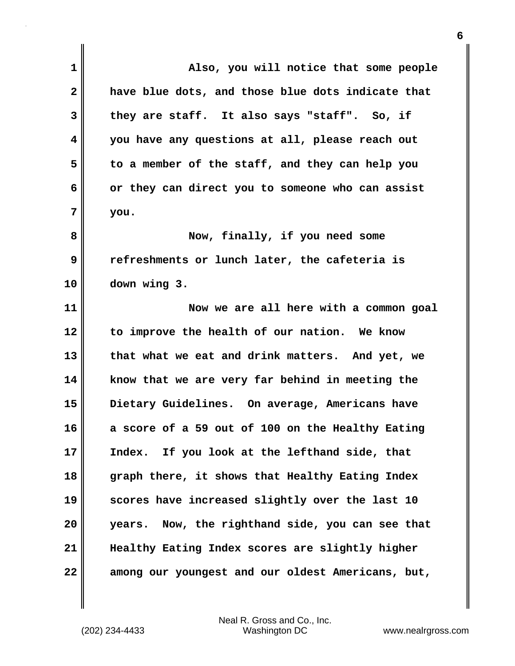| 1            | Also, you will notice that some people              |
|--------------|-----------------------------------------------------|
| $\mathbf{2}$ | have blue dots, and those blue dots indicate that   |
| 3            | they are staff. It also says "staff". So, if        |
| 4            | you have any questions at all, please reach out     |
| 5            | to a member of the staff, and they can help you     |
| 6            | or they can direct you to someone who can assist    |
| 7            | you.                                                |
| 8            | Now, finally, if you need some                      |
| 9            | refreshments or lunch later, the cafeteria is       |
| 10           | down wing 3.                                        |
| 11           | Now we are all here with a common goal              |
| 12           | to improve the health of our nation. We know        |
| 13           | that what we eat and drink matters. And yet, we     |
| 14           | know that we are very far behind in meeting the     |
| 15           | Dietary Guidelines. On average, Americans have      |
| 16           | a score of a 59 out of 100 on the Healthy Eating    |
| 17           | Index. If you look at the lefthand side, that       |
| 18           | graph there, it shows that Healthy Eating Index     |
| 19           | scores have increased slightly over the last 10     |
| 20           | Now, the righthand side, you can see that<br>years. |
| 21           | Healthy Eating Index scores are slightly higher     |
| 22           | among our youngest and our oldest Americans, but,   |

(202) 234-4433 Washington DC www.nealrgross.com Neal R. Gross and Co., Inc.

 $\mathbf{I}$ 

**6**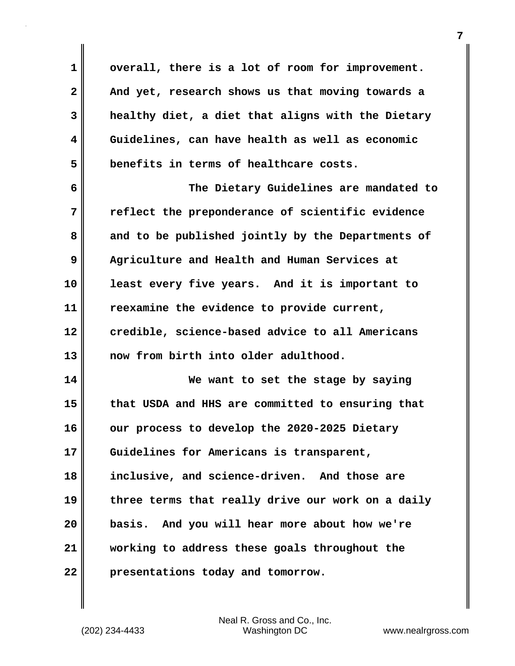**1 overall, there is a lot of room for improvement. 2 And yet, research shows us that moving towards a 3 healthy diet, a diet that aligns with the Dietary 4 Guidelines, can have health as well as economic 5 benefits in terms of healthcare costs. 6 The Dietary Guidelines are mandated to 7 reflect the preponderance of scientific evidence 8 and to be published jointly by the Departments of 9 Agriculture and Health and Human Services at 10 least every five years. And it is important to 11 reexamine the evidence to provide current, 12 credible, science-based advice to all Americans 13 now from birth into older adulthood. 14 We want to set the stage by saying 15 that USDA and HHS are committed to ensuring that 16 our process to develop the 2020-2025 Dietary 17 Guidelines for Americans is transparent, 18 inclusive, and science-driven. And those are 19 three terms that really drive our work on a daily 20 basis. And you will hear more about how we're 21 working to address these goals throughout the 22 presentations today and tomorrow.**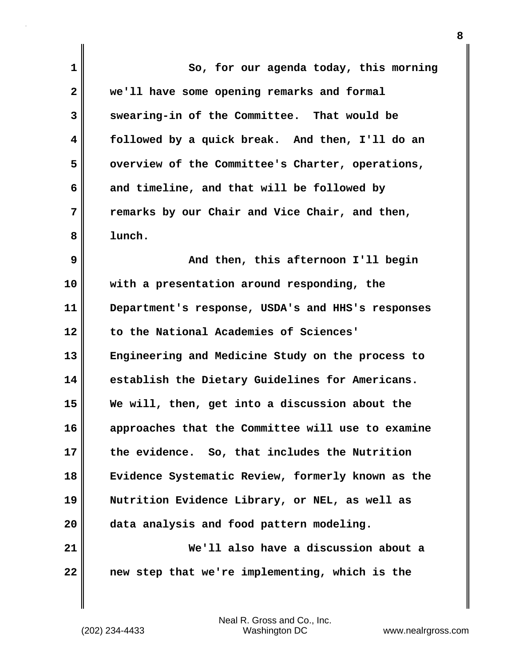| 1            | So, for our agenda today, this morning            |
|--------------|---------------------------------------------------|
| $\mathbf{2}$ | we'll have some opening remarks and formal        |
| 3            | swearing-in of the Committee. That would be       |
| 4            | followed by a quick break. And then, I'll do an   |
| 5            | overview of the Committee's Charter, operations,  |
| 6            | and timeline, and that will be followed by        |
| 7            | remarks by our Chair and Vice Chair, and then,    |
| 8            | lunch.                                            |
| 9            | And then, this afternoon I'll begin               |
| 10           | with a presentation around responding, the        |
| 11           | Department's response, USDA's and HHS's responses |
| 12           | to the National Academies of Sciences'            |
| 13           | Engineering and Medicine Study on the process to  |
| 14           | establish the Dietary Guidelines for Americans.   |
| 15           | We will, then, get into a discussion about the    |
| 16           | approaches that the Committee will use to examine |
| 17           | the evidence. So, that includes the Nutrition     |
| 18           | Evidence Systematic Review, formerly known as the |
| 19           | Nutrition Evidence Library, or NEL, as well as    |
| 20           | data analysis and food pattern modeling.          |
| 21           | We'll also have a discussion about a              |
| 22           | new step that we're implementing, which is the    |

 $\mathbf{I}$ 

**8**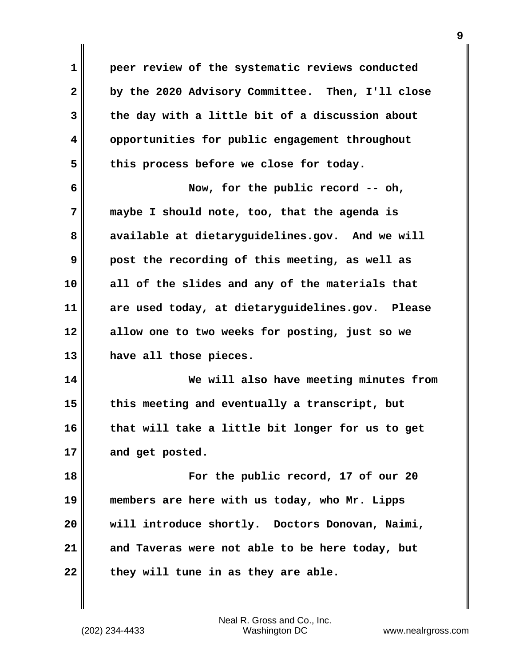**1 peer review of the systematic reviews conducted 2 by the 2020 Advisory Committee. Then, I'll close 3 the day with a little bit of a discussion about 4 opportunities for public engagement throughout** 5 this process before we close for today. **6 Now, for the public record -- oh, 7 maybe I should note, too, that the agenda is 8 available at dietaryguidelines.gov. And we will 9 post the recording of this meeting, as well as 10 all of the slides and any of the materials that 11 are used today, at dietaryguidelines.gov. Please 12 allow one to two weeks for posting, just so we 13 have all those pieces. 14 We will also have meeting minutes from 15 this meeting and eventually a transcript, but 16 that will take a little bit longer for us to get 17 and get posted. 18 For the public record, 17 of our 20 19 members are here with us today, who Mr. Lipps 20 will introduce shortly. Doctors Donovan, Naimi, 21 and Taveras were not able to be here today, but** 22 they will tune in as they are able.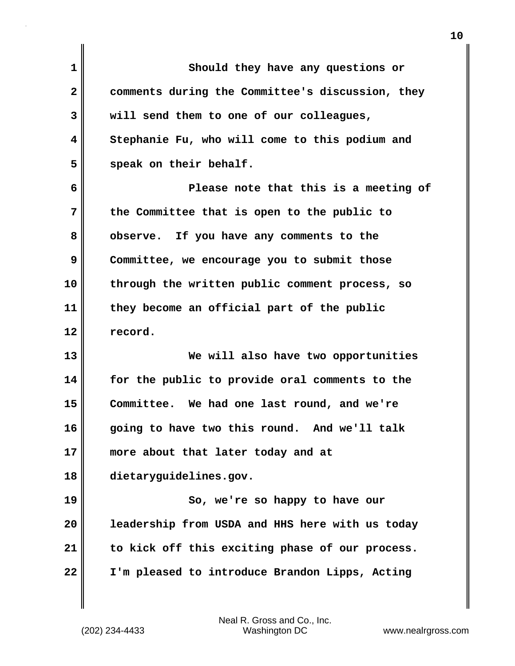| $\mathbf 1$  | Should they have any questions or                |
|--------------|--------------------------------------------------|
| $\mathbf{2}$ | comments during the Committee's discussion, they |
| 3            | will send them to one of our colleagues,         |
| 4            | Stephanie Fu, who will come to this podium and   |
| 5            | speak on their behalf.                           |
| 6            | Please note that this is a meeting of            |
| 7            | the Committee that is open to the public to      |
| 8            | observe. If you have any comments to the         |
| 9            | Committee, we encourage you to submit those      |
| 10           | through the written public comment process, so   |
| 11           | they become an official part of the public       |
| 12           | record.                                          |
| 13           | We will also have two opportunities              |
| 14           | for the public to provide oral comments to the   |
| 15           | Committee. We had one last round, and we're      |
| 16           | going to have two this round. And we'll talk     |
| 17           | more about that later today and at               |
| 18           | dietaryguidelines.gov.                           |
| 19           | So, we're so happy to have our                   |
| 20           | leadership from USDA and HHS here with us today  |
| 21           | to kick off this exciting phase of our process.  |
| 22           | I'm pleased to introduce Brandon Lipps, Acting   |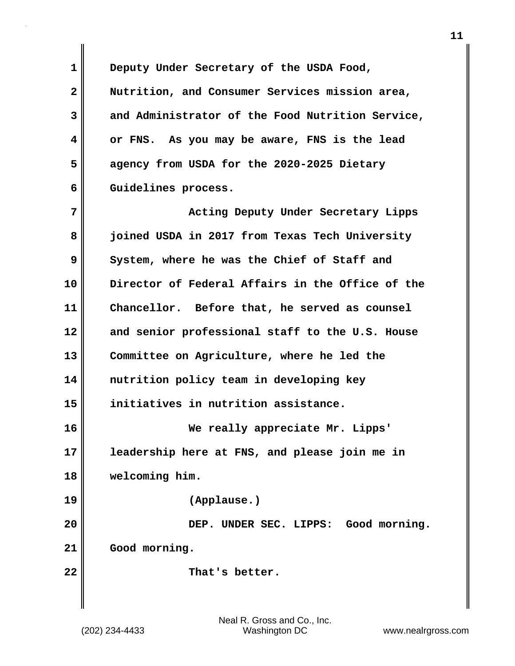**1 Deputy Under Secretary of the USDA Food, 2 Nutrition, and Consumer Services mission area, 3 and Administrator of the Food Nutrition Service, 4 or FNS. As you may be aware, FNS is the lead 5 agency from USDA for the 2020-2025 Dietary 6 Guidelines process.**

**7 Acting Deputy Under Secretary Lipps 8 joined USDA in 2017 from Texas Tech University 9 System, where he was the Chief of Staff and 10 Director of Federal Affairs in the Office of the 11 Chancellor. Before that, he served as counsel 12 and senior professional staff to the U.S. House 13 Committee on Agriculture, where he led the 14 nutrition policy team in developing key 15 initiatives in nutrition assistance. 16 We really appreciate Mr. Lipps' 17 leadership here at FNS, and please join me in 18 welcoming him. 19 (Applause.)**

**20 DEP. UNDER SEC. LIPPS: Good morning. 21 Good morning.**

22 **That's better.**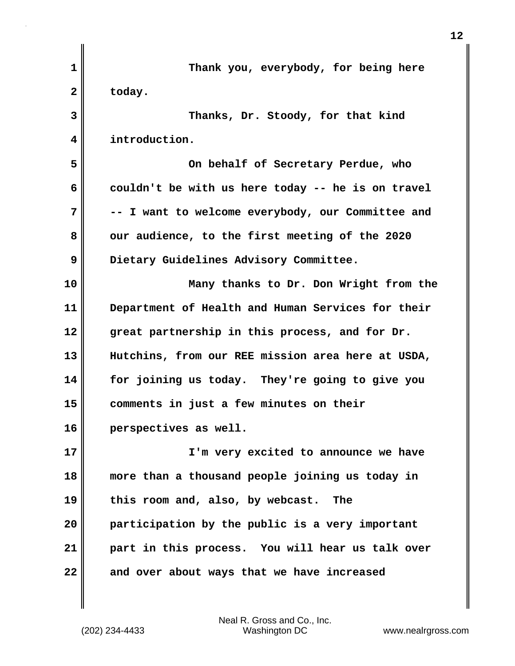| $\mathbf{1}$ | Thank you, everybody, for being here              |
|--------------|---------------------------------------------------|
| $\mathbf{2}$ | today.                                            |
| 3            | Thanks, Dr. Stoody, for that kind                 |
| 4            | introduction.                                     |
| 5            | On behalf of Secretary Perdue, who                |
| 6            | couldn't be with us here today -- he is on travel |
| 7            | -- I want to welcome everybody, our Committee and |
| 8            | our audience, to the first meeting of the 2020    |
| 9            | Dietary Guidelines Advisory Committee.            |
| 10           | Many thanks to Dr. Don Wright from the            |
| 11           | Department of Health and Human Services for their |
| 12           | great partnership in this process, and for Dr.    |
| 13           | Hutchins, from our REE mission area here at USDA, |
| 14           | for joining us today. They're going to give you   |
| 15           | comments in just a few minutes on their           |
| 16           | perspectives as well.                             |
| 17           | I'm very excited to announce we have              |
| 18           | more than a thousand people joining us today in   |
| 19           | this room and, also, by webcast.<br>The           |
| 20           | participation by the public is a very important   |
| 21           | part in this process. You will hear us talk over  |
| 22           | and over about ways that we have increased        |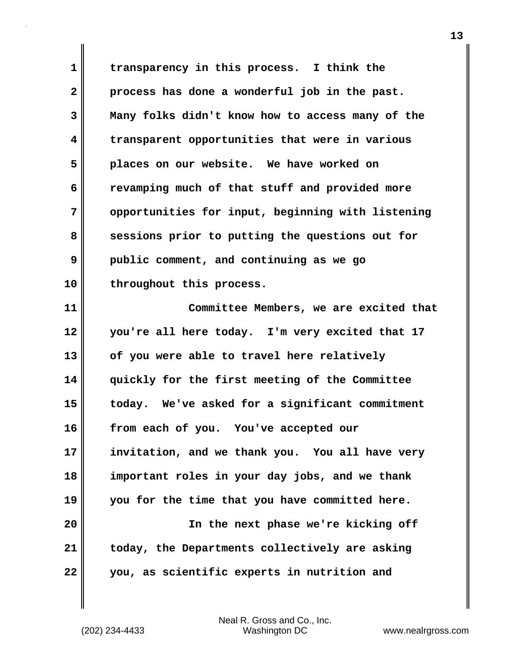**1 transparency in this process. I think the 2 process has done a wonderful job in the past. 3 Many folks didn't know how to access many of the 4 transparent opportunities that were in various 5 places on our website. We have worked on 6 revamping much of that stuff and provided more 7 opportunities for input, beginning with listening 8** sessions prior to putting the questions out for **9 public comment, and continuing as we go 10 throughout this process.**

**11 Committee Members, we are excited that 12 you're all here today. I'm very excited that 17 13 of you were able to travel here relatively 14 quickly for the first meeting of the Committee 15 today. We've asked for a significant commitment 16 from each of you. You've accepted our 17 invitation, and we thank you. You all have very 18 important roles in your day jobs, and we thank 19 you for the time that you have committed here. 20 In the next phase we're kicking off 21 today, the Departments collectively are asking 22 you, as scientific experts in nutrition and**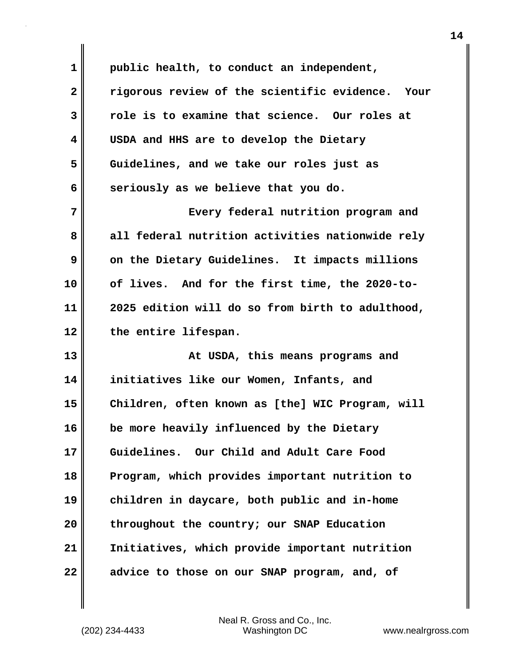**1 public health, to conduct an independent, 2 rigorous review of the scientific evidence. Your 3 role is to examine that science. Our roles at 4 USDA and HHS are to develop the Dietary 5 Guidelines, and we take our roles just as 6** seriously as we believe that you do. **7 Every federal nutrition program and 8 all federal nutrition activities nationwide rely 9** On the Dietary Guidelines. It impacts millions **10 of lives. And for the first time, the 2020-to-11 2025 edition will do so from birth to adulthood, 12 the entire lifespan. 13 At USDA, this means programs and 14 initiatives like our Women, Infants, and 15 Children, often known as [the] WIC Program, will 16 be more heavily influenced by the Dietary 17 Guidelines. Our Child and Adult Care Food 18 Program, which provides important nutrition to 19 children in daycare, both public and in-home 20 throughout the country; our SNAP Education 21 Initiatives, which provide important nutrition 22 advice to those on our SNAP program, and, of**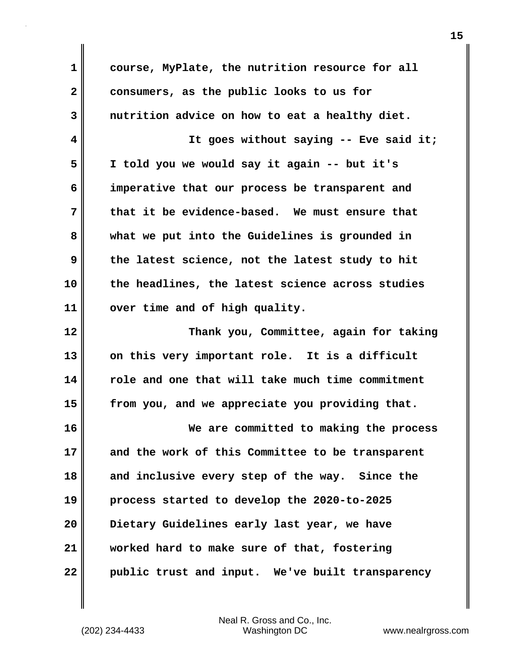**1 course, MyPlate, the nutrition resource for all 2 consumers, as the public looks to us for 3 nutrition advice on how to eat a healthy diet. 4 It goes without saying -- Eve said it; 5 I told you we would say it again -- but it's 6 imperative that our process be transparent and 7 that it be evidence-based. We must ensure that 8 what we put into the Guidelines is grounded in 9 the latest science, not the latest study to hit 10 the headlines, the latest science across studies 11 over time and of high quality. 12 Thank you, Committee, again for taking 13 on this very important role. It is a difficult 14 role and one that will take much time commitment 15 from you, and we appreciate you providing that. 16 We are committed to making the process 17 and the work of this Committee to be transparent 18 and inclusive every step of the way. Since the 19 process started to develop the 2020-to-2025 20 Dietary Guidelines early last year, we have 21 worked hard to make sure of that, fostering 22 public trust and input. We've built transparency**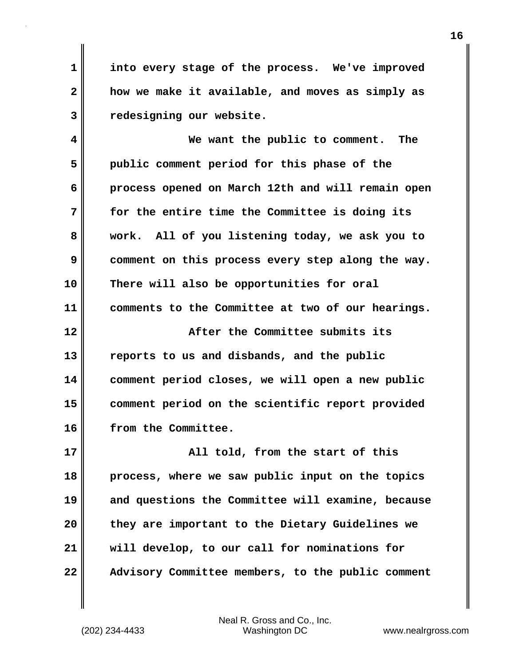**1 into every stage of the process. We've improved 2 how we make it available, and moves as simply as 3 redesigning our website.**

**4 We want the public to comment. The 5 public comment period for this phase of the 6 process opened on March 12th and will remain open 7 for the entire time the Committee is doing its 8 work. All of you listening today, we ask you to 9 comment on this process every step along the way. 10 There will also be opportunities for oral 11 comments to the Committee at two of our hearings. 12 After the Committee submits its 13 reports to us and disbands, and the public 14 comment period closes, we will open a new public 15 comment period on the scientific report provided 16 from the Committee.**

**17 All told, from the start of this 18 process, where we saw public input on the topics 19 and questions the Committee will examine, because 20 they are important to the Dietary Guidelines we 21 will develop, to our call for nominations for 22 Advisory Committee members, to the public comment**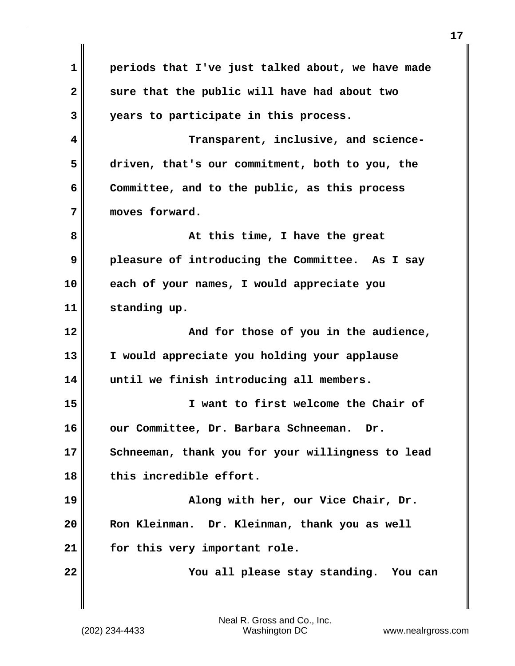**1 periods that I've just talked about, we have made 2 sure that the public will have had about two 3 years to participate in this process. 4 Transparent, inclusive, and science-5 driven, that's our commitment, both to you, the 6 Committee, and to the public, as this process 7 moves forward. 8 At this time, I have the great 9 pleasure of introducing the Committee. As I say 10 each of your names, I would appreciate you 11 standing up. 12 And for those of you in the audience, 13 I would appreciate you holding your applause 14 until we finish introducing all members. 15 I want to first welcome the Chair of 16 our Committee, Dr. Barbara Schneeman. Dr. 17 Schneeman, thank you for your willingness to lead 18 this incredible effort. 19 Along with her, our Vice Chair, Dr. 20 Ron Kleinman. Dr. Kleinman, thank you as well 21 for this very important role. 22 You all please stay standing. You can**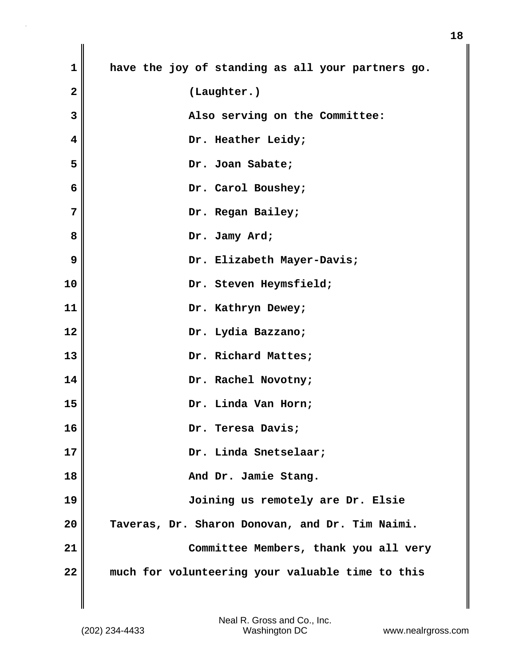| 1                       | have the joy of standing as all your partners go. |
|-------------------------|---------------------------------------------------|
| $\overline{\mathbf{2}}$ | (Laughter.)                                       |
| 3                       | Also serving on the Committee:                    |
| $\overline{\mathbf{4}}$ | Dr. Heather Leidy;                                |
| 5                       | Dr. Joan Sabate;                                  |
| 6                       | Dr. Carol Boushey;                                |
| 7                       | Dr. Regan Bailey;                                 |
| 8                       | Dr. Jamy Ard;                                     |
| 9                       | Dr. Elizabeth Mayer-Davis;                        |
| 10                      | Dr. Steven Heymsfield;                            |
| 11                      | Dr. Kathryn Dewey;                                |
| 12                      | Dr. Lydia Bazzano;                                |
| 13                      | Dr. Richard Mattes;                               |
| 14                      | Dr. Rachel Novotny;                               |
| 15                      | Dr. Linda Van Horn;                               |
| 16                      | Dr. Teresa Davis;                                 |
| 17                      | Dr. Linda Snetselaar;                             |
| 18                      | And Dr. Jamie Stang.                              |
| 19                      | Joining us remotely are Dr. Elsie                 |
| 20                      | Taveras, Dr. Sharon Donovan, and Dr. Tim Naimi.   |
| 21                      | Committee Members, thank you all very             |
| 22                      | much for volunteering your valuable time to this  |

 $\mathbf{I}$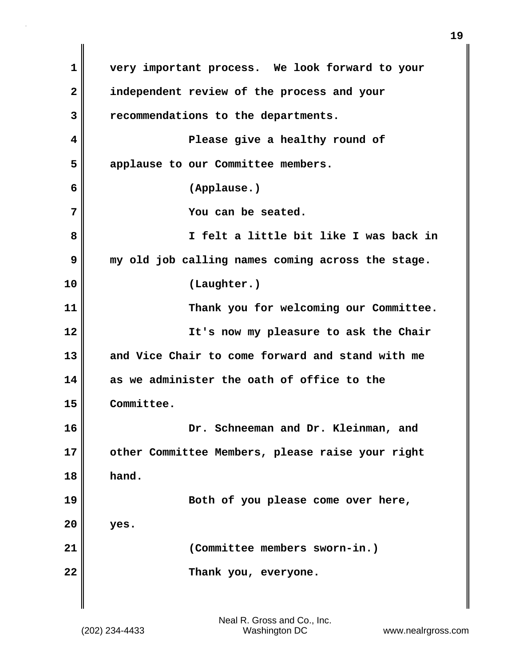**1 very important process. We look forward to your 2 independent review of the process and your 3 recommendations to the departments. 4 Please give a healthy round of 5 applause to our Committee members. 6 (Applause.) 7 You can be seated. 8 I felt a little bit like I was back in 9 my old job calling names coming across the stage. 10 (Laughter.) 11 Thank you for welcoming our Committee. 12 It's now my pleasure to ask the Chair 13 and Vice Chair to come forward and stand with me 14 as we administer the oath of office to the 15 Committee. 16 Dr. Schneeman and Dr. Kleinman, and 17 other Committee Members, please raise your right 18 hand. 19 Both of you please come over here, 20 yes. 21 (Committee members sworn-in.) 22 Thank you, everyone.**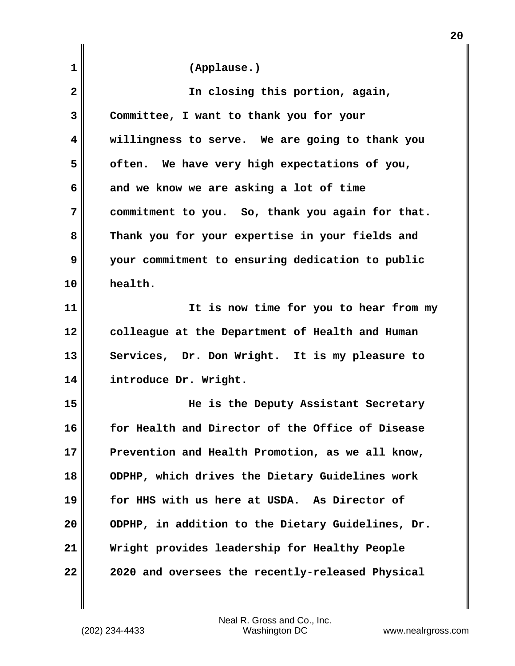| 1  | (Applause.)                                       |
|----|---------------------------------------------------|
| 2  | In closing this portion, again,                   |
| 3  | Committee, I want to thank you for your           |
| 4  | willingness to serve. We are going to thank you   |
| 5  | often. We have very high expectations of you,     |
| 6  | and we know we are asking a lot of time           |
| 7  | commitment to you. So, thank you again for that.  |
| 8  | Thank you for your expertise in your fields and   |
| 9  | your commitment to ensuring dedication to public  |
| 10 | health.                                           |
| 11 | It is now time for you to hear from my            |
| 12 | colleague at the Department of Health and Human   |
| 13 | Services, Dr. Don Wright. It is my pleasure to    |
| 14 | introduce Dr. Wright.                             |
| 15 | He is the Deputy Assistant Secretary              |
| 16 | for Health and Director of the Office of Disease  |
| 17 | Prevention and Health Promotion, as we all know,  |
| 18 | ODPHP, which drives the Dietary Guidelines work   |
| 19 | for HHS with us here at USDA. As Director of      |
| 20 | ODPHP, in addition to the Dietary Guidelines, Dr. |
| 21 | Wright provides leadership for Healthy People     |
| 22 | 2020 and oversees the recently-released Physical  |

**20**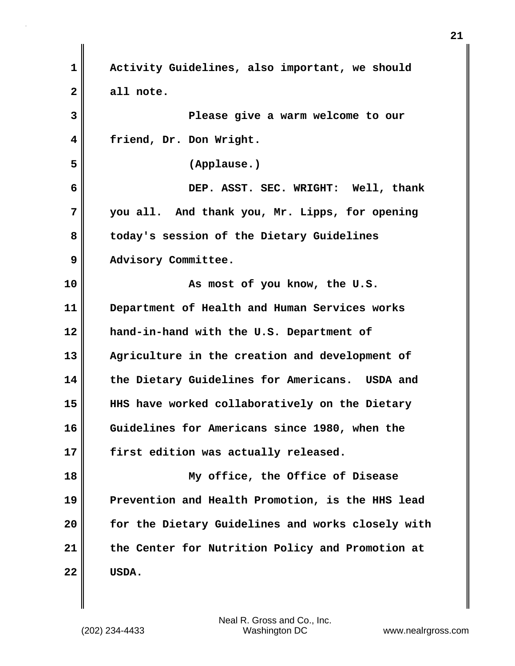| 1                       | Activity Guidelines, also important, we should    |
|-------------------------|---------------------------------------------------|
| $\overline{2}$          | all note.                                         |
| 3                       | Please give a warm welcome to our                 |
| $\overline{\mathbf{4}}$ | friend, Dr. Don Wright.                           |
| 5                       | (Applause.)                                       |
| 6                       | DEP. ASST. SEC. WRIGHT: Well, thank               |
| 7                       | you all. And thank you, Mr. Lipps, for opening    |
| 8                       | today's session of the Dietary Guidelines         |
| 9                       | Advisory Committee.                               |
| 10                      | As most of you know, the U.S.                     |
| 11                      | Department of Health and Human Services works     |
| 12                      | hand-in-hand with the U.S. Department of          |
| 13                      | Agriculture in the creation and development of    |
| 14                      | the Dietary Guidelines for Americans. USDA and    |
| 15                      | HHS have worked collaboratively on the Dietary    |
| 16                      | Guidelines for Americans since 1980, when the     |
| 17                      | first edition was actually released.              |
| 18                      | My office, the Office of Disease                  |
| 19                      | Prevention and Health Promotion, is the HHS lead  |
| 20                      | for the Dietary Guidelines and works closely with |
| 21                      | the Center for Nutrition Policy and Promotion at  |
| 22                      | USDA.                                             |

 $\mathbf{I}$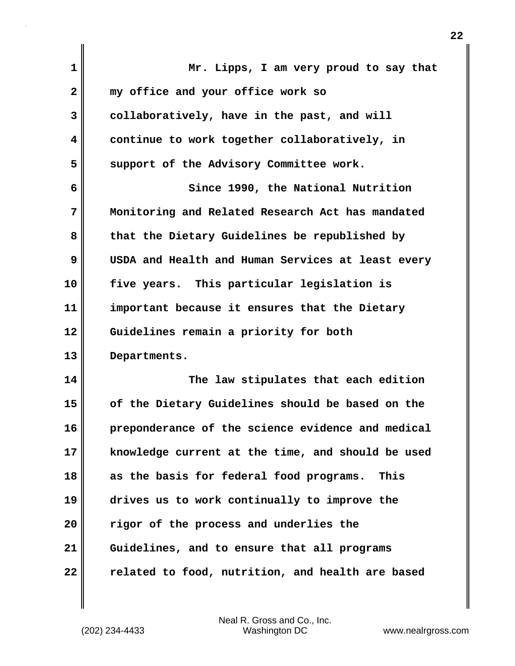| 1            | Mr. Lipps, I am very proud to say that            |
|--------------|---------------------------------------------------|
| $\mathbf{2}$ | my office and your office work so                 |
| 3            | collaboratively, have in the past, and will       |
| 4            | continue to work together collaboratively, in     |
| 5            | support of the Advisory Committee work.           |
| 6            | Since 1990, the National Nutrition                |
| 7            | Monitoring and Related Research Act has mandated  |
| 8            | that the Dietary Guidelines be republished by     |
| 9            | USDA and Health and Human Services at least every |
| 10           | five years. This particular legislation is        |
| 11           | important because it ensures that the Dietary     |
| 12           | Guidelines remain a priority for both             |
| 13           | Departments.                                      |
| 14           | The law stipulates that each edition              |
| 15           | of the Dietary Guidelines should be based on the  |
| 16           | preponderance of the science evidence and medical |
| 17           | knowledge current at the time, and should be used |
| 18           | as the basis for federal food programs.<br>This   |
| 19           | drives us to work continually to improve the      |
| 20           | rigor of the process and underlies the            |
| 21           | Guidelines, and to ensure that all programs       |
| 22           | related to food, nutrition, and health are based  |

 $\mathbf{I}$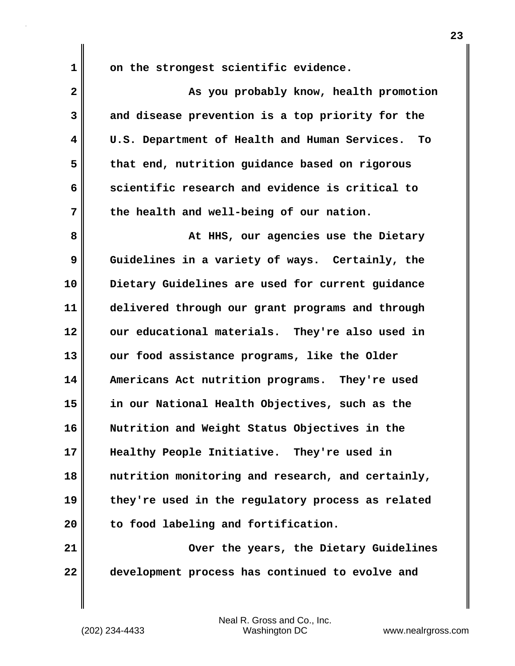**1 on the strongest scientific evidence.**

| $\overline{\mathbf{2}}$ | As you probably know, health promotion              |
|-------------------------|-----------------------------------------------------|
| 3                       | and disease prevention is a top priority for the    |
| 4                       | U.S. Department of Health and Human Services.<br>To |
| 5                       | that end, nutrition guidance based on rigorous      |
| 6                       | scientific research and evidence is critical to     |
| 7                       | the health and well-being of our nation.            |
| 8                       | At HHS, our agencies use the Dietary                |
| 9                       | Guidelines in a variety of ways. Certainly, the     |
| 10                      | Dietary Guidelines are used for current guidance    |
| 11                      | delivered through our grant programs and through    |
| 12                      | our educational materials. They're also used in     |
| 13                      | our food assistance programs, like the Older        |
| 14                      | Americans Act nutrition programs. They're used      |
| 15                      | in our National Health Objectives, such as the      |
| 16                      | Nutrition and Weight Status Objectives in the       |
| 17                      | Healthy People Initiative.<br>They're used in       |
| 18                      | nutrition monitoring and research, and certainly,   |
| 19                      | they're used in the regulatory process as related   |
| 20                      | to food labeling and fortification.                 |
| 21                      | Over the years, the Dietary Guidelines              |
| 22                      | development process has continued to evolve and     |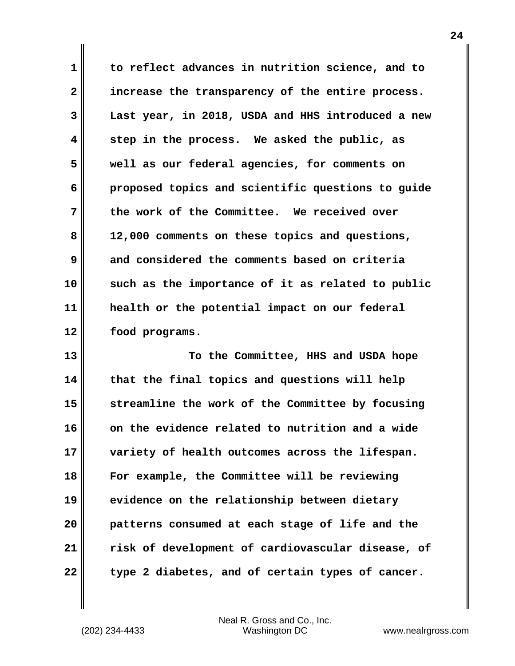**1 to reflect advances in nutrition science, and to 2 increase the transparency of the entire process. 3 Last year, in 2018, USDA and HHS introduced a new 4 step in the process. We asked the public, as 5 well as our federal agencies, for comments on 6 proposed topics and scientific questions to guide 7 the work of the Committee. We received over 8 12,000 comments on these topics and questions, 9 and considered the comments based on criteria 10 such as the importance of it as related to public 11 health or the potential impact on our federal 12 food programs.**

**13** To the Committee, HHS and USDA hope **14 that the final topics and questions will help 15 streamline the work of the Committee by focusing 16 on the evidence related to nutrition and a wide 17 variety of health outcomes across the lifespan. 18 For example, the Committee will be reviewing 19 evidence on the relationship between dietary 20 patterns consumed at each stage of life and the 21 risk of development of cardiovascular disease, of 22 type 2 diabetes, and of certain types of cancer.**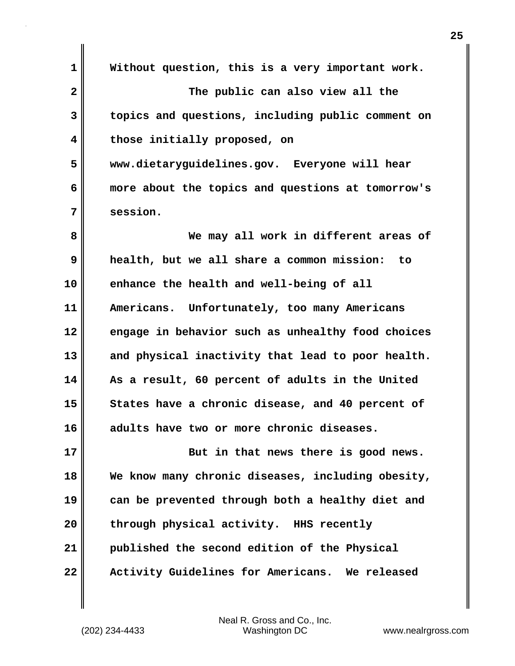**1 Without question, this is a very important work. 2 The public can also view all the 3 topics and questions, including public comment on 4 those initially proposed, on 5 www.dietaryguidelines.gov. Everyone will hear 6 more about the topics and questions at tomorrow's 7 session. 8 We may all work in different areas of 9 health, but we all share a common mission: to 10 enhance the health and well-being of all 11 Americans. Unfortunately, too many Americans 12 engage in behavior such as unhealthy food choices 13 and physical inactivity that lead to poor health. 14 As a result, 60 percent of adults in the United** 15 States have a chronic disease, and 40 percent of **16 adults have two or more chronic diseases. 17 But in that news there is good news. 18 We know many chronic diseases, including obesity, 19 can be prevented through both a healthy diet and 20 through physical activity. HHS recently 21 published the second edition of the Physical 22 Activity Guidelines for Americans. We released**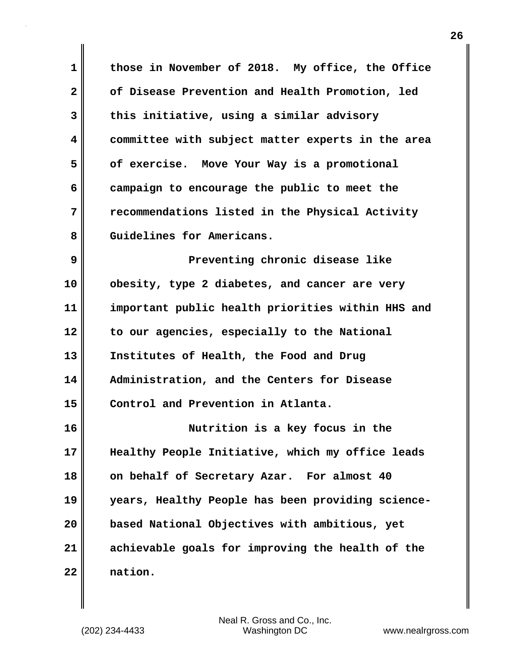**1 those in November of 2018. My office, the Office 2 of Disease Prevention and Health Promotion, led 3 this initiative, using a similar advisory 4 committee with subject matter experts in the area 5 of exercise. Move Your Way is a promotional 6 campaign to encourage the public to meet the 7 recommendations listed in the Physical Activity** 8 Guidelines for Americans.

**9 Preventing chronic disease like 10 obesity, type 2 diabetes, and cancer are very 11 important public health priorities within HHS and 12 to our agencies, especially to the National 13 Institutes of Health, the Food and Drug 14 Administration, and the Centers for Disease 15 Control and Prevention in Atlanta.**

**16 Nutrition is a key focus in the 17 Healthy People Initiative, which my office leads 18 on behalf of Secretary Azar. For almost 40 19 years, Healthy People has been providing science-20 based National Objectives with ambitious, yet 21 achievable goals for improving the health of the 22 nation.**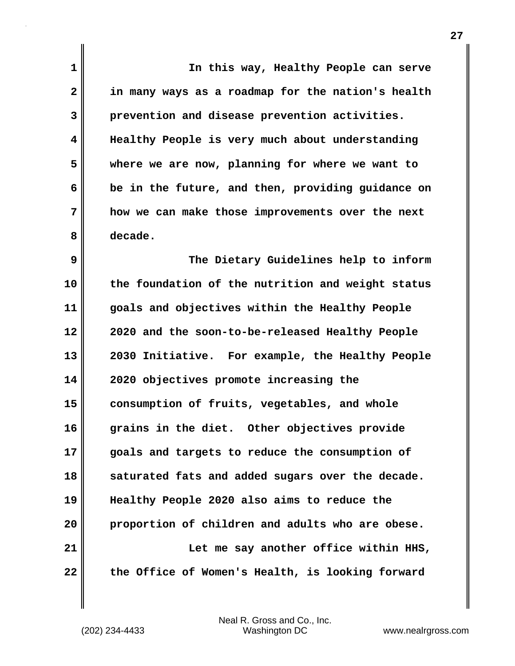**1 In this way, Healthy People can serve 2 in many ways as a roadmap for the nation's health 3 prevention and disease prevention activities. 4 Healthy People is very much about understanding 5 where we are now, planning for where we want to 6 be in the future, and then, providing guidance on 7 how we can make those improvements over the next 8 decade. 9 The Dietary Guidelines help to inform 10 the foundation of the nutrition and weight status 11 goals and objectives within the Healthy People 12 2020 and the soon-to-be-released Healthy People 13 2030 Initiative. For example, the Healthy People 14 2020 objectives promote increasing the 15 consumption of fruits, vegetables, and whole 16 grains in the diet. Other objectives provide 17 goals and targets to reduce the consumption of 18 saturated fats and added sugars over the decade. 19 Healthy People 2020 also aims to reduce the 20 proportion of children and adults who are obese. 21 Let me say another office within HHS, 22 the Office of Women's Health, is looking forward**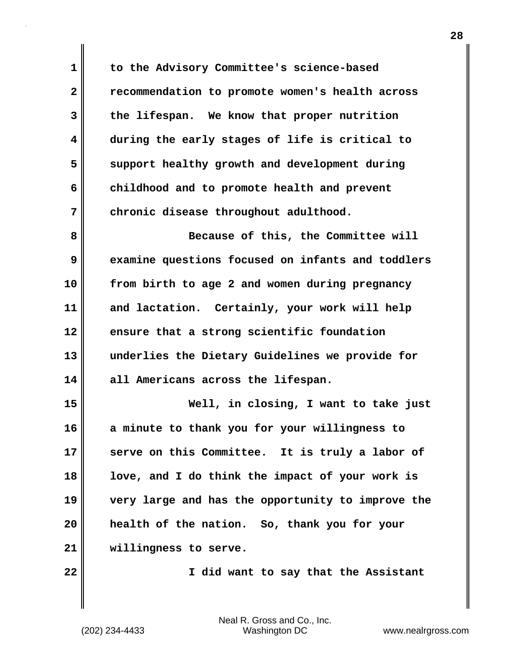**1 to the Advisory Committee's science-based 2 recommendation to promote women's health across 3 the lifespan. We know that proper nutrition 4 during the early stages of life is critical to 5 support healthy growth and development during 6 childhood and to promote health and prevent 7 chronic disease throughout adulthood.**

**8 Because of this, the Committee will 9 examine questions focused on infants and toddlers 10 from birth to age 2 and women during pregnancy 11 and lactation. Certainly, your work will help 12 ensure that a strong scientific foundation 13 underlies the Dietary Guidelines we provide for 14 all Americans across the lifespan.**

**15 Well, in closing, I want to take just 16 a minute to thank you for your willingness to 17 serve on this Committee. It is truly a labor of 18 love, and I do think the impact of your work is 19 very large and has the opportunity to improve the 20 health of the nation. So, thank you for your 21 willingness to serve.**

**22 I did want to say that the Assistant**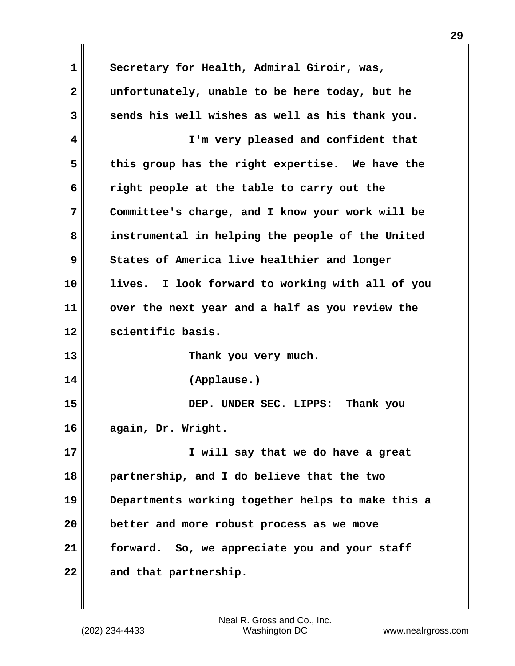**1 Secretary for Health, Admiral Giroir, was, 2 unfortunately, unable to be here today, but he 3 sends his well wishes as well as his thank you. 4 I'm very pleased and confident that 5 this group has the right expertise. We have the 6 right people at the table to carry out the 7 Committee's charge, and I know your work will be 8 instrumental in helping the people of the United 9 States of America live healthier and longer 10 lives. I look forward to working with all of you 11 over the next year and a half as you review the 12 scientific basis. 13 Thank you very much. 14 (Applause.) 15 DEP. UNDER SEC. LIPPS: Thank you 16 again, Dr. Wright. 17 I will say that we do have a great 18 partnership, and I do believe that the two 19 Departments working together helps to make this a 20 better and more robust process as we move 21 forward. So, we appreciate you and your staff 22 and that partnership.**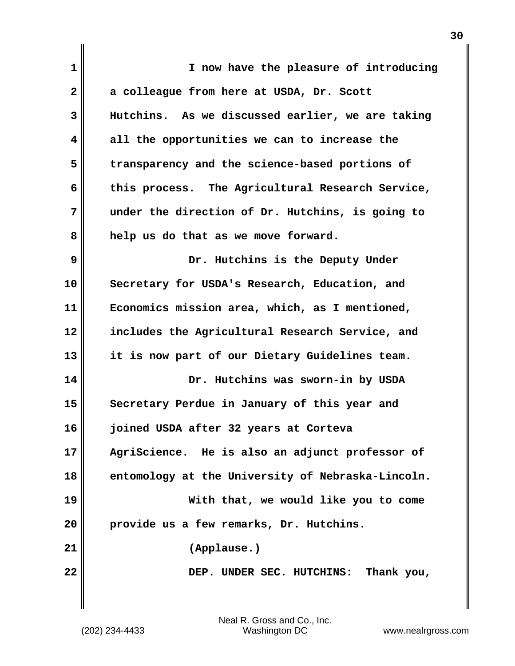| $\mathbf 1$  | I now have the pleasure of introducing            |
|--------------|---------------------------------------------------|
| $\mathbf{2}$ | a colleague from here at USDA, Dr. Scott          |
| 3            | Hutchins. As we discussed earlier, we are taking  |
| 4            | all the opportunities we can to increase the      |
| 5            | transparency and the science-based portions of    |
| 6            | this process. The Agricultural Research Service,  |
| 7            | under the direction of Dr. Hutchins, is going to  |
| 8            | help us do that as we move forward.               |
| 9            | Dr. Hutchins is the Deputy Under                  |
| 10           | Secretary for USDA's Research, Education, and     |
| 11           | Economics mission area, which, as I mentioned,    |
| 12           | includes the Agricultural Research Service, and   |
| 13           | it is now part of our Dietary Guidelines team.    |
| 14           | Dr. Hutchins was sworn-in by USDA                 |
| 15           | Secretary Perdue in January of this year and      |
| 16           | joined USDA after 32 years at Corteva             |
| 17           | AgriScience. He is also an adjunct professor of   |
| 18           | entomology at the University of Nebraska-Lincoln. |
| 19           | With that, we would like you to come              |
| 20           | provide us a few remarks, Dr. Hutchins.           |
| 21           | (Applause.)                                       |
| 22           | DEP. UNDER SEC. HUTCHINS: Thank you,              |
|              |                                                   |

 $\mathbf{I}$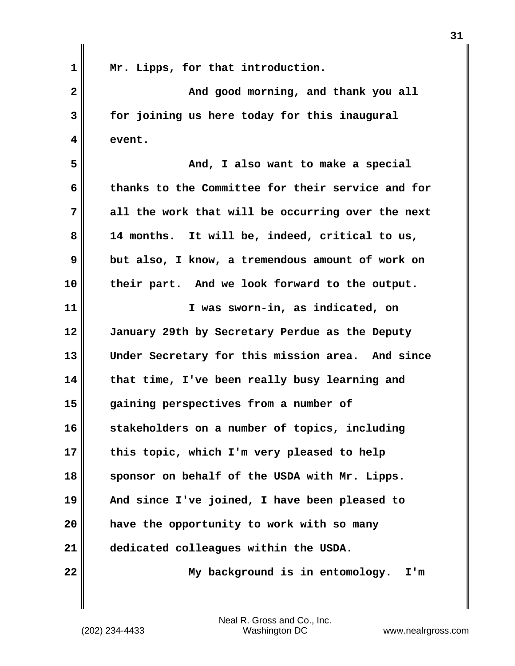**1 Mr. Lipps, for that introduction. 2** And good morning, and thank you all **3 for joining us here today for this inaugural 4 event. 5 And, I also want to make a special 6 thanks to the Committee for their service and for 7 all the work that will be occurring over the next 8 14 months. It will be, indeed, critical to us, 9 but also, I know, a tremendous amount of work on 10 their part. And we look forward to the output. 11 I was sworn-in, as indicated, on 12 January 29th by Secretary Perdue as the Deputy 13 Under Secretary for this mission area. And since 14 that time, I've been really busy learning and 15 gaining perspectives from a number of 16 stakeholders on a number of topics, including 17 this topic, which I'm very pleased to help 18 sponsor on behalf of the USDA with Mr. Lipps. 19 And since I've joined, I have been pleased to 20 have the opportunity to work with so many 21 dedicated colleagues within the USDA. 22 My background is in entomology. I'm**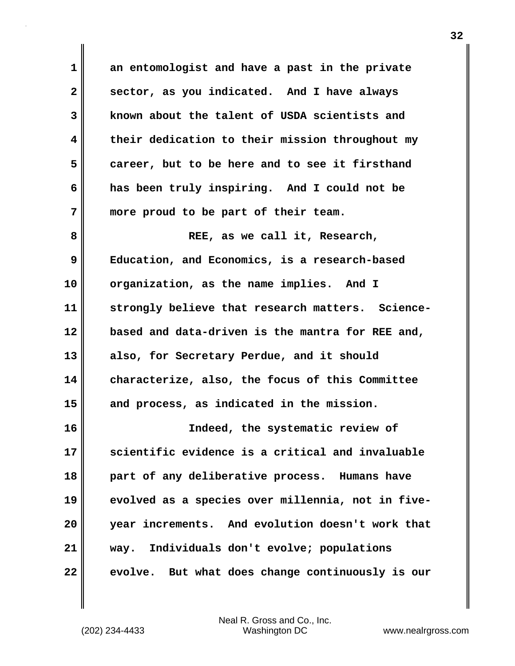**1 an entomologist and have a past in the private 2 sector, as you indicated. And I have always 3 known about the talent of USDA scientists and 4 their dedication to their mission throughout my 5 career, but to be here and to see it firsthand 6 has been truly inspiring. And I could not be 7 more proud to be part of their team.** 8 **REE**, as we call it, Research,

**9 Education, and Economics, is a research-based 10 organization, as the name implies. And I 11 strongly believe that research matters. Science-12 based and data-driven is the mantra for REE and, 13 also, for Secretary Perdue, and it should 14 characterize, also, the focus of this Committee 15 and process, as indicated in the mission.**

**16 Indeed, the systematic review of 17 scientific evidence is a critical and invaluable 18 part of any deliberative process. Humans have 19 evolved as a species over millennia, not in five-20 year increments. And evolution doesn't work that 21 way. Individuals don't evolve; populations 22 evolve. But what does change continuously is our**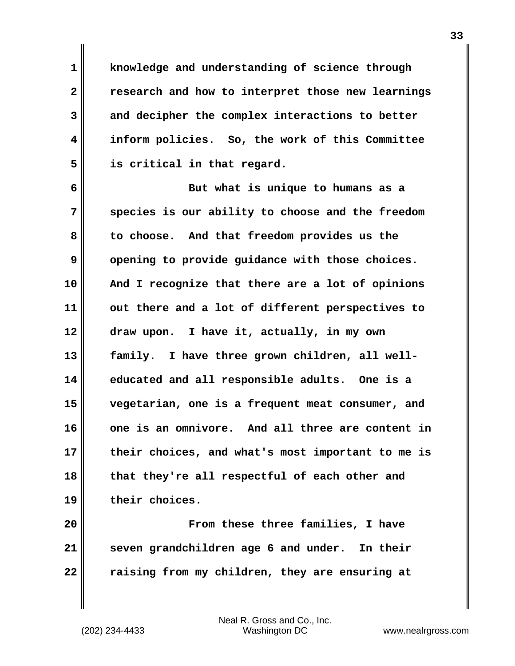**1 knowledge and understanding of science through 2 research and how to interpret those new learnings 3 and decipher the complex interactions to better 4 inform policies. So, the work of this Committee 5 is critical in that regard.**

**6 But what is unique to humans as a 7 species is our ability to choose and the freedom 8 to choose. And that freedom provides us the 9** opening to provide guidance with those choices. **10 And I recognize that there are a lot of opinions 11 out there and a lot of different perspectives to 12 draw upon. I have it, actually, in my own 13 family. I have three grown children, all well-14 educated and all responsible adults. One is a 15 vegetarian, one is a frequent meat consumer, and 16 one is an omnivore. And all three are content in 17 their choices, and what's most important to me is 18 that they're all respectful of each other and 19 their choices.**

**20 From these three families, I have 21 seven grandchildren age 6 and under. In their 22 raising from my children, they are ensuring at**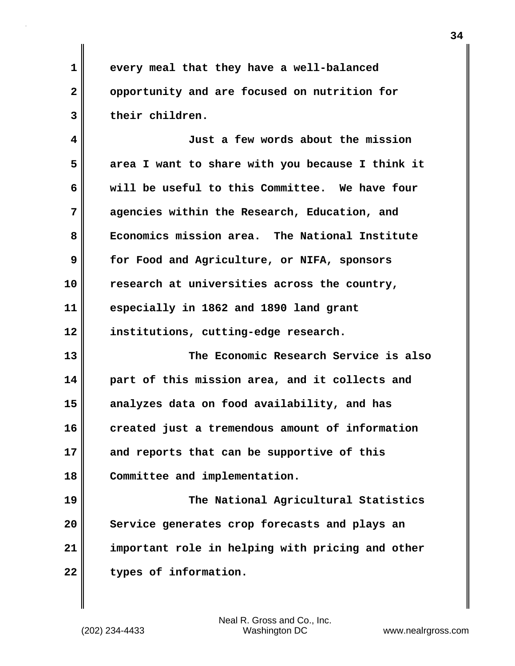**1 every meal that they have a well-balanced 2 opportunity and are focused on nutrition for 3 their children.**

**4 Just a few words about the mission 5 area I want to share with you because I think it 6 will be useful to this Committee. We have four 7 agencies within the Research, Education, and 8 Economics mission area. The National Institute 9 for Food and Agriculture, or NIFA, sponsors 10 research at universities across the country, 11 especially in 1862 and 1890 land grant 12 institutions, cutting-edge research.**

**13 The Economic Research Service is also 14 part of this mission area, and it collects and 15 analyzes data on food availability, and has 16 created just a tremendous amount of information 17 and reports that can be supportive of this 18 Committee and implementation.**

**19 The National Agricultural Statistics 20 Service generates crop forecasts and plays an 21 important role in helping with pricing and other** 22 **types of information.**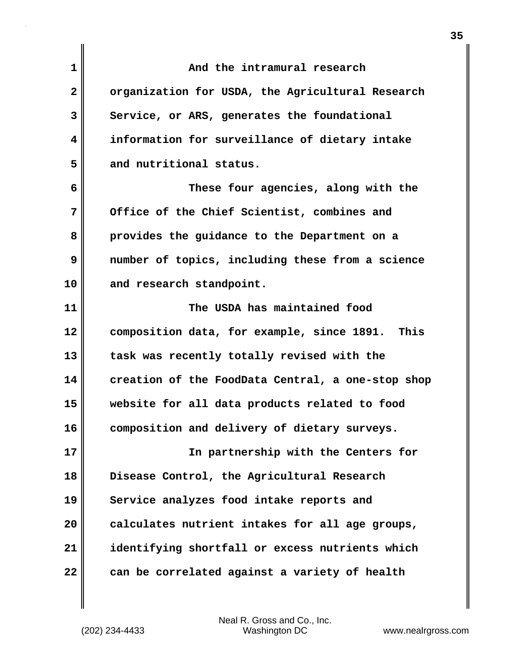| 1            | And the intramural research                       |
|--------------|---------------------------------------------------|
| $\mathbf{2}$ | organization for USDA, the Agricultural Research  |
| 3            | Service, or ARS, generates the foundational       |
| 4            | information for surveillance of dietary intake    |
| 5            | and nutritional status.                           |
| 6            | These four agencies, along with the               |
| 7            | Office of the Chief Scientist, combines and       |
| 8            | provides the guidance to the Department on a      |
| 9            | number of topics, including these from a science  |
| 10           | and research standpoint.                          |
| 11           | The USDA has maintained food                      |
| 12           | composition data, for example, since 1891. This   |
| 13           | task was recently totally revised with the        |
| 14           | creation of the FoodData Central, a one-stop shop |
| 15           | website for all data products related to food     |
| 16           | composition and delivery of dietary surveys.      |
| 17           | In partnership with the Centers for               |
| 18           | Disease Control, the Agricultural Research        |
| 19           | Service analyzes food intake reports and          |
| 20           | calculates nutrient intakes for all age groups,   |
| 21           | identifying shortfall or excess nutrients which   |
| 22           | can be correlated against a variety of health     |

 $\mathbf{I}$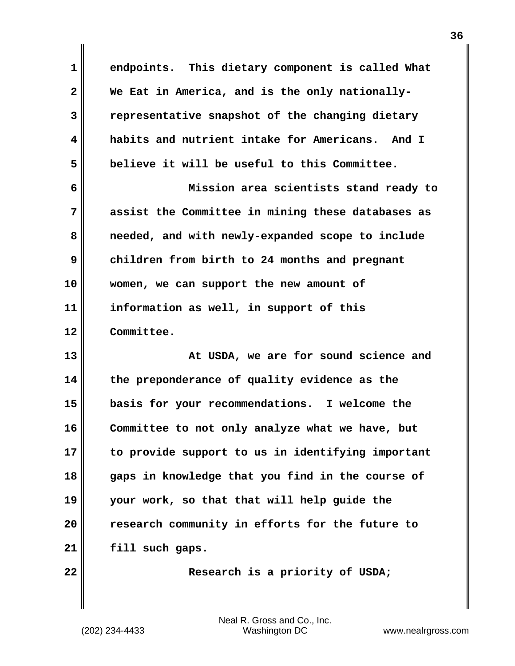| $\mathbf{1}$ | endpoints. This dietary component is called What  |
|--------------|---------------------------------------------------|
| $\mathbf{2}$ | We Eat in America, and is the only nationally-    |
| 3            | representative snapshot of the changing dietary   |
| 4            | habits and nutrient intake for Americans. And I   |
| 5            | believe it will be useful to this Committee.      |
| 6            | Mission area scientists stand ready to            |
| 7            | assist the Committee in mining these databases as |
| 8            | needed, and with newly-expanded scope to include  |
| 9            | children from birth to 24 months and pregnant     |
| 10           | women, we can support the new amount of           |
| 11           | information as well, in support of this           |
| 12           | Committee.                                        |
| 13           | At USDA, we are for sound science and             |
| 14           | the preponderance of quality evidence as the      |
| 15           | basis for your recommendations. I welcome the     |
| 16           | Committee to not only analyze what we have, but   |
| 17           | to provide support to us in identifying important |
| 18           | gaps in knowledge that you find in the course of  |
| 19           | your work, so that that will help guide the       |
| 20           | research community in efforts for the future to   |
| 21           | fill such gaps.                                   |
| 22           | Research is a priority of USDA;                   |

(202) 234-4433 Washington DC www.nealrgross.com Neal R. Gross and Co., Inc.

 $\mathbf{l}$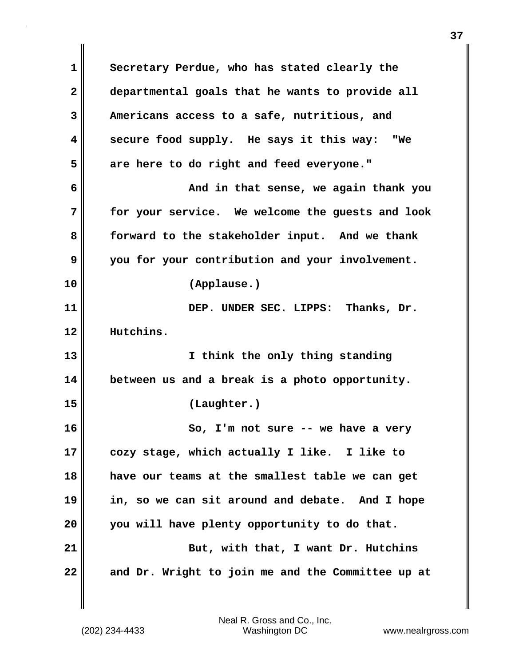**1 Secretary Perdue, who has stated clearly the 2 departmental goals that he wants to provide all 3 Americans access to a safe, nutritious, and 4 secure food supply. He says it this way: "We 5 are here to do right and feed everyone." 6 And in that sense, we again thank you 7 for your service. We welcome the guests and look 8 forward to the stakeholder input. And we thank 9 you for your contribution and your involvement. 10 (Applause.) 11 DEP. UNDER SEC. LIPPS: Thanks, Dr. 12 Hutchins. 13 I think the only thing standing 14 between us and a break is a photo opportunity. 15 (Laughter.) 16 So, I'm not sure -- we have a very 17 cozy stage, which actually I like. I like to 18 have our teams at the smallest table we can get 19 in, so we can sit around and debate. And I hope 20 you will have plenty opportunity to do that.** 21 **But, with that, I want Dr. Hutchins 22 and Dr. Wright to join me and the Committee up at**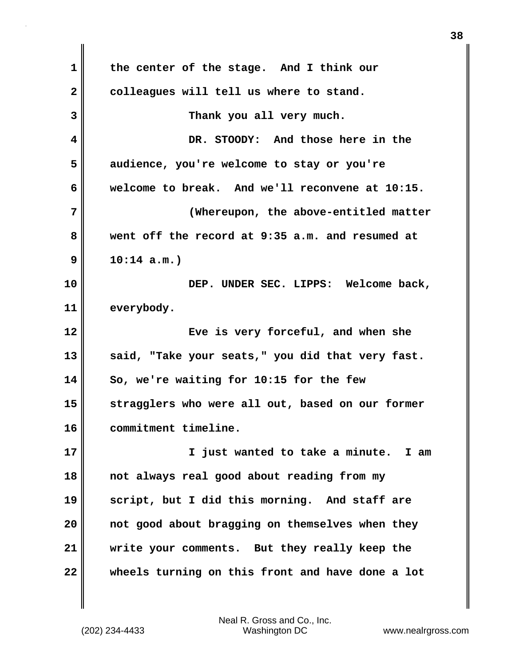**1 the center of the stage. And I think our** 2 colleagues will tell us where to stand. **3 Thank you all very much. 4 DR. STOODY: And those here in the 5 audience, you're welcome to stay or you're 6 welcome to break. And we'll reconvene at 10:15. 7 (Whereupon, the above-entitled matter 8 went off the record at 9:35 a.m. and resumed at 9 10:14 a.m.) 10 DEP. UNDER SEC. LIPPS: Welcome back, 11 everybody. 12 Eve is very forceful, and when she 13 said, "Take your seats," you did that very fast. 14 So, we're waiting for 10:15 for the few 15 stragglers who were all out, based on our former 16 commitment timeline. 17 I just wanted to take a minute. I am 18 not always real good about reading from my 19 script, but I did this morning. And staff are 20 not good about bragging on themselves when they 21 write your comments. But they really keep the 22 wheels turning on this front and have done a lot**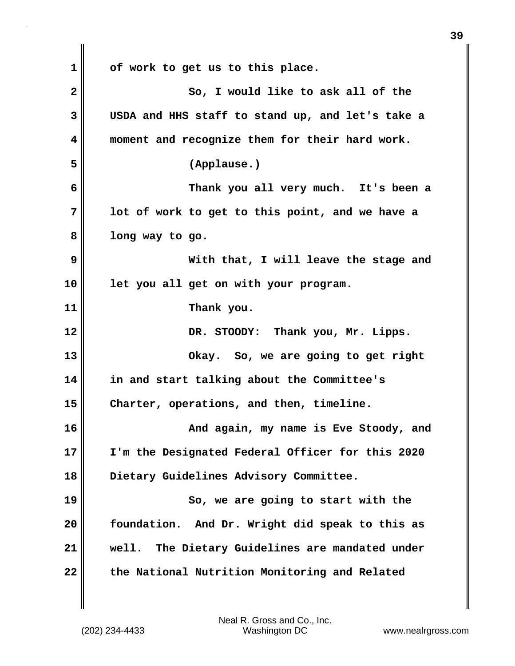**1 of work to get us to this place. 2** So, I would like to ask all of the **3 USDA and HHS staff to stand up, and let's take a 4 moment and recognize them for their hard work. 5 (Applause.) 6 Thank you all very much. It's been a 7 lot of work to get to this point, and we have a 8 long way to go. 9 With that, I will leave the stage and 10 let you all get on with your program. 11 Thank you. 12 DR. STOODY: Thank you, Mr. Lipps. 13 Okay. So, we are going to get right 14 in and start talking about the Committee's 15 Charter, operations, and then, timeline. 16 And again, my name is Eve Stoody, and 17 I'm the Designated Federal Officer for this 2020 18 Dietary Guidelines Advisory Committee. 19 So, we are going to start with the 20 foundation. And Dr. Wright did speak to this as 21 well. The Dietary Guidelines are mandated under 22 the National Nutrition Monitoring and Related**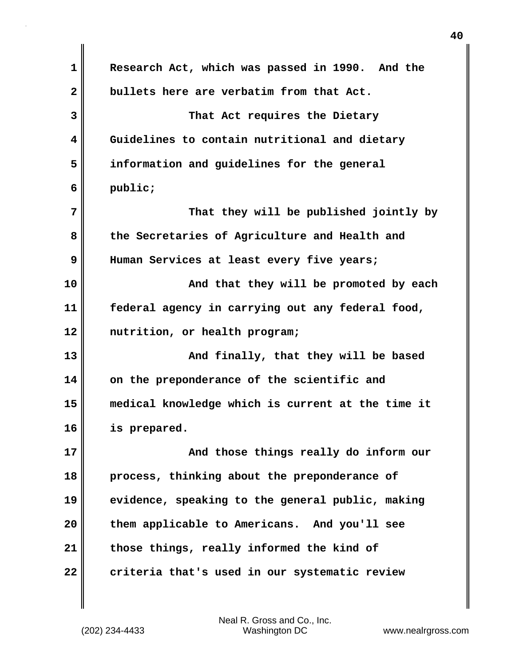| 1            | Research Act, which was passed in 1990. And the   |
|--------------|---------------------------------------------------|
| $\mathbf{2}$ | bullets here are verbatim from that Act.          |
| 3            | That Act requires the Dietary                     |
| 4            | Guidelines to contain nutritional and dietary     |
| 5            | information and guidelines for the general        |
| 6            | public;                                           |
| 7            | That they will be published jointly by            |
| 8            | the Secretaries of Agriculture and Health and     |
| 9            | Human Services at least every five years;         |
| 10           | And that they will be promoted by each            |
| 11           | federal agency in carrying out any federal food,  |
| 12           | nutrition, or health program;                     |
| 13           | And finally, that they will be based              |
| 14           | on the preponderance of the scientific and        |
| 15           | medical knowledge which is current at the time it |
| 16           | is prepared.                                      |
| 17           | And those things really do inform our             |
| 18           | process, thinking about the preponderance of      |
| 19           | evidence, speaking to the general public, making  |
| 20           | them applicable to Americans. And you'll see      |
| 21           | those things, really informed the kind of         |
| 22           | criteria that's used in our systematic review     |

(202) 234-4433 Washington DC www.nealrgross.com Neal R. Gross and Co., Inc.

 $\mathbf{I}$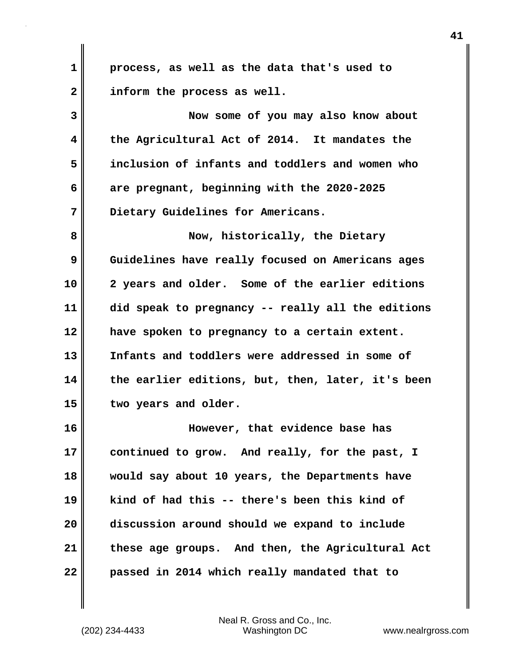**1 process, as well as the data that's used to 2 inform the process as well.**

**3 Now some of you may also know about 4 the Agricultural Act of 2014. It mandates the 5 inclusion of infants and toddlers and women who 6 are pregnant, beginning with the 2020-2025 7 Dietary Guidelines for Americans.**

**8 Now, historically, the Dietary 9 Guidelines have really focused on Americans ages 10 2 years and older. Some of the earlier editions 11 did speak to pregnancy -- really all the editions 12 have spoken to pregnancy to a certain extent. 13 Infants and toddlers were addressed in some of 14 the earlier editions, but, then, later, it's been 15 two years and older.**

**16 However, that evidence base has 17 continued to grow. And really, for the past, I 18 would say about 10 years, the Departments have 19 kind of had this -- there's been this kind of 20 discussion around should we expand to include 21 these age groups. And then, the Agricultural Act 22 passed in 2014 which really mandated that to**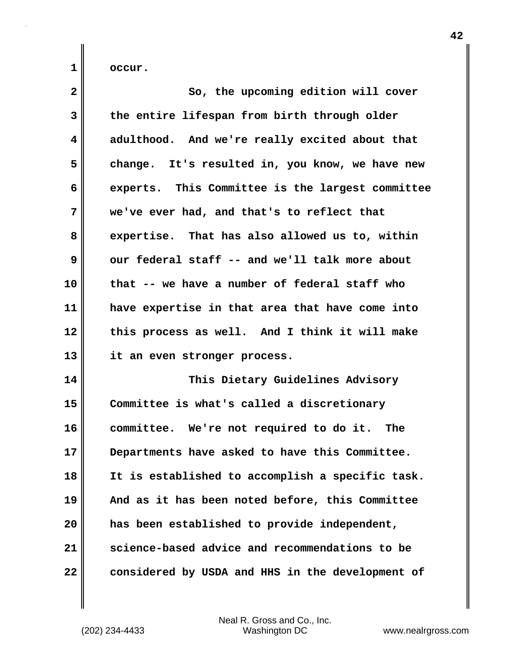**1 occur.**

| $\overline{\mathbf{2}}$ | So, the upcoming edition will cover              |
|-------------------------|--------------------------------------------------|
| 3                       | the entire lifespan from birth through older     |
| $\overline{\mathbf{4}}$ | adulthood. And we're really excited about that   |
| 5                       | change. It's resulted in, you know, we have new  |
| 6                       | experts. This Committee is the largest committee |
| 7                       | we've ever had, and that's to reflect that       |
| 8                       | expertise. That has also allowed us to, within   |
| 9                       | our federal staff -- and we'll talk more about   |
| 10                      | that -- we have a number of federal staff who    |
| 11                      | have expertise in that area that have come into  |
| 12                      | this process as well. And I think it will make   |
| 13                      | it an even stronger process.                     |
| 14                      | This Dietary Guidelines Advisory                 |
| 15                      | Committee is what's called a discretionary       |
| 16                      | committee. We're not required to do it. The      |
| 17                      | Departments have asked to have this Committee.   |
| 18                      | It is established to accomplish a specific task. |
| 19                      | And as it has been noted before, this Committee  |
| 20                      | has been established to provide independent,     |
| 21                      | science-based advice and recommendations to be   |
| 22                      | considered by USDA and HHS in the development of |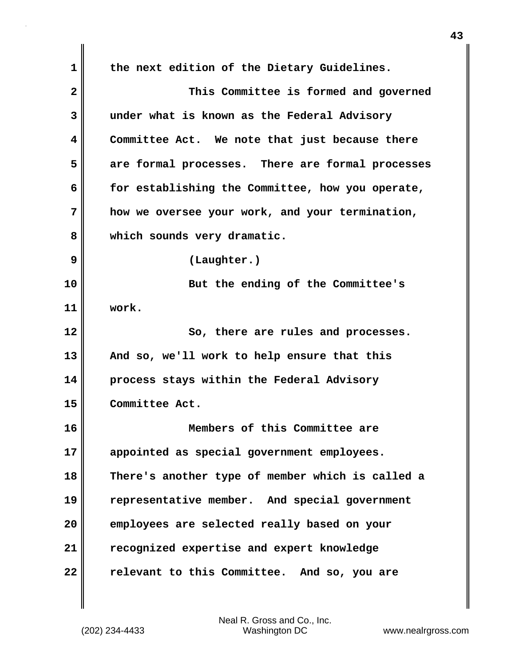**1 the next edition of the Dietary Guidelines. 2 This Committee is formed and governed 3 under what is known as the Federal Advisory 4 Committee Act. We note that just because there 5 are formal processes. There are formal processes 6 for establishing the Committee, how you operate, 7 how we oversee your work, and your termination, 8 which sounds very dramatic. 9 (Laughter.) 10 But the ending of the Committee's 11 work. 12** So, there are rules and processes. **13 And so, we'll work to help ensure that this 14 process stays within the Federal Advisory 15 Committee Act. 16 Members of this Committee are 17 appointed as special government employees. 18 There's another type of member which is called a 19 representative member. And special government 20 employees are selected really based on your 21 recognized expertise and expert knowledge 22 relevant to this Committee. And so, you are**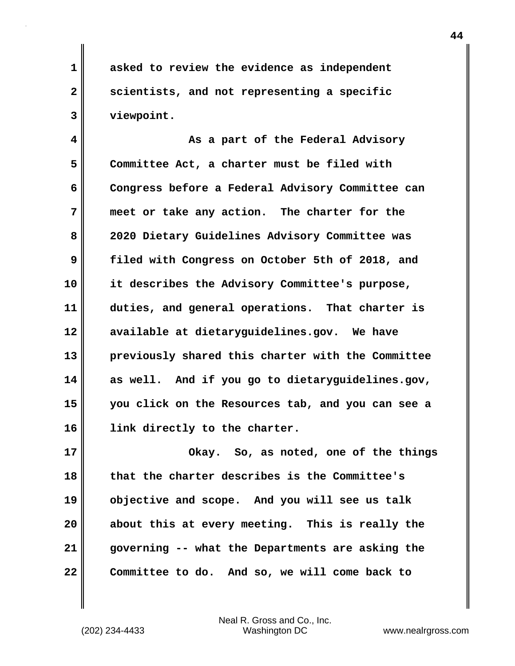**1 asked to review the evidence as independent 2 scientists, and not representing a specific 3 viewpoint.**

**4 As a part of the Federal Advisory 5 Committee Act, a charter must be filed with 6 Congress before a Federal Advisory Committee can 7 meet or take any action. The charter for the 8 2020 Dietary Guidelines Advisory Committee was 9 filed with Congress on October 5th of 2018, and 10 it describes the Advisory Committee's purpose, 11 duties, and general operations. That charter is 12 available at dietaryguidelines.gov. We have 13 previously shared this charter with the Committee 14 as well. And if you go to dietaryguidelines.gov, 15 you click on the Resources tab, and you can see a 16 link directly to the charter.**

**17 Okay. So, as noted, one of the things 18 that the charter describes is the Committee's 19 objective and scope. And you will see us talk 20 about this at every meeting. This is really the 21 governing -- what the Departments are asking the 22 Committee to do. And so, we will come back to**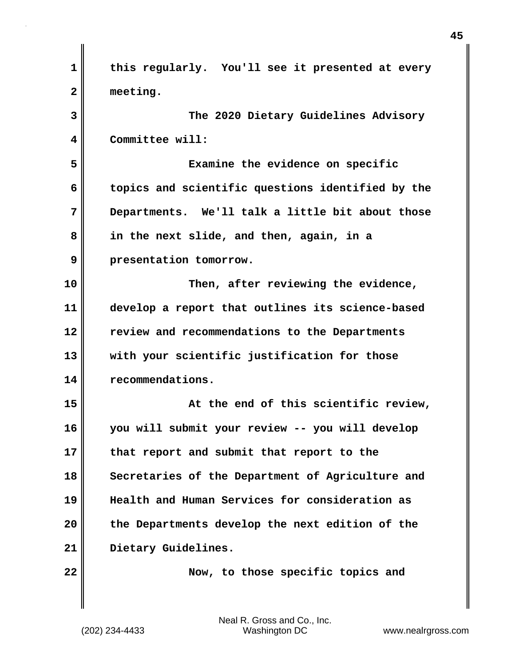| $\mathbf 1$  | this regularly. You'll see it presented at every  |
|--------------|---------------------------------------------------|
| $\mathbf{2}$ | meeting.                                          |
| 3            | The 2020 Dietary Guidelines Advisory              |
| 4            | Committee will:                                   |
| 5            | Examine the evidence on specific                  |
| 6            | topics and scientific questions identified by the |
| 7            | Departments. We'll talk a little bit about those  |
| 8            | in the next slide, and then, again, in a          |
| 9            | presentation tomorrow.                            |
| 10           | Then, after reviewing the evidence,               |
| 11           | develop a report that outlines its science-based  |
| 12           | review and recommendations to the Departments     |
| 13           | with your scientific justification for those      |
| 14           | recommendations.                                  |
| 15           | At the end of this scientific review,             |
| 16           | you will submit your review -- you will develop   |
| 17           | that report and submit that report to the         |
| 18           | Secretaries of the Department of Agriculture and  |
| 19           | Health and Human Services for consideration as    |
| 20           | the Departments develop the next edition of the   |
| 21           | Dietary Guidelines.                               |
| 22           | Now, to those specific topics and                 |
|              |                                                   |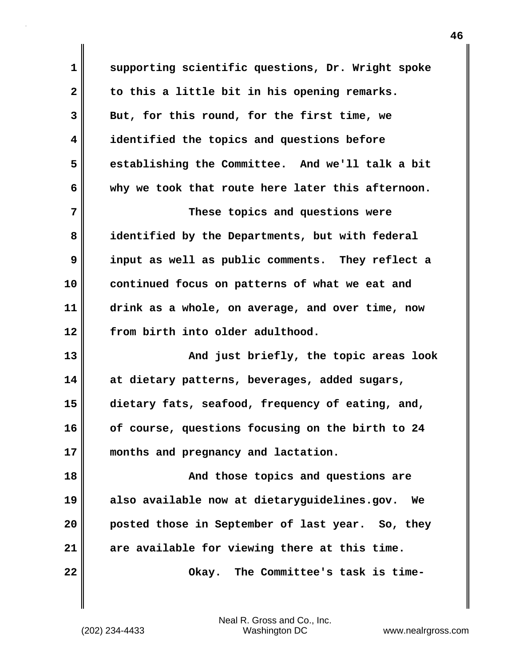**1 supporting scientific questions, Dr. Wright spoke 2 to this a little bit in his opening remarks. 3 But, for this round, for the first time, we 4 identified the topics and questions before 5 establishing the Committee. And we'll talk a bit 6 why we took that route here later this afternoon. 7** These topics and questions were **8 identified by the Departments, but with federal 9 input as well as public comments. They reflect a 10 continued focus on patterns of what we eat and 11 drink as a whole, on average, and over time, now 12 from birth into older adulthood. 13 And just briefly, the topic areas look 14 at dietary patterns, beverages, added sugars, 15 dietary fats, seafood, frequency of eating, and, 16 of course, questions focusing on the birth to 24 17 months and pregnancy and lactation. 18 And those topics and questions are 19 also available now at dietaryguidelines.gov. We 20 posted those in September of last year. So, they 21 are available for viewing there at this time. 22 Okay. The Committee's task is time-**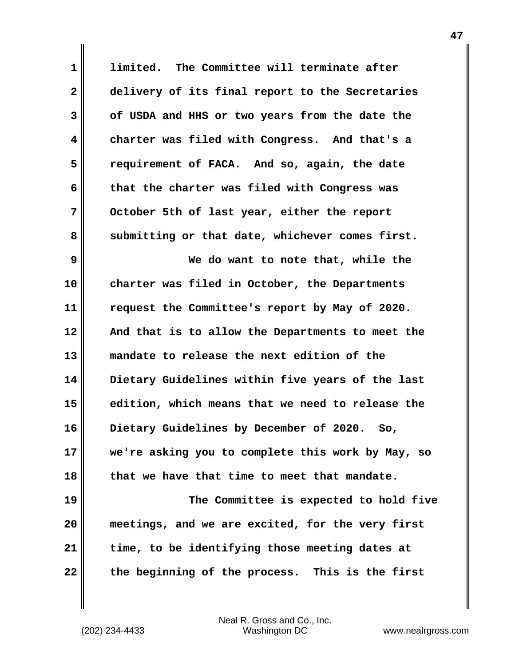**1 limited. The Committee will terminate after 2 delivery of its final report to the Secretaries 3 of USDA and HHS or two years from the date the 4 charter was filed with Congress. And that's a 5 requirement of FACA. And so, again, the date 6 that the charter was filed with Congress was 7 October 5th of last year, either the report** 8 submitting or that date, whichever comes first. **9 We do want to note that, while the 10 charter was filed in October, the Departments 11 request the Committee's report by May of 2020. 12 And that is to allow the Departments to meet the 13 mandate to release the next edition of the 14 Dietary Guidelines within five years of the last 15 edition, which means that we need to release the 16 Dietary Guidelines by December of 2020. So, 17 we're asking you to complete this work by May, so 18 that we have that time to meet that mandate. 19 The Committee is expected to hold five 20 meetings, and we are excited, for the very first 21 time, to be identifying those meeting dates at**

**47**

(202) 234-4433 Washington DC www.nealrgross.com Neal R. Gross and Co., Inc.

**22 the beginning of the process. This is the first**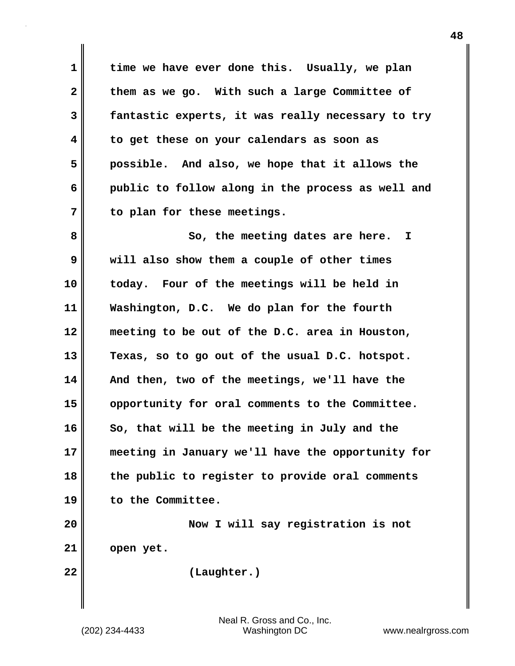**1 time we have ever done this. Usually, we plan 2 them as we go. With such a large Committee of 3 fantastic experts, it was really necessary to try 4 to get these on your calendars as soon as 5 possible. And also, we hope that it allows the 6 public to follow along in the process as well and 7 to plan for these meetings.**

**8** So, the meeting dates are here. I **9 will also show them a couple of other times 10 today. Four of the meetings will be held in 11 Washington, D.C. We do plan for the fourth 12 meeting to be out of the D.C. area in Houston, 13 Texas, so to go out of the usual D.C. hotspot. 14 And then, two of the meetings, we'll have the 15 opportunity for oral comments to the Committee.**  16 So, that will be the meeting in July and the **17 meeting in January we'll have the opportunity for 18 the public to register to provide oral comments 19 to the Committee.**

**20 Now I will say registration is not 21 open yet.**

**22 (Laughter.)**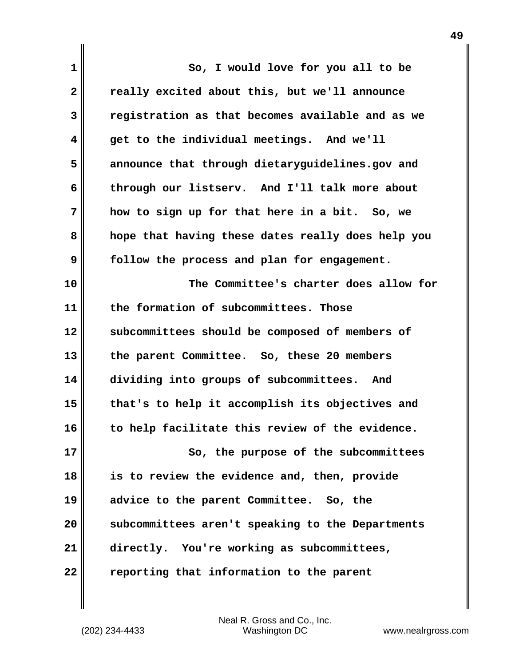| 1  | So, I would love for you all to be                |
|----|---------------------------------------------------|
| 2  | really excited about this, but we'll announce     |
| 3  | registration as that becomes available and as we  |
| 4  | get to the individual meetings. And we'll         |
| 5  | announce that through dietaryguidelines.gov and   |
| 6  | through our listserv. And I'll talk more about    |
| 7  | how to sign up for that here in a bit. So, we     |
| 8  | hope that having these dates really does help you |
| 9  | follow the process and plan for engagement.       |
| 10 | The Committee's charter does allow for            |
| 11 | the formation of subcommittees. Those             |
| 12 | subcommittees should be composed of members of    |
| 13 | the parent Committee. So, these 20 members        |
| 14 | dividing into groups of subcommittees. And        |
| 15 | that's to help it accomplish its objectives and   |
| 16 | to help facilitate this review of the evidence.   |
| 17 | So, the purpose of the subcommittees              |
| 18 | is to review the evidence and, then, provide      |
| 19 | advice to the parent Committee. So, the           |
| 20 | subcommittees aren't speaking to the Departments  |
| 21 | directly. You're working as subcommittees,        |
| 22 | reporting that information to the parent          |

(202) 234-4433 Washington DC www.nealrgross.com Neal R. Gross and Co., Inc.

 $\mathbf{I}$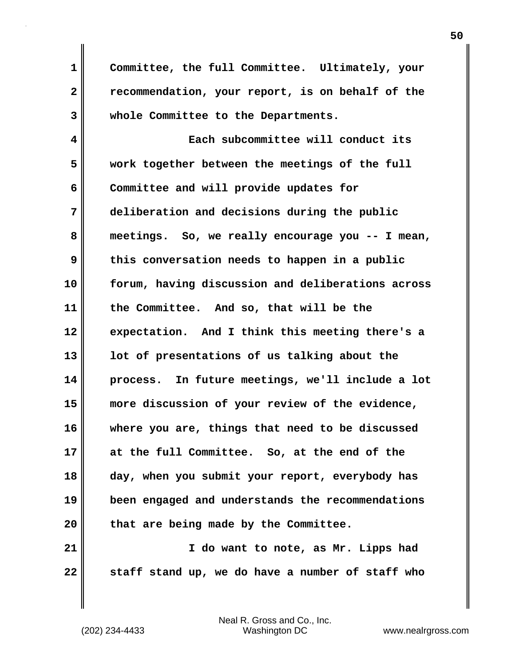**1 Committee, the full Committee. Ultimately, your 2 recommendation, your report, is on behalf of the 3 whole Committee to the Departments.**

**4 Each subcommittee will conduct its 5 work together between the meetings of the full 6 Committee and will provide updates for 7 deliberation and decisions during the public 8 meetings. So, we really encourage you -- I mean, 9 this conversation needs to happen in a public 10 forum, having discussion and deliberations across 11 the Committee. And so, that will be the 12 expectation. And I think this meeting there's a 13 lot of presentations of us talking about the 14 process. In future meetings, we'll include a lot 15 more discussion of your review of the evidence, 16 where you are, things that need to be discussed 17 at the full Committee. So, at the end of the 18 day, when you submit your report, everybody has 19 been engaged and understands the recommendations 20 that are being made by the Committee. 21 I do want to note, as Mr. Lipps had**

**22 staff stand up, we do have a number of staff who**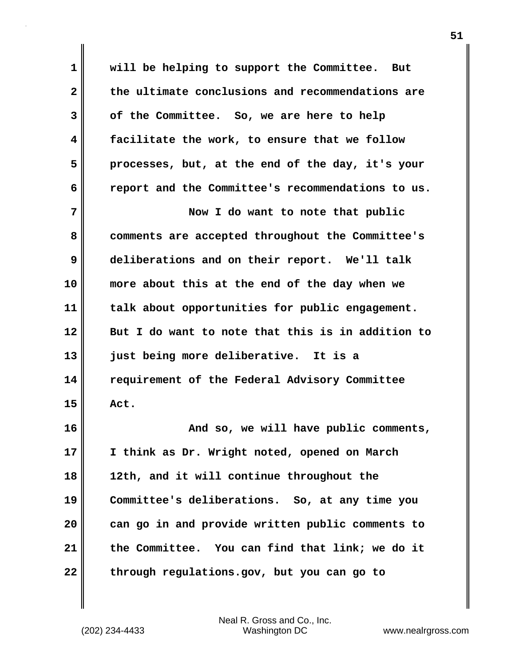**1 will be helping to support the Committee. But 2 the ultimate conclusions and recommendations are 3 of the Committee. So, we are here to help 4 facilitate the work, to ensure that we follow 5 processes, but, at the end of the day, it's your 6 report and the Committee's recommendations to us. 7 Now I do want to note that public 8 comments are accepted throughout the Committee's 9 deliberations and on their report. We'll talk 10 more about this at the end of the day when we 11 talk about opportunities for public engagement. 12 But I do want to note that this is in addition to 13 just being more deliberative. It is a 14 requirement of the Federal Advisory Committee 15 Act. 16 And so, we will have public comments, 17 I think as Dr. Wright noted, opened on March 18 12th, and it will continue throughout the 19 Committee's deliberations. So, at any time you 20 can go in and provide written public comments to 21 the Committee. You can find that link; we do it 22 through regulations.gov, but you can go to**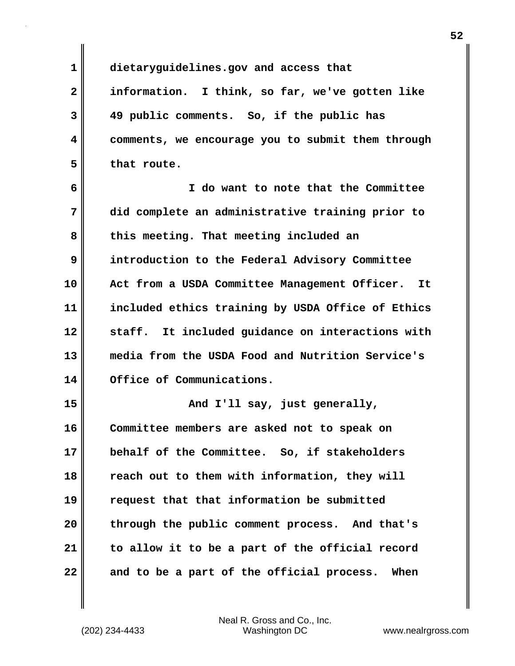**1 dietaryguidelines.gov and access that 2 information. I think, so far, we've gotten like 3 49 public comments. So, if the public has 4 comments, we encourage you to submit them through 5 that route. 6 I do want to note that the Committee 7 did complete an administrative training prior to 8 this meeting. That meeting included an 9 introduction to the Federal Advisory Committee 10 Act from a USDA Committee Management Officer. It 11 included ethics training by USDA Office of Ethics 12 staff. It included guidance on interactions with 13 media from the USDA Food and Nutrition Service's 14 Office of Communications. 15 And I'll say, just generally, 16 Committee members are asked not to speak on 17 behalf of the Committee. So, if stakeholders 18 reach out to them with information, they will 19 request that that information be submitted 20 through the public comment process. And that's 21 to allow it to be a part of the official record 22 and to be a part of the official process. When**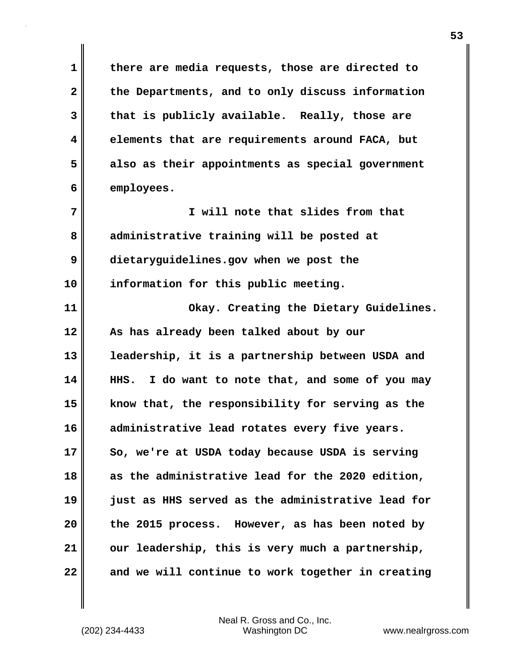**1 there are media requests, those are directed to 2 the Departments, and to only discuss information 3 that is publicly available. Really, those are 4 elements that are requirements around FACA, but 5 also as their appointments as special government 6 employees. 7 I will note that slides from that 8 administrative training will be posted at 9 dietaryguidelines.gov when we post the 10 information for this public meeting. 11 Okay. Creating the Dietary Guidelines. 12 As has already been talked about by our 13 leadership, it is a partnership between USDA and 14 HHS. I do want to note that, and some of you may 15 know that, the responsibility for serving as the 16 administrative lead rotates every five years. 17 So, we're at USDA today because USDA is serving 18 as the administrative lead for the 2020 edition, 19 just as HHS served as the administrative lead for 20 the 2015 process. However, as has been noted by 21 our leadership, this is very much a partnership, 22 and we will continue to work together in creating**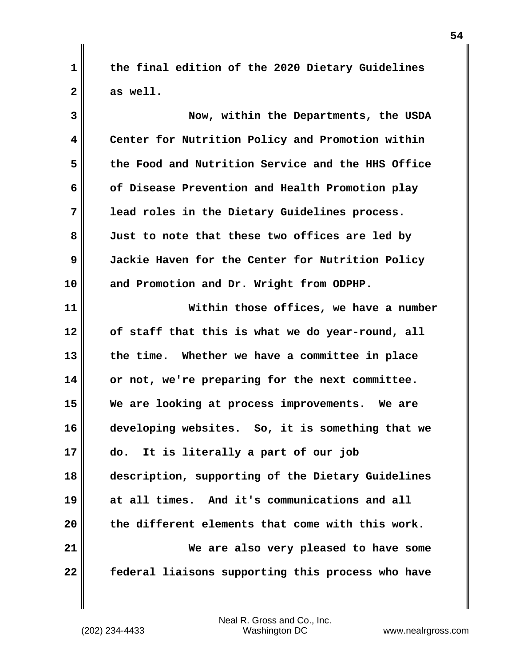**1 the final edition of the 2020 Dietary Guidelines 2 as well.**

**3 Now, within the Departments, the USDA 4 Center for Nutrition Policy and Promotion within 5 the Food and Nutrition Service and the HHS Office 6 of Disease Prevention and Health Promotion play 7 lead roles in the Dietary Guidelines process. 8 Just to note that these two offices are led by 9 Jackie Haven for the Center for Nutrition Policy 10 and Promotion and Dr. Wright from ODPHP. 11 Within those offices, we have a number 12 of staff that this is what we do year-round, all 13 the time. Whether we have a committee in place 14 or not, we're preparing for the next committee. 15 We are looking at process improvements. We are 16 developing websites. So, it is something that we 17 do. It is literally a part of our job 18 description, supporting of the Dietary Guidelines 19 at all times. And it's communications and all 20 the different elements that come with this work. 21 We are also very pleased to have some 22 federal liaisons supporting this process who have**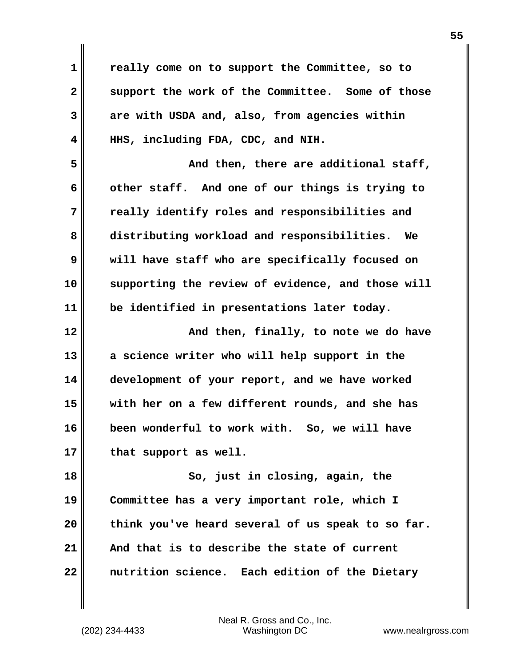**1 really come on to support the Committee, so to 2 support the work of the Committee. Some of those 3 are with USDA and, also, from agencies within 4 HHS, including FDA, CDC, and NIH. 5** And then, there are additional staff, **6 other staff. And one of our things is trying to 7 really identify roles and responsibilities and 8 distributing workload and responsibilities. We 9 will have staff who are specifically focused on 10 supporting the review of evidence, and those will 11 be identified in presentations later today. 12 And then, finally, to note we do have 13 a science writer who will help support in the 14 development of your report, and we have worked 15 with her on a few different rounds, and she has 16 been wonderful to work with. So, we will have** 17 that support as well. **18 So, just in closing, again, the 19 Committee has a very important role, which I 20 think you've heard several of us speak to so far. 21 And that is to describe the state of current 22 nutrition science. Each edition of the Dietary**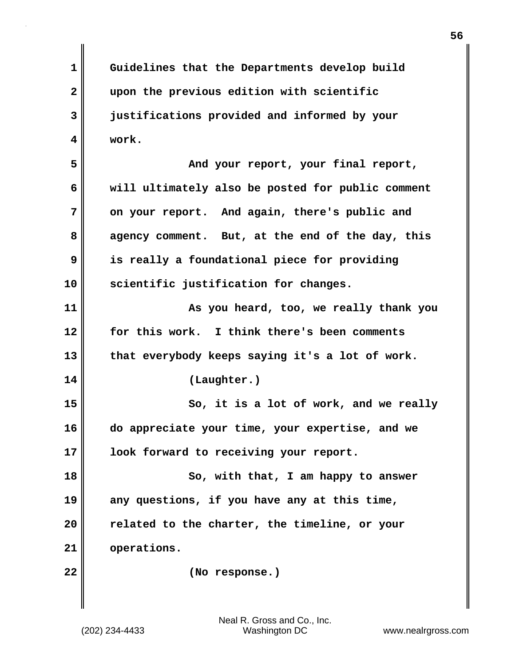**1 Guidelines that the Departments develop build 2 upon the previous edition with scientific 3 justifications provided and informed by your 4 work. 5 And your report, your final report, 6 will ultimately also be posted for public comment 7 on your report. And again, there's public and 8 agency comment. But, at the end of the day, this 9 is really a foundational piece for providing 10 scientific justification for changes. 11 As you heard, too, we really thank you 12 for this work. I think there's been comments 13 that everybody keeps saying it's a lot of work. 14 (Laughter.) 15** So, it is a lot of work, and we really **16 do appreciate your time, your expertise, and we 17 look forward to receiving your report. 18 So, with that, I am happy to answer 19 any questions, if you have any at this time, 20 related to the charter, the timeline, or your 21 operations. 22 (No response.)**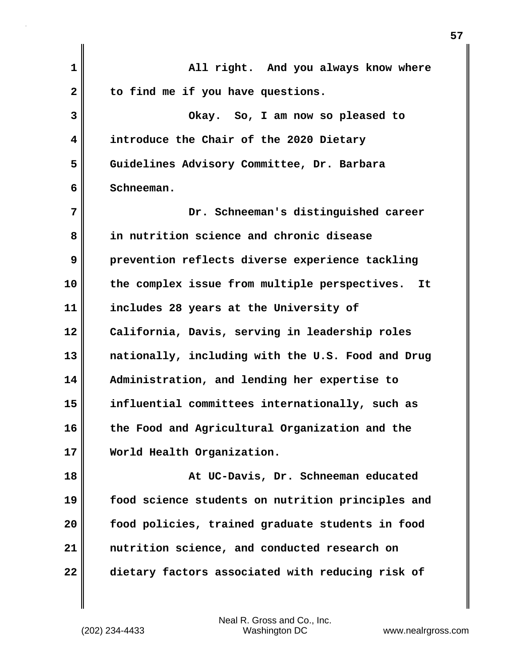| $\mathbf 1$  | All right. And you always know where                |
|--------------|-----------------------------------------------------|
| $\mathbf{2}$ | to find me if you have questions.                   |
| 3            | Okay. So, I am now so pleased to                    |
| 4            | introduce the Chair of the 2020 Dietary             |
| 5            | Guidelines Advisory Committee, Dr. Barbara          |
| 6            | Schneeman.                                          |
| 7            | Dr. Schneeman's distinguished career                |
| 8            | in nutrition science and chronic disease            |
| 9            | prevention reflects diverse experience tackling     |
| 10           | the complex issue from multiple perspectives.<br>It |
| 11           | includes 28 years at the University of              |
| 12           | California, Davis, serving in leadership roles      |
| 13           | nationally, including with the U.S. Food and Drug   |
| 14           | Administration, and lending her expertise to        |
| 15           | influential committees internationally, such as     |
| 16           | the Food and Agricultural Organization and the      |
| 17           | World Health Organization.                          |
| 18           | At UC-Davis, Dr. Schneeman educated                 |
| 19           | food science students on nutrition principles and   |
| 20           | food policies, trained graduate students in food    |
| 21           | nutrition science, and conducted research on        |
| 22           | dietary factors associated with reducing risk of    |
|              |                                                     |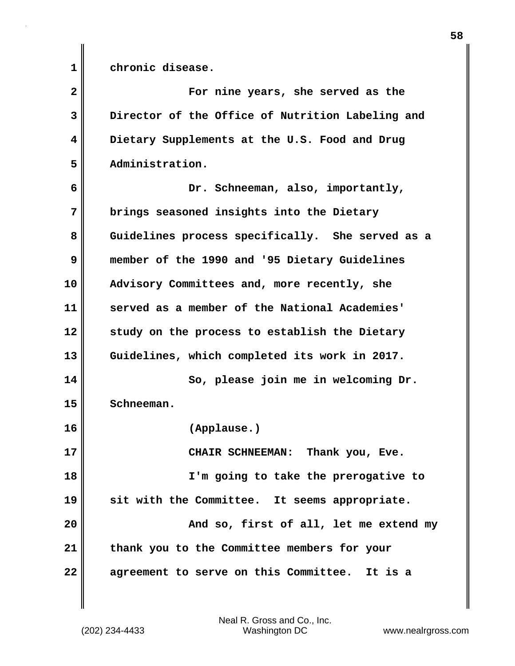**1 chronic disease.**

**2 For nine years, she served as the 3 Director of the Office of Nutrition Labeling and 4 Dietary Supplements at the U.S. Food and Drug 5 Administration. 6 Dr. Schneeman, also, importantly, 7 brings seasoned insights into the Dietary 8 Guidelines process specifically. She served as a 9 member of the 1990 and '95 Dietary Guidelines 10 Advisory Committees and, more recently, she 11 served as a member of the National Academies' 12 study on the process to establish the Dietary 13 Guidelines, which completed its work in 2017. 14 So, please join me in welcoming Dr. 15 Schneeman. 16 (Applause.) 17** CHAIR SCHNEEMAN: Thank you, Eve. **18 I'm going to take the prerogative to 19 sit with the Committee. It seems appropriate. 20 And so, first of all, let me extend my 21 thank you to the Committee members for your 22 agreement to serve on this Committee. It is a**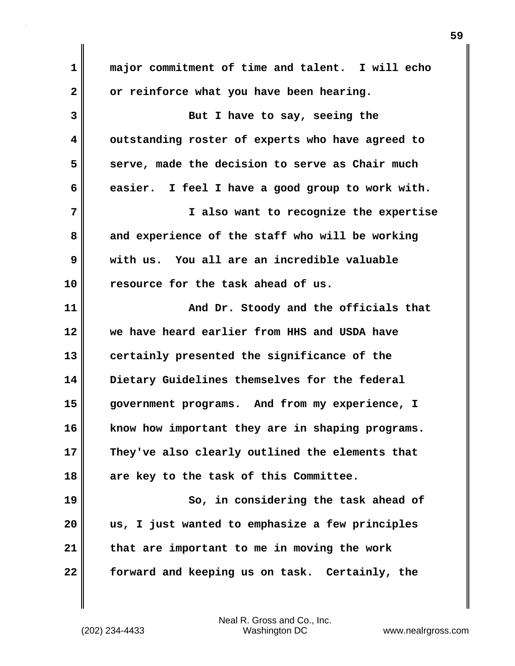**1 major commitment of time and talent. I will echo 2 or reinforce what you have been hearing. 3 But I have to say, seeing the 4 outstanding roster of experts who have agreed to 5 serve, made the decision to serve as Chair much 6 easier. I feel I have a good group to work with. 7 I also want to recognize the expertise 8 and experience of the staff who will be working 9 with us. You all are an incredible valuable 10 resource for the task ahead of us. 11 And Dr. Stoody and the officials that 12 we have heard earlier from HHS and USDA have 13 certainly presented the significance of the 14 Dietary Guidelines themselves for the federal 15 government programs. And from my experience, I 16 know how important they are in shaping programs. 17 They've also clearly outlined the elements that 18 are key to the task of this Committee. 19** So, in considering the task ahead of **20 us, I just wanted to emphasize a few principles 21 that are important to me in moving the work 22 forward and keeping us on task. Certainly, the**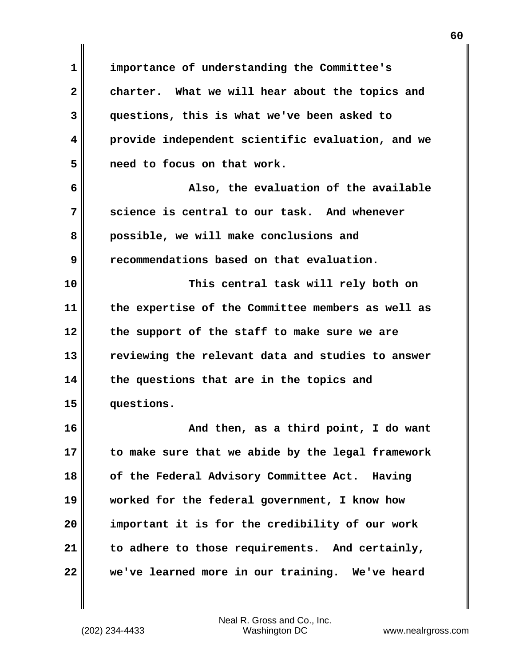**1 importance of understanding the Committee's 2 charter. What we will hear about the topics and 3 questions, this is what we've been asked to 4 provide independent scientific evaluation, and we 5 need to focus on that work. 6 Also, the evaluation of the available 7 science is central to our task. And whenever 8 possible, we will make conclusions and 9 recommendations based on that evaluation. 10 This central task will rely both on 11 the expertise of the Committee members as well as 12 the support of the staff to make sure we are 13 reviewing the relevant data and studies to answer 14 the questions that are in the topics and 15 questions. 16 And then, as a third point, I do want 17 to make sure that we abide by the legal framework 18 of the Federal Advisory Committee Act. Having 19 worked for the federal government, I know how 20 important it is for the credibility of our work 21 to adhere to those requirements. And certainly, 22 we've learned more in our training. We've heard**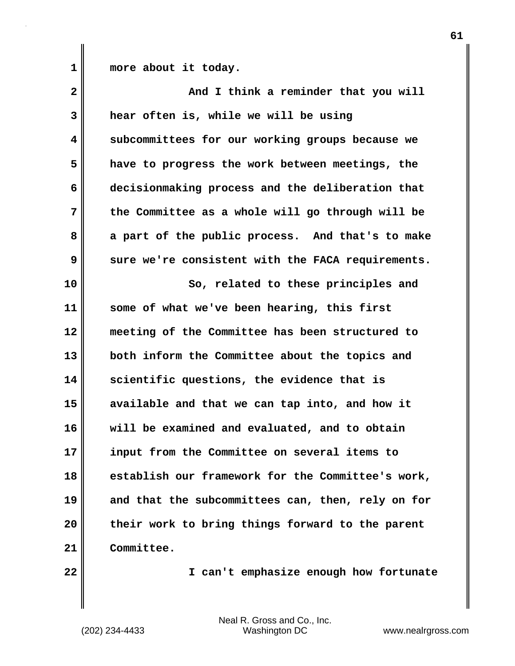1 more about it today.

| $\overline{\mathbf{2}}$ | And I think a reminder that you will              |
|-------------------------|---------------------------------------------------|
| 3                       | hear often is, while we will be using             |
| 4                       | subcommittees for our working groups because we   |
| 5                       | have to progress the work between meetings, the   |
| 6                       | decisionmaking process and the deliberation that  |
| 7                       | the Committee as a whole will go through will be  |
| 8                       | a part of the public process. And that's to make  |
| 9                       | sure we're consistent with the FACA requirements. |
| 10                      | So, related to these principles and               |
| 11                      | some of what we've been hearing, this first       |
| 12                      | meeting of the Committee has been structured to   |
| 13                      | both inform the Committee about the topics and    |
| 14                      | scientific questions, the evidence that is        |
| 15                      | available and that we can tap into, and how it    |
| 16                      | will be examined and evaluated, and to obtain     |
| 17                      | input from the Committee on several items to      |
| 18                      | establish our framework for the Committee's work, |
| 19                      | and that the subcommittees can, then, rely on for |
| 20                      | their work to bring things forward to the parent  |
| 21                      | Committee.                                        |
|                         |                                                   |

**22 I can't emphasize enough how fortunate**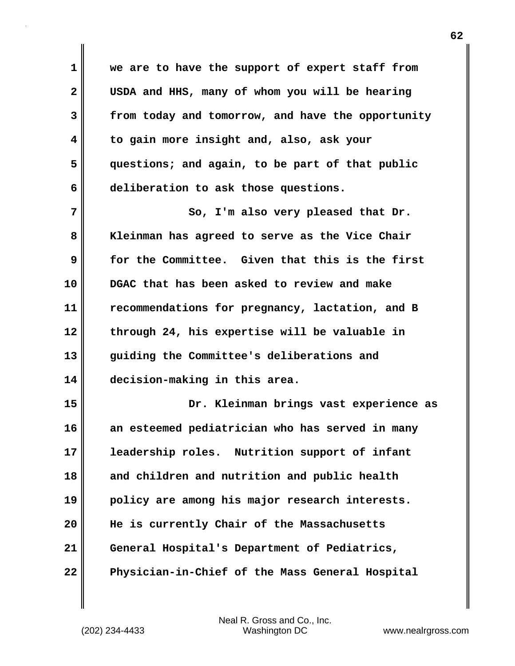**1 we are to have the support of expert staff from 2 USDA and HHS, many of whom you will be hearing 3 from today and tomorrow, and have the opportunity 4 to gain more insight and, also, ask your 5 questions; and again, to be part of that public 6 deliberation to ask those questions.**

7 || So, I'm also very pleased that Dr. **8 Kleinman has agreed to serve as the Vice Chair 9 for the Committee. Given that this is the first 10 DGAC that has been asked to review and make 11 recommendations for pregnancy, lactation, and B 12 through 24, his expertise will be valuable in 13 guiding the Committee's deliberations and 14 decision-making in this area.**

**15 Dr. Kleinman brings vast experience as 16 an esteemed pediatrician who has served in many 17 leadership roles. Nutrition support of infant 18 and children and nutrition and public health 19 policy are among his major research interests. 20 He is currently Chair of the Massachusetts 21 General Hospital's Department of Pediatrics, 22 Physician-in-Chief of the Mass General Hospital**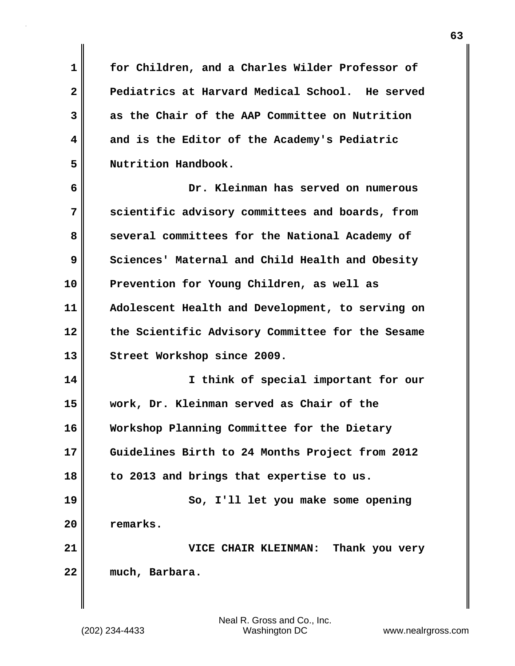**1 for Children, and a Charles Wilder Professor of 2 Pediatrics at Harvard Medical School. He served 3 as the Chair of the AAP Committee on Nutrition 4 and is the Editor of the Academy's Pediatric 5 Nutrition Handbook.**

**6 Dr. Kleinman has served on numerous 7 scientific advisory committees and boards, from** 8 several committees for the National Academy of **9 Sciences' Maternal and Child Health and Obesity 10 Prevention for Young Children, as well as 11 Adolescent Health and Development, to serving on 12 the Scientific Advisory Committee for the Sesame 13 Street Workshop since 2009.**

**14 I think of special important for our 15 work, Dr. Kleinman served as Chair of the 16 Workshop Planning Committee for the Dietary 17 Guidelines Birth to 24 Months Project from 2012 18 to 2013 and brings that expertise to us. 19 So, I'll let you make some opening 20 remarks.**

**21 VICE CHAIR KLEINMAN: Thank you very 22 much, Barbara.**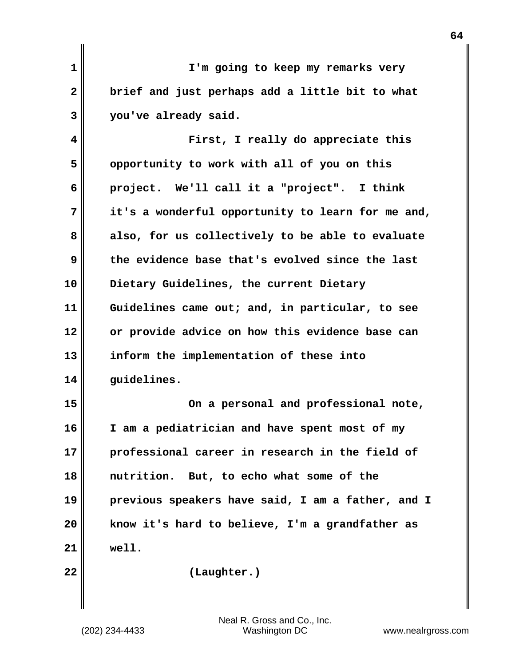| $\mathbf 1$  | I'm going to keep my remarks very                 |
|--------------|---------------------------------------------------|
| $\mathbf{2}$ | brief and just perhaps add a little bit to what   |
| 3            | you've already said.                              |
| 4            | First, I really do appreciate this                |
| 5            | opportunity to work with all of you on this       |
| 6            | project. We'll call it a "project". I think       |
| 7            | it's a wonderful opportunity to learn for me and, |
| 8            | also, for us collectively to be able to evaluate  |
| 9            | the evidence base that's evolved since the last   |
| 10           | Dietary Guidelines, the current Dietary           |
| 11           | Guidelines came out; and, in particular, to see   |
| 12           | or provide advice on how this evidence base can   |
| 13           | inform the implementation of these into           |
| 14           | quidelines.                                       |
| 15           | On a personal and professional note,              |
| 16           | I am a pediatrician and have spent most of my     |
| 17           | professional career in research in the field of   |
| 18           | nutrition. But, to echo what some of the          |
| 19           | previous speakers have said, I am a father, and I |
| 20           | know it's hard to believe, I'm a grandfather as   |
| 21           | well.                                             |
| 22           | (Laughter.)                                       |
|              |                                                   |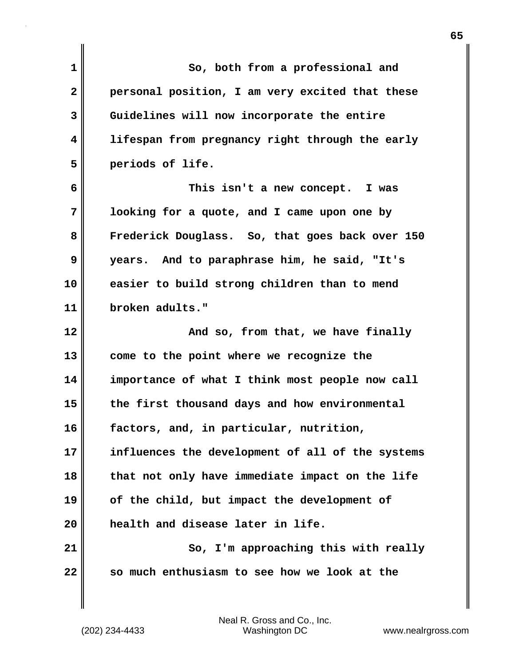| $\mathbf 1$  | So, both from a professional and                 |
|--------------|--------------------------------------------------|
| $\mathbf{2}$ | personal position, I am very excited that these  |
| 3            | Guidelines will now incorporate the entire       |
| 4            | lifespan from pregnancy right through the early  |
| 5            | periods of life.                                 |
| 6            | This isn't a new concept. I was                  |
| 7            | looking for a quote, and I came upon one by      |
| 8            | Frederick Douglass. So, that goes back over 150  |
| 9            | years. And to paraphrase him, he said, "It's     |
| 10           | easier to build strong children than to mend     |
| 11           | broken adults."                                  |
| 12           | And so, from that, we have finally               |
| 13           | come to the point where we recognize the         |
| 14           | importance of what I think most people now call  |
| 15           | the first thousand days and how environmental    |
| 16           | factors, and, in particular, nutrition,          |
| 17           | influences the development of all of the systems |
| 18           | that not only have immediate impact on the life  |
| 19           | of the child, but impact the development of      |
| 20           | health and disease later in life.                |
| 21           | So, I'm approaching this with really             |
| 22           | so much enthusiasm to see how we look at the     |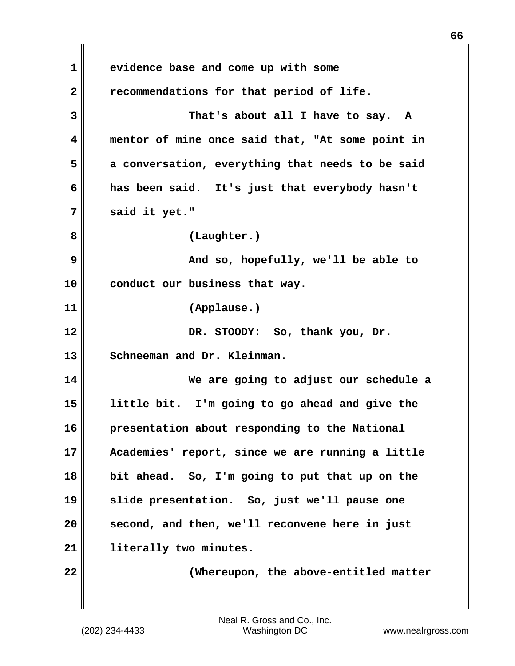**1 evidence base and come up with some 2 recommendations for that period of life. 3 That's about all I have to say. A 4 mentor of mine once said that, "At some point in 5 a conversation, everything that needs to be said 6 has been said. It's just that everybody hasn't 7 said it yet." 8 (Laughter.) 9 And so, hopefully, we'll be able to 10 conduct our business that way. 11 (Applause.) 12 DR. STOODY: So, thank you, Dr.** 13 Schneeman and Dr. Kleinman. **14 We are going to adjust our schedule a 15 little bit. I'm going to go ahead and give the 16 presentation about responding to the National 17 Academies' report, since we are running a little 18 bit ahead. So, I'm going to put that up on the 19 slide presentation. So, just we'll pause one 20 second, and then, we'll reconvene here in just 21 literally two minutes. 22 (Whereupon, the above-entitled matter** **66**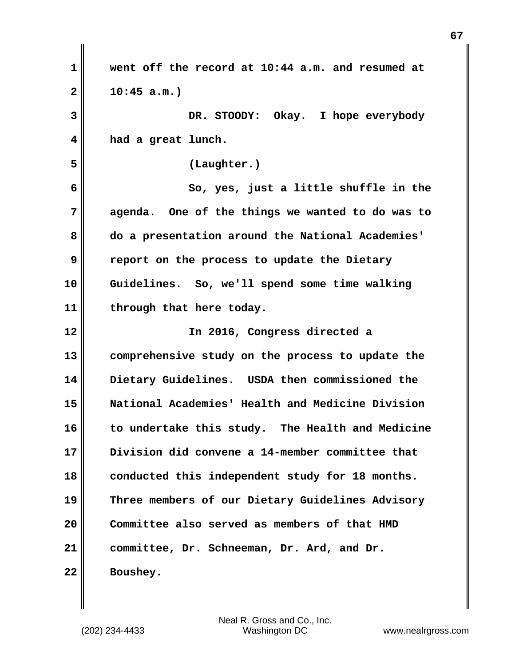**1 went off the record at 10:44 a.m. and resumed at 2 10:45 a.m.) 3 DR. STOODY: Okay. I hope everybody 4 had a great lunch. 5 (Laughter.) 6 So, yes, just a little shuffle in the 7 agenda. One of the things we wanted to do was to 8 do a presentation around the National Academies' 9 report on the process to update the Dietary 10 Guidelines. So, we'll spend some time walking 11 through that here today. 12 In 2016, Congress directed a 13 comprehensive study on the process to update the 14 Dietary Guidelines. USDA then commissioned the 15 National Academies' Health and Medicine Division 16 to undertake this study. The Health and Medicine 17 Division did convene a 14-member committee that 18 conducted this independent study for 18 months. 19 Three members of our Dietary Guidelines Advisory 20 Committee also served as members of that HMD 21 committee, Dr. Schneeman, Dr. Ard, and Dr. 22 Boushey.**

**67**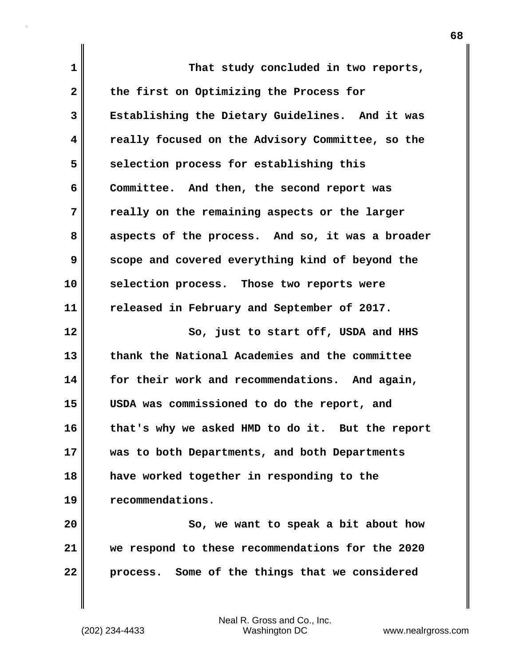| $\mathbf 1$  | That study concluded in two reports,             |
|--------------|--------------------------------------------------|
| $\mathbf{2}$ | the first on Optimizing the Process for          |
| 3            | Establishing the Dietary Guidelines. And it was  |
| 4            | really focused on the Advisory Committee, so the |
| 5            | selection process for establishing this          |
| 6            | Committee. And then, the second report was       |
| 7            | really on the remaining aspects or the larger    |
| 8            | aspects of the process. And so, it was a broader |
| 9            | scope and covered everything kind of beyond the  |
| 10           | selection process. Those two reports were        |
| 11           | released in February and September of 2017.      |
|              |                                                  |
| 12           | So, just to start off, USDA and HHS              |
| 13           | thank the National Academies and the committee   |
| 14           | for their work and recommendations. And again,   |
| 15           | USDA was commissioned to do the report, and      |
| 16           | that's why we asked HMD to do it. But the report |
| 17           | was to both Departments, and both Departments    |
| 18           | have worked together in responding to the        |
| 19           | recommendations.                                 |
| 20           | So, we want to speak a bit about how             |
| 21           | we respond to these recommendations for the 2020 |

 $\mathbf{I}$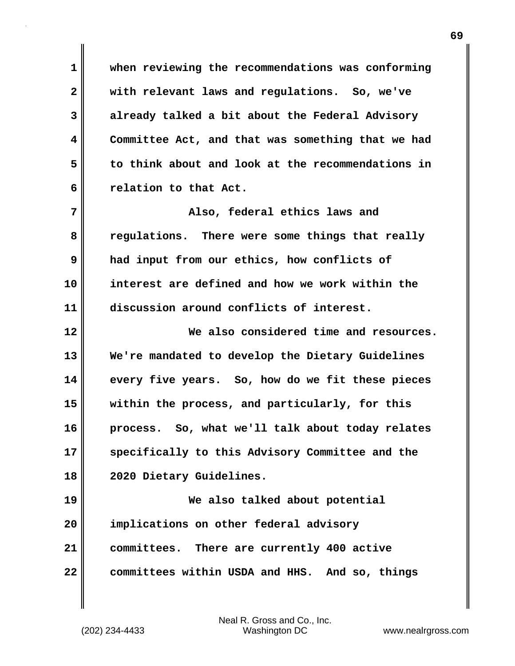**1 when reviewing the recommendations was conforming 2 with relevant laws and regulations. So, we've 3 already talked a bit about the Federal Advisory 4 Committee Act, and that was something that we had 5 to think about and look at the recommendations in 6 relation to that Act.**

**7 Also, federal ethics laws and 8 regulations. There were some things that really 9 had input from our ethics, how conflicts of 10 interest are defined and how we work within the 11 discussion around conflicts of interest.**

**12 We also considered time and resources. 13 We're mandated to develop the Dietary Guidelines 14 every five years. So, how do we fit these pieces 15 within the process, and particularly, for this 16 process. So, what we'll talk about today relates 17 specifically to this Advisory Committee and the 18 2020 Dietary Guidelines.**

**19 We also talked about potential 20 implications on other federal advisory 21 committees. There are currently 400 active 22 committees within USDA and HHS. And so, things**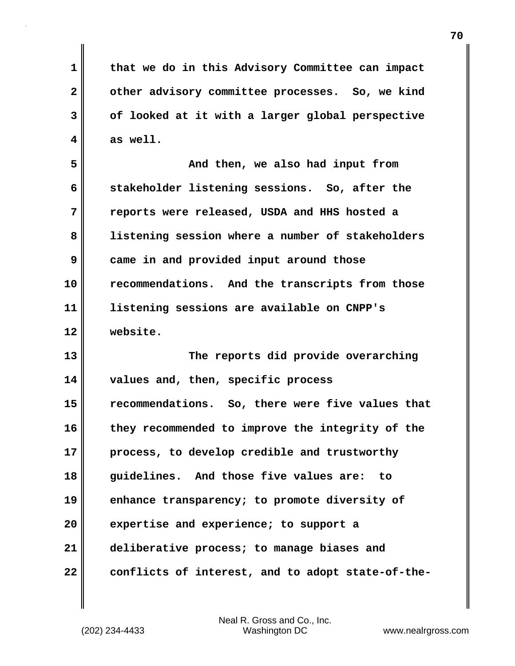**1 that we do in this Advisory Committee can impact** 2 other advisory committee processes. So, we kind **3 of looked at it with a larger global perspective**  $4 \parallel$  as well.

**5 And then, we also had input from 6 stakeholder listening sessions. So, after the 7 reports were released, USDA and HHS hosted a 8 listening session where a number of stakeholders 9 came in and provided input around those 10 recommendations. And the transcripts from those 11 listening sessions are available on CNPP's 12 website.**

**13 The reports did provide overarching 14 values and, then, specific process 15 recommendations. So, there were five values that 16 they recommended to improve the integrity of the 17 process, to develop credible and trustworthy 18 guidelines. And those five values are: to 19 enhance transparency; to promote diversity of 20 expertise and experience; to support a 21 deliberative process; to manage biases and 22 conflicts of interest, and to adopt state-of-the-**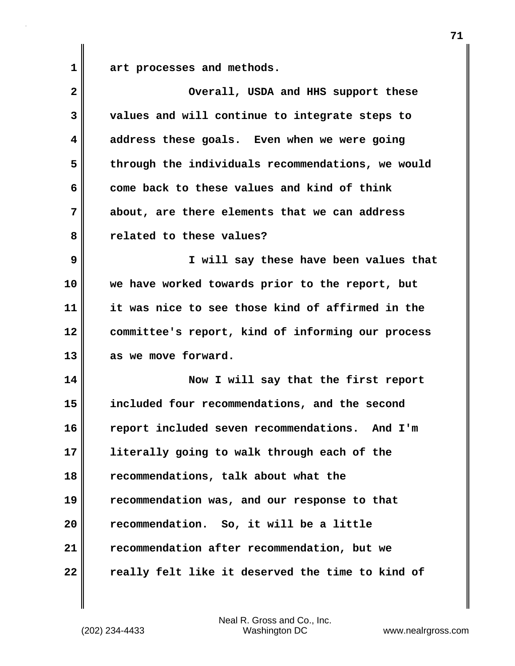**1 art processes and methods.**

| $\overline{\mathbf{2}}$ | Overall, USDA and HHS support these               |
|-------------------------|---------------------------------------------------|
| 3                       | values and will continue to integrate steps to    |
| 4                       | address these goals. Even when we were going      |
| 5                       | through the individuals recommendations, we would |
| 6                       | come back to these values and kind of think       |
| 7                       | about, are there elements that we can address     |
| 8                       | related to these values?                          |
| 9                       | I will say these have been values that            |
| 10                      | we have worked towards prior to the report, but   |
| 11                      | it was nice to see those kind of affirmed in the  |
| 12                      | committee's report, kind of informing our process |
| 13                      | as we move forward.                               |
| 14                      | Now I will say that the first report              |
| 15                      | included four recommendations, and the second     |
| 16                      | report included seven recommendations. And I'm    |
| 17                      | literally going to walk through each of the       |
| 18                      | recommendations, talk about what the              |
| 19                      | recommendation was, and our response to that      |
| 20                      | recommendation. So, it will be a little           |
| 21                      | recommendation after recommendation, but we       |
| 22                      | really felt like it deserved the time to kind of  |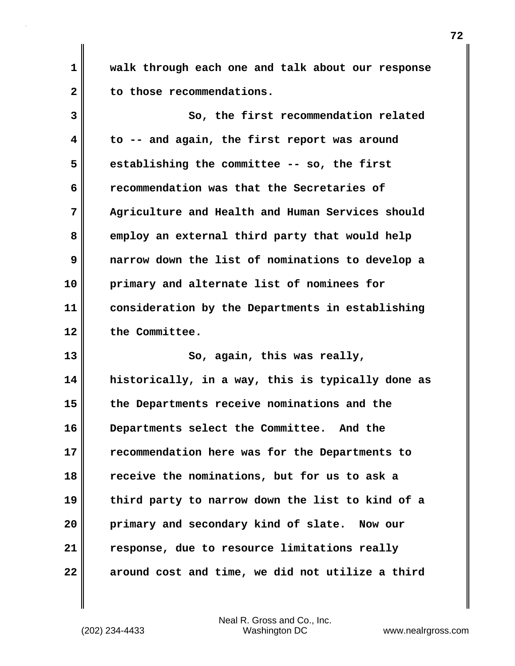**1 walk through each one and talk about our response 2 to those recommendations.**

**3 So, the first recommendation related 4 to -- and again, the first report was around 5 establishing the committee -- so, the first 6 recommendation was that the Secretaries of 7 Agriculture and Health and Human Services should 8 employ an external third party that would help 9 narrow down the list of nominations to develop a 10 primary and alternate list of nominees for 11 consideration by the Departments in establishing 12 the Committee.**

**13 So, again, this was really, 14 historically, in a way, this is typically done as 15 the Departments receive nominations and the 16 Departments select the Committee. And the 17 recommendation here was for the Departments to 18 receive the nominations, but for us to ask a 19 third party to narrow down the list to kind of a 20 primary and secondary kind of slate. Now our 21 response, due to resource limitations really 22 around cost and time, we did not utilize a third**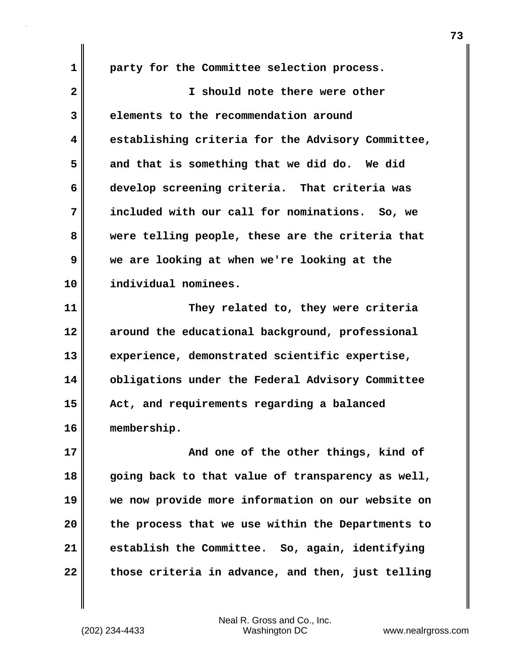**1 party for the Committee selection process. 2 I should note there were other 3 elements to the recommendation around 4 establishing criteria for the Advisory Committee, 5 and that is something that we did do. We did 6 develop screening criteria. That criteria was 7 included with our call for nominations. So, we 8 were telling people, these are the criteria that 9 we are looking at when we're looking at the 10 individual nominees. 11 They related to, they were criteria 12 around the educational background, professional 13 experience, demonstrated scientific expertise, 14 obligations under the Federal Advisory Committee 15 Act, and requirements regarding a balanced 16 membership. 17 And one of the other things, kind of**

**18 going back to that value of transparency as well, 19 we now provide more information on our website on 20 the process that we use within the Departments to 21 establish the Committee. So, again, identifying 22 those criteria in advance, and then, just telling**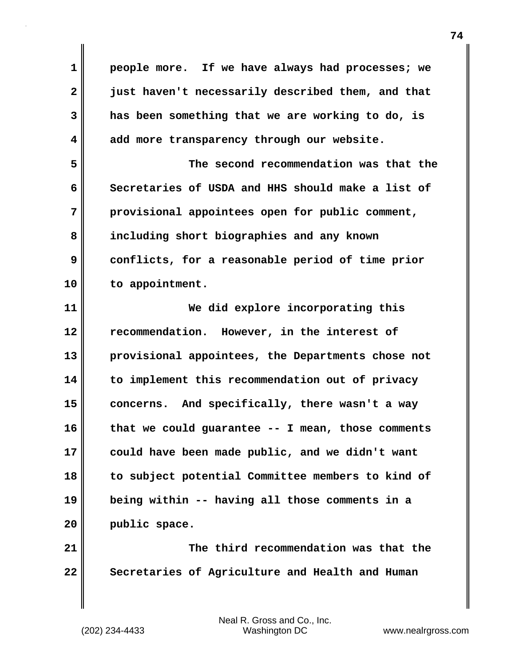**1 people more. If we have always had processes; we 2 just haven't necessarily described them, and that 3 has been something that we are working to do, is 4 add more transparency through our website. 5 The second recommendation was that the**

**6 Secretaries of USDA and HHS should make a list of 7 provisional appointees open for public comment, 8 including short biographies and any known 9 conflicts, for a reasonable period of time prior 10 to appointment.**

**11 We did explore incorporating this 12 recommendation. However, in the interest of 13 provisional appointees, the Departments chose not 14 to implement this recommendation out of privacy 15 concerns. And specifically, there wasn't a way 16 that we could guarantee -- I mean, those comments 17 could have been made public, and we didn't want 18 to subject potential Committee members to kind of 19 being within -- having all those comments in a 20 public space.**

**21 The third recommendation was that the 22 Secretaries of Agriculture and Health and Human**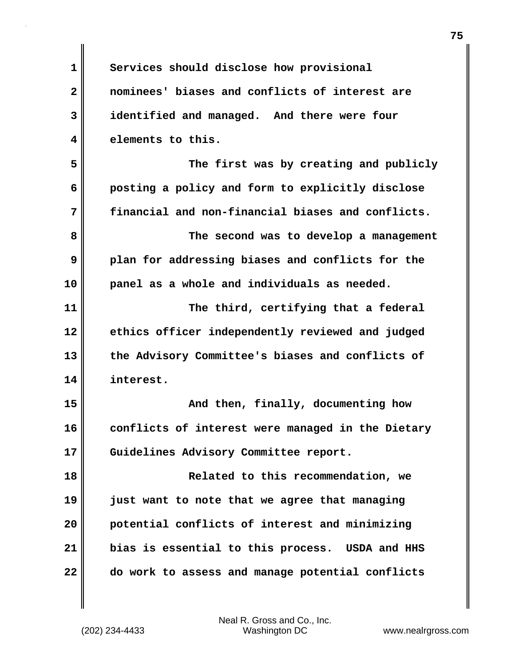| $\mathbf 1$             | Services should disclose how provisional          |
|-------------------------|---------------------------------------------------|
| $\overline{\mathbf{2}}$ | nominees' biases and conflicts of interest are    |
| 3                       | identified and managed. And there were four       |
| 4                       | elements to this.                                 |
| 5                       | The first was by creating and publicly            |
| 6                       | posting a policy and form to explicitly disclose  |
| 7                       | financial and non-financial biases and conflicts. |
| 8                       | The second was to develop a management            |
| 9                       | plan for addressing biases and conflicts for the  |
| 10                      | panel as a whole and individuals as needed.       |
| 11                      | The third, certifying that a federal              |
| 12                      | ethics officer independently reviewed and judged  |
| 13                      | the Advisory Committee's biases and conflicts of  |
| 14                      | interest.                                         |
| 15                      | And then, finally, documenting how                |
| 16                      | conflicts of interest were managed in the Dietary |
| 17                      | Guidelines Advisory Committee report.             |
| 18                      | Related to this recommendation, we                |
| 19                      | just want to note that we agree that managing     |
| 20                      | potential conflicts of interest and minimizing    |
| 21                      | bias is essential to this process. USDA and HHS   |
| 22                      | do work to assess and manage potential conflicts  |
|                         |                                                   |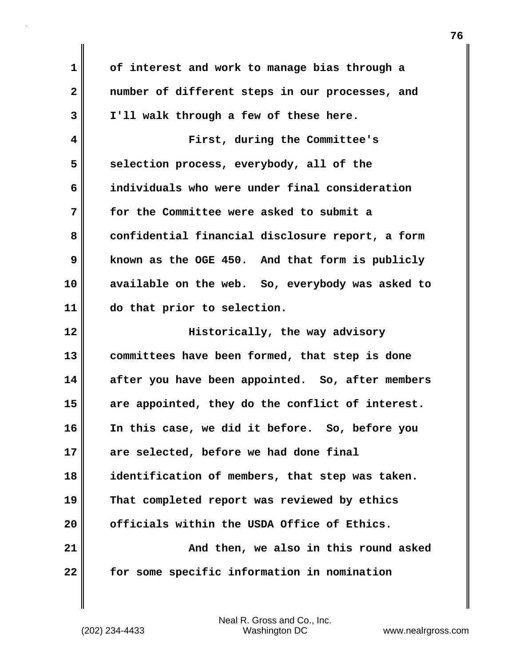**1 of interest and work to manage bias through a 2 number of different steps in our processes, and 3 I'll walk through a few of these here. 4 First, during the Committee's** 5 selection process, everybody, all of the **6 individuals who were under final consideration 7 for the Committee were asked to submit a** 8 confidential financial disclosure report, a form **9 known as the OGE 450. And that form is publicly 10 available on the web. So, everybody was asked to 11 do that prior to selection. 12 Historically, the way advisory 13 committees have been formed, that step is done 14 after you have been appointed. So, after members 15 are appointed, they do the conflict of interest. 16 In this case, we did it before. So, before you 17 are selected, before we had done final 18 identification of members, that step was taken. 19 That completed report was reviewed by ethics 20 officials within the USDA Office of Ethics. 21 And then, we also in this round asked 22 for some specific information in nomination**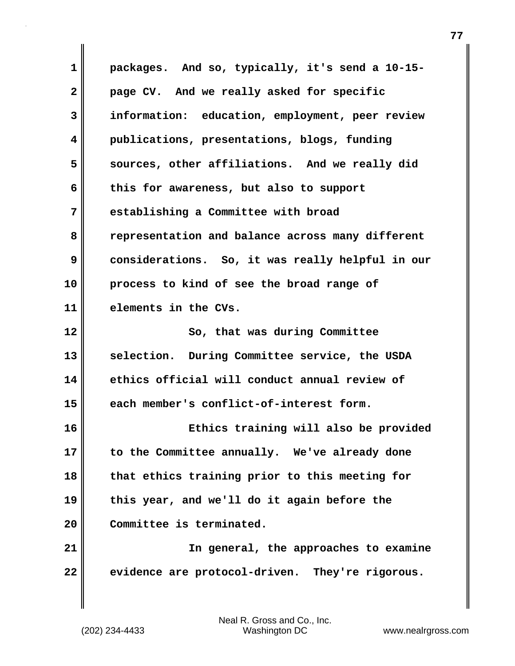**1 packages. And so, typically, it's send a 10-15- 2 page CV. And we really asked for specific 3 information: education, employment, peer review 4 publications, presentations, blogs, funding 5 sources, other affiliations. And we really did 6 this for awareness, but also to support 7 establishing a Committee with broad 8 representation and balance across many different 9 considerations. So, it was really helpful in our 10 process to kind of see the broad range of 11 elements in the CVs. 12 So, that was during Committee 13 selection. During Committee service, the USDA 14 ethics official will conduct annual review of 15 each member's conflict-of-interest form. 16 Ethics training will also be provided 17 to the Committee annually. We've already done 18 that ethics training prior to this meeting for 19 this year, and we'll do it again before the 20 Committee is terminated. 21 In general, the approaches to examine 22 evidence are protocol-driven. They're rigorous.**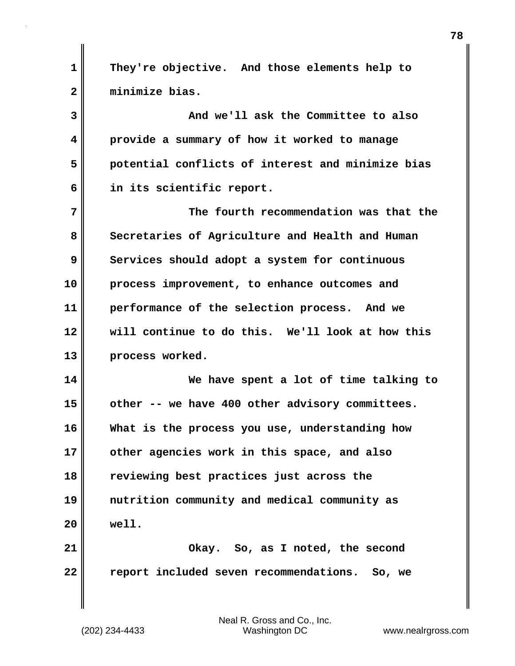**1 They're objective. And those elements help to 2 minimize bias.**

**3 And we'll ask the Committee to also 4 provide a summary of how it worked to manage 5 potential conflicts of interest and minimize bias 6 in its scientific report.**

**7 The fourth recommendation was that the** 8 Secretaries of Agriculture and Health and Human **9** Services should adopt a system for continuous **10 process improvement, to enhance outcomes and 11 performance of the selection process. And we 12 will continue to do this. We'll look at how this 13 process worked.**

**14 We have spent a lot of time talking to 15 other -- we have 400 other advisory committees. 16 What is the process you use, understanding how 17 other agencies work in this space, and also 18 reviewing best practices just across the 19 nutrition community and medical community as 20 well. 21 Okay. So, as I noted, the second**

**22 report included seven recommendations. So, we**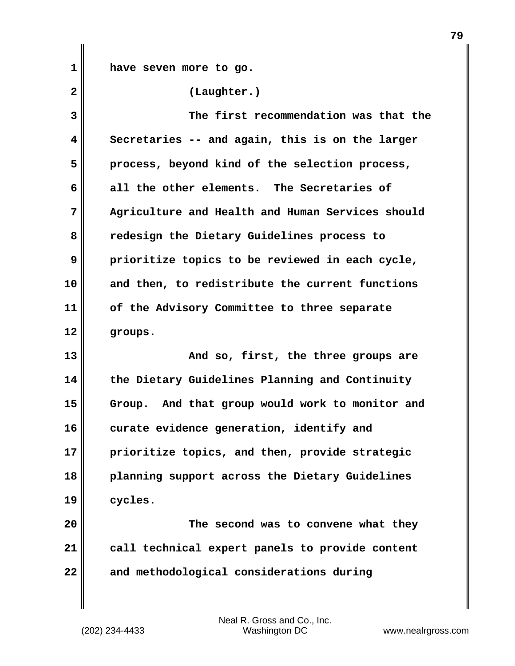**1 have seven more to go.**

**2 (Laughter.) 3 The first recommendation was that the 4 Secretaries -- and again, this is on the larger 5 process, beyond kind of the selection process, 6 all the other elements. The Secretaries of 7 Agriculture and Health and Human Services should 8 redesign the Dietary Guidelines process to 9 prioritize topics to be reviewed in each cycle, 10 and then, to redistribute the current functions 11 of the Advisory Committee to three separate 12 groups.**

**13** And so, first, the three groups are **14 the Dietary Guidelines Planning and Continuity 15 Group. And that group would work to monitor and 16 curate evidence generation, identify and 17 prioritize topics, and then, provide strategic 18 planning support across the Dietary Guidelines 19 cycles.**

**20 The second was to convene what they 21 call technical expert panels to provide content 22 and methodological considerations during**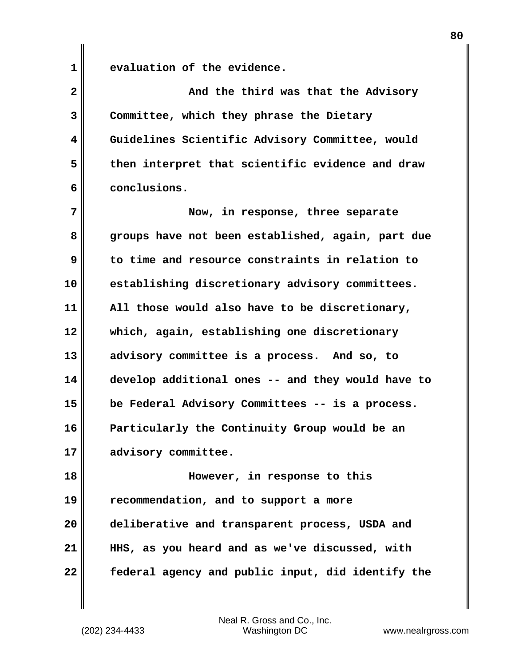**1 evaluation of the evidence.**

| $\overline{2}$ | And the third was that the Advisory               |
|----------------|---------------------------------------------------|
| 3              | Committee, which they phrase the Dietary          |
| 4              | Guidelines Scientific Advisory Committee, would   |
| 5              | then interpret that scientific evidence and draw  |
| 6              | conclusions.                                      |
| 7              | Now, in response, three separate                  |
| 8              | groups have not been established, again, part due |
| 9              | to time and resource constraints in relation to   |
| 10             | establishing discretionary advisory committees.   |
| 11             | All those would also have to be discretionary,    |
| 12             | which, again, establishing one discretionary      |
| 13             | advisory committee is a process. And so, to       |
| 14             | develop additional ones -- and they would have to |
| 15             | be Federal Advisory Committees -- is a process.   |
| 16             | Particularly the Continuity Group would be an     |
| 17             | advisory committee.                               |
| 18             | However, in response to this                      |
| 19             | recommendation, and to support a more             |
| 20             | deliberative and transparent process, USDA and    |
| 21             | HHS, as you heard and as we've discussed, with    |
| 22             | federal agency and public input, did identify the |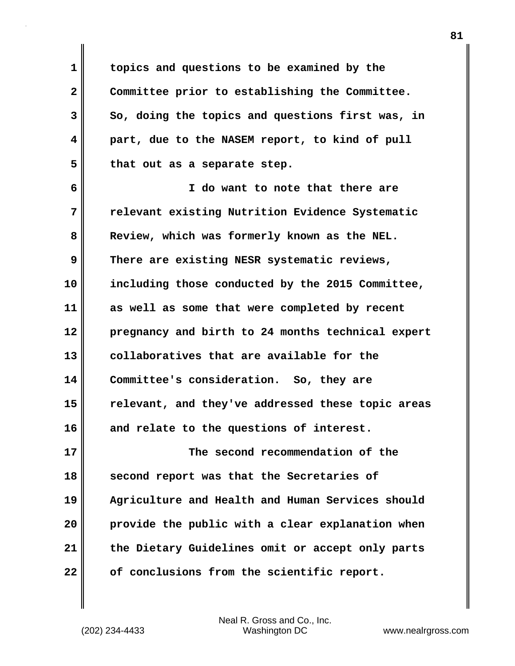**1 topics and questions to be examined by the 2 Committee prior to establishing the Committee. 3 So, doing the topics and questions first was, in 4 part, due to the NASEM report, to kind of pull 5 that out as a separate step.**

**6 I do want to note that there are 7 relevant existing Nutrition Evidence Systematic 8 Review, which was formerly known as the NEL. 9 There are existing NESR systematic reviews, 10 including those conducted by the 2015 Committee, 11 as well as some that were completed by recent 12 pregnancy and birth to 24 months technical expert 13 collaboratives that are available for the 14 Committee's consideration. So, they are 15 relevant, and they've addressed these topic areas 16 and relate to the questions of interest. 17 The second recommendation of the 18 second report was that the Secretaries of**

**19 Agriculture and Health and Human Services should 20 provide the public with a clear explanation when 21 the Dietary Guidelines omit or accept only parts 22 of conclusions from the scientific report.**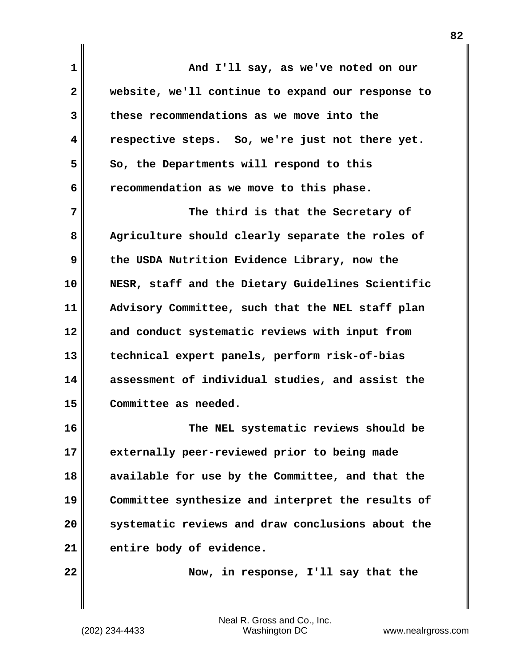**1 And I'll say, as we've noted on our 2 website, we'll continue to expand our response to 3 these recommendations as we move into the 4 respective steps. So, we're just not there yet.**  5 So, the Departments will respond to this **6 recommendation as we move to this phase. 7 The third is that the Secretary of 8 Agriculture should clearly separate the roles of 9 the USDA Nutrition Evidence Library, now the 10 NESR, staff and the Dietary Guidelines Scientific 11 Advisory Committee, such that the NEL staff plan 12 and conduct systematic reviews with input from 13 technical expert panels, perform risk-of-bias 14 assessment of individual studies, and assist the 15 Committee as needed. 16 The NEL systematic reviews should be 17 externally peer-reviewed prior to being made**

**18 available for use by the Committee, and that the 19 Committee synthesize and interpret the results of 20 systematic reviews and draw conclusions about the 21 entire body of evidence.**

**22 Now, in response, I'll say that the**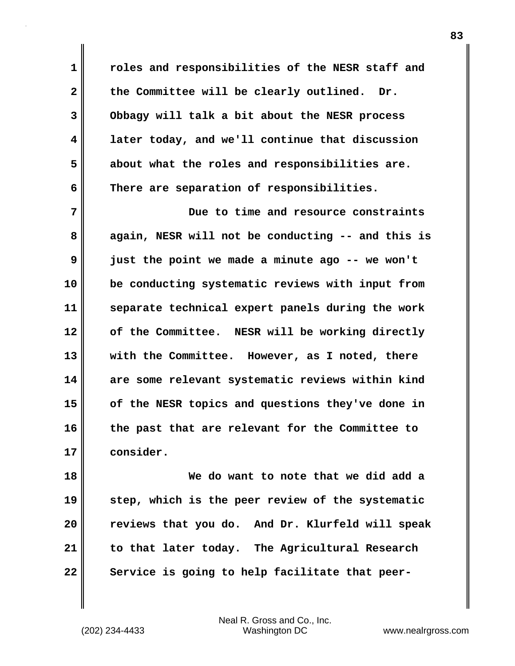**1 roles and responsibilities of the NESR staff and 2 the Committee will be clearly outlined. Dr. 3 Obbagy will talk a bit about the NESR process 4 later today, and we'll continue that discussion 5 about what the roles and responsibilities are. 6 There are separation of responsibilities.**

**7 Due to time and resource constraints 8 again, NESR will not be conducting -- and this is 9 just the point we made a minute ago -- we won't 10 be conducting systematic reviews with input from 11 separate technical expert panels during the work 12 of the Committee. NESR will be working directly 13 with the Committee. However, as I noted, there 14 are some relevant systematic reviews within kind 15 of the NESR topics and questions they've done in 16 the past that are relevant for the Committee to 17 consider.**

**18 We do want to note that we did add a 19 step, which is the peer review of the systematic 20 reviews that you do. And Dr. Klurfeld will speak 21 to that later today. The Agricultural Research 22 Service is going to help facilitate that peer-**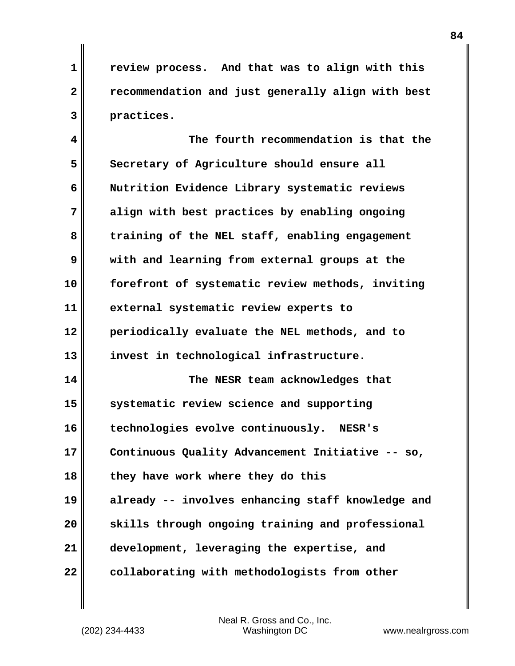**1 review process. And that was to align with this 2 recommendation and just generally align with best 3 practices.**

**4 The fourth recommendation is that the** 5 Secretary of Agriculture should ensure all **6 Nutrition Evidence Library systematic reviews 7 align with best practices by enabling ongoing 8 training of the NEL staff, enabling engagement 9 with and learning from external groups at the 10 forefront of systematic review methods, inviting 11 external systematic review experts to 12 periodically evaluate the NEL methods, and to 13 invest in technological infrastructure. 14 The NESR team acknowledges that 15 systematic review science and supporting 16 technologies evolve continuously. NESR's 17 Continuous Quality Advancement Initiative -- so, 18 they have work where they do this 19 already -- involves enhancing staff knowledge and 20 skills through ongoing training and professional**

**21 development, leveraging the expertise, and**

**22 collaborating with methodologists from other**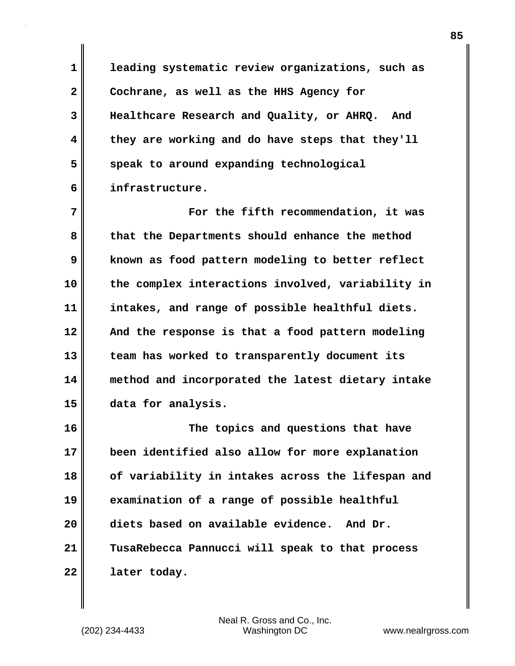**1 leading systematic review organizations, such as 2 Cochrane, as well as the HHS Agency for 3 Healthcare Research and Quality, or AHRQ. And 4 they are working and do have steps that they'll 5** speak to around expanding technological **6 infrastructure.**

**7 For the fifth recommendation, it was 8 that the Departments should enhance the method 9 known as food pattern modeling to better reflect 10 the complex interactions involved, variability in 11 intakes, and range of possible healthful diets. 12 And the response is that a food pattern modeling 13 team has worked to transparently document its 14 method and incorporated the latest dietary intake 15 data for analysis.**

**16 The topics and questions that have 17 been identified also allow for more explanation 18 of variability in intakes across the lifespan and 19 examination of a range of possible healthful 20 diets based on available evidence. And Dr. 21 TusaRebecca Pannucci will speak to that process 22 later today.**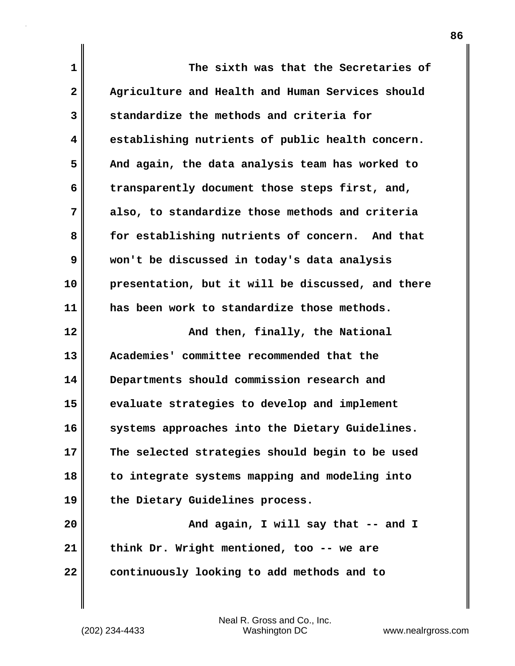| $\mathbf{1}$   | The sixth was that the Secretaries of             |
|----------------|---------------------------------------------------|
| $\mathbf{2}$   | Agriculture and Health and Human Services should  |
| 3              | standardize the methods and criteria for          |
| 4              | establishing nutrients of public health concern.  |
| 5              | And again, the data analysis team has worked to   |
| 6              | transparently document those steps first, and,    |
| 7              | also, to standardize those methods and criteria   |
| 8              | for establishing nutrients of concern. And that   |
| 9              | won't be discussed in today's data analysis       |
| 10             | presentation, but it will be discussed, and there |
| 11             | has been work to standardize those methods.       |
|                |                                                   |
|                | And then, finally, the National                   |
| 12<br>13       | Academies' committee recommended that the         |
| 14             | Departments should commission research and        |
| 15             | evaluate strategies to develop and implement      |
|                | systems approaches into the Dietary Guidelines.   |
|                | The selected strategies should begin to be used   |
| 16<br>17<br>18 | to integrate systems mapping and modeling into    |
| 19             | the Dietary Guidelines process.                   |
| 20             | And again, I will say that -- and I               |
| 21             | think Dr. Wright mentioned, too -- we are         |

 $\mathbf{l}$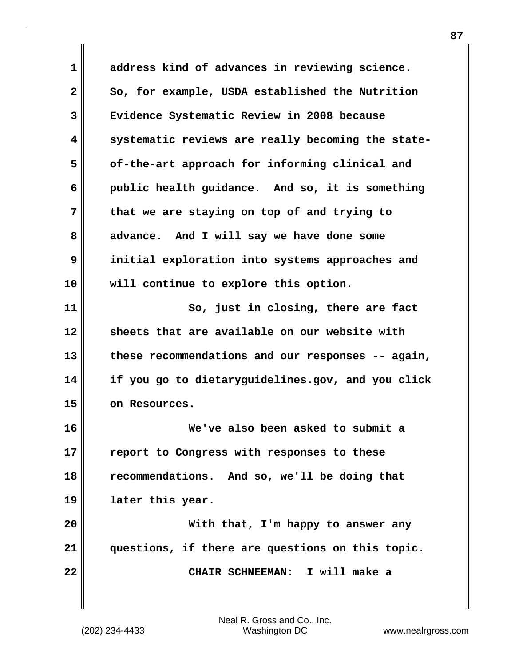**1 address kind of advances in reviewing science.**  2 So, for example, USDA established the Nutrition **3 Evidence Systematic Review in 2008 because 4 systematic reviews are really becoming the state-5 of-the-art approach for informing clinical and 6 public health guidance. And so, it is something 7 that we are staying on top of and trying to 8 advance. And I will say we have done some 9 initial exploration into systems approaches and 10 will continue to explore this option. 11** So, just in closing, there are fact **12 sheets that are available on our website with 13 these recommendations and our responses -- again, 14 if you go to dietaryguidelines.gov, and you click 15 on Resources. 16 We've also been asked to submit a 17 report to Congress with responses to these 18 recommendations. And so, we'll be doing that 19 later this year. 20 With that, I'm happy to answer any 21 questions, if there are questions on this topic. 22 CHAIR SCHNEEMAN: I will make a**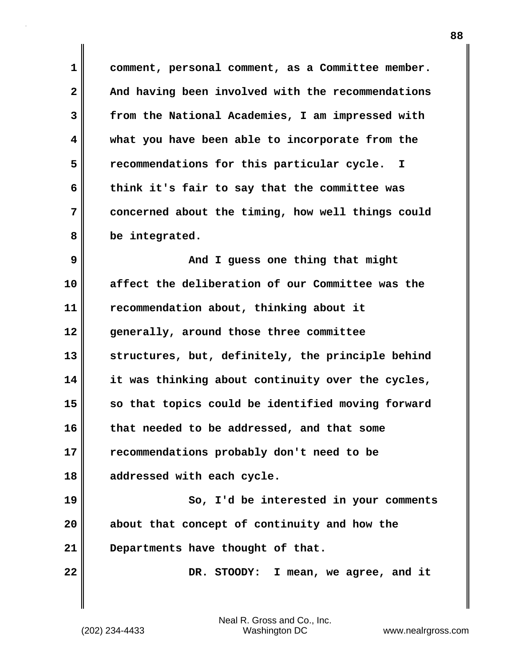**1 comment, personal comment, as a Committee member. 2 And having been involved with the recommendations 3 from the National Academies, I am impressed with 4 what you have been able to incorporate from the 5 recommendations for this particular cycle. I 6 think it's fair to say that the committee was 7 concerned about the timing, how well things could 8 be integrated.**

**9 And I guess one thing that might 10 affect the deliberation of our Committee was the 11 recommendation about, thinking about it 12 generally, around those three committee 13 structures, but, definitely, the principle behind 14 it was thinking about continuity over the cycles, 15 so that topics could be identified moving forward 16 that needed to be addressed, and that some 17 recommendations probably don't need to be 18 addressed with each cycle.**

**19 So, I'd be interested in your comments 20 about that concept of continuity and how the 21 Departments have thought of that.**

22 **DR.** STOODY: I mean, we agree, and it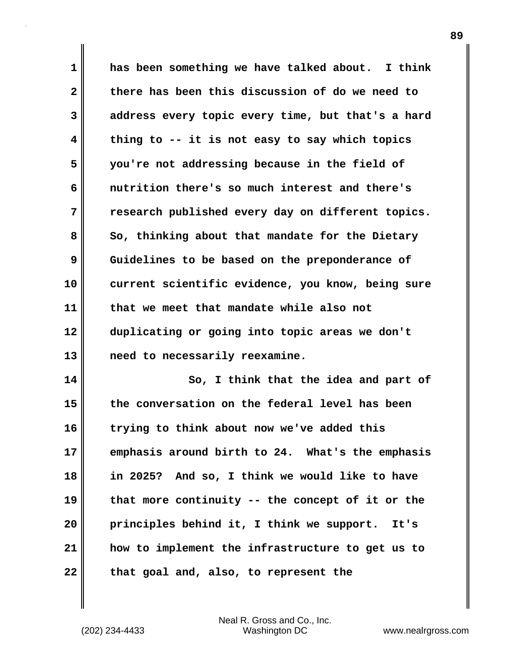**1 has been something we have talked about. I think 2 there has been this discussion of do we need to 3 address every topic every time, but that's a hard 4 thing to -- it is not easy to say which topics 5 you're not addressing because in the field of 6 nutrition there's so much interest and there's 7 research published every day on different topics.**  8 So, thinking about that mandate for the Dietary **9** Guidelines to be based on the preponderance of **10 current scientific evidence, you know, being sure 11 that we meet that mandate while also not 12 duplicating or going into topic areas we don't 13 need to necessarily reexamine.**

**14 So, I think that the idea and part of 15 the conversation on the federal level has been 16 trying to think about now we've added this 17 emphasis around birth to 24. What's the emphasis 18 in 2025? And so, I think we would like to have 19 that more continuity -- the concept of it or the 20 principles behind it, I think we support. It's 21 how to implement the infrastructure to get us to 22 that goal and, also, to represent the**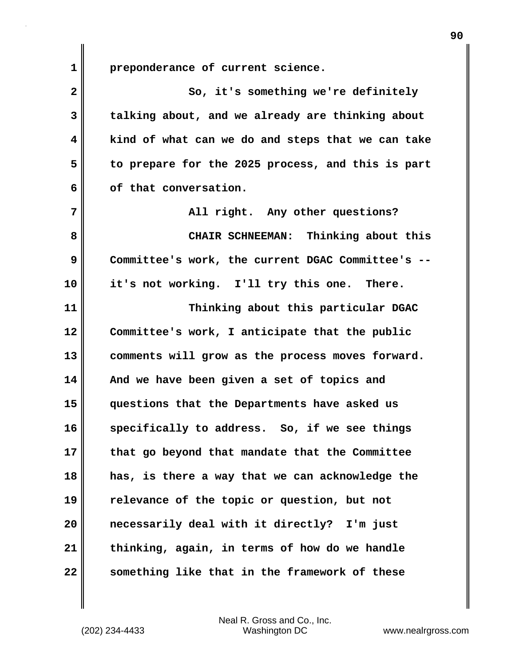**1 preponderance of current science.**

**2** So, it's something we're definitely **3 talking about, and we already are thinking about 4 kind of what can we do and steps that we can take 5 to prepare for the 2025 process, and this is part** 6 of that conversation. **7 All right.** Any other questions? **8 CHAIR SCHNEEMAN: Thinking about this 9 Committee's work, the current DGAC Committee's -- 10 it's not working. I'll try this one. There. 11 Thinking about this particular DGAC 12 Committee's work, I anticipate that the public 13 comments will grow as the process moves forward. 14 And we have been given a set of topics and 15 questions that the Departments have asked us 16 specifically to address. So, if we see things 17 that go beyond that mandate that the Committee 18 has, is there a way that we can acknowledge the 19 relevance of the topic or question, but not 20 necessarily deal with it directly? I'm just 21 thinking, again, in terms of how do we handle 22 something like that in the framework of these**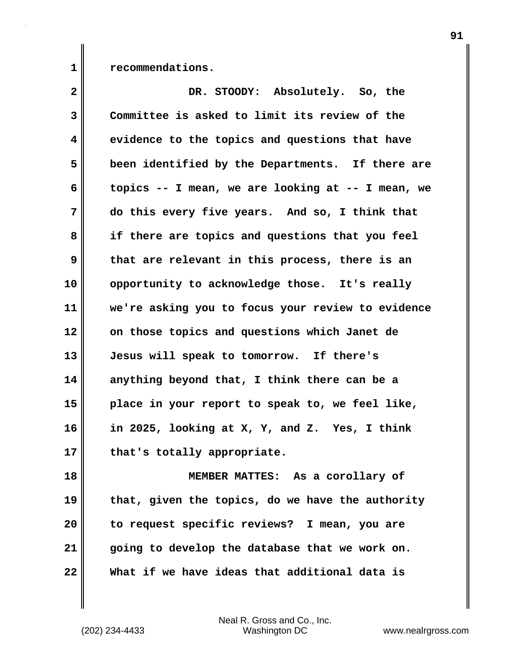1 **c** recommendations.

| $\overline{\mathbf{2}}$ | DR. STOODY: Absolutely. So, the                   |
|-------------------------|---------------------------------------------------|
| 3                       | Committee is asked to limit its review of the     |
| 4                       | evidence to the topics and questions that have    |
| 5                       | been identified by the Departments. If there are  |
| 6                       | topics -- I mean, we are looking at -- I mean, we |
| 7                       | do this every five years. And so, I think that    |
| 8                       | if there are topics and questions that you feel   |
| 9                       | that are relevant in this process, there is an    |
| 10                      | opportunity to acknowledge those. It's really     |
| 11                      | we're asking you to focus your review to evidence |
| 12                      | on those topics and questions which Janet de      |
| 13                      | Jesus will speak to tomorrow. If there's          |
| 14                      | anything beyond that, I think there can be a      |
| 15                      | place in your report to speak to, we feel like,   |
| 16                      | in 2025, looking at X, Y, and Z. Yes, I think     |
| 17                      | that's totally appropriate.                       |
| 18                      | MEMBER MATTES: As a corollary of                  |
| 19                      | that, given the topics, do we have the authority  |
| 20                      | to request specific reviews? I mean, you are      |
| 21                      | going to develop the database that we work on.    |
| 22                      | What if we have ideas that additional data is     |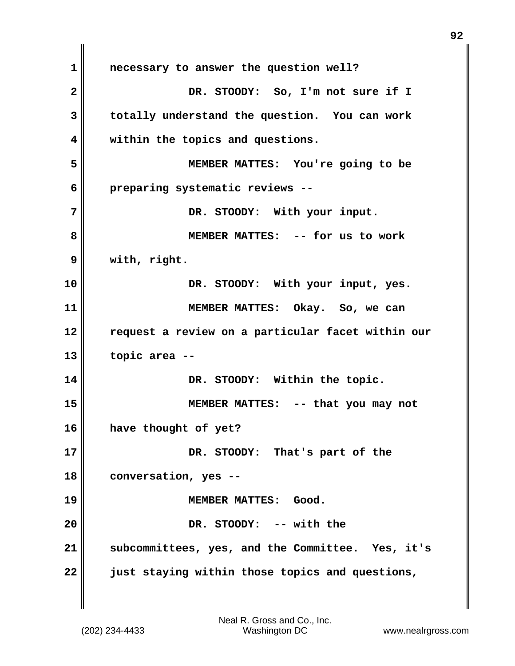**1 necessary to answer the question well? 2 DR. STOODY: So, I'm not sure if I 3 totally understand the question. You can work 4 within the topics and questions. 5 MEMBER MATTES: You're going to be 6 preparing systematic reviews -- 7 DR. STOODY: With your input. 8 MEMBER MATTES: -- for us to work 9 with, right. 10 DR. STOODY: With your input, yes. 11 MEMBER MATTES: Okay. So, we can 12 request a review on a particular facet within our 13 topic area -- 14 DR. STOODY: Within the topic. 15 MEMBER MATTES: -- that you may not 16 have thought of yet? 17 DR. STOODY: That's part of the 18 conversation, yes -- 19 MEMBER MATTES: Good. 20 DR. STOODY: -- with the 21 subcommittees, yes, and the Committee. Yes, it's 22 just staying within those topics and questions,**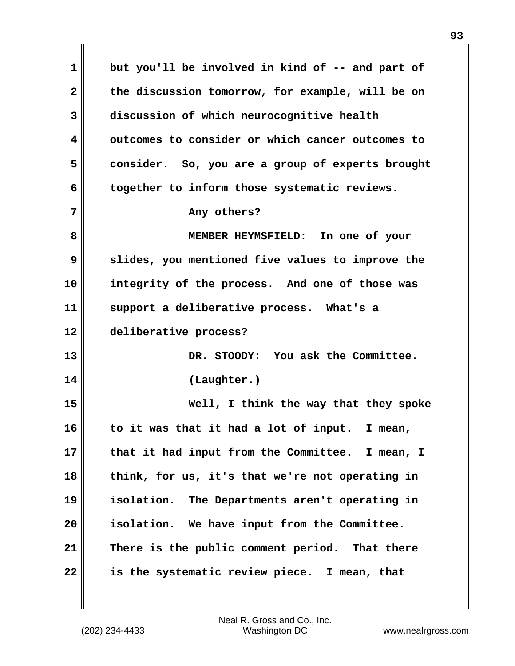**1 but you'll be involved in kind of -- and part of 2 the discussion tomorrow, for example, will be on 3 discussion of which neurocognitive health 4 outcomes to consider or which cancer outcomes to 5 consider. So, you are a group of experts brought 6 together to inform those systematic reviews. 7 Any others? 8 MEMBER HEYMSFIELD: In one of your 9 slides, you mentioned five values to improve the 10 integrity of the process. And one of those was 11 support a deliberative process. What's a 12 deliberative process? 13 DR. STOODY: You ask the Committee. 14 (Laughter.) 15 Well, I think the way that they spoke 16 to it was that it had a lot of input. I mean, 17 that it had input from the Committee. I mean, I 18 think, for us, it's that we're not operating in 19 isolation. The Departments aren't operating in 20 isolation. We have input from the Committee. 21 There is the public comment period. That there 22 is the systematic review piece. I mean, that**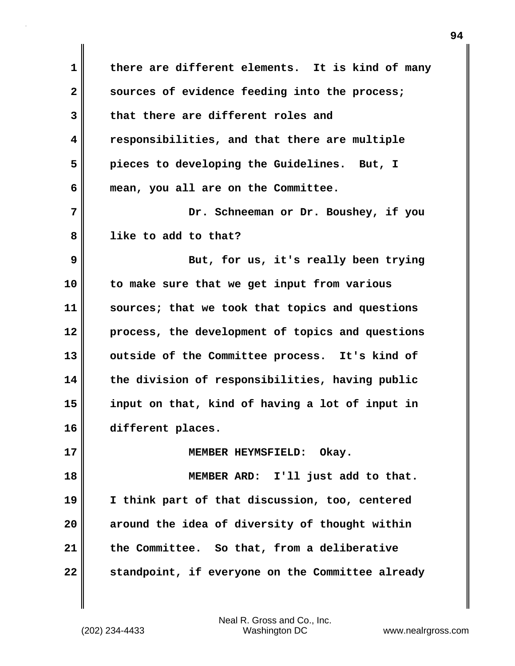**1 there are different elements. It is kind of many 2 sources of evidence feeding into the process; 3 that there are different roles and 4 responsibilities, and that there are multiple 5 pieces to developing the Guidelines. But, I 6 mean, you all are on the Committee. 7 Dr. Schneeman or Dr. Boushey, if you 8 like to add to that? 9 But, for us, it's really been trying 10 to make sure that we get input from various 11 sources; that we took that topics and questions 12 process, the development of topics and questions 13 outside of the Committee process. It's kind of 14 the division of responsibilities, having public 15 input on that, kind of having a lot of input in 16 different places. 17 MEMBER HEYMSFIELD: Okay. 18 MEMBER ARD: I'll just add to that. 19 I think part of that discussion, too, centered 20 around the idea of diversity of thought within 21 the Committee. So that, from a deliberative 22 standpoint, if everyone on the Committee already**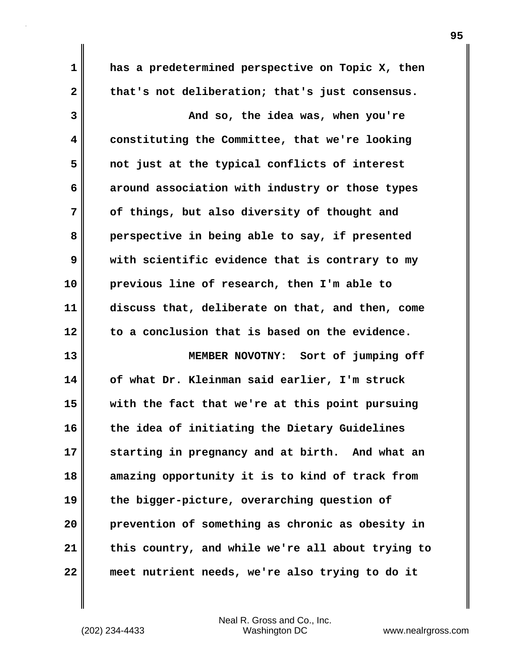**1 has a predetermined perspective on Topic X, then** 2 that's not deliberation; that's just consensus.

**3 And so, the idea was, when you're 4 constituting the Committee, that we're looking 5 not just at the typical conflicts of interest 6 around association with industry or those types 7 of things, but also diversity of thought and 8 perspective in being able to say, if presented 9 with scientific evidence that is contrary to my 10 previous line of research, then I'm able to 11 discuss that, deliberate on that, and then, come 12 to a conclusion that is based on the evidence. 13 MEMBER NOVOTNY: Sort of jumping off**

**14 of what Dr. Kleinman said earlier, I'm struck 15 with the fact that we're at this point pursuing 16 the idea of initiating the Dietary Guidelines 17 starting in pregnancy and at birth. And what an 18 amazing opportunity it is to kind of track from 19 the bigger-picture, overarching question of 20 prevention of something as chronic as obesity in 21 this country, and while we're all about trying to 22 meet nutrient needs, we're also trying to do it**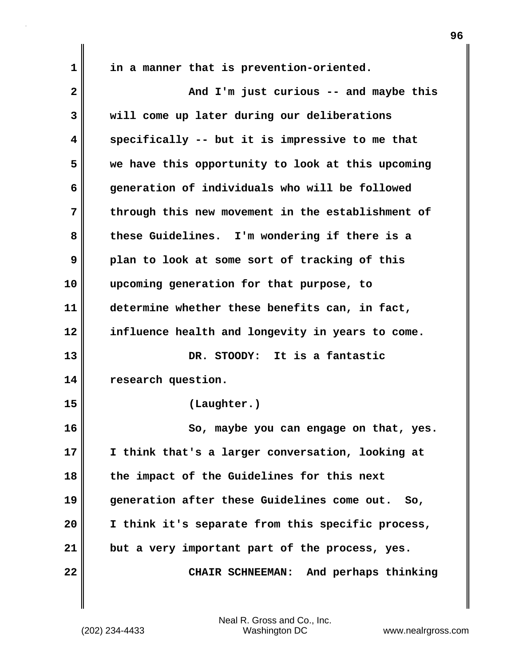**1 in a manner that is prevention-oriented.**

| $\overline{\mathbf{2}}$ | And I'm just curious -- and maybe this            |
|-------------------------|---------------------------------------------------|
| 3                       | will come up later during our deliberations       |
| 4                       | specifically -- but it is impressive to me that   |
| 5                       | we have this opportunity to look at this upcoming |
| 6                       | generation of individuals who will be followed    |
| 7                       | through this new movement in the establishment of |
| 8                       | these Guidelines. I'm wondering if there is a     |
| 9                       | plan to look at some sort of tracking of this     |
| 10                      | upcoming generation for that purpose, to          |
| 11                      | determine whether these benefits can, in fact,    |
| 12                      | influence health and longevity in years to come.  |
| 13                      | DR. STOODY: It is a fantastic                     |
| 14                      | research question.                                |
| 15                      | (Laughter.)                                       |
| 16                      | So, maybe you can engage on that, yes.            |
| 17                      | I think that's a larger conversation, looking at  |
| 18                      | the impact of the Guidelines for this next        |
| 19                      | generation after these Guidelines come out. So,   |
| 20                      | I think it's separate from this specific process, |
| 21                      | but a very important part of the process, yes.    |
| 22                      | And perhaps thinking<br><b>CHAIR SCHNEEMAN:</b>   |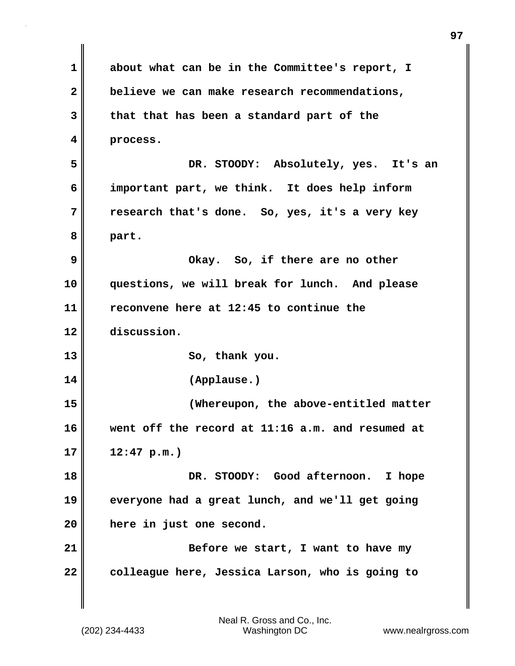**1 about what can be in the Committee's report, I 2 believe we can make research recommendations, 3 that that has been a standard part of the 4 process. 5 DR. STOODY: Absolutely, yes. It's an 6 important part, we think. It does help inform 7 research that's done. So, yes, it's a very key 8 part. 9 Okay. So, if there are no other 10 questions, we will break for lunch. And please 11 reconvene here at 12:45 to continue the 12 discussion. 13** So, thank you. **14 (Applause.) 15 (Whereupon, the above-entitled matter 16 went off the record at 11:16 a.m. and resumed at 17 12:47 p.m.) 18 DR. STOODY: Good afternoon. I hope 19 everyone had a great lunch, and we'll get going 20 here in just one second. 21 Before we start, I want to have my 22 colleague here, Jessica Larson, who is going to**

**97**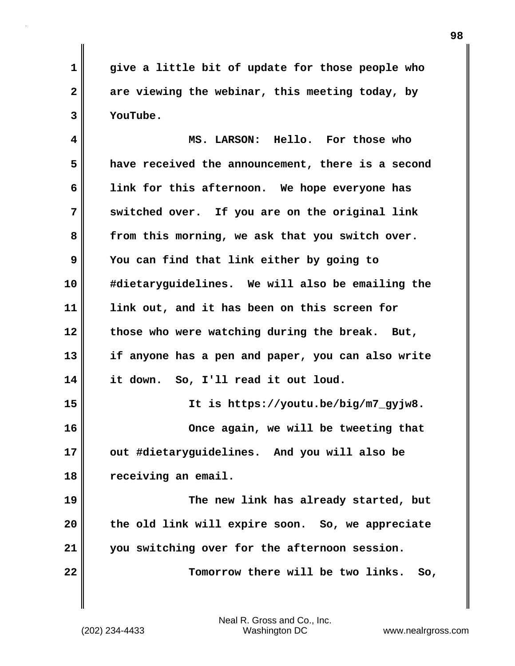**1 give a little bit of update for those people who 2 are viewing the webinar, this meeting today, by 3 YouTube.**

**4 MS. LARSON: Hello. For those who 5 have received the announcement, there is a second 6 link for this afternoon. We hope everyone has 7 switched over. If you are on the original link 8 from this morning, we ask that you switch over. 9 You can find that link either by going to 10 #dietaryguidelines. We will also be emailing the 11 link out, and it has been on this screen for 12 those who were watching during the break. But, 13 if anyone has a pen and paper, you can also write 14 it down. So, I'll read it out loud. 15 It is https://youtu.be/big/m7\_gyjw8. 16 Once again, we will be tweeting that 17 out #dietaryguidelines. And you will also be 18 receiving an email. 19 The new link has already started, but 20 the old link will expire soon. So, we appreciate 21 you switching over for the afternoon session.**

**22 Tomorrow there will be two links. So,**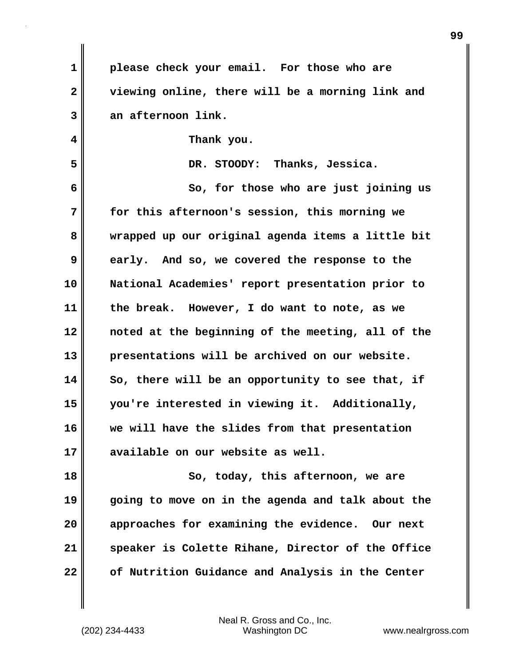| $\mathbf 1$  | please check your email. For those who are        |
|--------------|---------------------------------------------------|
| $\mathbf{2}$ | viewing online, there will be a morning link and  |
| 3            | an afternoon link.                                |
| 4            | Thank you.                                        |
| 5            | DR. STOODY: Thanks, Jessica.                      |
| 6            | So, for those who are just joining us             |
| 7            | for this afternoon's session, this morning we     |
| 8            | wrapped up our original agenda items a little bit |
| 9            | early. And so, we covered the response to the     |
| 10           | National Academies' report presentation prior to  |
| 11           | the break. However, I do want to note, as we      |
| 12           | noted at the beginning of the meeting, all of the |
| 13           | presentations will be archived on our website.    |
| 14           | So, there will be an opportunity to see that, if  |
| 15           | you're interested in viewing it. Additionally,    |
| 16           | we will have the slides from that presentation    |
| 17           | available on our website as well.                 |
| 18           | So, today, this afternoon, we are                 |
| 19           | going to move on in the agenda and talk about the |
| 20           | approaches for examining the evidence. Our next   |
| 21           | speaker is Colette Rihane, Director of the Office |
| 22           | of Nutrition Guidance and Analysis in the Center  |

Neal R. Gross and Co., Inc.

 $\mathbf{I}$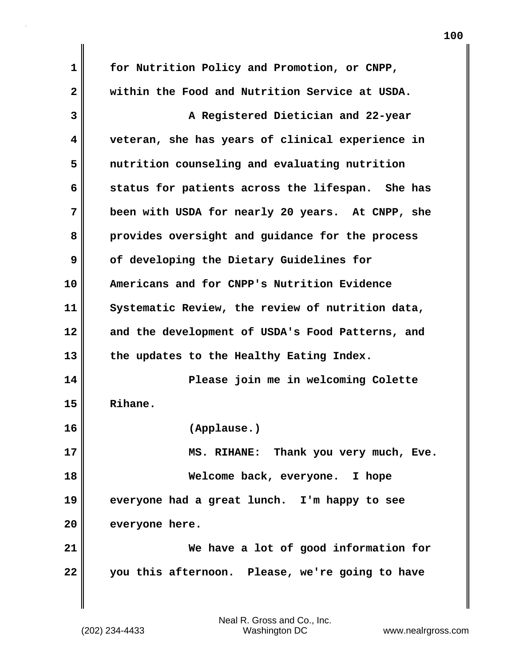**1 for Nutrition Policy and Promotion, or CNPP, 2 within the Food and Nutrition Service at USDA. 3 A Registered Dietician and 22-year 4 veteran, she has years of clinical experience in 5 nutrition counseling and evaluating nutrition 6 status for patients across the lifespan. She has 7 been with USDA for nearly 20 years. At CNPP, she 8 provides oversight and guidance for the process 9 of developing the Dietary Guidelines for 10 Americans and for CNPP's Nutrition Evidence 11 Systematic Review, the review of nutrition data, 12 and the development of USDA's Food Patterns, and 13 the updates to the Healthy Eating Index. 14 Please join me in welcoming Colette 15 Rihane. 16 (Applause.) 17 MS. RIHANE: Thank you very much, Eve. 18 Welcome back, everyone. I hope 19 everyone had a great lunch. I'm happy to see 20 everyone here. 21 We have a lot of good information for 22 you this afternoon. Please, we're going to have**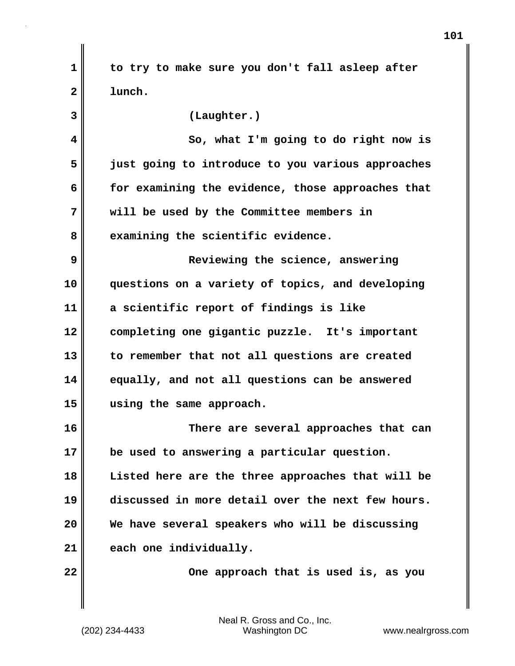**1 to try to make sure you don't fall asleep after 2 lunch.**

| 3  | (Laughter.)                                       |
|----|---------------------------------------------------|
| 4  | So, what I'm going to do right now is             |
| 5  | just going to introduce to you various approaches |
| 6  | for examining the evidence, those approaches that |
| 7  | will be used by the Committee members in          |
| 8  | examining the scientific evidence.                |
| 9  | Reviewing the science, answering                  |
| 10 | questions on a variety of topics, and developing  |
| 11 | a scientific report of findings is like           |
| 12 | completing one gigantic puzzle. It's important    |
| 13 | to remember that not all questions are created    |
| 14 | equally, and not all questions can be answered    |
| 15 | using the same approach.                          |
| 16 | There are several approaches that can             |
| 17 | be used to answering a particular question.       |
| 18 | Listed here are the three approaches that will be |
| 19 | discussed in more detail over the next few hours. |
| 20 | We have several speakers who will be discussing   |
| 21 | each one individually.                            |
| 22 | One approach that is used is, as you              |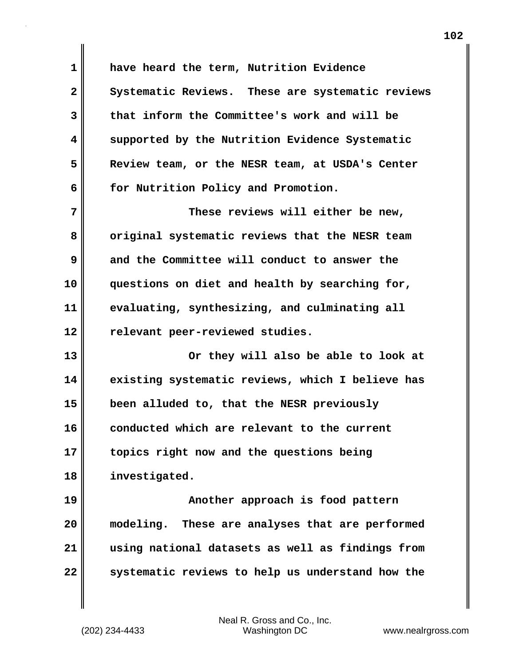**1 have heard the term, Nutrition Evidence 2 Systematic Reviews. These are systematic reviews 3 that inform the Committee's work and will be 4 supported by the Nutrition Evidence Systematic 5 Review team, or the NESR team, at USDA's Center 6 for Nutrition Policy and Promotion. 7 These reviews will either be new, 8 original systematic reviews that the NESR team 9 and the Committee will conduct to answer the 10 questions on diet and health by searching for, 11 evaluating, synthesizing, and culminating all 12 relevant peer-reviewed studies. 13 Or they will also be able to look at 14 existing systematic reviews, which I believe has 15 been alluded to, that the NESR previously 16 conducted which are relevant to the current 17 topics right now and the questions being 18 investigated. 19 Another approach is food pattern 20 modeling. These are analyses that are performed 21 using national datasets as well as findings from 22 systematic reviews to help us understand how the**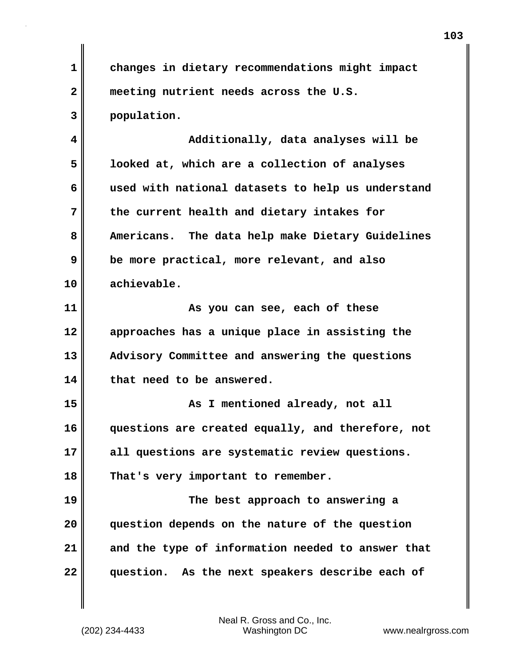**1 changes in dietary recommendations might impact 2 meeting nutrient needs across the U.S. 3 population.**

**4 Additionally, data analyses will be 5 looked at, which are a collection of analyses 6 used with national datasets to help us understand 7 the current health and dietary intakes for 8 Americans. The data help make Dietary Guidelines 9 be more practical, more relevant, and also 10 achievable.**

**11 As you can see, each of these 12 approaches has a unique place in assisting the 13 Advisory Committee and answering the questions 14 that need to be answered.**

**15 As I mentioned already, not all 16 questions are created equally, and therefore, not 17 all questions are systematic review questions. 18 That's very important to remember.**

**19 The best approach to answering a 20 question depends on the nature of the question 21 and the type of information needed to answer that 22 question. As the next speakers describe each of**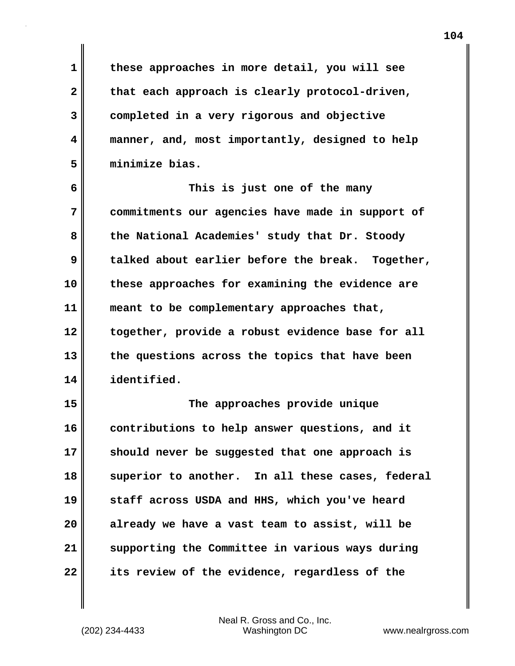**1 these approaches in more detail, you will see** 2 that each approach is clearly protocol-driven, **3 completed in a very rigorous and objective 4 manner, and, most importantly, designed to help 5 minimize bias.**

**6 This is just one of the many 7 commitments our agencies have made in support of 8 the National Academies' study that Dr. Stoody 9 talked about earlier before the break. Together, 10 these approaches for examining the evidence are 11 meant to be complementary approaches that, 12 together, provide a robust evidence base for all 13 the questions across the topics that have been 14 identified.**

**15 The approaches provide unique 16 contributions to help answer questions, and it 17 should never be suggested that one approach is 18 superior to another. In all these cases, federal 19 staff across USDA and HHS, which you've heard 20 already we have a vast team to assist, will be 21 supporting the Committee in various ways during 22 its review of the evidence, regardless of the**

Neal R. Gross and Co., Inc.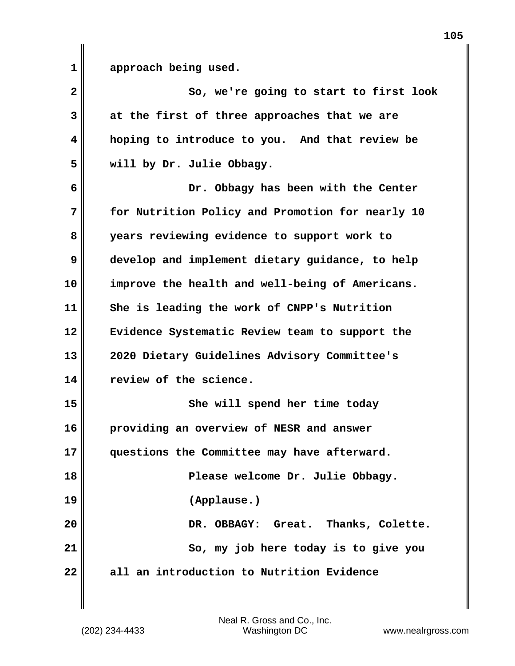1 approach being used.

| $\mathbf{2}$ | So, we're going to start to first look           |
|--------------|--------------------------------------------------|
| 3            | at the first of three approaches that we are     |
| 4            | hoping to introduce to you. And that review be   |
| 5            | will by Dr. Julie Obbagy.                        |
| 6            | Dr. Obbagy has been with the Center              |
| 7            | for Nutrition Policy and Promotion for nearly 10 |
| 8            | years reviewing evidence to support work to      |
| 9            | develop and implement dietary guidance, to help  |
| 10           | improve the health and well-being of Americans.  |
| 11           | She is leading the work of CNPP's Nutrition      |
| 12           | Evidence Systematic Review team to support the   |
| 13           | 2020 Dietary Guidelines Advisory Committee's     |
| 14           | review of the science.                           |
| 15           | She will spend her time today                    |
| 16           | providing an overview of NESR and answer         |
| 17           | questions the Committee may have afterward.      |
| 18           | Please welcome Dr. Julie Obbagy.                 |
| 19           | (Applause.)                                      |
| 20           | DR. OBBAGY: Great. Thanks, Colette.              |
| 21           | So, my job here today is to give you             |
| 22           | all an introduction to Nutrition Evidence        |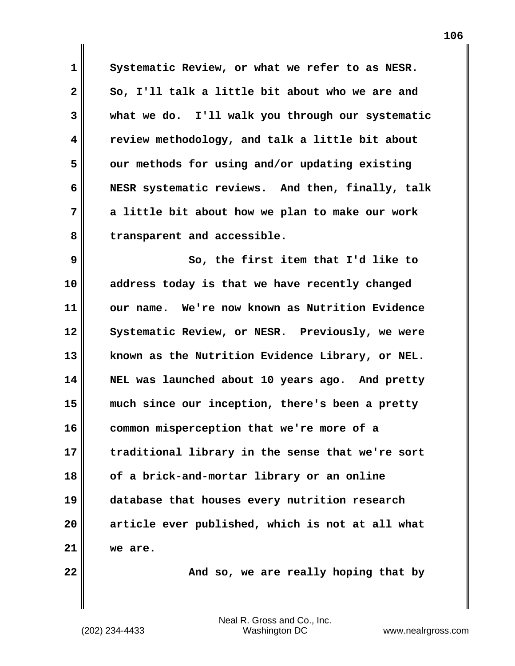**1 Systematic Review, or what we refer to as NESR. 2 So, I'll talk a little bit about who we are and 3 what we do. I'll walk you through our systematic 4 review methodology, and talk a little bit about 5 our methods for using and/or updating existing 6 NESR systematic reviews. And then, finally, talk 7 a little bit about how we plan to make our work 8 transparent and accessible. 9 So, the first item that I'd like to 10 address today is that we have recently changed**

**11 our name. We're now known as Nutrition Evidence** 12 Systematic Review, or NESR. Previously, we were **13 known as the Nutrition Evidence Library, or NEL. 14 NEL was launched about 10 years ago. And pretty 15 much since our inception, there's been a pretty 16 common misperception that we're more of a 17 traditional library in the sense that we're sort 18 of a brick-and-mortar library or an online 19 database that houses every nutrition research 20 article ever published, which is not at all what 21 we are.**

**22 And so, we are really hoping that by**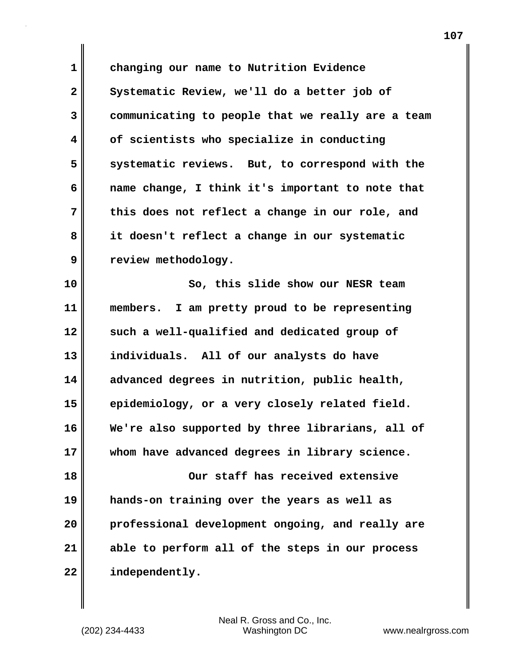**1 changing our name to Nutrition Evidence** 2 Systematic Review, we'll do a better job of **3 communicating to people that we really are a team 4 of scientists who specialize in conducting 5 systematic reviews. But, to correspond with the 6 name change, I think it's important to note that 7 this does not reflect a change in our role, and 8 it doesn't reflect a change in our systematic 9 review methodology. 10 So, this slide show our NESR team**

**11 members. I am pretty proud to be representing 12 such a well-qualified and dedicated group of 13 individuals. All of our analysts do have 14 advanced degrees in nutrition, public health, 15 epidemiology, or a very closely related field. 16 We're also supported by three librarians, all of 17 whom have advanced degrees in library science. 18 Our staff has received extensive 19 hands-on training over the years as well as 20 professional development ongoing, and really are 21 able to perform all of the steps in our process 22 independently.**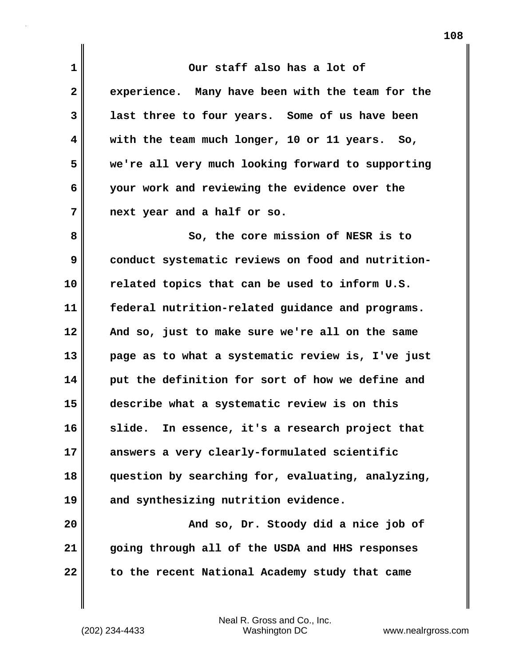**1 Our staff also has a lot of 2 experience. Many have been with the team for the 3 last three to four years. Some of us have been 4 with the team much longer, 10 or 11 years. So, 5 we're all very much looking forward to supporting 6 your work and reviewing the evidence over the 7 next year and a half or so. 8** So, the core mission of NESR is to **9 conduct systematic reviews on food and nutrition-10 related topics that can be used to inform U.S. 11 federal nutrition-related guidance and programs. 12 And so, just to make sure we're all on the same 13 page as to what a systematic review is, I've just 14 put the definition for sort of how we define and 15 describe what a systematic review is on this 16 slide. In essence, it's a research project that 17 answers a very clearly-formulated scientific 18 question by searching for, evaluating, analyzing, 19 and synthesizing nutrition evidence.**

**20 And so, Dr. Stoody did a nice job of 21 going through all of the USDA and HHS responses 22 to the recent National Academy study that came**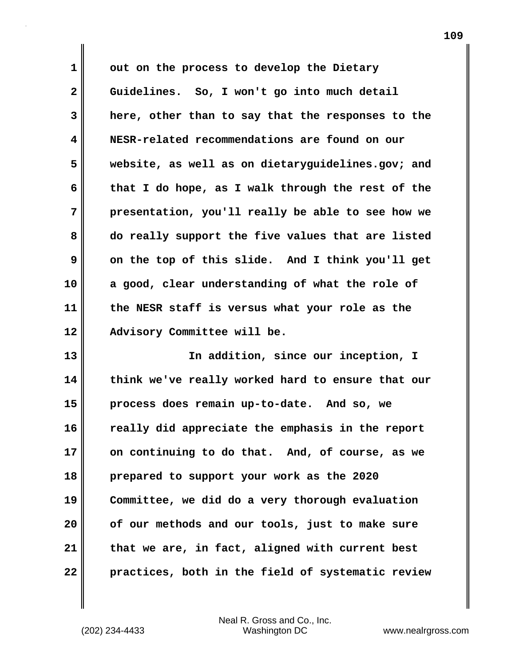**1 out on the process to develop the Dietary 2 Guidelines. So, I won't go into much detail 3 here, other than to say that the responses to the 4 NESR-related recommendations are found on our 5 website, as well as on dietaryguidelines.gov; and 6 that I do hope, as I walk through the rest of the 7 presentation, you'll really be able to see how we 8 do really support the five values that are listed 9 on the top of this slide. And I think you'll get 10 a good, clear understanding of what the role of 11 the NESR staff is versus what your role as the 12 Advisory Committee will be.**

**13 In addition, since our inception, I 14 think we've really worked hard to ensure that our 15 process does remain up-to-date. And so, we 16 really did appreciate the emphasis in the report 17 on continuing to do that. And, of course, as we 18 prepared to support your work as the 2020 19 Committee, we did do a very thorough evaluation 20 of our methods and our tools, just to make sure 21 that we are, in fact, aligned with current best 22 practices, both in the field of systematic review**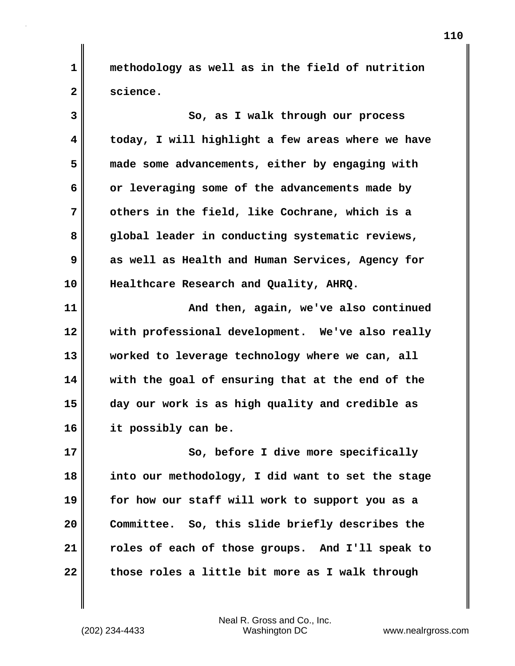**1 methodology as well as in the field of nutrition 2 science.**

**3 So, as I walk through our process 4 today, I will highlight a few areas where we have 5 made some advancements, either by engaging with 6 or leveraging some of the advancements made by 7 others in the field, like Cochrane, which is a 8 global leader in conducting systematic reviews, 9 as well as Health and Human Services, Agency for 10 Healthcare Research and Quality, AHRQ. 11 And then, again, we've also continued 12 with professional development. We've also really 13 worked to leverage technology where we can, all 14 with the goal of ensuring that at the end of the 15 day our work is as high quality and credible as 16 it possibly can be.**

**17** So, before I dive more specifically **18 into our methodology, I did want to set the stage 19 for how our staff will work to support you as a 20 Committee. So, this slide briefly describes the 21 roles of each of those groups. And I'll speak to 22 those roles a little bit more as I walk through**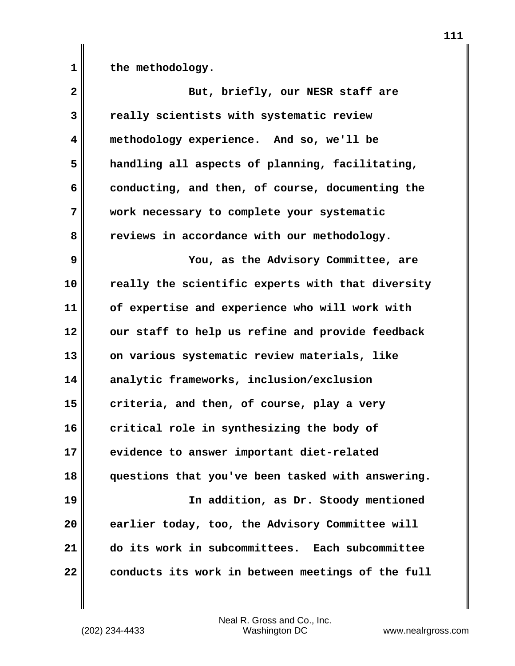1 the methodology.

| $\overline{\mathbf{2}}$ | But, briefly, our NESR staff are                  |
|-------------------------|---------------------------------------------------|
| 3                       | really scientists with systematic review          |
| 4                       | methodology experience. And so, we'll be          |
| 5                       | handling all aspects of planning, facilitating,   |
| 6                       | conducting, and then, of course, documenting the  |
| 7                       | work necessary to complete your systematic        |
| 8                       | reviews in accordance with our methodology.       |
| 9                       | You, as the Advisory Committee, are               |
| 10                      | really the scientific experts with that diversity |
| 11                      | of expertise and experience who will work with    |
| 12                      | our staff to help us refine and provide feedback  |
| 13                      | on various systematic review materials, like      |
| 14                      | analytic frameworks, inclusion/exclusion          |
| 15                      | criteria, and then, of course, play a very        |
| 16                      | critical role in synthesizing the body of         |
| 17                      | evidence to answer important diet-related         |
| 18                      | questions that you've been tasked with answering. |
| 19                      | In addition, as Dr. Stoody mentioned              |
| 20                      | earlier today, too, the Advisory Committee will   |
| 21                      | do its work in subcommittees. Each subcommittee   |
| 22                      | conducts its work in between meetings of the full |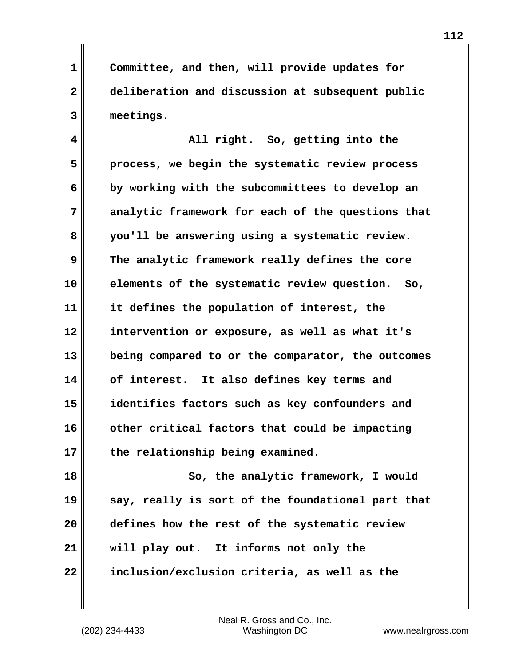**1 Committee, and then, will provide updates for 2 deliberation and discussion at subsequent public 3 meetings.**

**4 All right. So, getting into the 5 process, we begin the systematic review process 6 by working with the subcommittees to develop an 7 analytic framework for each of the questions that 8 you'll be answering using a systematic review. 9 The analytic framework really defines the core 10 elements of the systematic review question. So, 11 it defines the population of interest, the 12 intervention or exposure, as well as what it's 13 being compared to or the comparator, the outcomes 14 of interest. It also defines key terms and 15 identifies factors such as key confounders and 16 other critical factors that could be impacting 17 the relationship being examined.**

**18 So, the analytic framework, I would 19 say, really is sort of the foundational part that 20 defines how the rest of the systematic review 21 will play out. It informs not only the 22 inclusion/exclusion criteria, as well as the**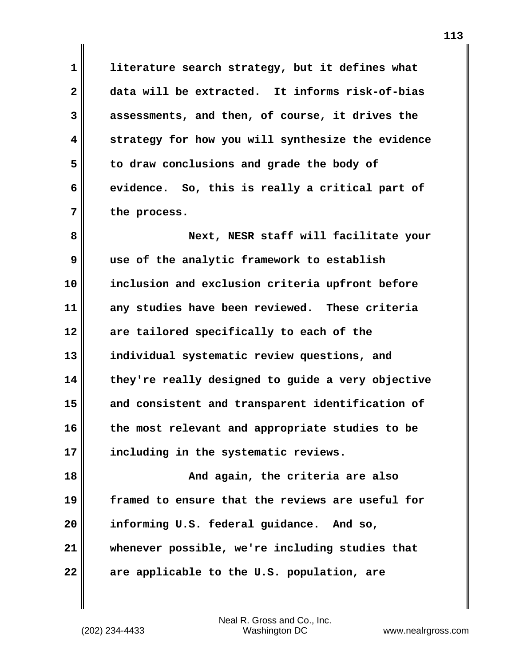**1 literature search strategy, but it defines what 2 data will be extracted. It informs risk-of-bias 3 assessments, and then, of course, it drives the 4 strategy for how you will synthesize the evidence 5 to draw conclusions and grade the body of 6 evidence. So, this is really a critical part of 7 the process.**

**8 Next, NESR staff will facilitate your 9 use of the analytic framework to establish 10 inclusion and exclusion criteria upfront before 11 any studies have been reviewed. These criteria 12 are tailored specifically to each of the 13 individual systematic review questions, and 14 they're really designed to guide a very objective 15 and consistent and transparent identification of 16 the most relevant and appropriate studies to be 17 including in the systematic reviews.**

**18 And again, the criteria are also 19 framed to ensure that the reviews are useful for 20 informing U.S. federal guidance. And so, 21 whenever possible, we're including studies that 22 are applicable to the U.S. population, are**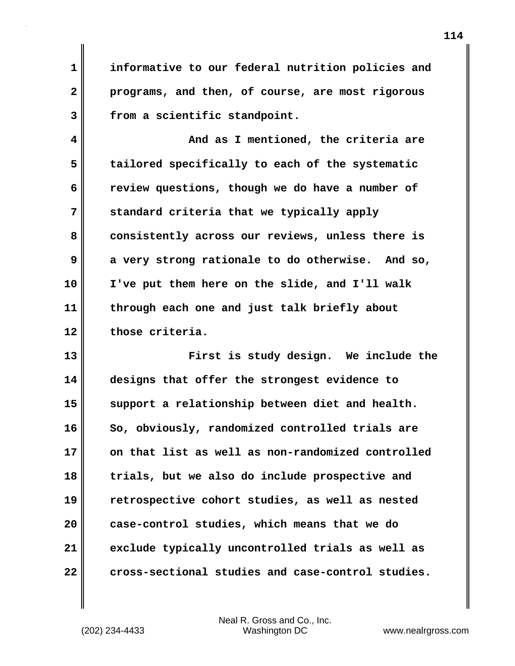**1 informative to our federal nutrition policies and 2 programs, and then, of course, are most rigorous 3 from a scientific standpoint.**

**4 And as I mentioned, the criteria are 5 tailored specifically to each of the systematic 6 review questions, though we do have a number of 7 standard criteria that we typically apply 8 consistently across our reviews, unless there is 9 a very strong rationale to do otherwise. And so, 10 I've put them here on the slide, and I'll walk 11 through each one and just talk briefly about 12 those criteria.**

**13 First is study design. We include the 14 designs that offer the strongest evidence to 15 support a relationship between diet and health.**  16 So, obviously, randomized controlled trials are **17 on that list as well as non-randomized controlled 18 trials, but we also do include prospective and 19 retrospective cohort studies, as well as nested 20 case-control studies, which means that we do 21 exclude typically uncontrolled trials as well as 22 cross-sectional studies and case-control studies.**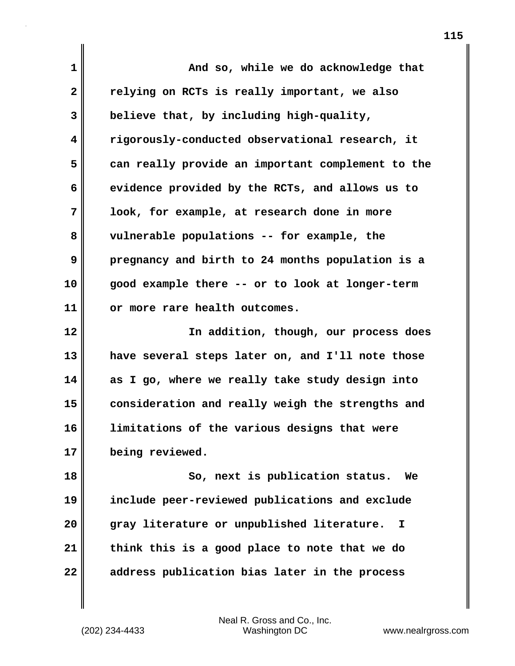**1 And so, while we do acknowledge that 2 relying on RCTs is really important, we also 3 believe that, by including high-quality, 4 rigorously-conducted observational research, it 5 can really provide an important complement to the 6 evidence provided by the RCTs, and allows us to 7 look, for example, at research done in more 8 vulnerable populations -- for example, the 9 pregnancy and birth to 24 months population is a 10 good example there -- or to look at longer-term 11 or more rare health outcomes. 12 In addition, though, our process does 13 have several steps later on, and I'll note those 14 as I go, where we really take study design into 15 consideration and really weigh the strengths and 16 limitations of the various designs that were 17 being reviewed. 18 So, next is publication status. We 19 include peer-reviewed publications and exclude 20 gray literature or unpublished literature. I 21 think this is a good place to note that we do 22 address publication bias later in the process**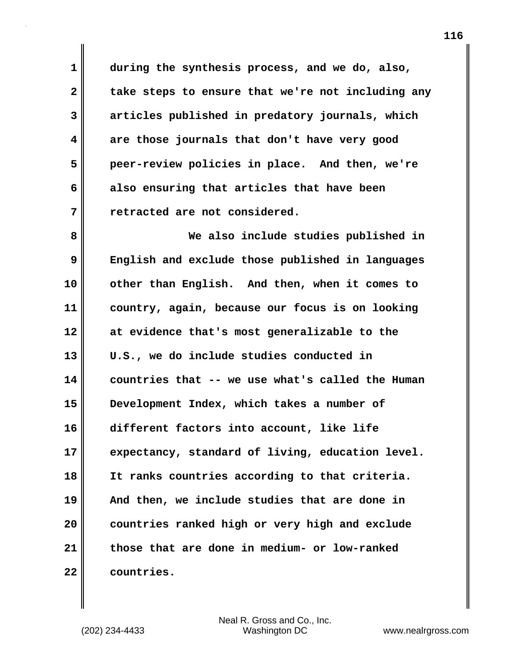**1 during the synthesis process, and we do, also,** 2 take steps to ensure that we're not including any **3 articles published in predatory journals, which 4 are those journals that don't have very good 5 peer-review policies in place. And then, we're 6 also ensuring that articles that have been 7 retracted are not considered.**

**8 We also include studies published in 9 English and exclude those published in languages 10 other than English. And then, when it comes to 11 country, again, because our focus is on looking 12 at evidence that's most generalizable to the 13 U.S., we do include studies conducted in 14 countries that -- we use what's called the Human 15 Development Index, which takes a number of 16 different factors into account, like life 17 expectancy, standard of living, education level. 18 It ranks countries according to that criteria. 19 And then, we include studies that are done in 20 countries ranked high or very high and exclude 21 those that are done in medium- or low-ranked 22 countries.**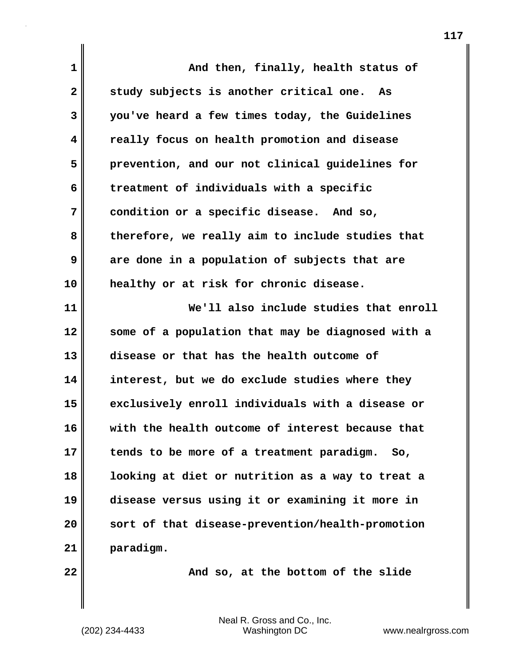| 1            | And then, finally, health status of               |
|--------------|---------------------------------------------------|
| $\mathbf{2}$ | study subjects is another critical one. As        |
| 3            | you've heard a few times today, the Guidelines    |
| 4            | really focus on health promotion and disease      |
| 5            | prevention, and our not clinical guidelines for   |
| 6            | treatment of individuals with a specific          |
| 7            | condition or a specific disease. And so,          |
| 8            | therefore, we really aim to include studies that  |
| 9            | are done in a population of subjects that are     |
| 10           | healthy or at risk for chronic disease.           |
| 11           | We'll also include studies that enroll            |
| 12           | some of a population that may be diagnosed with a |
| 13           | disease or that has the health outcome of         |
| 14           | interest, but we do exclude studies where they    |
| 15           | exclusively enroll individuals with a disease or  |
| 16           | with the health outcome of interest because that  |
| 17           | tends to be more of a treatment paradigm. So,     |
| 18           | looking at diet or nutrition as a way to treat a  |
| 19           | disease versus using it or examining it more in   |
| 20           | sort of that disease-prevention/health-promotion  |
| 21           | paradigm.                                         |
| 22           | And so, at the bottom of the slide                |

(202) 234-4433 Washington DC www.nealrgross.com Neal R. Gross and Co., Inc.

 $\mathbf{I}$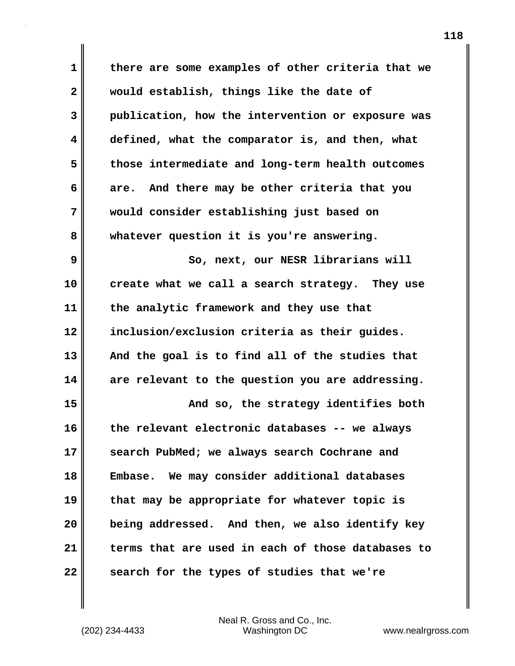**1 there are some examples of other criteria that we 2 would establish, things like the date of 3 publication, how the intervention or exposure was 4 defined, what the comparator is, and then, what 5 those intermediate and long-term health outcomes 6 are. And there may be other criteria that you 7 would consider establishing just based on 8 whatever question it is you're answering. 9** So, next, our NESR librarians will **10 create what we call a search strategy. They use 11 the analytic framework and they use that 12 inclusion/exclusion criteria as their guides. 13 And the goal is to find all of the studies that 14 are relevant to the question you are addressing. 15 And so, the strategy identifies both 16 the relevant electronic databases -- we always 17 search PubMed; we always search Cochrane and 18 Embase. We may consider additional databases 19 that may be appropriate for whatever topic is 20 being addressed. And then, we also identify key 21 terms that are used in each of those databases to 22 search for the types of studies that we're**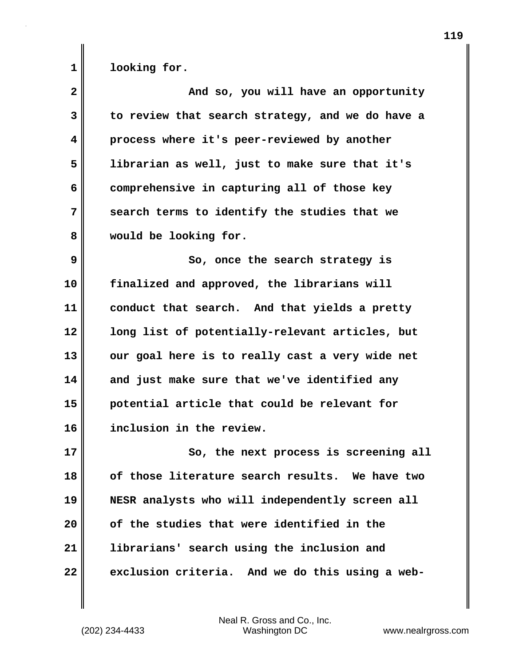1 looking for.

| $\overline{\mathbf{2}}$ | And so, you will have an opportunity             |
|-------------------------|--------------------------------------------------|
| 3                       | to review that search strategy, and we do have a |
| 4                       | process where it's peer-reviewed by another      |
| 5                       | librarian as well, just to make sure that it's   |
| 6                       | comprehensive in capturing all of those key      |
| 7                       | search terms to identify the studies that we     |
| 8                       | would be looking for.                            |
| 9                       | So, once the search strategy is                  |
| 10                      | finalized and approved, the librarians will      |
| 11                      | conduct that search. And that yields a pretty    |
| 12                      | long list of potentially-relevant articles, but  |
| 13                      | our goal here is to really cast a very wide net  |
| 14                      | and just make sure that we've identified any     |
| 15                      | potential article that could be relevant for     |
| 16                      | inclusion in the review.                         |
| 17                      | So, the next process is screening all            |
| 18                      | of those literature search results. We have two  |
| 19                      | NESR analysts who will independently screen all  |
| 20                      | of the studies that were identified in the       |
| 21                      | librarians' search using the inclusion and       |
| 22                      | exclusion criteria. And we do this using a web-  |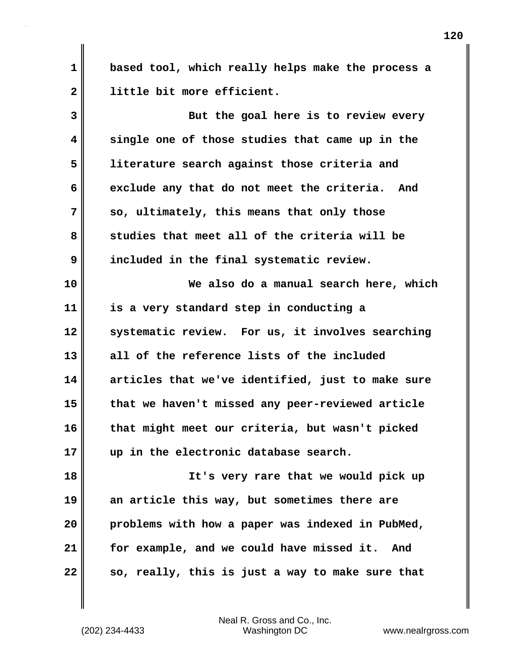**1 based tool, which really helps make the process a 2 little bit more efficient.**

**3 But the goal here is to review every 4 single one of those studies that came up in the 5 literature search against those criteria and** 6 exclude any that do not meet the criteria. And **7 so, ultimately, this means that only those 8 studies that meet all of the criteria will be 9 included in the final systematic review. 10 We also do a manual search here, which 11 is a very standard step in conducting a 12 systematic review. For us, it involves searching 13 all of the reference lists of the included 14 articles that we've identified, just to make sure 15 that we haven't missed any peer-reviewed article 16 that might meet our criteria, but wasn't picked 17 up in the electronic database search. 18 It's very rare that we would pick up 19 an article this way, but sometimes there are 20 problems with how a paper was indexed in PubMed,**

**22 so, really, this is just a way to make sure that**

(202) 234-4433 Washington DC www.nealrgross.com Neal R. Gross and Co., Inc.

**21 for example, and we could have missed it. And**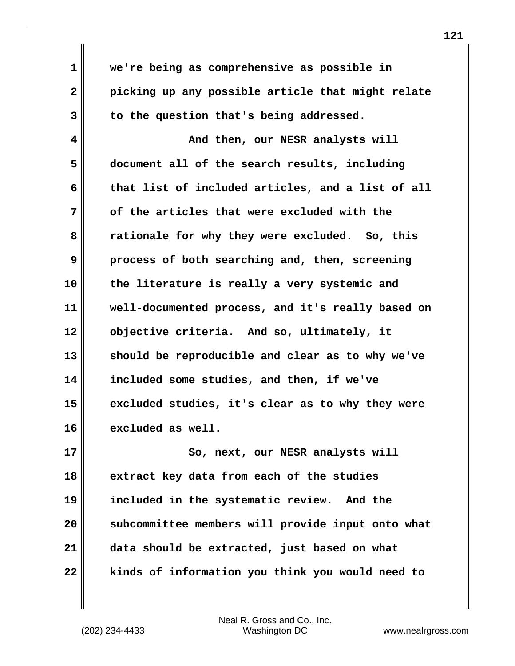**1 we're being as comprehensive as possible in 2 picking up any possible article that might relate 3 to the question that's being addressed. 4 And then, our NESR analysts will 5 document all of the search results, including 6 that list of included articles, and a list of all 7 of the articles that were excluded with the 8 rationale for why they were excluded. So, this 9 process of both searching and, then, screening 10 the literature is really a very systemic and 11 well-documented process, and it's really based on 12 objective criteria. And so, ultimately, it 13 should be reproducible and clear as to why we've 14 included some studies, and then, if we've 15 excluded studies, it's clear as to why they were 16 excluded as well. 17** So, next, our NESR analysts will **18 extract key data from each of the studies 19 included in the systematic review. And the**

**20 subcommittee members will provide input onto what 21 data should be extracted, just based on what 22 kinds of information you think you would need to**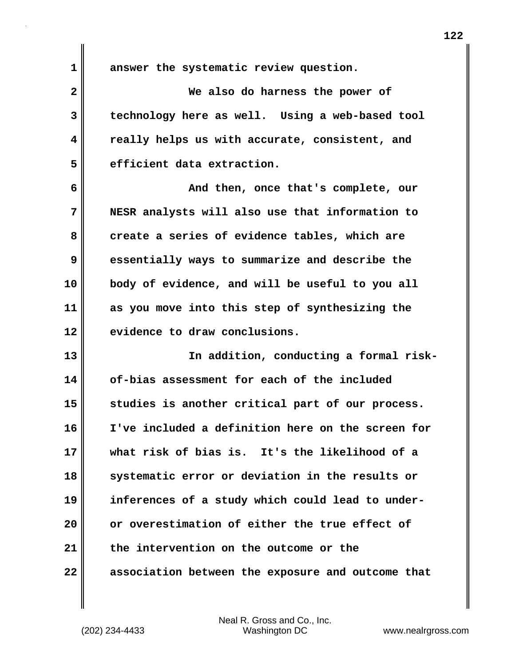**1 answer the systematic review question.**

**2 We also do harness the power of 3 technology here as well. Using a web-based tool 4 really helps us with accurate, consistent, and 5 efficient data extraction.**

**6 And then, once that's complete, our 7 NESR analysts will also use that information to** 8 create a series of evidence tables, which are **9 essentially ways to summarize and describe the 10 body of evidence, and will be useful to you all 11 as you move into this step of synthesizing the 12 evidence to draw conclusions.**

13 || In addition, conducting a formal risk-**14 of-bias assessment for each of the included 15 studies is another critical part of our process. 16 I've included a definition here on the screen for 17 what risk of bias is. It's the likelihood of a 18 systematic error or deviation in the results or 19 inferences of a study which could lead to under-20 or overestimation of either the true effect of 21 the intervention on the outcome or the 22 association between the exposure and outcome that**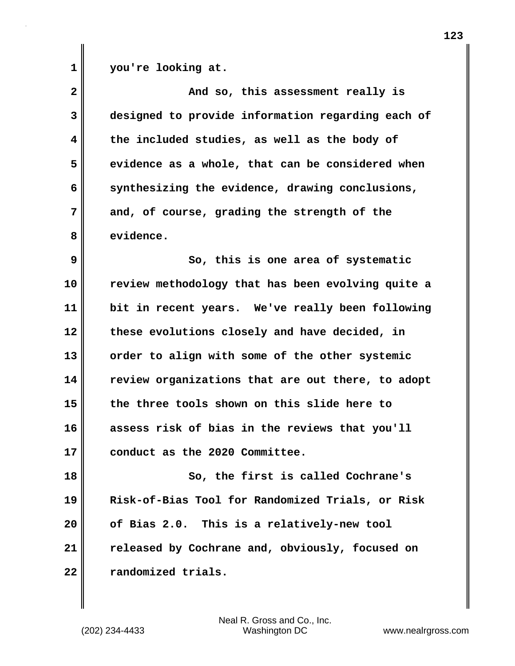1 you're looking at.

| $\mathbf{2}$            | And so, this assessment really is                 |
|-------------------------|---------------------------------------------------|
| 3                       | designed to provide information regarding each of |
| $\overline{\mathbf{4}}$ | the included studies, as well as the body of      |
| 5                       | evidence as a whole, that can be considered when  |
| 6                       | synthesizing the evidence, drawing conclusions,   |
| 7                       | and, of course, grading the strength of the       |
| 8                       | evidence.                                         |
| 9                       | So, this is one area of systematic                |
| 10                      | review methodology that has been evolving quite a |
| 11                      | bit in recent years. We've really been following  |
| 12                      | these evolutions closely and have decided, in     |
| 13                      | order to align with some of the other systemic    |
| 14                      | review organizations that are out there, to adopt |
| 15                      | the three tools shown on this slide here to       |
| 16                      | assess risk of bias in the reviews that you'll    |
| 17                      | conduct as the 2020 Committee.                    |
| 18                      | So, the first is called Cochrane's                |
| 19                      | Risk-of-Bias Tool for Randomized Trials, or Risk  |
| 20                      | of Bias 2.0. This is a relatively-new tool        |
| 21                      | released by Cochrane and, obviously, focused on   |
| 22                      | randomized trials.                                |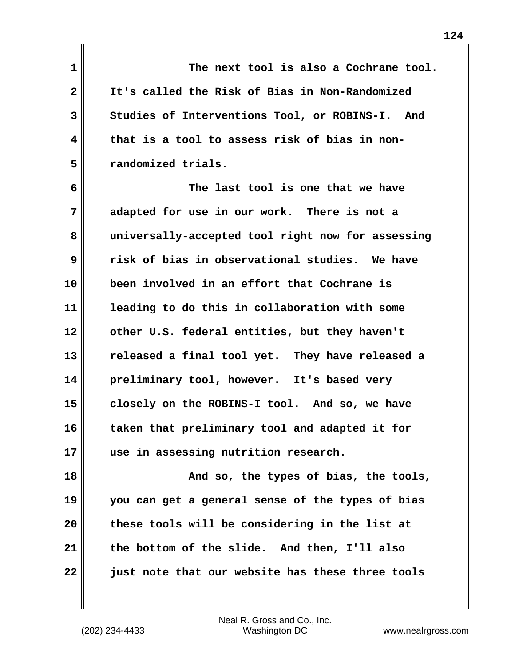**1 The next tool is also a Cochrane tool. 2 It's called the Risk of Bias in Non-Randomized 3 Studies of Interventions Tool, or ROBINS-I. And 4 that is a tool to assess risk of bias in non-5 randomized trials.**

**6 The last tool is one that we have 7 adapted for use in our work. There is not a 8 universally-accepted tool right now for assessing 9 risk of bias in observational studies. We have 10 been involved in an effort that Cochrane is 11 leading to do this in collaboration with some 12 other U.S. federal entities, but they haven't 13 released a final tool yet. They have released a 14 preliminary tool, however. It's based very 15 closely on the ROBINS-I tool. And so, we have 16 taken that preliminary tool and adapted it for 17 use in assessing nutrition research.**

**18 And so, the types of bias, the tools, 19 you can get a general sense of the types of bias 20 these tools will be considering in the list at 21 the bottom of the slide. And then, I'll also 22 just note that our website has these three tools**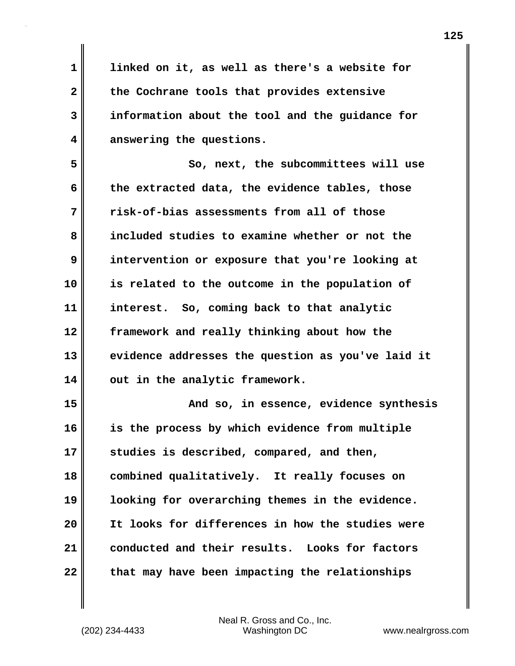**1 linked on it, as well as there's a website for 2 the Cochrane tools that provides extensive 3 information about the tool and the guidance for 4 answering the questions.**

**5 So, next, the subcommittees will use 6 the extracted data, the evidence tables, those 7 risk-of-bias assessments from all of those 8 included studies to examine whether or not the 9 intervention or exposure that you're looking at 10 is related to the outcome in the population of 11 interest. So, coming back to that analytic 12 framework and really thinking about how the 13 evidence addresses the question as you've laid it 14 out in the analytic framework.**

**15 And so, in essence, evidence synthesis 16 is the process by which evidence from multiple 17 studies is described, compared, and then, 18 combined qualitatively. It really focuses on 19 looking for overarching themes in the evidence. 20 It looks for differences in how the studies were 21 conducted and their results. Looks for factors 22 that may have been impacting the relationships**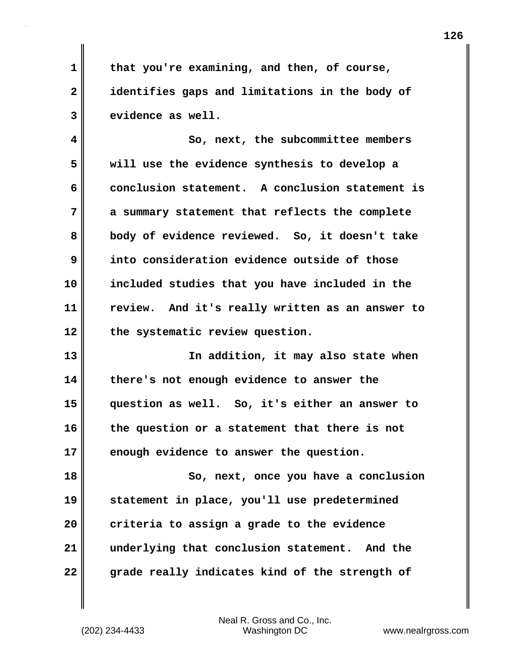**1 that you're examining, and then, of course, 2 identifies gaps and limitations in the body of 3 evidence as well.**

**4 So, next, the subcommittee members 5 will use the evidence synthesis to develop a 6 conclusion statement. A conclusion statement is 7 a summary statement that reflects the complete 8 body of evidence reviewed. So, it doesn't take 9 into consideration evidence outside of those 10 included studies that you have included in the 11 review. And it's really written as an answer to 12 the systematic review question.**

**13 In addition, it may also state when 14 there's not enough evidence to answer the 15 question as well. So, it's either an answer to 16 the question or a statement that there is not 17 enough evidence to answer the question.**

**18 So, next, once you have a conclusion 19 statement in place, you'll use predetermined 20 criteria to assign a grade to the evidence 21 underlying that conclusion statement. And the 22 grade really indicates kind of the strength of**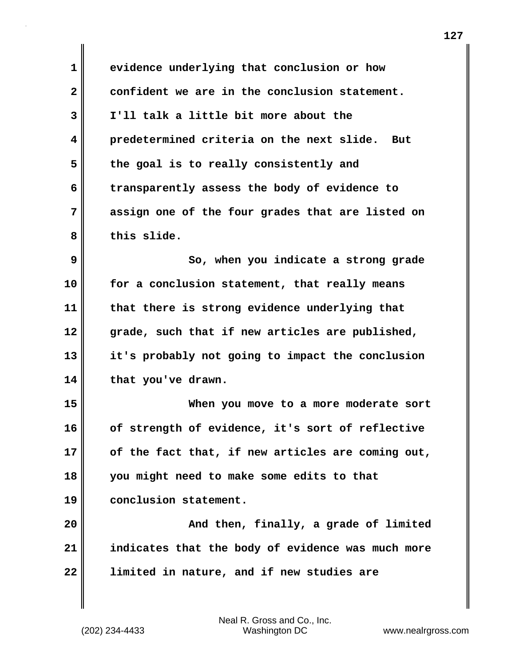| $\mathbf{1}$ | evidence underlying that conclusion or how        |
|--------------|---------------------------------------------------|
| $\mathbf{2}$ | confident we are in the conclusion statement.     |
| 3            | I'll talk a little bit more about the             |
| 4            | predetermined criteria on the next slide. But     |
| 5            | the goal is to really consistently and            |
| 6            | transparently assess the body of evidence to      |
| 7            | assign one of the four grades that are listed on  |
| 8            | this slide.                                       |
| 9            | So, when you indicate a strong grade              |
| 10           | for a conclusion statement, that really means     |
| 11           | that there is strong evidence underlying that     |
| 12           | grade, such that if new articles are published,   |
| 13           | it's probably not going to impact the conclusion  |
| 14           | that you've drawn.                                |
| 15           | When you move to a more moderate sort             |
| 16           | of strength of evidence, it's sort of reflective  |
| 17           | of the fact that, if new articles are coming out, |
| 18           | you might need to make some edits to that         |
| 19           | conclusion statement.                             |
| 20           | And then, finally, a grade of limited             |
| 21           | indicates that the body of evidence was much more |
| 22           | limited in nature, and if new studies are         |
|              |                                                   |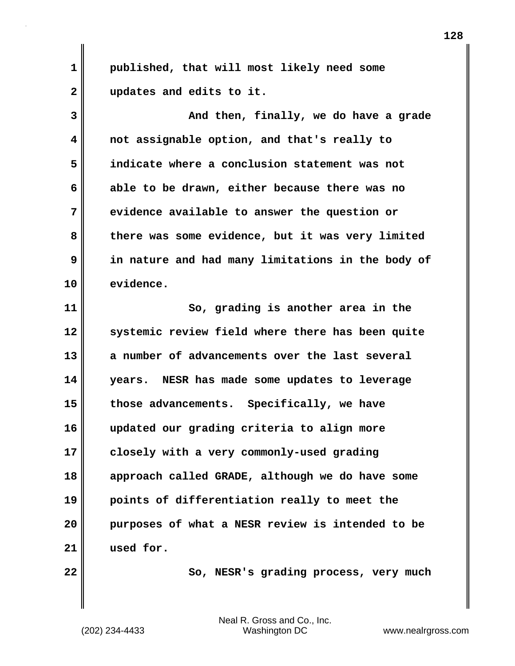**1 published, that will most likely need some 2 updates and edits to it.**

**3 And then, finally, we do have a grade 4 not assignable option, and that's really to 5 indicate where a conclusion statement was not 6 able to be drawn, either because there was no 7 evidence available to answer the question or 8 there was some evidence, but it was very limited 9 in nature and had many limitations in the body of 10 evidence.**

**11 So, grading is another area in the 12 systemic review field where there has been quite 13 a number of advancements over the last several 14 years. NESR has made some updates to leverage 15 those advancements. Specifically, we have 16 updated our grading criteria to align more 17 closely with a very commonly-used grading 18 approach called GRADE, although we do have some 19 points of differentiation really to meet the 20 purposes of what a NESR review is intended to be 21 used for.**

22 **So, NESR's grading process, very much**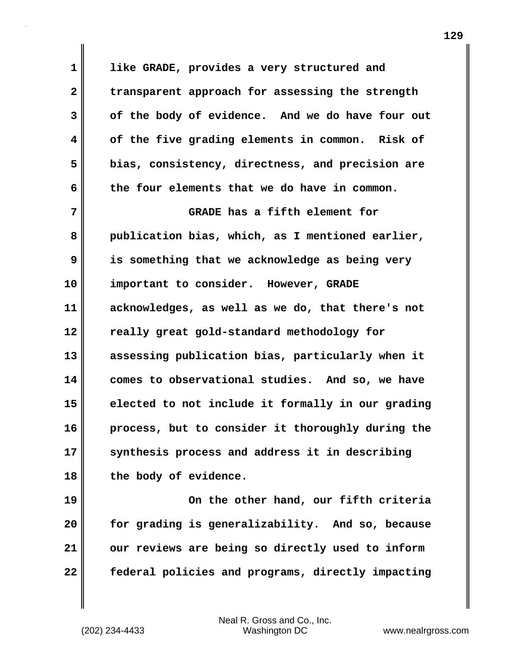**1 like GRADE, provides a very structured and 2 transparent approach for assessing the strength 3 of the body of evidence. And we do have four out 4 of the five grading elements in common. Risk of 5 bias, consistency, directness, and precision are 6 the four elements that we do have in common.**

**7 GRADE has a fifth element for 8 publication bias, which, as I mentioned earlier, 9 is something that we acknowledge as being very 10 important to consider. However, GRADE 11 acknowledges, as well as we do, that there's not 12 really great gold-standard methodology for 13 assessing publication bias, particularly when it 14 comes to observational studies. And so, we have 15 elected to not include it formally in our grading 16 process, but to consider it thoroughly during the 17 synthesis process and address it in describing 18 the body of evidence.**

**19 On the other hand, our fifth criteria 20 for grading is generalizability. And so, because 21 our reviews are being so directly used to inform 22 federal policies and programs, directly impacting**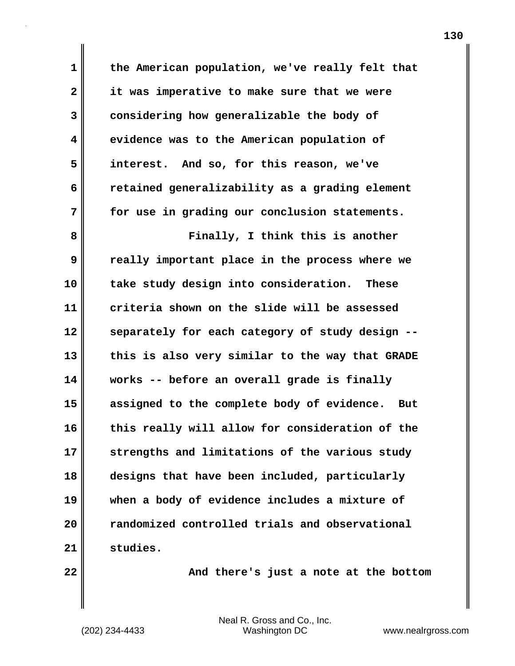**1 the American population, we've really felt that 2 it was imperative to make sure that we were 3 considering how generalizable the body of 4 evidence was to the American population of 5 interest. And so, for this reason, we've 6 retained generalizability as a grading element 7 for use in grading our conclusion statements. 8 Finally, I think this is another 9 really important place in the process where we 10 take study design into consideration. These 11 criteria shown on the slide will be assessed 12 separately for each category of study design -- 13 this is also very similar to the way that GRADE 14 works -- before an overall grade is finally 15 assigned to the complete body of evidence. But 16 this really will allow for consideration of the 17 strengths and limitations of the various study**

**18 designs that have been included, particularly 19 when a body of evidence includes a mixture of 20 randomized controlled trials and observational 21 studies.**

**22 And there's just a note at the bottom**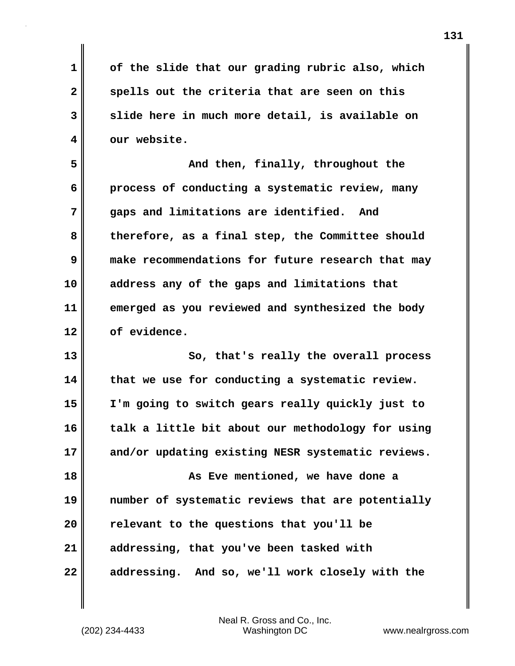**1 of the slide that our grading rubric also, which 2 spells out the criteria that are seen on this 3 slide here in much more detail, is available on 4 our website.**

**5 And then, finally, throughout the 6 process of conducting a systematic review, many 7 gaps and limitations are identified. And 8 therefore, as a final step, the Committee should 9 make recommendations for future research that may 10 address any of the gaps and limitations that 11 emerged as you reviewed and synthesized the body 12 of evidence.**

**13 So, that's really the overall process 14 that we use for conducting a systematic review. 15 I'm going to switch gears really quickly just to 16 talk a little bit about our methodology for using 17 and/or updating existing NESR systematic reviews.**

**18 As Eve mentioned, we have done a 19 number of systematic reviews that are potentially 20 relevant to the questions that you'll be 21 addressing, that you've been tasked with 22 addressing. And so, we'll work closely with the**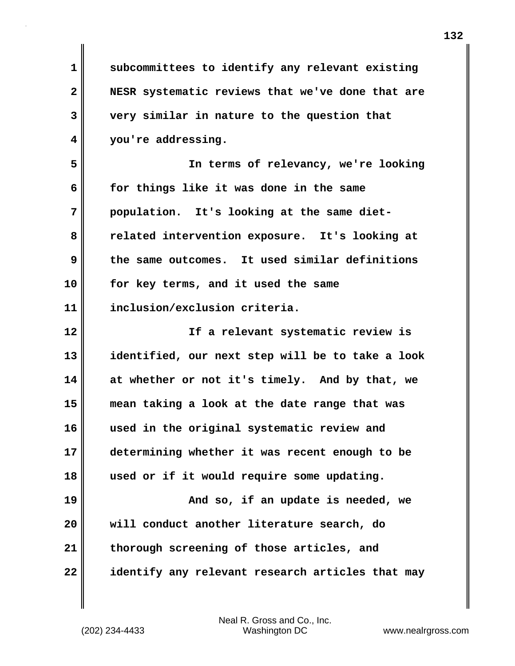| $\mathbf 1$    | subcommittees to identify any relevant existing  |
|----------------|--------------------------------------------------|
| $\overline{2}$ | NESR systematic reviews that we've done that are |
| 3              | very similar in nature to the question that      |
| 4              | you're addressing.                               |
| 5              | In terms of relevancy, we're looking             |
| 6              | for things like it was done in the same          |
| 7              | population. It's looking at the same diet-       |
| 8              | related intervention exposure. It's looking at   |
| 9              | the same outcomes. It used similar definitions   |
| 10             | for key terms, and it used the same              |
| 11             | inclusion/exclusion criteria.                    |
| 12             | If a relevant systematic review is               |
| 13             | identified, our next step will be to take a look |
| 14             | at whether or not it's timely. And by that, we   |
| 15             | mean taking a look at the date range that was    |
| 16             | used in the original systematic review and       |
| 17             | determining whether it was recent enough to be   |
| 18             | used or if it would require some updating.       |
| 19             | And so, if an update is needed, we               |
| 20             | will conduct another literature search, do       |
| 21             | thorough screening of those articles, and        |
| 22             | identify any relevant research articles that may |

 $\mathbf{I}$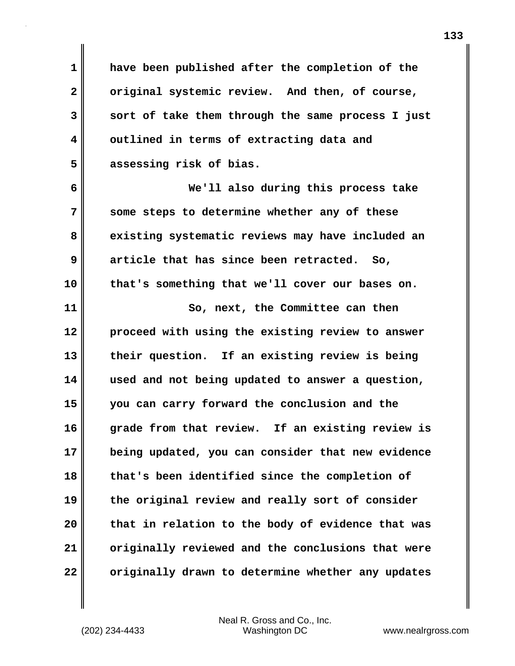**1 have been published after the completion of the 2 original systemic review. And then, of course, 3 sort of take them through the same process I just 4 outlined in terms of extracting data and 5 assessing risk of bias.**

**6 We'll also during this process take 7 some steps to determine whether any of these 8 existing systematic reviews may have included an 9 article that has since been retracted. So, 10 that's something that we'll cover our bases on.**

**11** So, next, the Committee can then **12 proceed with using the existing review to answer 13 their question. If an existing review is being 14 used and not being updated to answer a question, 15 you can carry forward the conclusion and the 16 grade from that review. If an existing review is 17 being updated, you can consider that new evidence 18 that's been identified since the completion of 19 the original review and really sort of consider 20 that in relation to the body of evidence that was 21 originally reviewed and the conclusions that were 22 originally drawn to determine whether any updates**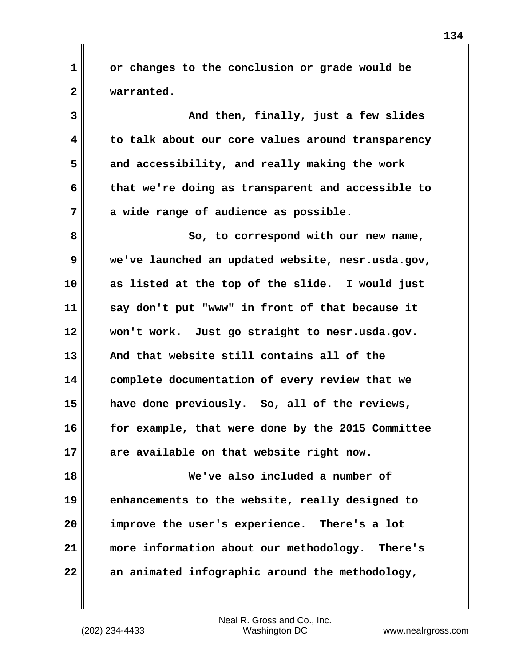**1 or changes to the conclusion or grade would be 2 warranted.**

**3 And then, finally, just a few slides 4 to talk about our core values around transparency 5 and accessibility, and really making the work 6 that we're doing as transparent and accessible to 7 a wide range of audience as possible. 8 So, to correspond with our new name, 9 we've launched an updated website, nesr.usda.gov, 10 as listed at the top of the slide. I would just 11 say don't put "www" in front of that because it 12 won't work. Just go straight to nesr.usda.gov. 13 And that website still contains all of the 14 complete documentation of every review that we 15 have done previously. So, all of the reviews, 16 for example, that were done by the 2015 Committee 17 are available on that website right now.**

**18 We've also included a number of 19 enhancements to the website, really designed to 20 improve the user's experience. There's a lot 21 more information about our methodology. There's 22 an animated infographic around the methodology,**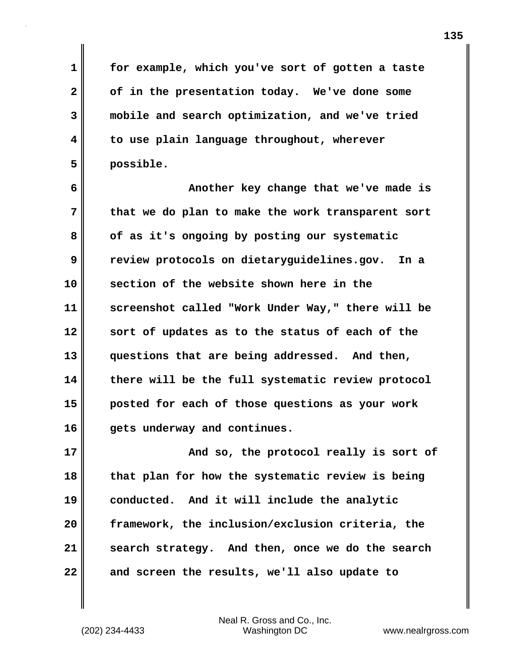**1 for example, which you've sort of gotten a taste 2 of in the presentation today. We've done some 3 mobile and search optimization, and we've tried 4 to use plain language throughout, wherever 5 possible.**

**6 Another key change that we've made is 7 that we do plan to make the work transparent sort 8 of as it's ongoing by posting our systematic 9 review protocols on dietaryguidelines.gov. In a 10 section of the website shown here in the 11 screenshot called "Work Under Way," there will be 12 sort of updates as to the status of each of the 13 questions that are being addressed. And then, 14 there will be the full systematic review protocol 15 posted for each of those questions as your work 16 gets underway and continues.**

**17** And so, the protocol really is sort of **18 that plan for how the systematic review is being 19 conducted. And it will include the analytic 20 framework, the inclusion/exclusion criteria, the 21 search strategy. And then, once we do the search 22 and screen the results, we'll also update to**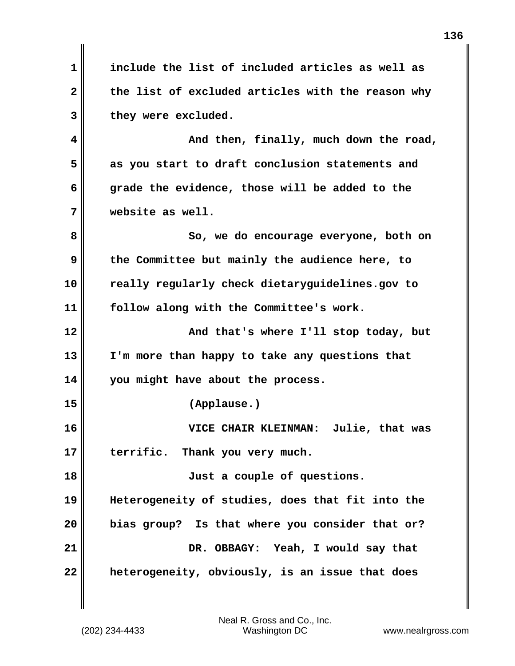**1 include the list of included articles as well as 2 the list of excluded articles with the reason why 3 they were excluded. 4 And then, finally, much down the road, 5 as you start to draft conclusion statements and 6 grade the evidence, those will be added to the 7 website as well. 8 So, we do encourage everyone, both on 9 the Committee but mainly the audience here, to 10 really regularly check dietaryguidelines.gov to 11 follow along with the Committee's work. 12 And that's where I'll stop today, but 13 I'm more than happy to take any questions that 14 you might have about the process. 15 (Applause.) 16 VICE CHAIR KLEINMAN: Julie, that was 17 terrific. Thank you very much. 18 Just a couple of questions. 19 Heterogeneity of studies, does that fit into the 20 bias group? Is that where you consider that or? 21 DR. OBBAGY: Yeah, I would say that 22 heterogeneity, obviously, is an issue that does**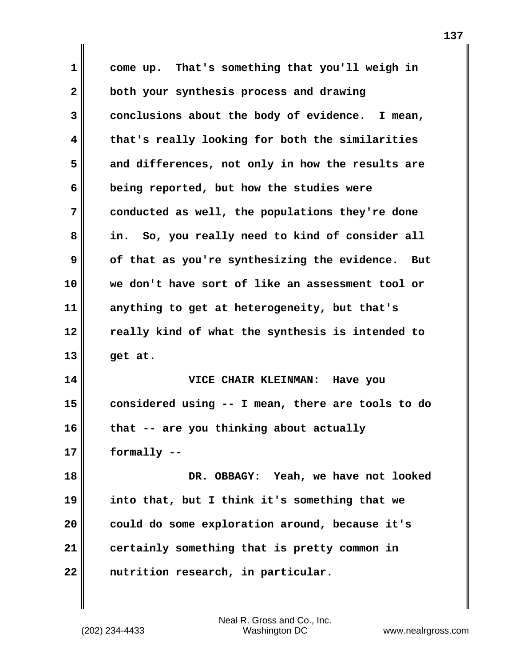| come up. That's something that you'll weigh in    |
|---------------------------------------------------|
| both your synthesis process and drawing           |
| conclusions about the body of evidence. I mean,   |
| that's really looking for both the similarities   |
| and differences, not only in how the results are  |
| being reported, but how the studies were          |
| conducted as well, the populations they're done   |
| in. So, you really need to kind of consider all   |
| of that as you're synthesizing the evidence. But  |
| we don't have sort of like an assessment tool or  |
| anything to get at heterogeneity, but that's      |
| really kind of what the synthesis is intended to  |
| get at.                                           |
| VICE CHAIR KLEINMAN: Have you                     |
| considered using -- I mean, there are tools to do |
| that -- are you thinking about actually           |
| formally --                                       |
| DR. OBBAGY: Yeah, we have not looked              |
| into that, but I think it's something that we     |
| could do some exploration around, because it's    |
| certainly something that is pretty common in      |
| nutrition research, in particular.                |
|                                                   |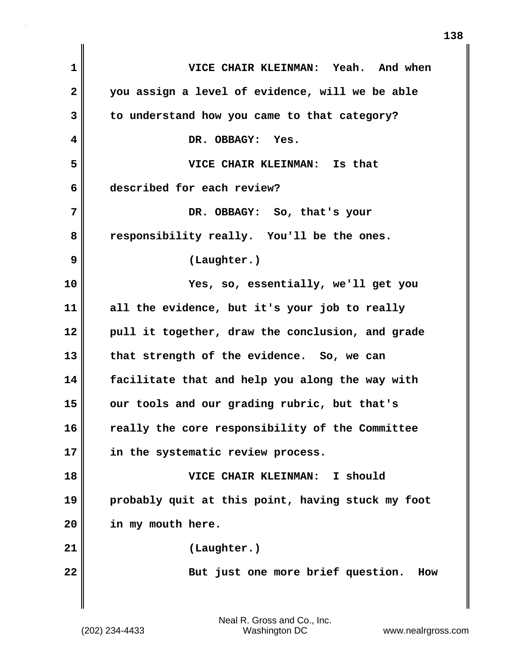| $\mathbf{1}$ | VICE CHAIR KLEINMAN: Yeah. And when               |
|--------------|---------------------------------------------------|
| $\mathbf{2}$ | you assign a level of evidence, will we be able   |
| 3            | to understand how you came to that category?      |
| 4            | DR. OBBAGY: Yes.                                  |
| 5            | VICE CHAIR KLEINMAN: Is that                      |
| 6            | described for each review?                        |
| 7            | DR. OBBAGY: So, that's your                       |
| 8            | responsibility really. You'll be the ones.        |
| 9            | (Laughter.)                                       |
| 10           | Yes, so, essentially, we'll get you               |
| 11           | all the evidence, but it's your job to really     |
| 12           | pull it together, draw the conclusion, and grade  |
| 13           | that strength of the evidence. So, we can         |
| 14           | facilitate that and help you along the way with   |
| 15           | our tools and our grading rubric, but that's      |
| 16           | really the core responsibility of the Committee   |
| 17           | in the systematic review process.                 |
| 18           | VICE CHAIR KLEINMAN: I should                     |
| 19           | probably quit at this point, having stuck my foot |
| 20           | in my mouth here.                                 |
| 21           | (Laughter.)                                       |
| 22           | But just one more brief question.<br>How          |
|              |                                                   |

 $\mathbf{I}$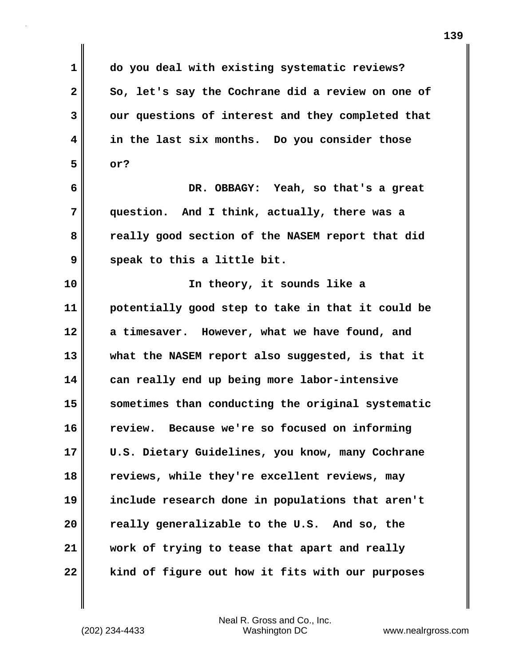**1 do you deal with existing systematic reviews? 2 So, let's say the Cochrane did a review on one of 3 our questions of interest and they completed that 4 in the last six months. Do you consider those 5 or? 6 DR. OBBAGY: Yeah, so that's a great 7 question. And I think, actually, there was a 8 really good section of the NASEM report that did 9 speak to this a little bit. 10 In theory, it sounds like a 11 potentially good step to take in that it could be 12 a timesaver. However, what we have found, and 13 what the NASEM report also suggested, is that it 14 can really end up being more labor-intensive 15 sometimes than conducting the original systematic 16 review. Because we're so focused on informing 17 U.S. Dietary Guidelines, you know, many Cochrane 18 reviews, while they're excellent reviews, may 19 include research done in populations that aren't 20 really generalizable to the U.S. And so, the 21 work of trying to tease that apart and really 22 kind of figure out how it fits with our purposes**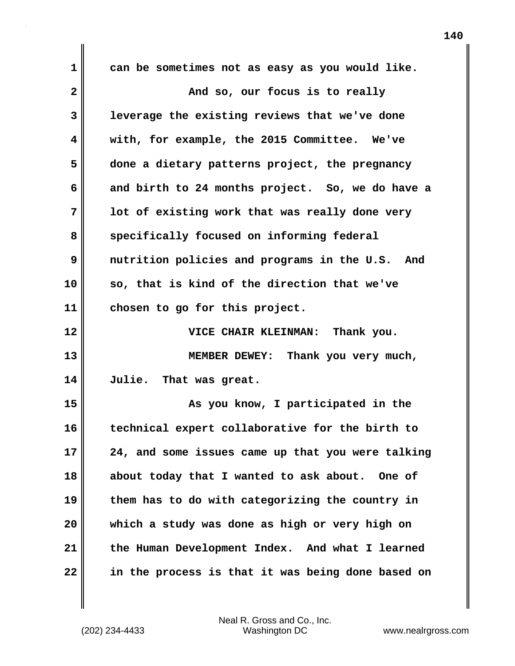**1 can be sometimes not as easy as you would like. 2 And so, our focus is to really 3 leverage the existing reviews that we've done 4 with, for example, the 2015 Committee. We've 5 done a dietary patterns project, the pregnancy 6 and birth to 24 months project. So, we do have a 7 lot of existing work that was really done very** 8 specifically focused on informing federal **9 nutrition policies and programs in the U.S. And 10 so, that is kind of the direction that we've 11 chosen to go for this project. 12 VICE CHAIR KLEINMAN: Thank you. 13 MEMBER DEWEY: Thank you very much, 14 Julie. That was great. 15 As you know, I participated in the 16 technical expert collaborative for the birth to 17 24, and some issues came up that you were talking 18 about today that I wanted to ask about. One of 19 them has to do with categorizing the country in 20 which a study was done as high or very high on 21 the Human Development Index. And what I learned 22 in the process is that it was being done based on**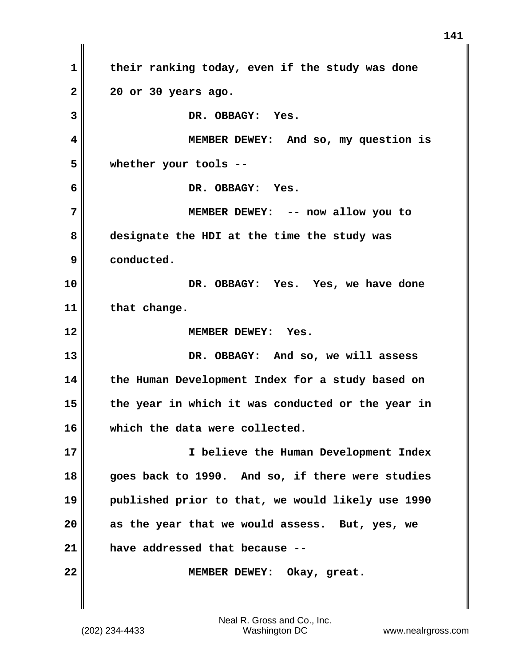**1 their ranking today, even if the study was done 2 20 or 30 years ago. 3 DR. OBBAGY: Yes. 4 MEMBER DEWEY: And so, my question is 5 whether your tools -- 6 DR. OBBAGY: Yes. 7 MEMBER DEWEY: -- now allow you to 8 designate the HDI at the time the study was 9 conducted. 10 DR. OBBAGY: Yes. Yes, we have done 11 that change. 12 MEMBER DEWEY: Yes. 13 DR. OBBAGY: And so, we will assess 14 the Human Development Index for a study based on 15 the year in which it was conducted or the year in 16 which the data were collected. 17 I believe the Human Development Index 18 goes back to 1990. And so, if there were studies 19 published prior to that, we would likely use 1990 20 as the year that we would assess. But, yes, we 21 have addressed that because -- 22 MEMBER DEWEY: Okay, great.**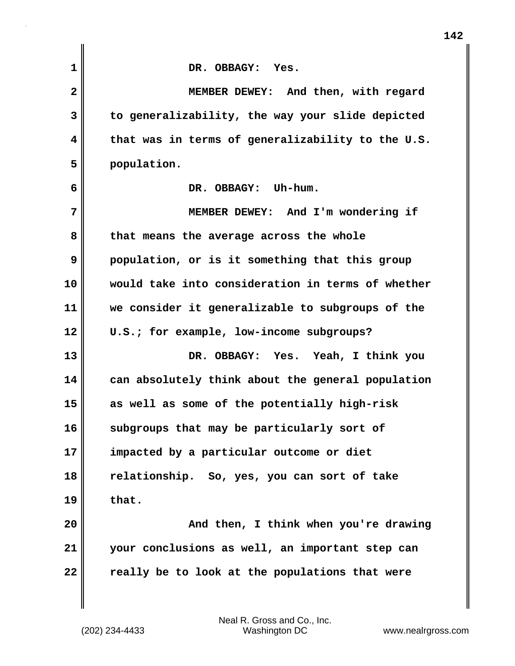| $\mathbf{1}$ | DR. OBBAGY: Yes.                                  |
|--------------|---------------------------------------------------|
| $\mathbf{2}$ | MEMBER DEWEY: And then, with regard               |
| 3            | to generalizability, the way your slide depicted  |
| 4            | that was in terms of generalizability to the U.S. |
| 5            | population.                                       |
| 6            | DR. OBBAGY: Uh-hum.                               |
| 7            | MEMBER DEWEY: And I'm wondering if                |
| 8            | that means the average across the whole           |
| 9            | population, or is it something that this group    |
| 10           | would take into consideration in terms of whether |
| 11           | we consider it generalizable to subgroups of the  |
| 12           | U.S.; for example, low-income subgroups?          |
| 13           | DR. OBBAGY: Yes. Yeah, I think you                |
| 14           | can absolutely think about the general population |
| 15           | as well as some of the potentially high-risk      |
| 16           | subgroups that may be particularly sort of        |
| 17           | impacted by a particular outcome or diet          |
| 18           | relationship. So, yes, you can sort of take       |
| 19           | that.                                             |
| 20           | And then, I think when you're drawing             |
| 21           | your conclusions as well, an important step can   |
| 22           | really be to look at the populations that were    |
|              |                                                   |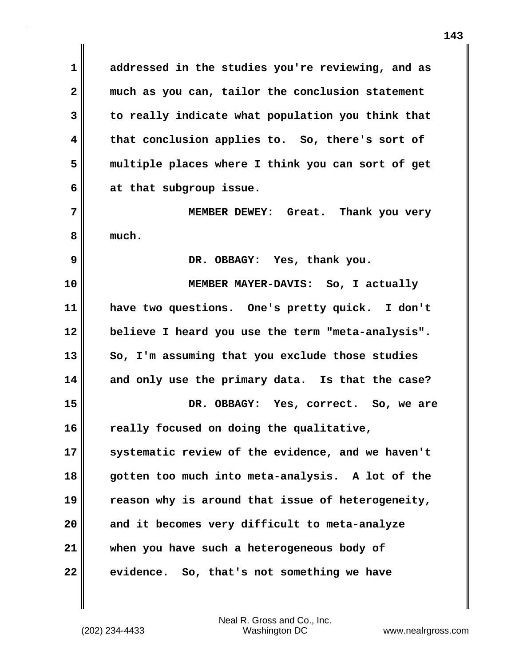**1 addressed in the studies you're reviewing, and as 2 much as you can, tailor the conclusion statement 3 to really indicate what population you think that 4 that conclusion applies to. So, there's sort of 5 multiple places where I think you can sort of get 6 at that subgroup issue.**

**7 MEMBER DEWEY: Great. Thank you very 8 much.**

**9 DR. OBBAGY: Yes, thank you.**

**10 MEMBER MAYER-DAVIS: So, I actually 11 have two questions. One's pretty quick. I don't 12 believe I heard you use the term "meta-analysis". 13 So, I'm assuming that you exclude those studies 14 and only use the primary data. Is that the case? 15 DR. OBBAGY: Yes, correct. So, we are 16 really focused on doing the qualitative, 17 systematic review of the evidence, and we haven't 18 gotten too much into meta-analysis. A lot of the 19 reason why is around that issue of heterogeneity,**

**20 and it becomes very difficult to meta-analyze 21 when you have such a heterogeneous body of 22 evidence. So, that's not something we have**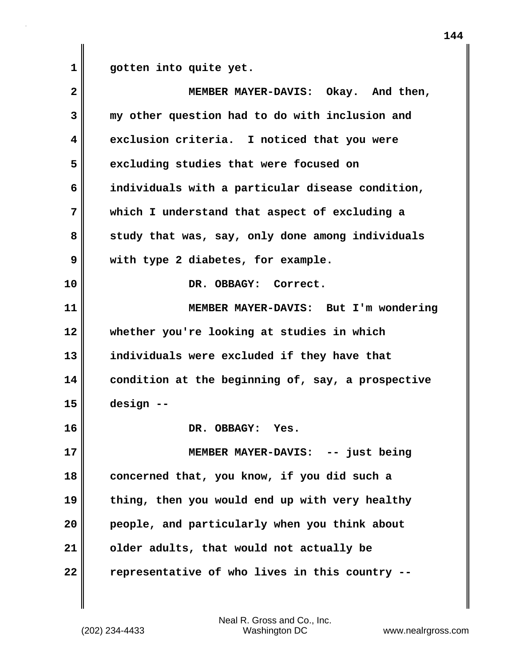**1 gotten into quite yet.**

| $\overline{\mathbf{2}}$ | MEMBER MAYER-DAVIS: Okay. And then,               |
|-------------------------|---------------------------------------------------|
| 3                       | my other question had to do with inclusion and    |
| 4                       | exclusion criteria. I noticed that you were       |
| 5                       | excluding studies that were focused on            |
| 6                       | individuals with a particular disease condition,  |
| 7                       | which I understand that aspect of excluding a     |
| 8                       | study that was, say, only done among individuals  |
| 9                       | with type 2 diabetes, for example.                |
| 10                      | DR. OBBAGY: Correct.                              |
| 11                      | MEMBER MAYER-DAVIS: But I'm wondering             |
| 12                      | whether you're looking at studies in which        |
| 13                      | individuals were excluded if they have that       |
| 14                      | condition at the beginning of, say, a prospective |
| 15                      | design --                                         |
| 16                      | DR. OBBAGY: Yes.                                  |
| 17                      | MEMBER MAYER-DAVIS: -- just being                 |
| 18                      | concerned that, you know, if you did such a       |
| 19                      | thing, then you would end up with very healthy    |
| 20                      | people, and particularly when you think about     |
| 21                      | older adults, that would not actually be          |
| 22                      | representative of who lives in this country --    |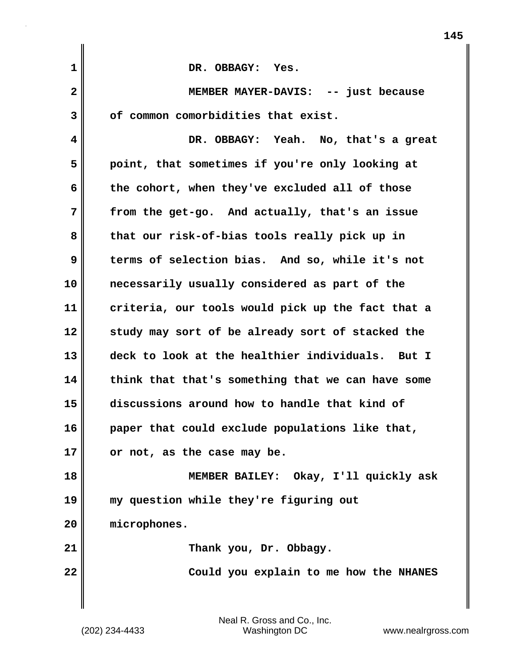| $\mathbf 1$  | DR. OBBAGY: Yes.                                  |
|--------------|---------------------------------------------------|
|              |                                                   |
| $\mathbf{2}$ | MEMBER MAYER-DAVIS: -- just because               |
| 3            | of common comorbidities that exist.               |
| 4            | DR. OBBAGY: Yeah. No, that's a great              |
| 5            | point, that sometimes if you're only looking at   |
| 6            | the cohort, when they've excluded all of those    |
| 7            | from the get-go. And actually, that's an issue    |
| 8            | that our risk-of-bias tools really pick up in     |
| 9            | terms of selection bias. And so, while it's not   |
| 10           | necessarily usually considered as part of the     |
| 11           | criteria, our tools would pick up the fact that a |
| 12           | study may sort of be already sort of stacked the  |
| 13           | deck to look at the healthier individuals. But I  |
| 14           | think that that's something that we can have some |
| 15           | discussions around how to handle that kind of     |
| 16           | paper that could exclude populations like that,   |
| 17           | or not, as the case may be.                       |
| 18           | MEMBER BAILEY: Okay, I'll quickly ask             |
| 19           | my question while they're figuring out            |
| 20           | microphones.                                      |
| 21           | Thank you, Dr. Obbagy.                            |
| 22           | Could you explain to me how the NHANES            |
|              |                                                   |

 $\mathbf{I}$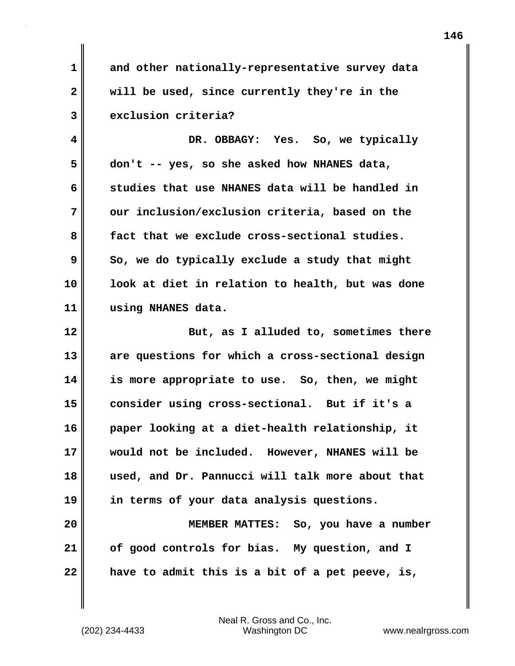**1 and other nationally-representative survey data 2 will be used, since currently they're in the 3 exclusion criteria?**

**4 DR. OBBAGY: Yes. So, we typically 5 don't -- yes, so she asked how NHANES data, 6 studies that use NHANES data will be handled in 7 our inclusion/exclusion criteria, based on the 8 fact that we exclude cross-sectional studies. 9** So, we do typically exclude a study that might **10 look at diet in relation to health, but was done 11 using NHANES data.**

**12 But, as I alluded to, sometimes there 13 are questions for which a cross-sectional design 14 is more appropriate to use. So, then, we might 15 consider using cross-sectional. But if it's a 16 paper looking at a diet-health relationship, it 17 would not be included. However, NHANES will be 18 used, and Dr. Pannucci will talk more about that 19 in terms of your data analysis questions.**

**20 MEMBER MATTES: So, you have a number 21 of good controls for bias. My question, and I 22 have to admit this is a bit of a pet peeve, is,**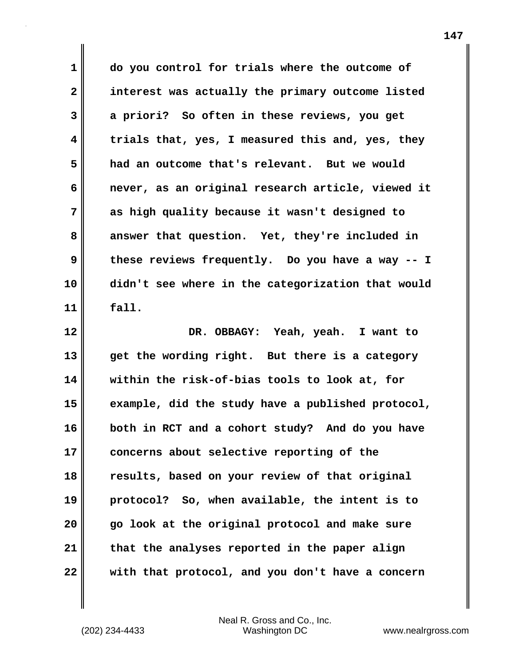**1 do you control for trials where the outcome of 2 interest was actually the primary outcome listed 3 a priori? So often in these reviews, you get 4 trials that, yes, I measured this and, yes, they 5 had an outcome that's relevant. But we would 6 never, as an original research article, viewed it 7 as high quality because it wasn't designed to 8 answer that question. Yet, they're included in 9 these reviews frequently. Do you have a way -- I 10 didn't see where in the categorization that would 11 fall. 12 DR. OBBAGY: Yeah, yeah. I want to 13 get the wording right. But there is a category**

**14 within the risk-of-bias tools to look at, for 15 example, did the study have a published protocol, 16 both in RCT and a cohort study? And do you have 17 concerns about selective reporting of the 18 results, based on your review of that original 19 protocol? So, when available, the intent is to 20 go look at the original protocol and make sure 21 that the analyses reported in the paper align 22 with that protocol, and you don't have a concern**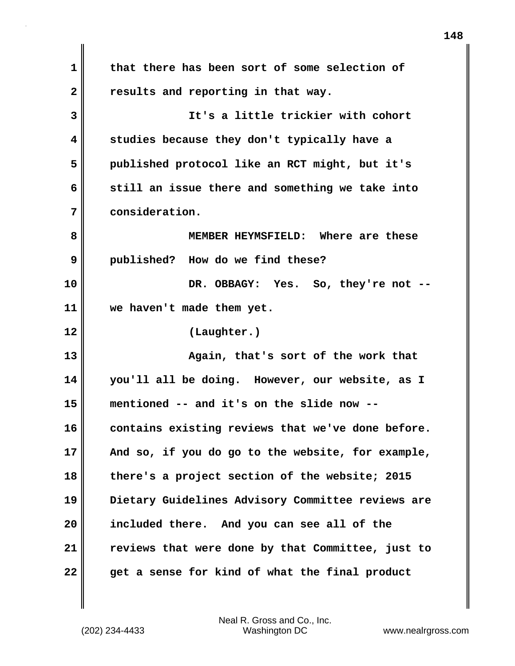**1 that there has been sort of some selection of** 2 **Paramel Exercise 2** results and reporting in that way. **3 It's a little trickier with cohort 4 studies because they don't typically have a 5 published protocol like an RCT might, but it's 6 still an issue there and something we take into 7 consideration. 8 MEMBER HEYMSFIELD: Where are these 9 published? How do we find these? 10 DR. OBBAGY: Yes. So, they're not -- 11 we haven't made them yet. 12 (Laughter.) 13 Again, that's sort of the work that 14 you'll all be doing. However, our website, as I 15 mentioned -- and it's on the slide now --** 16 contains existing reviews that we've done before. **17 And so, if you do go to the website, for example, 18 there's a project section of the website; 2015 19 Dietary Guidelines Advisory Committee reviews are 20 included there. And you can see all of the 21 reviews that were done by that Committee, just to 22 get a sense for kind of what the final product**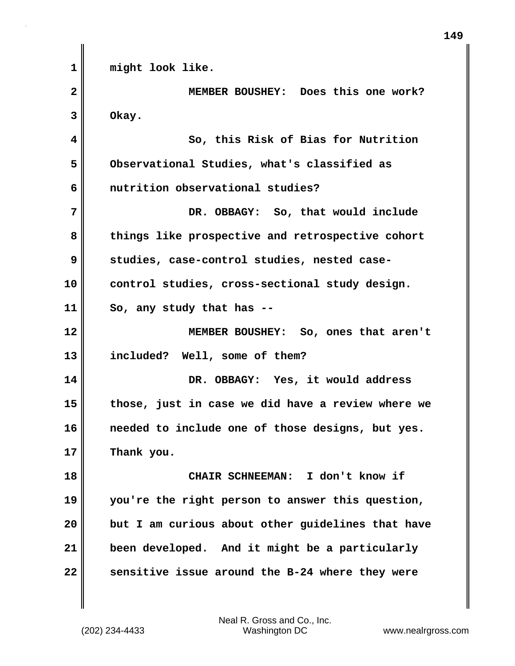**1 might look like. 2 MEMBER BOUSHEY: Does this one work? 3 Okay. 4 So, this Risk of Bias for Nutrition 5 Observational Studies, what's classified as 6 nutrition observational studies? 7 DR. OBBAGY: So, that would include 8 things like prospective and retrospective cohort 9 studies, case-control studies, nested case-10 control studies, cross-sectional study design. 11 So, any study that has -- 12 MEMBER BOUSHEY: So, ones that aren't 13 included? Well, some of them? 14 DR. OBBAGY: Yes, it would address 15 those, just in case we did have a review where we 16 needed to include one of those designs, but yes. 17 Thank you. 18 CHAIR SCHNEEMAN: I don't know if 19 you're the right person to answer this question, 20 but I am curious about other guidelines that have 21 been developed. And it might be a particularly 22 sensitive issue around the B-24 where they were**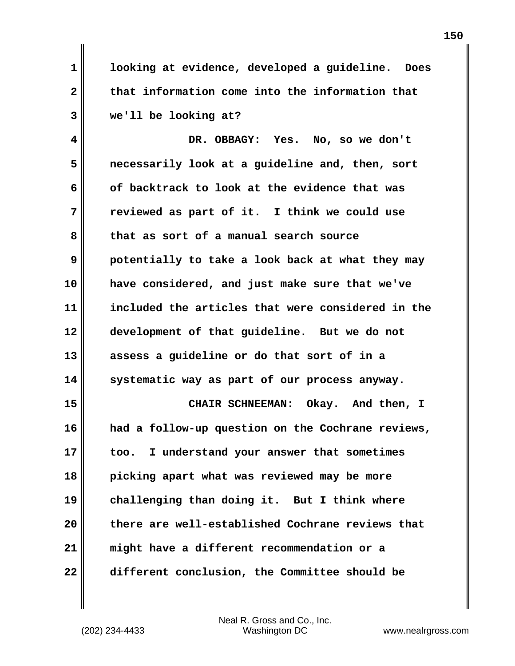**1 looking at evidence, developed a guideline. Does 2 that information come into the information that 3 we'll be looking at?**

**4 DR. OBBAGY: Yes. No, so we don't 5 necessarily look at a guideline and, then, sort 6 of backtrack to look at the evidence that was 7 reviewed as part of it. I think we could use 8 that as sort of a manual search source 9 potentially to take a look back at what they may 10 have considered, and just make sure that we've 11 included the articles that were considered in the 12 development of that guideline. But we do not 13 assess a guideline or do that sort of in a 14 systematic way as part of our process anyway.**

**15 CHAIR SCHNEEMAN: Okay. And then, I 16 had a follow-up question on the Cochrane reviews, 17 too. I understand your answer that sometimes 18 picking apart what was reviewed may be more 19 challenging than doing it. But I think where 20 there are well-established Cochrane reviews that 21 might have a different recommendation or a 22 different conclusion, the Committee should be**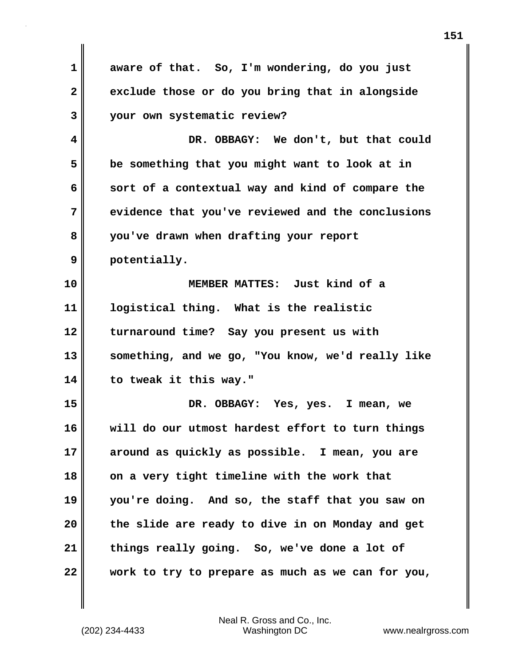**1 aware of that. So, I'm wondering, do you just 2 exclude those or do you bring that in alongside 3 your own systematic review? 4 DR. OBBAGY: We don't, but that could 5 be something that you might want to look at in 6 sort of a contextual way and kind of compare the 7 evidence that you've reviewed and the conclusions 8 you've drawn when drafting your report 9 potentially. 10 MEMBER MATTES: Just kind of a 11 logistical thing. What is the realistic 12 turnaround time? Say you present us with 13 something, and we go, "You know, we'd really like 14 to tweak it this way." 15 DR. OBBAGY: Yes, yes. I mean, we 16 will do our utmost hardest effort to turn things 17 around as quickly as possible. I mean, you are 18 on a very tight timeline with the work that 19 you're doing. And so, the staff that you saw on 20 the slide are ready to dive in on Monday and get 21 things really going. So, we've done a lot of 22 work to try to prepare as much as we can for you,**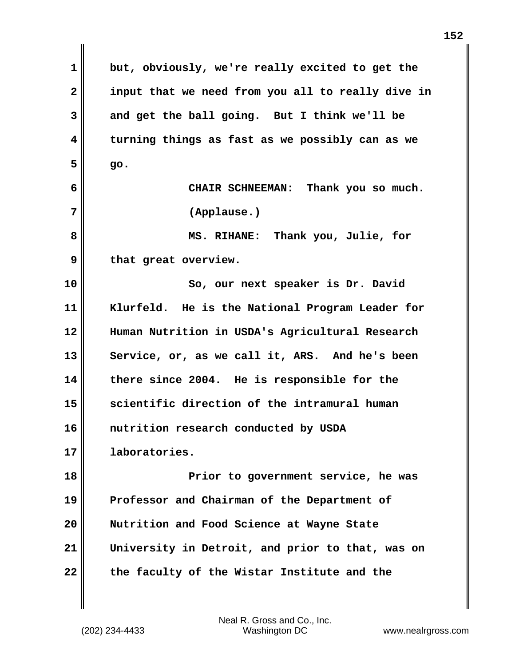**1 but, obviously, we're really excited to get the 2 input that we need from you all to really dive in 3 and get the ball going. But I think we'll be 4 turning things as fast as we possibly can as we**  $5$  go. **6 CHAIR SCHNEEMAN: Thank you so much. 7 (Applause.) 8 MS. RIHANE: Thank you, Julie, for** 9 **b** that great overview. **10 So, our next speaker is Dr. David 11 Klurfeld. He is the National Program Leader for 12 Human Nutrition in USDA's Agricultural Research** 13 Service, or, as we call it, ARS. And he's been **14 there since 2004. He is responsible for the 15 scientific direction of the intramural human 16 nutrition research conducted by USDA 17 laboratories. 18 Prior to government service, he was 19 Professor and Chairman of the Department of 20 Nutrition and Food Science at Wayne State 21 University in Detroit, and prior to that, was on 22 the faculty of the Wistar Institute and the**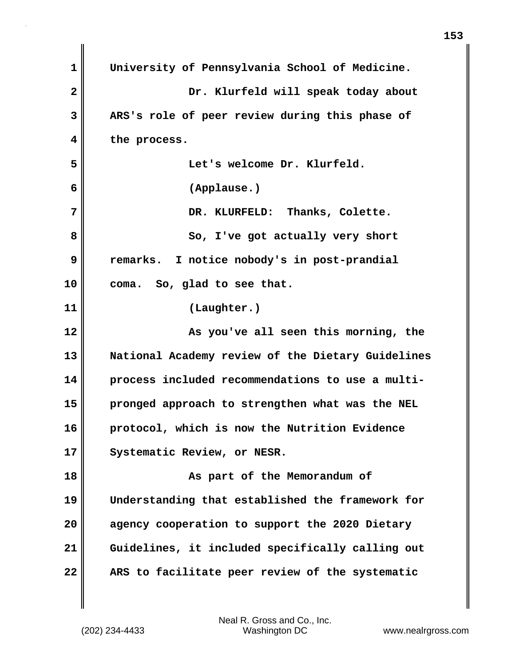| 1            | University of Pennsylvania School of Medicine.    |
|--------------|---------------------------------------------------|
| $\mathbf{2}$ | Dr. Klurfeld will speak today about               |
| 3            | ARS's role of peer review during this phase of    |
| 4            | the process.                                      |
| 5            | Let's welcome Dr. Klurfeld.                       |
| 6            | (Applause.)                                       |
| 7            | DR. KLURFELD: Thanks, Colette.                    |
| 8            | So, I've got actually very short                  |
| 9            | remarks. I notice nobody's in post-prandial       |
| 10           | So, glad to see that.<br>coma.                    |
| 11           | (Laughter.)                                       |
| 12           | As you've all seen this morning, the              |
| 13           | National Academy review of the Dietary Guidelines |
| 14           | process included recommendations to use a multi-  |
| 15           | pronged approach to strengthen what was the NEL   |
| 16           | protocol, which is now the Nutrition Evidence     |
| 17           | Systematic Review, or NESR.                       |
| 18           | As part of the Memorandum of                      |
| 19           | Understanding that established the framework for  |
| 20           | agency cooperation to support the 2020 Dietary    |
| 21           | Guidelines, it included specifically calling out  |
| 22           | ARS to facilitate peer review of the systematic   |

 $\mathbf{I}$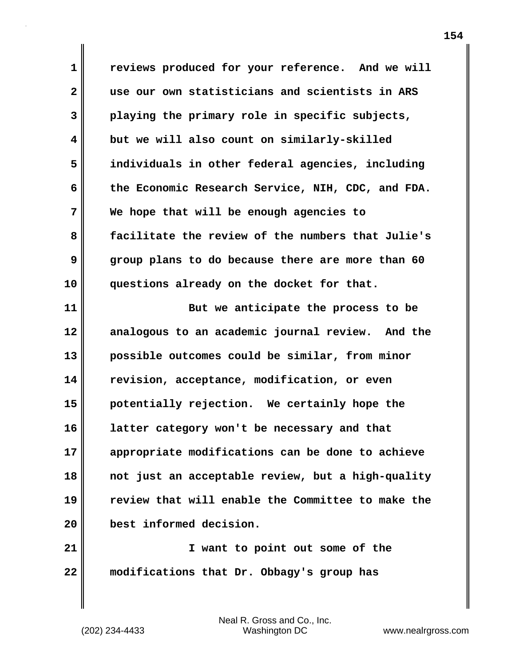**1 reviews produced for your reference. And we will 2 use our own statisticians and scientists in ARS 3 playing the primary role in specific subjects, 4 but we will also count on similarly-skilled 5 individuals in other federal agencies, including 6 the Economic Research Service, NIH, CDC, and FDA. 7 We hope that will be enough agencies to 8 facilitate the review of the numbers that Julie's 9 group plans to do because there are more than 60 10 questions already on the docket for that.**

**11 But we anticipate the process to be 12 analogous to an academic journal review. And the 13 possible outcomes could be similar, from minor 14 revision, acceptance, modification, or even 15 potentially rejection. We certainly hope the 16 latter category won't be necessary and that 17 appropriate modifications can be done to achieve 18 not just an acceptable review, but a high-quality 19 review that will enable the Committee to make the 20 best informed decision.**

**21 I want to point out some of the 22 modifications that Dr. Obbagy's group has**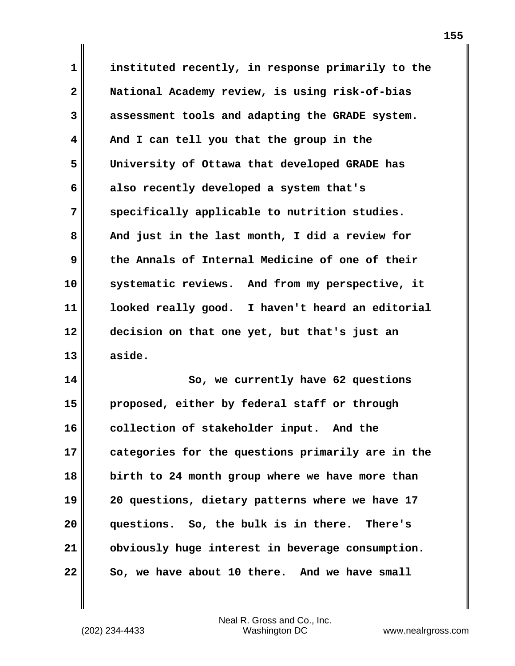**1 instituted recently, in response primarily to the 2 National Academy review, is using risk-of-bias 3 assessment tools and adapting the GRADE system. 4 And I can tell you that the group in the 5 University of Ottawa that developed GRADE has 6 also recently developed a system that's 7 specifically applicable to nutrition studies.**  8 || And just in the last month, I did a review for **9 the Annals of Internal Medicine of one of their 10 systematic reviews. And from my perspective, it 11 looked really good. I haven't heard an editorial 12 decision on that one yet, but that's just an 13 aside.**

**14 So, we currently have 62 questions 15 proposed, either by federal staff or through 16 collection of stakeholder input. And the 17 categories for the questions primarily are in the 18 birth to 24 month group where we have more than 19 20 questions, dietary patterns where we have 17 20 questions. So, the bulk is in there. There's 21 obviously huge interest in beverage consumption. 22 So, we have about 10 there. And we have small**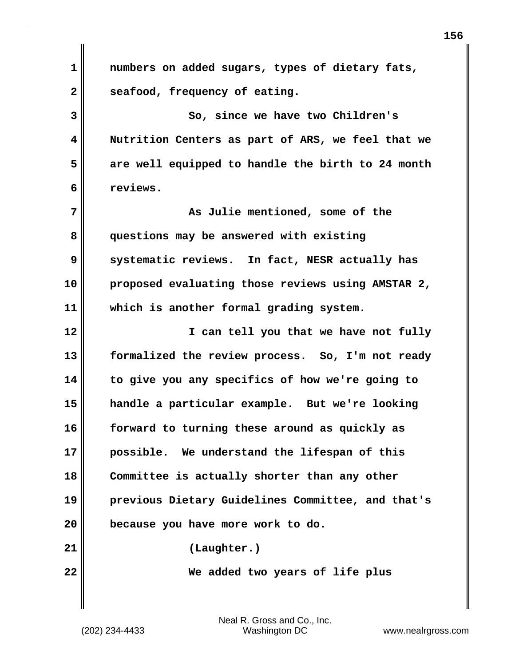| $\mathbf 1$  | numbers on added sugars, types of dietary fats,   |
|--------------|---------------------------------------------------|
| $\mathbf{2}$ | seafood, frequency of eating.                     |
| 3            | So, since we have two Children's                  |
| 4            | Nutrition Centers as part of ARS, we feel that we |
| 5            | are well equipped to handle the birth to 24 month |
| 6            | reviews.                                          |
| 7            | As Julie mentioned, some of the                   |
| 8            | questions may be answered with existing           |
| 9            | systematic reviews. In fact, NESR actually has    |
| 10           | proposed evaluating those reviews using AMSTAR 2, |
| 11           | which is another formal grading system.           |
| 12           | I can tell you that we have not fully             |
| 13           | formalized the review process. So, I'm not ready  |
| 14           | to give you any specifics of how we're going to   |
| 15           | handle a particular example. But we're looking    |
| 16           | forward to turning these around as quickly as     |
| 17           | possible. We understand the lifespan of this      |
| 18           | Committee is actually shorter than any other      |
| 19           | previous Dietary Guidelines Committee, and that's |
| 20           | because you have more work to do.                 |
| 21           | (Laughter.)                                       |
| 22           | We added two years of life plus                   |
|              |                                                   |

 $\mathbf{I}$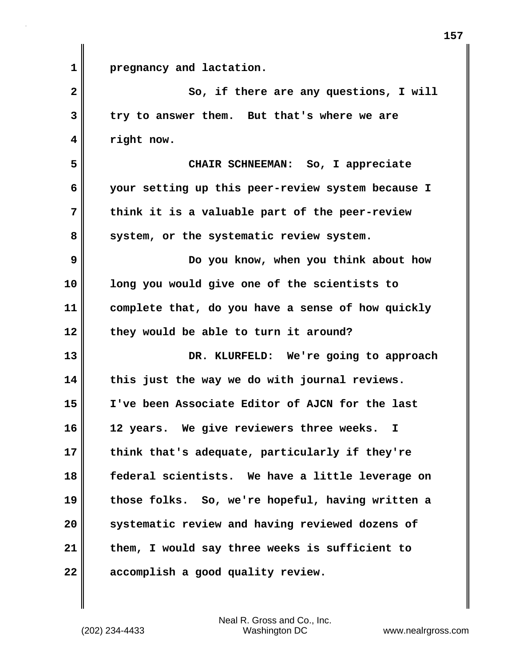**1 pregnancy and lactation. 2** So, if there are any questions, I will **3 try to answer them. But that's where we are 4 right now. 5 CHAIR SCHNEEMAN: So, I appreciate 6 your setting up this peer-review system because I 7 think it is a valuable part of the peer-review** 8 system, or the systematic review system. **9 Do you know, when you think about how 10 long you would give one of the scientists to 11 complete that, do you have a sense of how quickly 12 they would be able to turn it around? 13 DR. KLURFELD: We're going to approach 14 this just the way we do with journal reviews. 15 I've been Associate Editor of AJCN for the last 16 12 years. We give reviewers three weeks. I 17 think that's adequate, particularly if they're 18 federal scientists. We have a little leverage on 19 those folks. So, we're hopeful, having written a 20 systematic review and having reviewed dozens of 21 them, I would say three weeks is sufficient to 22 accomplish a good quality review.**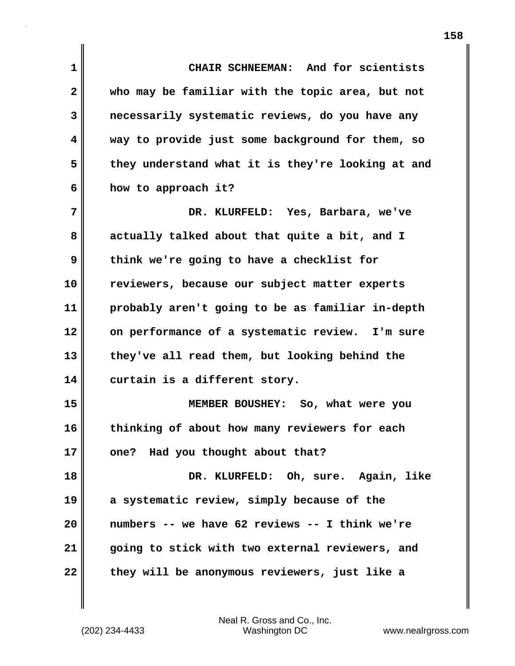**1 CHAIR SCHNEEMAN: And for scientists 2 who may be familiar with the topic area, but not 3 necessarily systematic reviews, do you have any 4 way to provide just some background for them, so 5 they understand what it is they're looking at and 6 how to approach it? 7 DR. KLURFELD: Yes, Barbara, we've 8 actually talked about that quite a bit, and I 9 think we're going to have a checklist for 10 reviewers, because our subject matter experts 11 probably aren't going to be as familiar in-depth 12 on performance of a systematic review. I'm sure 13 they've all read them, but looking behind the 14 curtain is a different story. 15 MEMBER BOUSHEY: So, what were you 16 thinking of about how many reviewers for each 17 one? Had you thought about that? 18 DR. KLURFELD: Oh, sure. Again, like 19 a systematic review, simply because of the 20 numbers -- we have 62 reviews -- I think we're 21 going to stick with two external reviewers, and 22 they will be anonymous reviewers, just like a**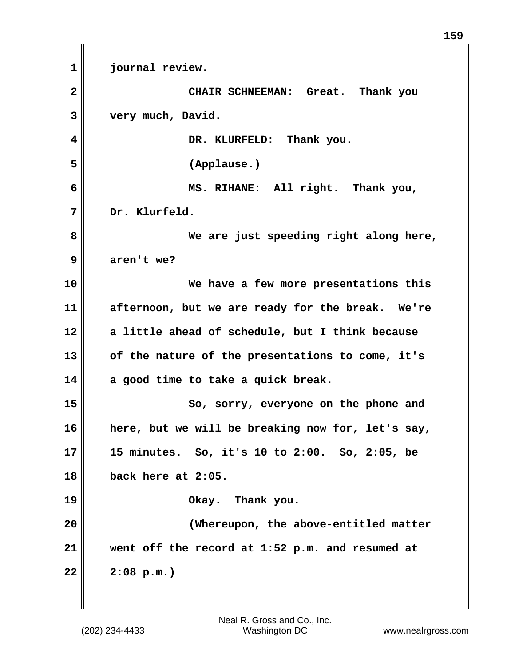**1 journal review. 2 CHAIR SCHNEEMAN: Great. Thank you 3 very much, David. 4 DR. KLURFELD: Thank you. 5 (Applause.) 6 MS. RIHANE: All right. Thank you, 7 Dr. Klurfeld. 8 We are just speeding right along here, 9 aren't we? 10 We have a few more presentations this 11 afternoon, but we are ready for the break. We're 12 a little ahead of schedule, but I think because 13 of the nature of the presentations to come, it's 14 a good time to take a quick break. 15** So, sorry, everyone on the phone and **16 here, but we will be breaking now for, let's say, 17 15 minutes. So, it's 10 to 2:00. So, 2:05, be 18 back here at 2:05. 19 Okay. Thank you. 20 (Whereupon, the above-entitled matter 21 went off the record at 1:52 p.m. and resumed at 22 2:08 p.m.)**

**159**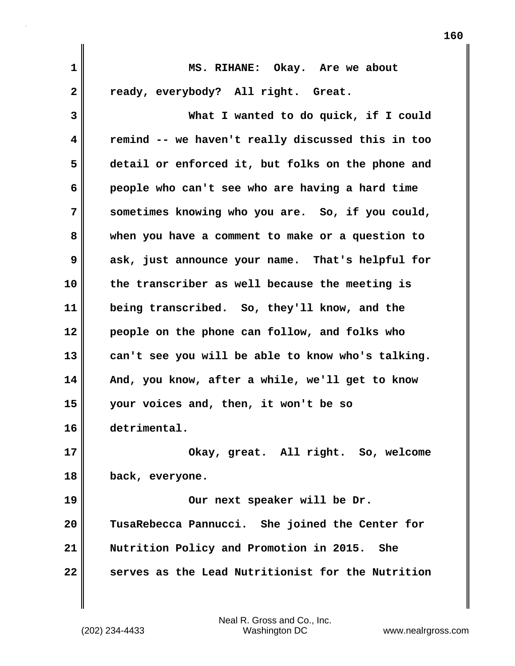| 1            | MS. RIHANE: Okay. Are we about                    |
|--------------|---------------------------------------------------|
| $\mathbf{2}$ | ready, everybody? All right. Great.               |
| 3            | What I wanted to do quick, if I could             |
| 4            | remind -- we haven't really discussed this in too |
| 5            | detail or enforced it, but folks on the phone and |
| 6            | people who can't see who are having a hard time   |
| 7            | sometimes knowing who you are. So, if you could,  |
| 8            | when you have a comment to make or a question to  |
| 9            | ask, just announce your name. That's helpful for  |
| 10           | the transcriber as well because the meeting is    |
| 11           | being transcribed. So, they'll know, and the      |
| 12           | people on the phone can follow, and folks who     |
| 13           | can't see you will be able to know who's talking. |
| 14           | And, you know, after a while, we'll get to know   |
| 15           | your voices and, then, it won't be so             |
| 16           | detrimental.                                      |
| 17           | Okay, great. All right. So, welcome               |
| 18           | back, everyone.                                   |
| 19           | Our next speaker will be Dr.                      |
| 20           | TusaRebecca Pannucci. She joined the Center for   |
| 21           | Nutrition Policy and Promotion in 2015.<br>She    |
| 22           | serves as the Lead Nutritionist for the Nutrition |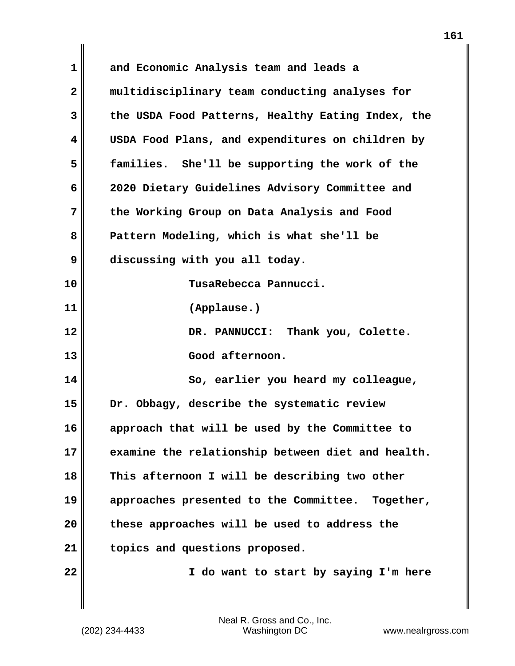| 1  | and Economic Analysis team and leads a            |
|----|---------------------------------------------------|
| 2  | multidisciplinary team conducting analyses for    |
| 3  | the USDA Food Patterns, Healthy Eating Index, the |
| 4  | USDA Food Plans, and expenditures on children by  |
| 5  | families. She'll be supporting the work of the    |
| 6  | 2020 Dietary Guidelines Advisory Committee and    |
| 7  | the Working Group on Data Analysis and Food       |
| 8  | Pattern Modeling, which is what she'll be         |
| 9  | discussing with you all today.                    |
| 10 | TusaRebecca Pannucci.                             |
| 11 | (Applause.)                                       |
| 12 | DR. PANNUCCI: Thank you, Colette.                 |
| 13 | Good afternoon.                                   |
| 14 | So, earlier you heard my colleague,               |
| 15 | Dr. Obbagy, describe the systematic review        |
| 16 | approach that will be used by the Committee to    |
| 17 | examine the relationship between diet and health. |
| 18 | This afternoon I will be describing two other     |
| 19 | approaches presented to the Committee. Together,  |
| 20 | these approaches will be used to address the      |
| 21 | topics and questions proposed.                    |
| 22 | I do want to start by saying I'm here             |
|    |                                                   |

 $\mathbf{I}$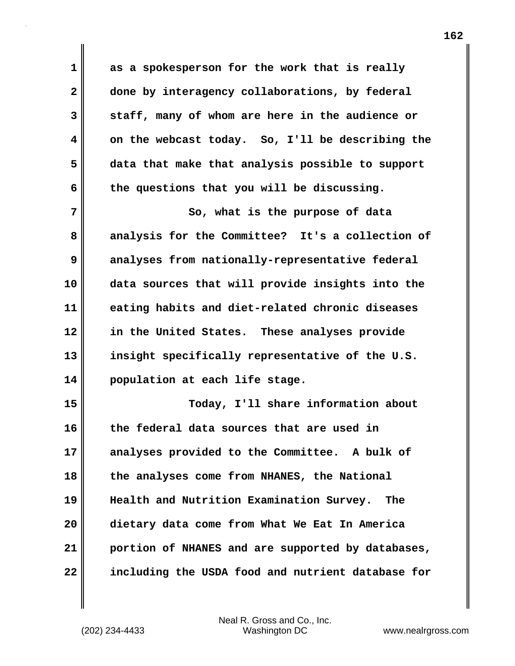**1 as a spokesperson for the work that is really 2 done by interagency collaborations, by federal 3 staff, many of whom are here in the audience or 4 on the webcast today. So, I'll be describing the 5 data that make that analysis possible to support 6 the questions that you will be discussing.**

**7** So, what is the purpose of data **8 analysis for the Committee? It's a collection of 9 analyses from nationally-representative federal 10 data sources that will provide insights into the 11 eating habits and diet-related chronic diseases 12 in the United States. These analyses provide 13 insight specifically representative of the U.S. 14 population at each life stage.**

**15 Today, I'll share information about 16 the federal data sources that are used in 17 analyses provided to the Committee. A bulk of 18 the analyses come from NHANES, the National 19 Health and Nutrition Examination Survey. The 20 dietary data come from What We Eat In America 21 portion of NHANES and are supported by databases, 22 including the USDA food and nutrient database for**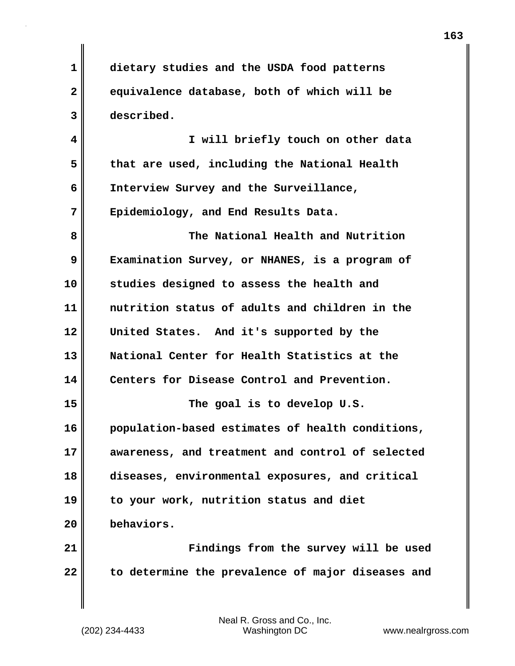**163**

**1 dietary studies and the USDA food patterns 2 equivalence database, both of which will be 3 described.**

**4 I will briefly touch on other data 5 that are used, including the National Health 6 Interview Survey and the Surveillance, 7 Epidemiology, and End Results Data.**

**8 The National Health and Nutrition 9 Examination Survey, or NHANES, is a program of 10 studies designed to assess the health and 11 nutrition status of adults and children in the 12 United States. And it's supported by the 13 National Center for Health Statistics at the 14 Centers for Disease Control and Prevention. 15 The goal is to develop U.S. 16 population-based estimates of health conditions, 17 awareness, and treatment and control of selected 18 diseases, environmental exposures, and critical**

**19 to your work, nutrition status and diet**

**20 behaviors.**

**21 Findings from the survey will be used 22 to determine the prevalence of major diseases and**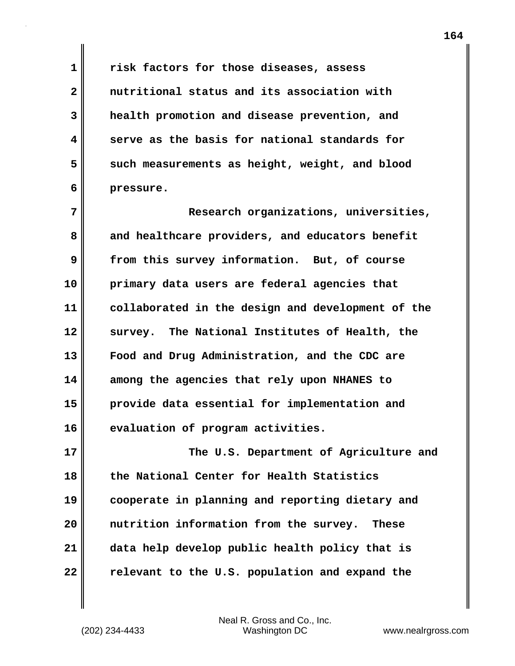**1 risk factors for those diseases, assess 2 nutritional status and its association with 3 health promotion and disease prevention, and 4 serve as the basis for national standards for** 5 such measurements as height, weight, and blood **6 pressure.**

**7 Research organizations, universities,** 8 and healthcare providers, and educators benefit **9 from this survey information. But, of course 10 primary data users are federal agencies that 11 collaborated in the design and development of the 12 survey. The National Institutes of Health, the 13 Food and Drug Administration, and the CDC are 14 among the agencies that rely upon NHANES to 15 provide data essential for implementation and 16 evaluation of program activities.**

**17 The U.S. Department of Agriculture and 18 the National Center for Health Statistics 19 cooperate in planning and reporting dietary and 20 nutrition information from the survey. These 21 data help develop public health policy that is 22 relevant to the U.S. population and expand the**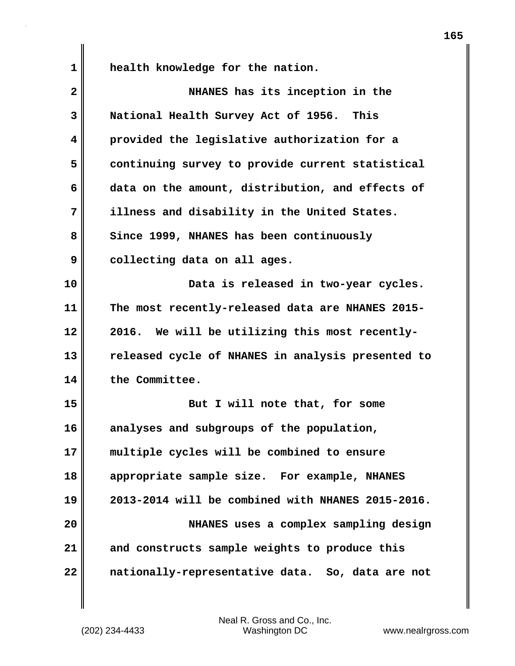**1 health knowledge for the nation.**

| $\mathbf{2}$ | NHANES has its inception in the                   |
|--------------|---------------------------------------------------|
| 3            | National Health Survey Act of 1956. This          |
| 4            | provided the legislative authorization for a      |
| 5            | continuing survey to provide current statistical  |
| 6            | data on the amount, distribution, and effects of  |
| 7            | illness and disability in the United States.      |
| 8            | Since 1999, NHANES has been continuously          |
| 9            | collecting data on all ages.                      |
| 10           | Data is released in two-year cycles.              |
| 11           | The most recently-released data are NHANES 2015-  |
| 12           | 2016. We will be utilizing this most recently-    |
| 13           | released cycle of NHANES in analysis presented to |
| 14           | the Committee.                                    |
| 15           | But I will note that, for some                    |
| 16           | analyses and subgroups of the population,         |
| 17           | multiple cycles will be combined to ensure        |
| 18           | appropriate sample size. For example, NHANES      |
| 19           | 2013-2014 will be combined with NHANES 2015-2016. |
| 20           | NHANES uses a complex sampling design             |
| 21           | and constructs sample weights to produce this     |
| 22           | nationally-representative data. So, data are not  |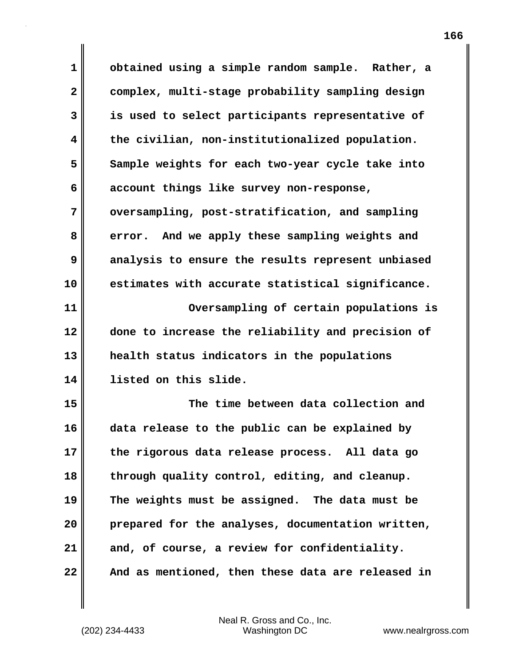**1 obtained using a simple random sample. Rather, a 2 complex, multi-stage probability sampling design 3 is used to select participants representative of 4 the civilian, non-institutionalized population. 5 Sample weights for each two-year cycle take into 6 account things like survey non-response, 7 oversampling, post-stratification, and sampling 8 error. And we apply these sampling weights and 9 analysis to ensure the results represent unbiased 10 estimates with accurate statistical significance. 11 Oversampling of certain populations is 12 done to increase the reliability and precision of 13 health status indicators in the populations 14 listed on this slide. 15 The time between data collection and 16 data release to the public can be explained by 17 the rigorous data release process. All data go 18 through quality control, editing, and cleanup. 19 The weights must be assigned. The data must be 20 prepared for the analyses, documentation written, 21 and, of course, a review for confidentiality. 22 And as mentioned, then these data are released in**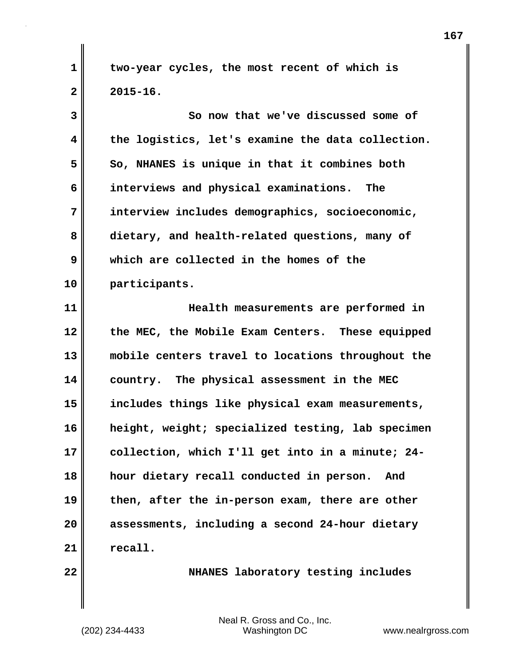**1 two-year cycles, the most recent of which is 2 2015-16.**

**3 So now that we've discussed some of 4 the logistics, let's examine the data collection. 5 So, NHANES is unique in that it combines both 6 interviews and physical examinations. The 7 interview includes demographics, socioeconomic, 8 dietary, and health-related questions, many of 9 which are collected in the homes of the 10 participants. 11 Health measurements are performed in**

**12 the MEC, the Mobile Exam Centers. These equipped 13 mobile centers travel to locations throughout the 14 country. The physical assessment in the MEC 15 includes things like physical exam measurements, 16 height, weight; specialized testing, lab specimen 17 collection, which I'll get into in a minute; 24- 18 hour dietary recall conducted in person. And 19 then, after the in-person exam, there are other 20 assessments, including a second 24-hour dietary 21 recall.**

**22 NHANES** laboratory testing includes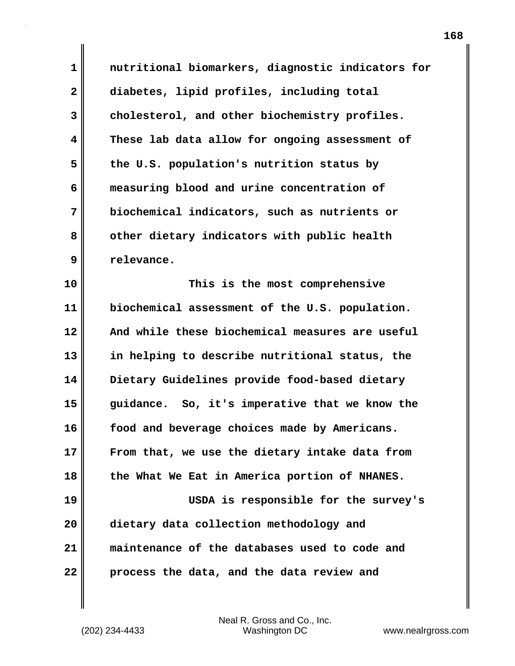**1 nutritional biomarkers, diagnostic indicators for 2 diabetes, lipid profiles, including total 3 cholesterol, and other biochemistry profiles. 4 These lab data allow for ongoing assessment of 5 the U.S. population's nutrition status by 6 measuring blood and urine concentration of 7 biochemical indicators, such as nutrients or 8 other dietary indicators with public health 9 relevance.**

**10 This is the most comprehensive 11 biochemical assessment of the U.S. population. 12 And while these biochemical measures are useful 13 in helping to describe nutritional status, the 14 Dietary Guidelines provide food-based dietary 15 guidance. So, it's imperative that we know the 16 food and beverage choices made by Americans. 17 From that, we use the dietary intake data from 18 the What We Eat in America portion of NHANES. 19 USDA is responsible for the survey's 20 dietary data collection methodology and 21 maintenance of the databases used to code and 22 process the data, and the data review and**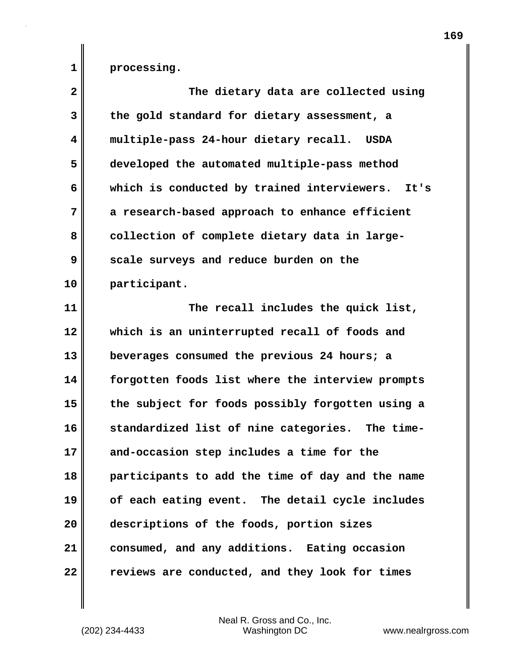**1 processing.**

| $\mathbf{2}$ | The dietary data are collected using                |
|--------------|-----------------------------------------------------|
| 3            | the gold standard for dietary assessment, a         |
| 4            | multiple-pass 24-hour dietary recall.<br>USDA       |
| 5            | developed the automated multiple-pass method        |
| 6            | which is conducted by trained interviewers.<br>It's |
| 7            | a research-based approach to enhance efficient      |
| 8            | collection of complete dietary data in large-       |
| 9            | scale surveys and reduce burden on the              |
| 10           | participant.                                        |
| 11           | The recall includes the quick list,                 |
| 12           | which is an uninterrupted recall of foods and       |
| 13           | beverages consumed the previous 24 hours; a         |
| 14           | forgotten foods list where the interview prompts    |
| 15           | the subject for foods possibly forgotten using a    |
| 16           | standardized list of nine categories. The time-     |
| 17           | and-occasion step includes a time for the           |
| 18           | participants to add the time of day and the name    |
| 19           | of each eating event. The detail cycle includes     |
| 20           | descriptions of the foods, portion sizes            |
| 21           | consumed, and any additions. Eating occasion        |
| 22           | reviews are conducted, and they look for times      |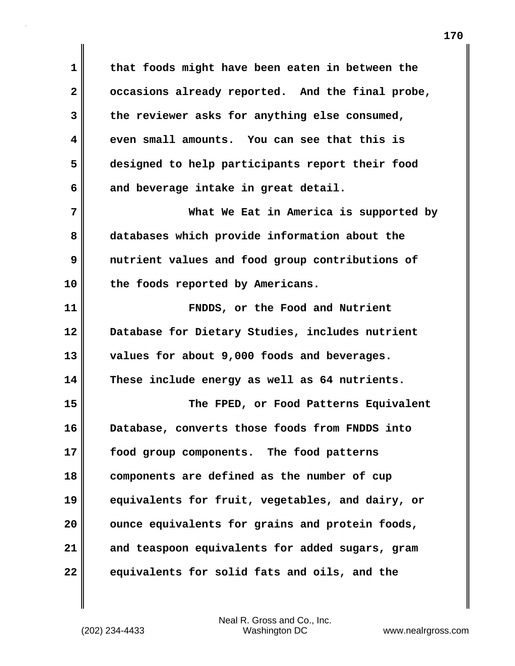**1 that foods might have been eaten in between the 2 occasions already reported. And the final probe, 3 the reviewer asks for anything else consumed, 4 even small amounts. You can see that this is 5 designed to help participants report their food 6 and beverage intake in great detail. 7 What We Eat in America is supported by 8 databases which provide information about the 9 nutrient values and food group contributions of 10 the foods reported by Americans. 11 FNDDS, or the Food and Nutrient 12 Database for Dietary Studies, includes nutrient 13 values for about 9,000 foods and beverages. 14 These include energy as well as 64 nutrients. 15 The FPED, or Food Patterns Equivalent 16 Database, converts those foods from FNDDS into 17 food group components. The food patterns 18 components are defined as the number of cup 19 equivalents for fruit, vegetables, and dairy, or** 20 **ounce equivalents for grains and protein foods, 21 and teaspoon equivalents for added sugars, gram 22 equivalents for solid fats and oils, and the**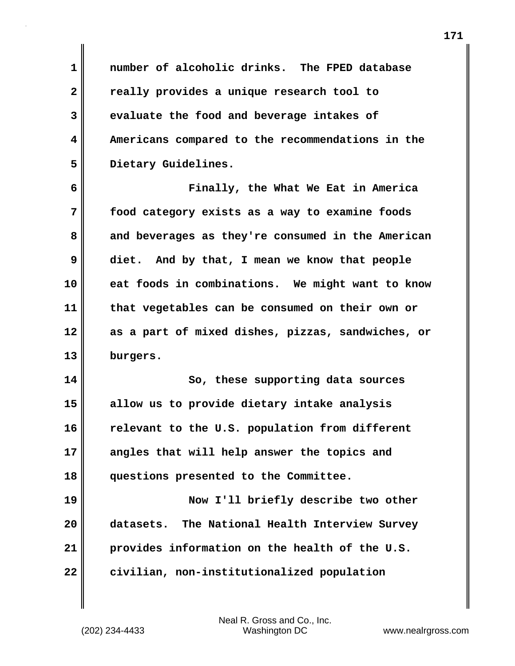**1 number of alcoholic drinks. The FPED database 2 really provides a unique research tool to 3 evaluate the food and beverage intakes of 4 Americans compared to the recommendations in the 5 Dietary Guidelines.**

**6 Finally, the What We Eat in America 7 food category exists as a way to examine foods 8 and beverages as they're consumed in the American 9 diet. And by that, I mean we know that people 10 eat foods in combinations. We might want to know 11 that vegetables can be consumed on their own or 12 as a part of mixed dishes, pizzas, sandwiches, or 13 burgers.**

**14 So, these supporting data sources 15 allow us to provide dietary intake analysis 16 relevant to the U.S. population from different 17 angles that will help answer the topics and 18 questions presented to the Committee.**

**19 Now I'll briefly describe two other 20 datasets. The National Health Interview Survey 21 provides information on the health of the U.S. 22 civilian, non-institutionalized population**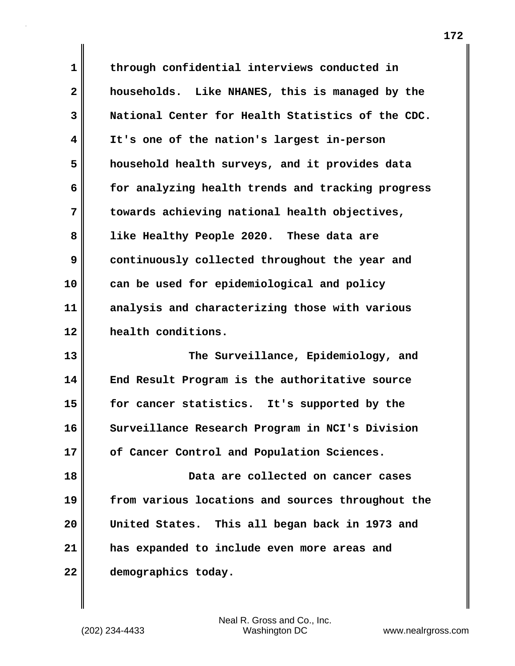**1 through confidential interviews conducted in 2 households. Like NHANES, this is managed by the 3 National Center for Health Statistics of the CDC. 4 It's one of the nation's largest in-person 5 household health surveys, and it provides data 6 for analyzing health trends and tracking progress 7 towards achieving national health objectives, 8 like Healthy People 2020. These data are 9 continuously collected throughout the year and 10 can be used for epidemiological and policy 11 analysis and characterizing those with various 12 health conditions.**

**13 The Surveillance, Epidemiology, and 14 End Result Program is the authoritative source 15 for cancer statistics. It's supported by the 16 Surveillance Research Program in NCI's Division 17 of Cancer Control and Population Sciences.**

**18 Data are collected on cancer cases 19 from various locations and sources throughout the 20 United States. This all began back in 1973 and 21 has expanded to include even more areas and 22 demographics today.**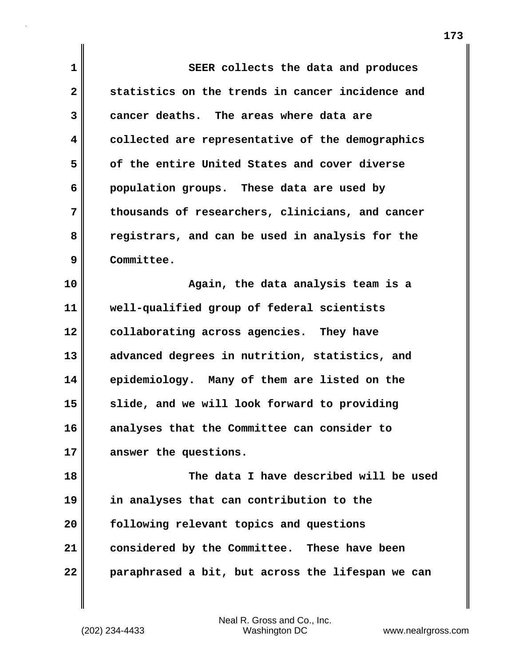**1 SEER collects the data and produces 2 statistics on the trends in cancer incidence and 3 cancer deaths. The areas where data are 4 collected are representative of the demographics 5 of the entire United States and cover diverse 6 population groups. These data are used by 7 thousands of researchers, clinicians, and cancer 8 registrars, and can be used in analysis for the 9 Committee. 10 Again, the data analysis team is a 11 well-qualified group of federal scientists 12 collaborating across agencies. They have 13 advanced degrees in nutrition, statistics, and 14 epidemiology. Many of them are listed on the 15 slide, and we will look forward to providing 16 analyses that the Committee can consider to 17 answer the questions. 18 The data I have described will be used**

**19 in analyses that can contribution to the 20 following relevant topics and questions 21 considered by the Committee. These have been 22 paraphrased a bit, but across the lifespan we can**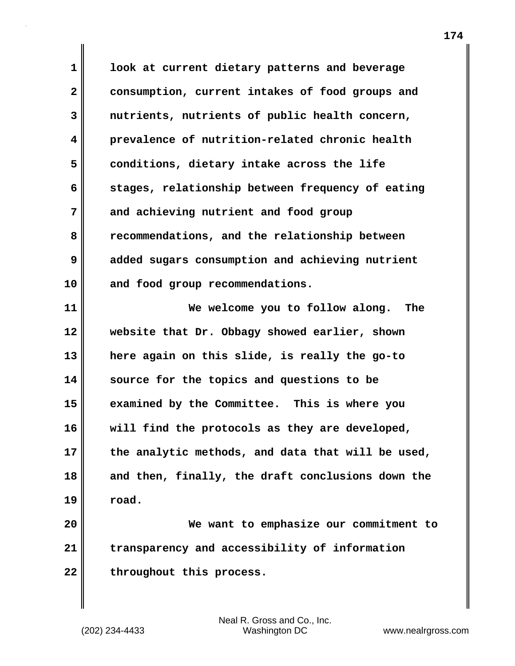**1 look at current dietary patterns and beverage 2 consumption, current intakes of food groups and 3 nutrients, nutrients of public health concern, 4 prevalence of nutrition-related chronic health 5 conditions, dietary intake across the life 6 stages, relationship between frequency of eating 7 and achieving nutrient and food group 8 recommendations, and the relationship between 9 added sugars consumption and achieving nutrient 10 and food group recommendations.**

**11 We welcome you to follow along. The 12 website that Dr. Obbagy showed earlier, shown 13 here again on this slide, is really the go-to 14 source for the topics and questions to be 15 examined by the Committee. This is where you 16 will find the protocols as they are developed, 17 the analytic methods, and data that will be used, 18 and then, finally, the draft conclusions down the 19 road.**

**20 We want to emphasize our commitment to 21 transparency and accessibility of information** 22 throughout this process.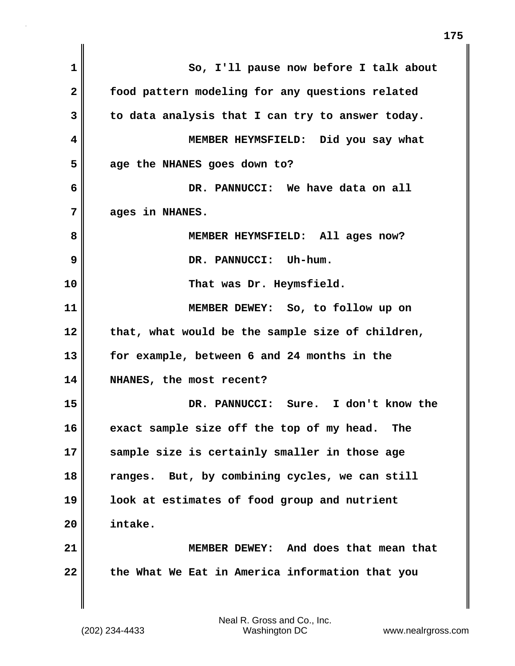| $\mathbf 1$  | So, I'll pause now before I talk about           |
|--------------|--------------------------------------------------|
| $\mathbf{2}$ | food pattern modeling for any questions related  |
| 3            | to data analysis that I can try to answer today. |
| 4            | MEMBER HEYMSFIELD: Did you say what              |
| 5            | age the NHANES goes down to?                     |
| 6            | DR. PANNUCCI: We have data on all                |
| 7            | ages in NHANES.                                  |
| 8            | MEMBER HEYMSFIELD: All ages now?                 |
| 9            | DR. PANNUCCI: Uh-hum.                            |
| 10           | That was Dr. Heymsfield.                         |
| 11           | MEMBER DEWEY: So, to follow up on                |
| 12           | that, what would be the sample size of children, |
| 13           | for example, between 6 and 24 months in the      |
| 14           | NHANES, the most recent?                         |
| 15           | DR. PANNUCCI: Sure. I don't know the             |
| 16           | exact sample size off the top of my head.<br>The |
| 17           | sample size is certainly smaller in those age    |
| 18           | ranges. But, by combining cycles, we can still   |
| 19           | look at estimates of food group and nutrient     |
| 20           | intake.                                          |
| 21           | MEMBER DEWEY: And does that mean that            |
| 22           | the What We Eat in America information that you  |
|              |                                                  |
|              |                                                  |

 $\mathbf{I}$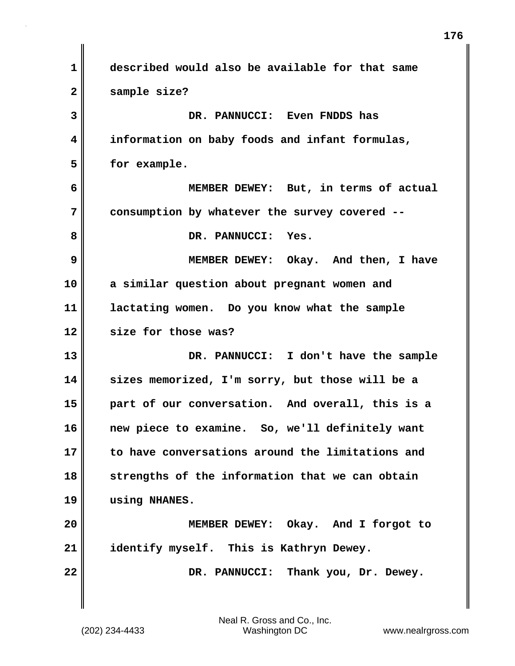**1 described would also be available for that same 2 sample size? 3 DR. PANNUCCI: Even FNDDS has 4 information on baby foods and infant formulas, 5 for example. 6 MEMBER DEWEY: But, in terms of actual 7 consumption by whatever the survey covered --** 8 DR. PANNUCCI: Yes. **9 MEMBER DEWEY: Okay. And then, I have 10 a similar question about pregnant women and 11 lactating women. Do you know what the sample 12 size for those was? 13 DR. PANNUCCI: I don't have the sample 14 sizes memorized, I'm sorry, but those will be a 15 part of our conversation. And overall, this is a 16 new piece to examine. So, we'll definitely want 17 to have conversations around the limitations and 18 strengths of the information that we can obtain 19 using NHANES. 20 MEMBER DEWEY: Okay. And I forgot to 21 identify myself. This is Kathryn Dewey.** 22 **DR. PANNUCCI:** Thank you, Dr. Dewey.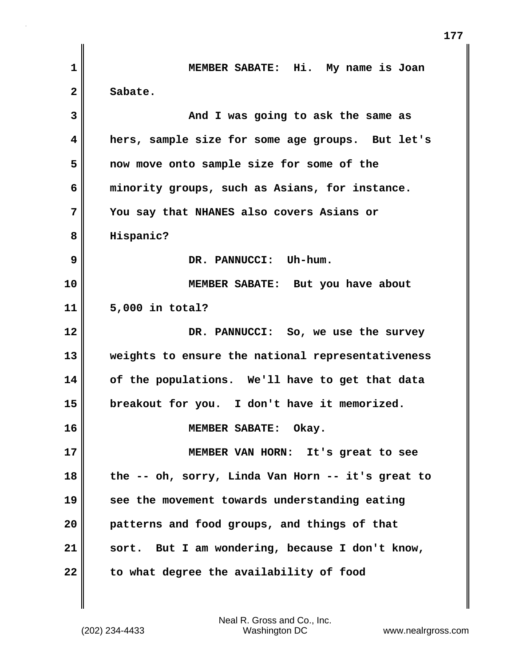| $\mathbf 1$  | MEMBER SABATE: Hi. My name is Joan                |
|--------------|---------------------------------------------------|
| $\mathbf{2}$ | Sabate.                                           |
| 3            | And I was going to ask the same as                |
| 4            | hers, sample size for some age groups. But let's  |
| 5            | now move onto sample size for some of the         |
| 6            | minority groups, such as Asians, for instance.    |
| 7            | You say that NHANES also covers Asians or         |
| 8            | Hispanic?                                         |
| 9            | DR. PANNUCCI: Uh-hum.                             |
| 10           | MEMBER SABATE: But you have about                 |
| 11           | 5,000 in total?                                   |
| 12           | DR. PANNUCCI: So, we use the survey               |
| 13           | weights to ensure the national representativeness |
| 14           | of the populations. We'll have to get that data   |
| 15           | breakout for you. I don't have it memorized.      |
| 16           | MEMBER SABATE: Okay.                              |
| 17           | MEMBER VAN HORN: It's great to see                |
| 18           | the -- oh, sorry, Linda Van Horn -- it's great to |
| 19           | see the movement towards understanding eating     |
| 20           | patterns and food groups, and things of that      |
| 21           | sort. But I am wondering, because I don't know,   |
| 22           | to what degree the availability of food           |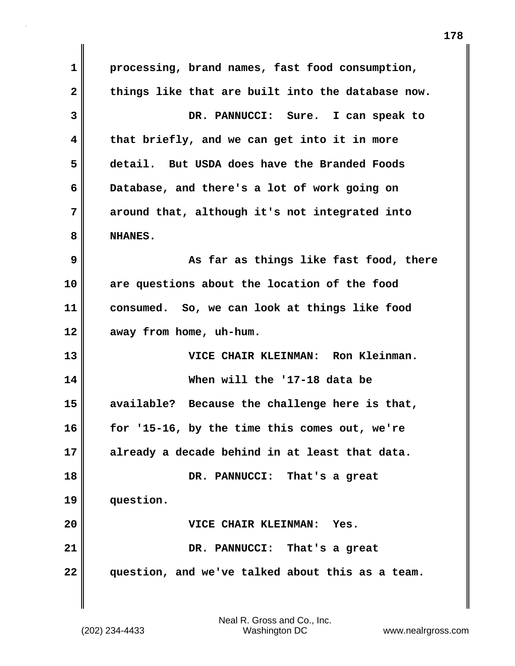**1 processing, brand names, fast food consumption, 2 things like that are built into the database now. 3 DR. PANNUCCI: Sure. I can speak to 4 that briefly, and we can get into it in more 5 detail. But USDA does have the Branded Foods 6 Database, and there's a lot of work going on 7 around that, although it's not integrated into 8 NHANES. 9 As far as things like fast food, there 10 are questions about the location of the food 11 consumed. So, we can look at things like food 12 away from home, uh-hum. 13 VICE CHAIR KLEINMAN: Ron Kleinman. 14 When will the '17-18 data be 15 available? Because the challenge here is that, 16 for '15-16, by the time this comes out, we're 17 already a decade behind in at least that data. 18 DR. PANNUCCI: That's a great 19 question. 20 VICE CHAIR KLEINMAN: Yes. 21 DR. PANNUCCI: That's a great 22 question, and we've talked about this as a team.**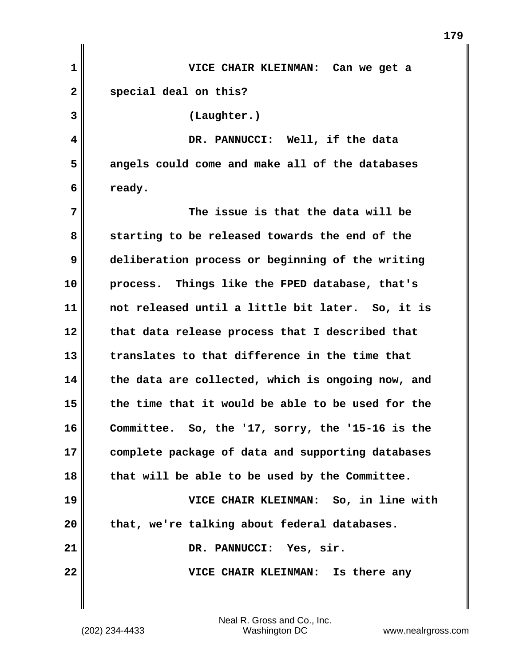| $\mathbf 1$  | VICE CHAIR KLEINMAN: Can we get a                 |
|--------------|---------------------------------------------------|
| $\mathbf{2}$ | special deal on this?                             |
| 3            | (Laughter.)                                       |
| 4            | DR. PANNUCCI: Well, if the data                   |
| 5            | angels could come and make all of the databases   |
| 6            | ready.                                            |
| 7            | The issue is that the data will be                |
| 8            | starting to be released towards the end of the    |
| 9            | deliberation process or beginning of the writing  |
| 10           | process. Things like the FPED database, that's    |
| 11           | not released until a little bit later. So, it is  |
| 12           | that data release process that I described that   |
| 13           | translates to that difference in the time that    |
| 14           | the data are collected, which is ongoing now, and |
| 15           | the time that it would be able to be used for the |
| 16           | Committee. So, the '17, sorry, the '15-16 is the  |
| 17           | complete package of data and supporting databases |
| 18           | that will be able to be used by the Committee.    |
| 19           | VICE CHAIR KLEINMAN: So, in line with             |
| 20           | that, we're talking about federal databases.      |
| 21           | DR. PANNUCCI: Yes, sir.                           |
| 22           | VICE CHAIR KLEINMAN: Is there any                 |
|              |                                                   |

(202) 234-4433 Washington DC www.nealrgross.com Neal R. Gross and Co., Inc.

**179**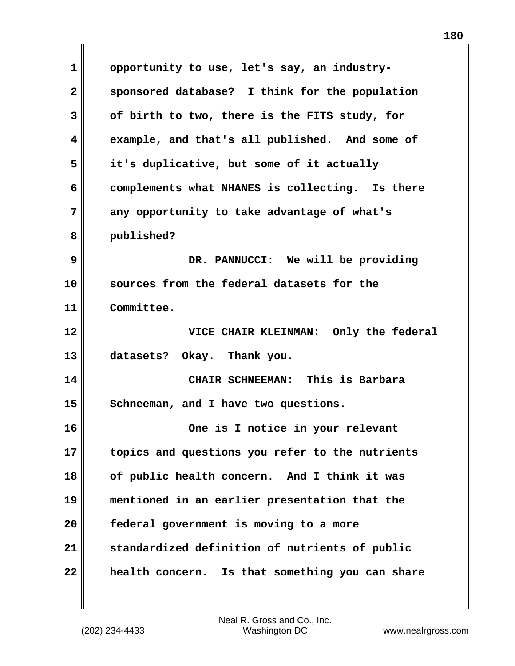**1 opportunity to use, let's say, an industry-2 sponsored database? I think for the population 3 of birth to two, there is the FITS study, for 4 example, and that's all published. And some of 5 it's duplicative, but some of it actually 6 complements what NHANES is collecting. Is there 7 any opportunity to take advantage of what's 8 published? 9 DR. PANNUCCI: We will be providing 10 sources from the federal datasets for the 11 Committee. 12 VICE CHAIR KLEINMAN: Only the federal 13 datasets? Okay. Thank you. 14 CHAIR SCHNEEMAN: This is Barbara** 15 Schneeman, and I have two questions. **16 One is I notice in your relevant 17 topics and questions you refer to the nutrients 18 of public health concern. And I think it was 19 mentioned in an earlier presentation that the 20 federal government is moving to a more 21 standardized definition of nutrients of public 22 health concern. Is that something you can share**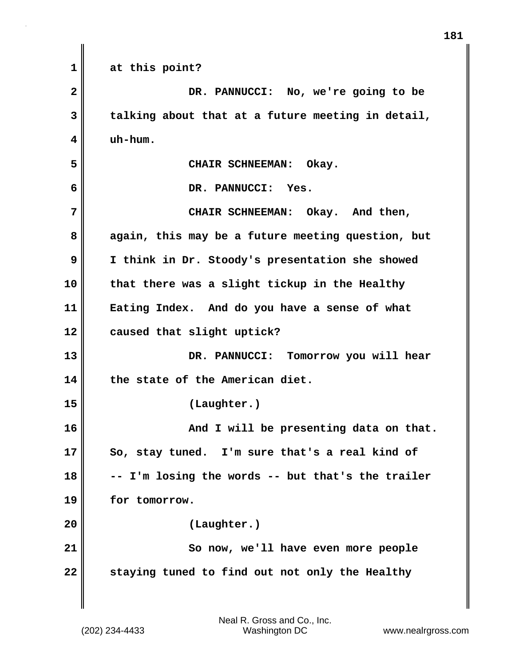**1 at this point? 2 DR. PANNUCCI: No, we're going to be 3 talking about that at a future meeting in detail, 4 uh-hum. 5 CHAIR SCHNEEMAN: Okay. 6 DR. PANNUCCI: Yes. 7** CHAIR SCHNEEMAN: Okay. And then, **8 again, this may be a future meeting question, but 9 I think in Dr. Stoody's presentation she showed 10 that there was a slight tickup in the Healthy 11 Eating Index. And do you have a sense of what 12 caused that slight uptick? 13 DR. PANNUCCI: Tomorrow you will hear 14 the state of the American diet. 15 (Laughter.)** 16 **And I will be presenting data on that. 17 So, stay tuned. I'm sure that's a real kind of 18 -- I'm losing the words -- but that's the trailer 19 for tomorrow. 20 (Laughter.) 21** So now, we'll have even more people **22 staying tuned to find out not only the Healthy**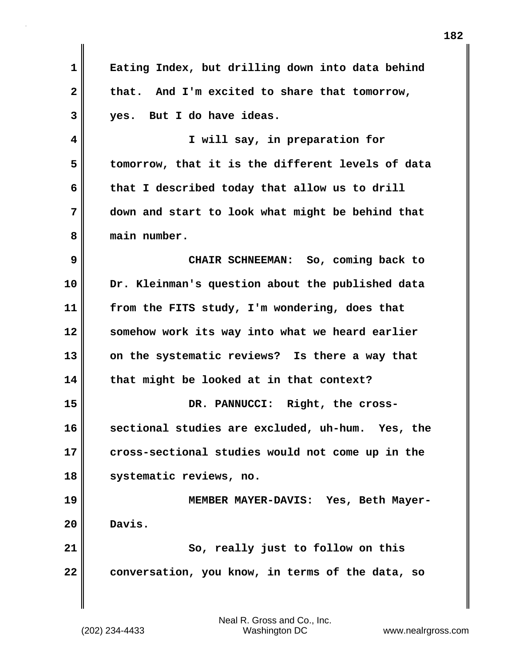| $\mathbf 1$  | Eating Index, but drilling down into data behind  |
|--------------|---------------------------------------------------|
| $\mathbf{2}$ | that. And I'm excited to share that tomorrow,     |
| 3            | yes. But I do have ideas.                         |
| 4            | I will say, in preparation for                    |
| 5            | tomorrow, that it is the different levels of data |
| 6            | that I described today that allow us to drill     |
| 7            | down and start to look what might be behind that  |
| 8            | main number.                                      |
| 9            | CHAIR SCHNEEMAN: So, coming back to               |
| 10           | Dr. Kleinman's question about the published data  |
| 11           | from the FITS study, I'm wondering, does that     |
| 12           | somehow work its way into what we heard earlier   |
| 13           | on the systematic reviews? Is there a way that    |
| 14           | that might be looked at in that context?          |
| 15           | DR. PANNUCCI: Right, the cross-                   |
| 16           | sectional studies are excluded, uh-hum. Yes, the  |
| 17           | cross-sectional studies would not come up in the  |
| 18           | systematic reviews, no.                           |
| 19           | MEMBER MAYER-DAVIS: Yes, Beth Mayer-              |
| 20           | Davis.                                            |
| 21           | So, really just to follow on this                 |
| 22           | conversation, you know, in terms of the data, so  |
|              |                                                   |

(202) 234-4433 Washington DC www.nealrgross.com Neal R. Gross and Co., Inc.

 $\mathbf{I}$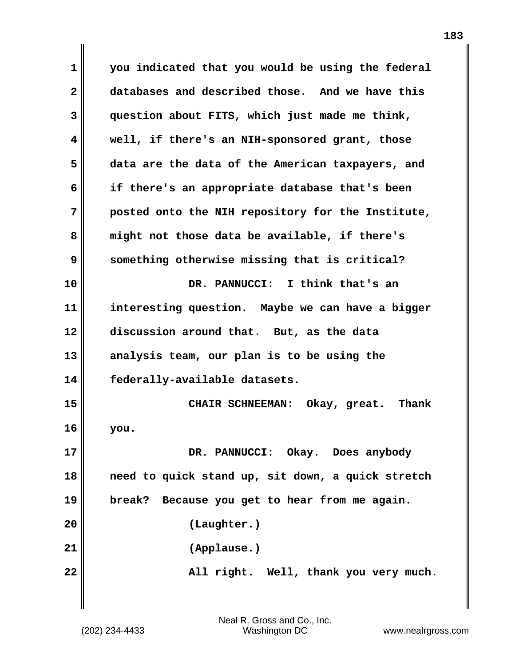**1 you indicated that you would be using the federal 2 databases and described those. And we have this 3 question about FITS, which just made me think, 4 well, if there's an NIH-sponsored grant, those 5 data are the data of the American taxpayers, and 6 if there's an appropriate database that's been 7 posted onto the NIH repository for the Institute, 8 might not those data be available, if there's 9 something otherwise missing that is critical? 10 DR. PANNUCCI: I think that's an 11 interesting question. Maybe we can have a bigger 12 discussion around that. But, as the data 13 analysis team, our plan is to be using the 14 federally-available datasets. 15 CHAIR SCHNEEMAN: Okay, great. Thank 16 you. 17 DR. PANNUCCI: Okay. Does anybody 18 need to quick stand up, sit down, a quick stretch 19 break? Because you get to hear from me again. 20 (Laughter.) 21 (Applause.) 22 All right. Well, thank you very much.**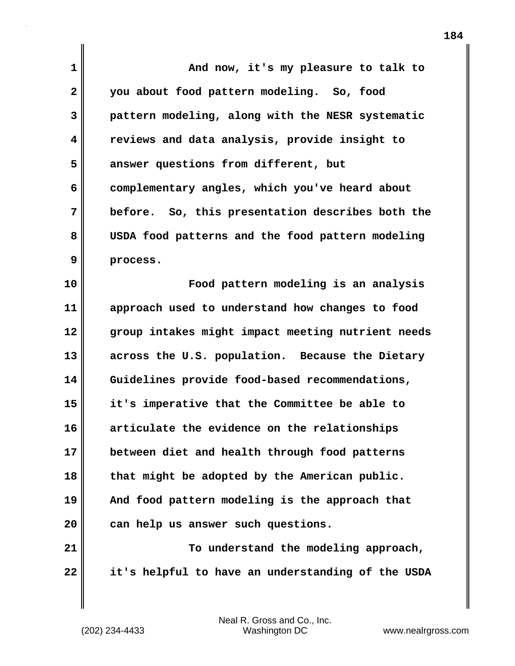| $\mathbf 1$  | And now, it's my pleasure to talk to              |
|--------------|---------------------------------------------------|
| $\mathbf{2}$ | you about food pattern modeling. So, food         |
| 3            | pattern modeling, along with the NESR systematic  |
| 4            | reviews and data analysis, provide insight to     |
| 5            | answer questions from different, but              |
| 6            | complementary angles, which you've heard about    |
| 7            | before. So, this presentation describes both the  |
| 8            | USDA food patterns and the food pattern modeling  |
| 9            | process.                                          |
| 10           | Food pattern modeling is an analysis              |
| 11           | approach used to understand how changes to food   |
| 12           | group intakes might impact meeting nutrient needs |
| 13           | across the U.S. population. Because the Dietary   |
| 14           | Guidelines provide food-based recommendations,    |
| 15           | it's imperative that the Committee be able to     |
| 16           | articulate the evidence on the relationships      |
| 17           | between diet and health through food patterns     |
| 18           | that might be adopted by the American public.     |
| 19           | And food pattern modeling is the approach that    |
| 20           | can help us answer such questions.                |
| 21           | To understand the modeling approach,              |
| 22           | it's helpful to have an understanding of the USDA |

 $\mathbf{l}$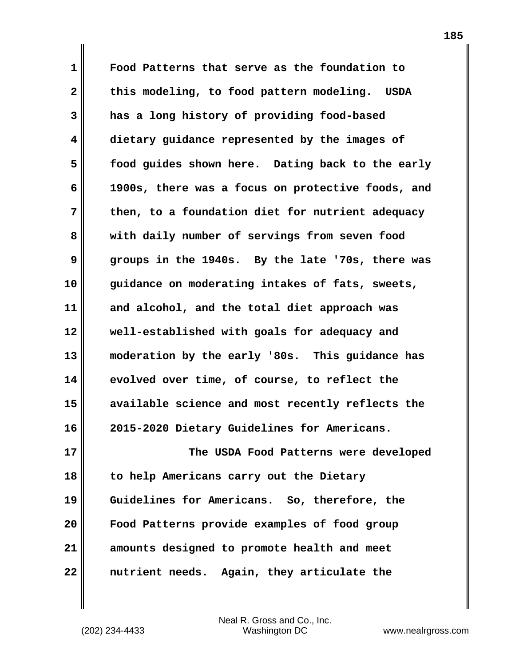**1 Food Patterns that serve as the foundation to 2 this modeling, to food pattern modeling. USDA 3 has a long history of providing food-based 4 dietary guidance represented by the images of 5 food guides shown here. Dating back to the early 6 1900s, there was a focus on protective foods, and 7 then, to a foundation diet for nutrient adequacy 8 with daily number of servings from seven food 9 groups in the 1940s. By the late '70s, there was 10 guidance on moderating intakes of fats, sweets, 11 and alcohol, and the total diet approach was 12 well-established with goals for adequacy and 13 moderation by the early '80s. This guidance has 14 evolved over time, of course, to reflect the 15 available science and most recently reflects the 16 2015-2020 Dietary Guidelines for Americans. 17 The USDA Food Patterns were developed 18 to help Americans carry out the Dietary 19 Guidelines for Americans. So, therefore, the 20 Food Patterns provide examples of food group**

**21 amounts designed to promote health and meet 22 nutrient needs. Again, they articulate the**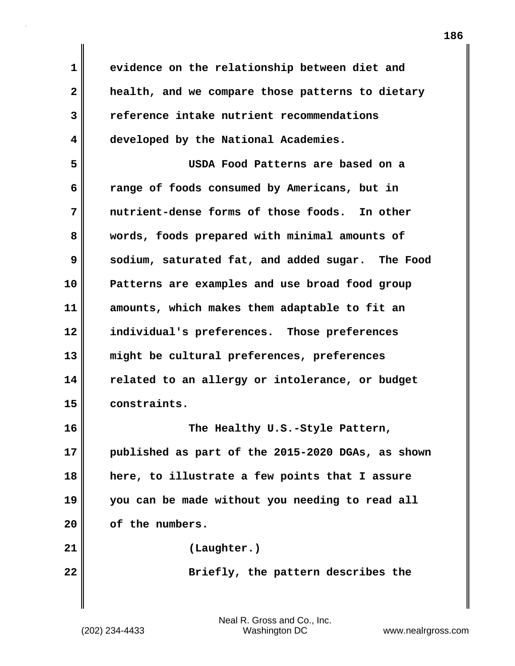**1 evidence on the relationship between diet and 2 health, and we compare those patterns to dietary 3 reference intake nutrient recommendations 4 developed by the National Academies. 5 USDA Food Patterns are based on a 6 range of foods consumed by Americans, but in 7 nutrient-dense forms of those foods. In other 8 words, foods prepared with minimal amounts of 9 sodium, saturated fat, and added sugar. The Food 10 Patterns are examples and use broad food group 11 amounts, which makes them adaptable to fit an 12 individual's preferences. Those preferences 13 might be cultural preferences, preferences 14 related to an allergy or intolerance, or budget 15 constraints. 16 The Healthy U.S.-Style Pattern, 17 published as part of the 2015-2020 DGAs, as shown 18 here, to illustrate a few points that I assure 19 you can be made without you needing to read all 20 of the numbers. 21 (Laughter.) 22 Briefly, the pattern describes the**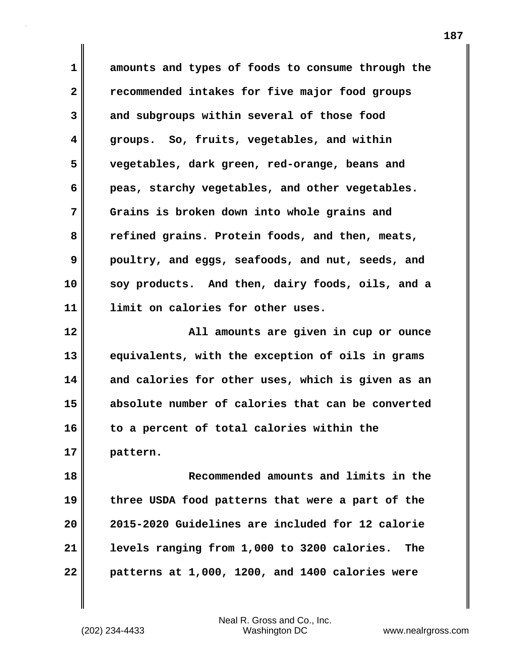**1 amounts and types of foods to consume through the 2 recommended intakes for five major food groups 3 and subgroups within several of those food 4 groups. So, fruits, vegetables, and within 5 vegetables, dark green, red-orange, beans and 6 peas, starchy vegetables, and other vegetables. 7 Grains is broken down into whole grains and 8 refined grains. Protein foods, and then, meats, 9 poultry, and eggs, seafoods, and nut, seeds, and 10 soy products. And then, dairy foods, oils, and a 11 limit on calories for other uses.**

**12 All amounts are given in cup or ounce 13 equivalents, with the exception of oils in grams 14 and calories for other uses, which is given as an 15 absolute number of calories that can be converted 16 to a percent of total calories within the 17 pattern.**

**18 Recommended amounts and limits in the 19 three USDA food patterns that were a part of the 20 2015-2020 Guidelines are included for 12 calorie 21 levels ranging from 1,000 to 3200 calories. The 22 patterns at 1,000, 1200, and 1400 calories were**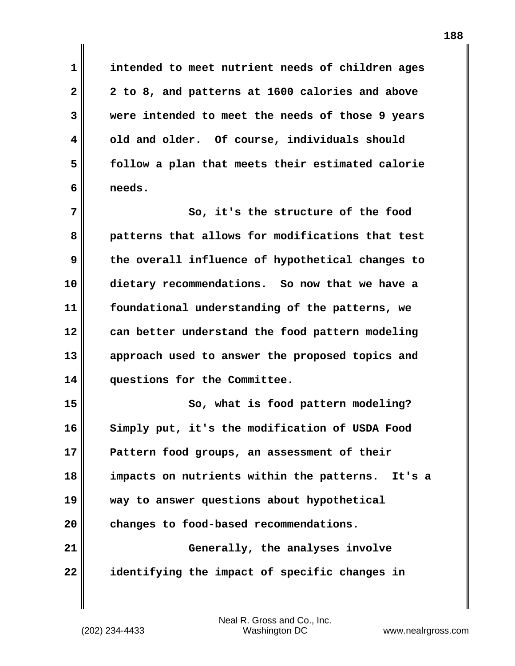**1 intended to meet nutrient needs of children ages 2 2 to 8, and patterns at 1600 calories and above 3 were intended to meet the needs of those 9 years 4 old and older. Of course, individuals should 5 follow a plan that meets their estimated calorie 6 needs.**

**7** So, it's the structure of the food **8 patterns that allows for modifications that test 9 the overall influence of hypothetical changes to 10 dietary recommendations. So now that we have a 11 foundational understanding of the patterns, we 12 can better understand the food pattern modeling 13 approach used to answer the proposed topics and 14 questions for the Committee.**

15 So, what is food pattern modeling? **16 Simply put, it's the modification of USDA Food 17 Pattern food groups, an assessment of their 18 impacts on nutrients within the patterns. It's a 19 way to answer questions about hypothetical 20 changes to food-based recommendations. 21 Generally, the analyses involve 22 identifying the impact of specific changes in**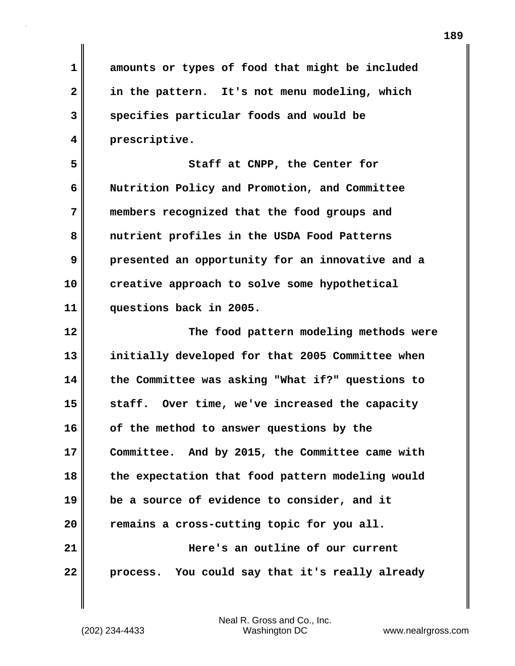**1 amounts or types of food that might be included 2 in the pattern. It's not menu modeling, which 3 specifies particular foods and would be 4 prescriptive. 5** Staff at CNPP, the Center for **6 Nutrition Policy and Promotion, and Committee 7 members recognized that the food groups and 8 nutrient profiles in the USDA Food Patterns 9 presented an opportunity for an innovative and a 10 creative approach to solve some hypothetical 11 questions back in 2005. 12 The food pattern modeling methods were 13 initially developed for that 2005 Committee when 14 the Committee was asking "What if?" questions to 15 staff. Over time, we've increased the capacity 16 of the method to answer questions by the 17 Committee. And by 2015, the Committee came with 18 the expectation that food pattern modeling would 19 be a source of evidence to consider, and it 20 remains a cross-cutting topic for you all. 21 Here's an outline of our current 22 process. You could say that it's really already**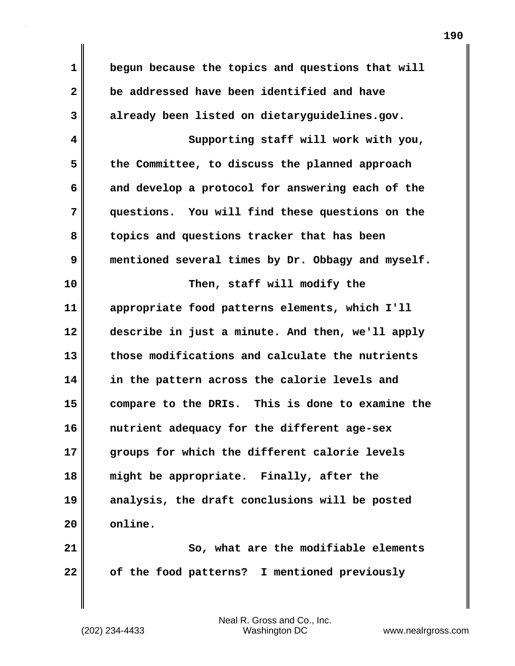**1 begun because the topics and questions that will 2 be addressed have been identified and have 3 already been listed on dietaryguidelines.gov. 4 Supporting staff will work with you, 5 the Committee, to discuss the planned approach 6 and develop a protocol for answering each of the 7 questions. You will find these questions on the 8 topics and questions tracker that has been 9 mentioned several times by Dr. Obbagy and myself. 10 Then, staff will modify the 11 appropriate food patterns elements, which I'll 12 describe in just a minute. And then, we'll apply 13 those modifications and calculate the nutrients 14 in the pattern across the calorie levels and 15 compare to the DRIs. This is done to examine the 16 nutrient adequacy for the different age-sex 17 groups for which the different calorie levels 18 might be appropriate. Finally, after the 19 analysis, the draft conclusions will be posted 20 online. 21** So, what are the modifiable elements

**22 of the food patterns? I mentioned previously**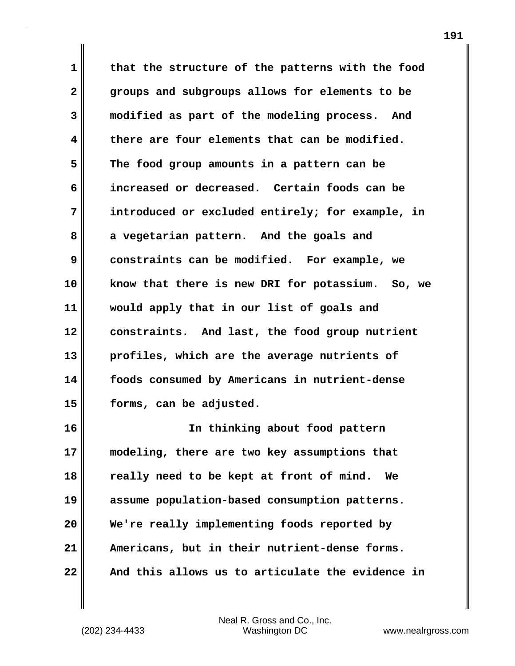**1 that the structure of the patterns with the food 2 groups and subgroups allows for elements to be 3 modified as part of the modeling process. And 4 there are four elements that can be modified. 5 The food group amounts in a pattern can be 6 increased or decreased. Certain foods can be 7 introduced or excluded entirely; for example, in 8 a vegetarian pattern. And the goals and 9 constraints can be modified. For example, we 10 know that there is new DRI for potassium. So, we 11 would apply that in our list of goals and 12 constraints. And last, the food group nutrient 13 profiles, which are the average nutrients of 14 foods consumed by Americans in nutrient-dense 15 forms, can be adjusted.**

**16 In thinking about food pattern 17 modeling, there are two key assumptions that 18 really need to be kept at front of mind. We 19 assume population-based consumption patterns. 20 We're really implementing foods reported by 21 Americans, but in their nutrient-dense forms. 22 And this allows us to articulate the evidence in**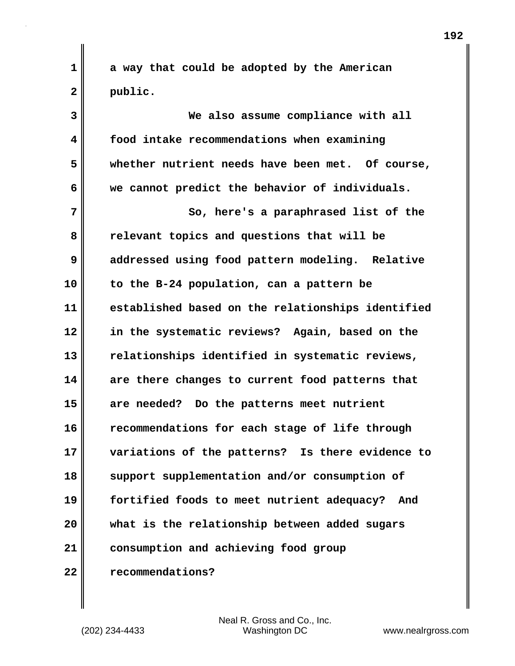**1 a way that could be adopted by the American 2 public.**

**3 We also assume compliance with all 4 food intake recommendations when examining 5 whether nutrient needs have been met. Of course, 6 we cannot predict the behavior of individuals. 7** So, here's a paraphrased list of the **8 relevant topics and questions that will be 9 addressed using food pattern modeling. Relative 10 to the B-24 population, can a pattern be 11 established based on the relationships identified 12 in the systematic reviews? Again, based on the 13 relationships identified in systematic reviews, 14 are there changes to current food patterns that 15 are needed? Do the patterns meet nutrient 16 recommendations for each stage of life through 17 variations of the patterns? Is there evidence to 18 support supplementation and/or consumption of 19 fortified foods to meet nutrient adequacy? And 20 what is the relationship between added sugars 21 consumption and achieving food group 22 recommendations?**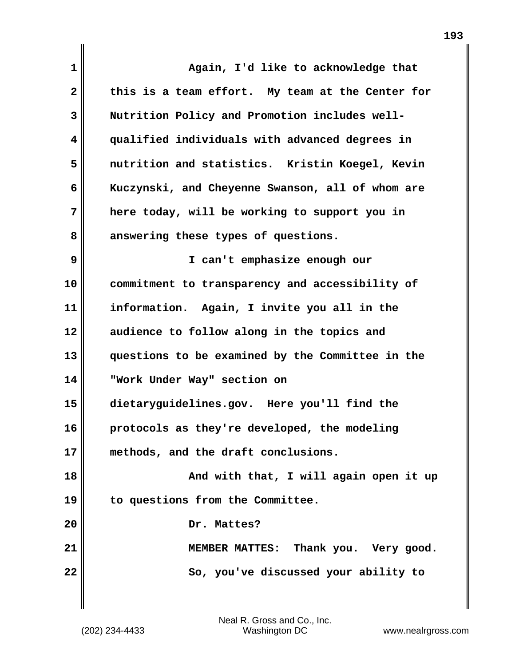| $\mathbf{1}$ | Again, I'd like to acknowledge that              |
|--------------|--------------------------------------------------|
| $\mathbf{2}$ | this is a team effort. My team at the Center for |
| 3            | Nutrition Policy and Promotion includes well-    |
| 4            | qualified individuals with advanced degrees in   |
| 5            | nutrition and statistics. Kristin Koegel, Kevin  |
| 6            | Kuczynski, and Cheyenne Swanson, all of whom are |
| 7            | here today, will be working to support you in    |
| 8            | answering these types of questions.              |
| 9            | I can't emphasize enough our                     |
| 10           | commitment to transparency and accessibility of  |
| 11           | information. Again, I invite you all in the      |
| 12           | audience to follow along in the topics and       |
| 13           | questions to be examined by the Committee in the |
| 14           | "Work Under Way" section on                      |
| 15           | dietaryguidelines.gov. Here you'll find the      |
| 16           | protocols as they're developed, the modeling     |
| 17           | methods, and the draft conclusions.              |
| 18           | And with that, I will again open it up           |
| 19           | to questions from the Committee.                 |
| 20           | Dr. Mattes?                                      |
| 21           | MEMBER MATTES: Thank you. Very good.             |
| 22           | So, you've discussed your ability to             |
|              |                                                  |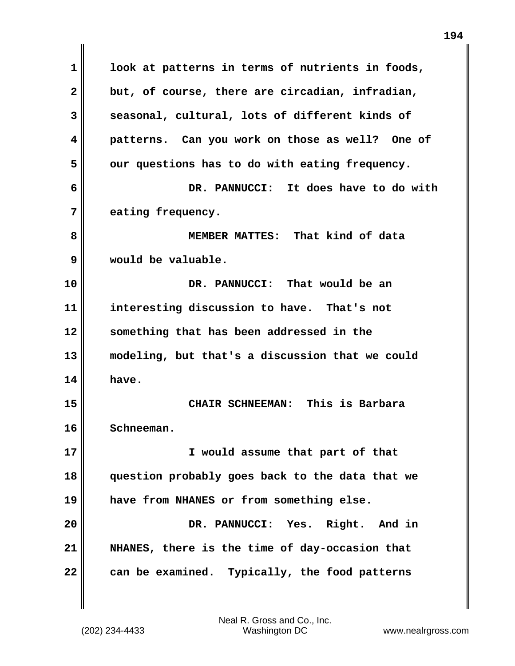**1 look at patterns in terms of nutrients in foods, 2 but, of course, there are circadian, infradian, 3 seasonal, cultural, lots of different kinds of 4 patterns. Can you work on those as well? One of** 5 our questions has to do with eating frequency. **6 DR. PANNUCCI: It does have to do with 7 eating frequency. 8 MEMBER MATTES: That kind of data 9 would be valuable. 10 DR. PANNUCCI: That would be an 11 interesting discussion to have. That's not 12 something that has been addressed in the 13 modeling, but that's a discussion that we could 14 have. 15 CHAIR SCHNEEMAN: This is Barbara 16 Schneeman. 17 I would assume that part of that 18 question probably goes back to the data that we 19 have from NHANES or from something else. 20 DR. PANNUCCI: Yes. Right. And in 21 NHANES, there is the time of day-occasion that 22 can be examined. Typically, the food patterns**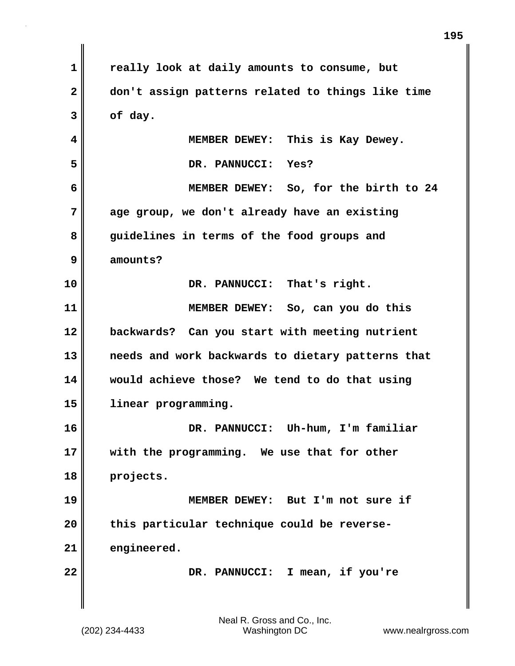**1 really look at daily amounts to consume, but 2 don't assign patterns related to things like time 3 of day. 4 MEMBER DEWEY: This is Kay Dewey. 5 DR. PANNUCCI: Yes? 6 MEMBER DEWEY: So, for the birth to 24 7 age group, we don't already have an existing 8 guidelines in terms of the food groups and 9 amounts? 10 DR. PANNUCCI: That's right. 11 MEMBER DEWEY: So, can you do this 12 backwards? Can you start with meeting nutrient 13 needs and work backwards to dietary patterns that 14 would achieve those? We tend to do that using 15 linear programming. 16 DR. PANNUCCI: Uh-hum, I'm familiar 17 with the programming. We use that for other 18 projects. 19 MEMBER DEWEY: But I'm not sure if 20 this particular technique could be reverse-21 engineered. 22 DR. PANNUCCI: I mean, if you're**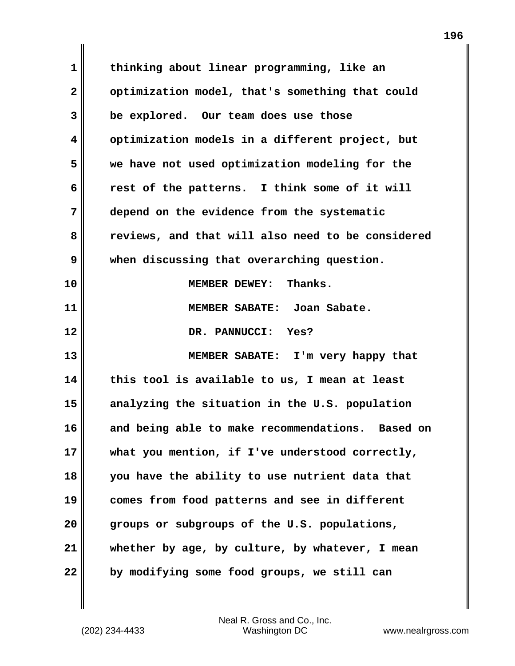**1 thinking about linear programming, like an** 2 optimization model, that's something that could **3 be explored. Our team does use those 4 optimization models in a different project, but 5 we have not used optimization modeling for the 6 rest of the patterns. I think some of it will 7 depend on the evidence from the systematic 8 reviews, and that will also need to be considered 9 when discussing that overarching question. 10 MEMBER DEWEY: Thanks. 11 MEMBER SABATE: Joan Sabate. 12 DR. PANNUCCI: Yes? 13 MEMBER SABATE: I'm very happy that 14 this tool is available to us, I mean at least 15 analyzing the situation in the U.S. population 16 and being able to make recommendations. Based on 17 what you mention, if I've understood correctly, 18 you have the ability to use nutrient data that 19 comes from food patterns and see in different 20 groups or subgroups of the U.S. populations, 21 whether by age, by culture, by whatever, I mean 22 by modifying some food groups, we still can**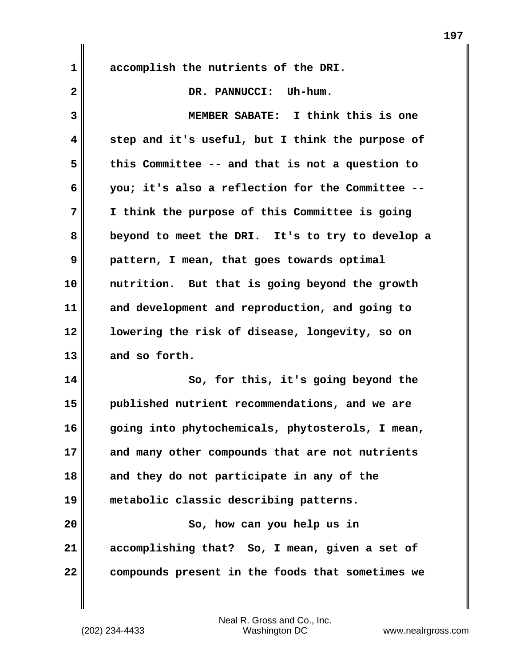**1 accomplish the nutrients of the DRI.** 2 DR. PANNUCCI: Uh-hum. **3 MEMBER SABATE: I think this is one 4 step and it's useful, but I think the purpose of 5 this Committee -- and that is not a question to 6 you; it's also a reflection for the Committee -- 7 I think the purpose of this Committee is going 8 beyond to meet the DRI. It's to try to develop a 9 pattern, I mean, that goes towards optimal 10 nutrition. But that is going beyond the growth 11 and development and reproduction, and going to 12 lowering the risk of disease, longevity, so on 13 and so forth. 14 So, for this, it's going beyond the 15 published nutrient recommendations, and we are 16 going into phytochemicals, phytosterols, I mean, 17 and many other compounds that are not nutrients 18 and they do not participate in any of the 19 metabolic classic describing patterns.**

**20 So, how can you help us in 21 accomplishing that? So, I mean, given a set of 22 compounds present in the foods that sometimes we**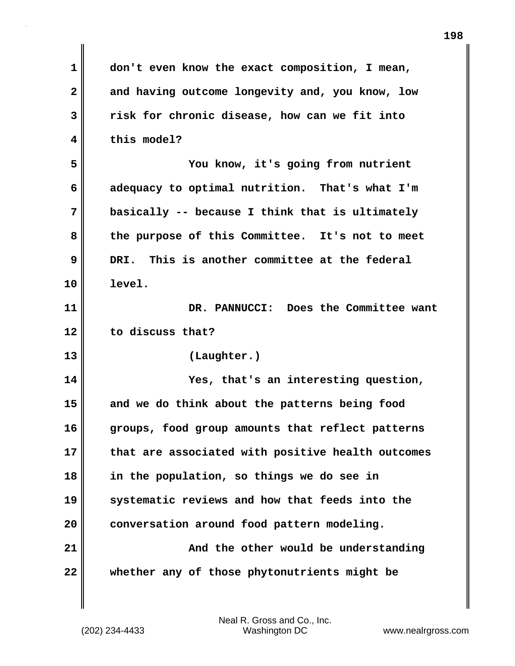| 1            | don't even know the exact composition, I mean,    |
|--------------|---------------------------------------------------|
| $\mathbf{2}$ | and having outcome longevity and, you know, low   |
| 3            | risk for chronic disease, how can we fit into     |
| 4            | this model?                                       |
| 5            | You know, it's going from nutrient                |
| 6            | adequacy to optimal nutrition. That's what I'm    |
| 7            | basically -- because I think that is ultimately   |
| 8            | the purpose of this Committee. It's not to meet   |
| 9            | DRI. This is another committee at the federal     |
| 10           | level.                                            |
| 11           | Does the Committee want<br>DR. PANNUCCI:          |
|              |                                                   |
| 12           | to discuss that?                                  |
| 13           | (Laughter.)                                       |
| 14           | Yes, that's an interesting question,              |
| 15           | and we do think about the patterns being food     |
| 16           | groups, food group amounts that reflect patterns  |
| 17           | that are associated with positive health outcomes |
| 18           | in the population, so things we do see in         |
| 19           | systematic reviews and how that feeds into the    |
| 20           | conversation around food pattern modeling.        |
| 21           | And the other would be understanding              |

 $\mathbf{I}$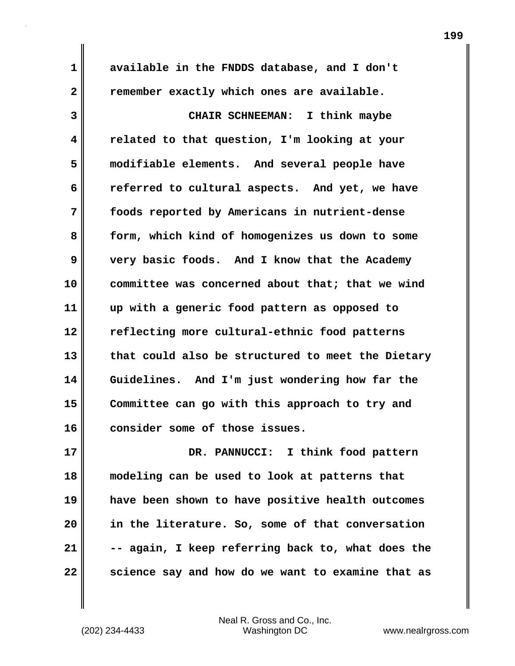**1 available in the FNDDS database, and I don't 2 remember exactly which ones are available. 3 CHAIR SCHNEEMAN: I think maybe 4 related to that question, I'm looking at your 5 modifiable elements. And several people have 6 referred to cultural aspects. And yet, we have 7 foods reported by Americans in nutrient-dense 8 form, which kind of homogenizes us down to some 9 very basic foods. And I know that the Academy 10 committee was concerned about that; that we wind 11 up with a generic food pattern as opposed to 12 reflecting more cultural-ethnic food patterns 13 that could also be structured to meet the Dietary 14 Guidelines. And I'm just wondering how far the 15 Committee can go with this approach to try and 16 consider some of those issues. 17 DR. PANNUCCI: I think food pattern**

**18 modeling can be used to look at patterns that 19 have been shown to have positive health outcomes 20 in the literature. So, some of that conversation 21 -- again, I keep referring back to, what does the 22 science say and how do we want to examine that as**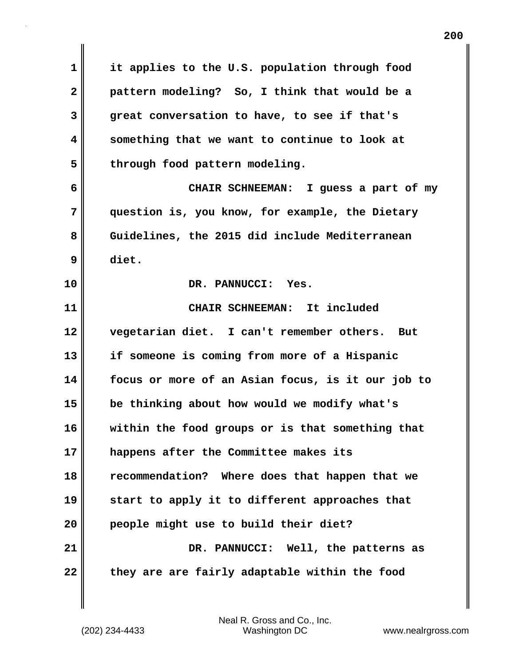**1 it applies to the U.S. population through food 2 pattern modeling? So, I think that would be a 3 great conversation to have, to see if that's 4 something that we want to continue to look at** 5 through food pattern modeling. **6 CHAIR SCHNEEMAN: I guess a part of my 7 question is, you know, for example, the Dietary 8 Guidelines, the 2015 did include Mediterranean 9 diet. 10 DR. PANNUCCI: Yes. 11 CHAIR SCHNEEMAN: It included 12 vegetarian diet. I can't remember others. But 13 if someone is coming from more of a Hispanic 14 focus or more of an Asian focus, is it our job to 15 be thinking about how would we modify what's 16 within the food groups or is that something that 17 happens after the Committee makes its 18 recommendation? Where does that happen that we 19 start to apply it to different approaches that 20 people might use to build their diet? 21 DR. PANNUCCI: Well, the patterns as** 22 they are are fairly adaptable within the food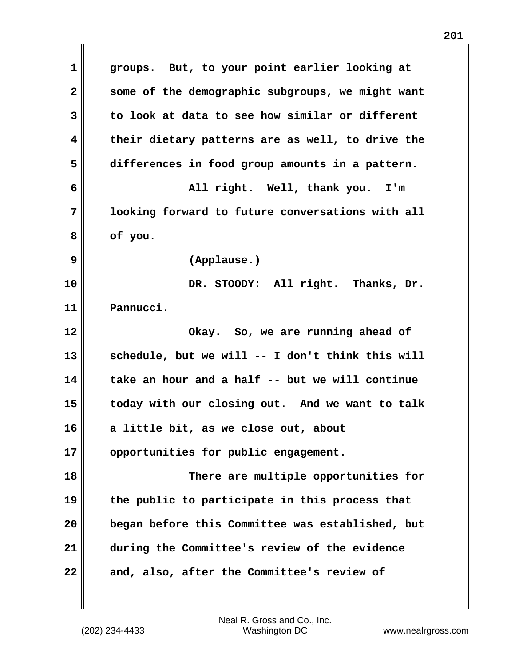**1 groups. But, to your point earlier looking at 2 some of the demographic subgroups, we might want 3 to look at data to see how similar or different 4 their dietary patterns are as well, to drive the 5 differences in food group amounts in a pattern. 6 All right. Well, thank you. I'm 7 looking forward to future conversations with all 8 of you. 9 (Applause.) 10 DR. STOODY: All right. Thanks, Dr. 11 Pannucci. 12 Okay. So, we are running ahead of 13 schedule, but we will -- I don't think this will 14 take an hour and a half -- but we will continue 15 today with our closing out. And we want to talk 16 a little bit, as we close out, about 17 opportunities for public engagement. 18 There are multiple opportunities for 19 the public to participate in this process that 20 began before this Committee was established, but 21 during the Committee's review of the evidence 22 and, also, after the Committee's review of**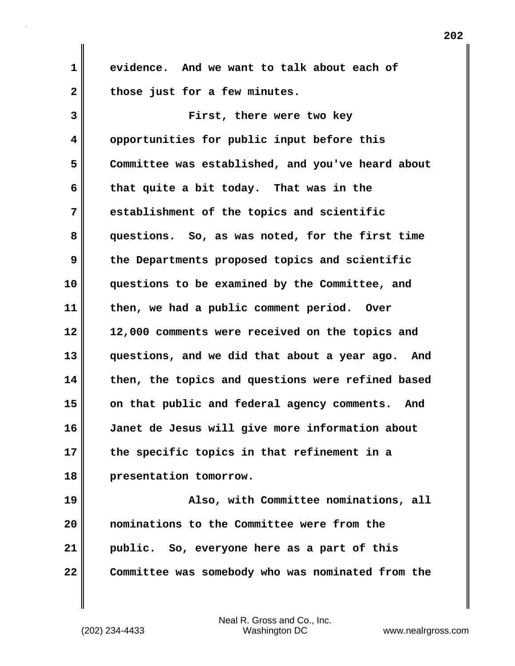**1 evidence. And we want to talk about each of 2 those just for a few minutes.**

**3 First, there were two key 4 opportunities for public input before this 5 Committee was established, and you've heard about 6 that quite a bit today. That was in the 7 establishment of the topics and scientific 8 questions. So, as was noted, for the first time 9 the Departments proposed topics and scientific 10 questions to be examined by the Committee, and 11 then, we had a public comment period. Over 12 12,000 comments were received on the topics and 13 questions, and we did that about a year ago. And 14 then, the topics and questions were refined based 15 on that public and federal agency comments. And 16 Janet de Jesus will give more information about 17 the specific topics in that refinement in a 18 presentation tomorrow.**

**19 Also, with Committee nominations, all 20 nominations to the Committee were from the 21 public. So, everyone here as a part of this 22 Committee was somebody who was nominated from the**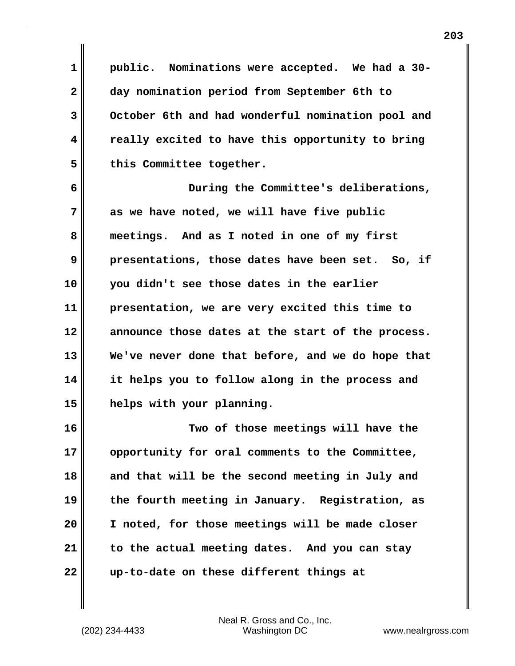**1 public. Nominations were accepted. We had a 30- 2 day nomination period from September 6th to 3 October 6th and had wonderful nomination pool and 4 really excited to have this opportunity to bring** 5 this Committee together.

**6 During the Committee's deliberations, 7 as we have noted, we will have five public 8 meetings. And as I noted in one of my first 9 presentations, those dates have been set. So, if 10 you didn't see those dates in the earlier 11 presentation, we are very excited this time to 12 announce those dates at the start of the process. 13 We've never done that before, and we do hope that 14 it helps you to follow along in the process and 15 helps with your planning.**

**16 Two of those meetings will have the 17 opportunity for oral comments to the Committee, 18 and that will be the second meeting in July and 19 the fourth meeting in January. Registration, as 20 I noted, for those meetings will be made closer 21 to the actual meeting dates. And you can stay 22 up-to-date on these different things at**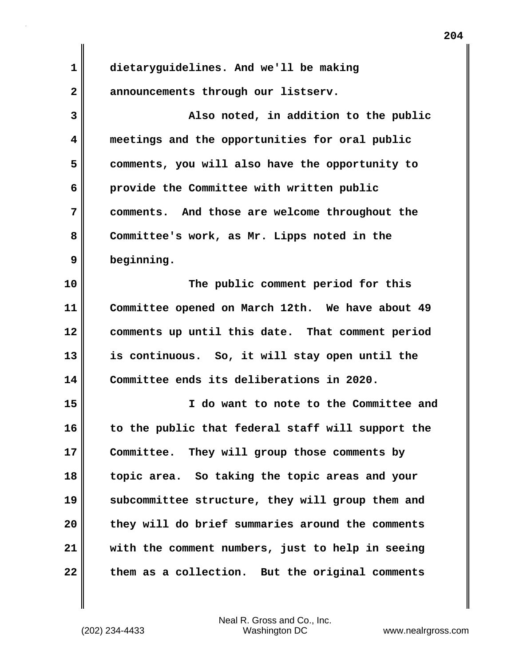**1 dietaryguidelines. And we'll be making 2 announcements through our listserv.**

**3 Also noted, in addition to the public 4 meetings and the opportunities for oral public 5 comments, you will also have the opportunity to 6 provide the Committee with written public 7 comments. And those are welcome throughout the 8 Committee's work, as Mr. Lipps noted in the 9 beginning.**

**10 The public comment period for this 11 Committee opened on March 12th. We have about 49 12 comments up until this date. That comment period 13 is continuous. So, it will stay open until the 14 Committee ends its deliberations in 2020.**

**15 I do want to note to the Committee and 16 to the public that federal staff will support the 17 Committee. They will group those comments by 18 topic area. So taking the topic areas and your 19 subcommittee structure, they will group them and 20 they will do brief summaries around the comments 21 with the comment numbers, just to help in seeing 22 them as a collection. But the original comments**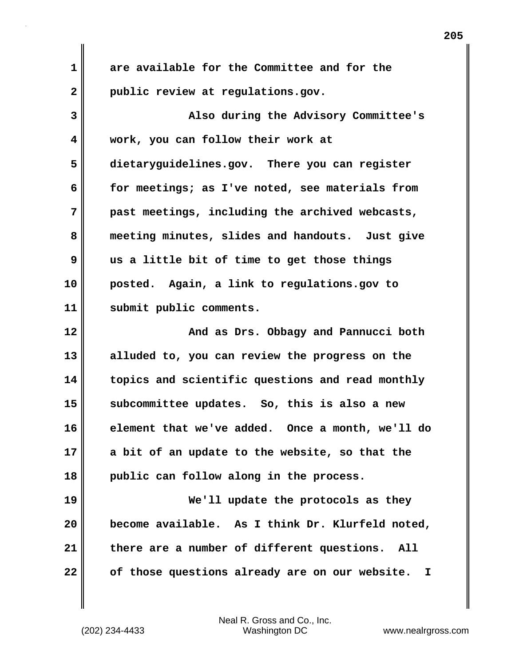**1 are available for the Committee and for the 2 public review at regulations.gov. 3 Also during the Advisory Committee's 4 work, you can follow their work at 5 dietaryguidelines.gov. There you can register 6 for meetings; as I've noted, see materials from 7 past meetings, including the archived webcasts, 8 meeting minutes, slides and handouts. Just give 9 us a little bit of time to get those things 10 posted. Again, a link to regulations.gov to 11 submit public comments. 12 And as Drs. Obbagy and Pannucci both 13 alluded to, you can review the progress on the 14 topics and scientific questions and read monthly 15 subcommittee updates. So, this is also a new 16 element that we've added. Once a month, we'll do 17 a bit of an update to the website, so that the 18 public can follow along in the process. 19 We'll update the protocols as they 20 become available. As I think Dr. Klurfeld noted, 21 there are a number of different questions. All 22 of those questions already are on our website. I**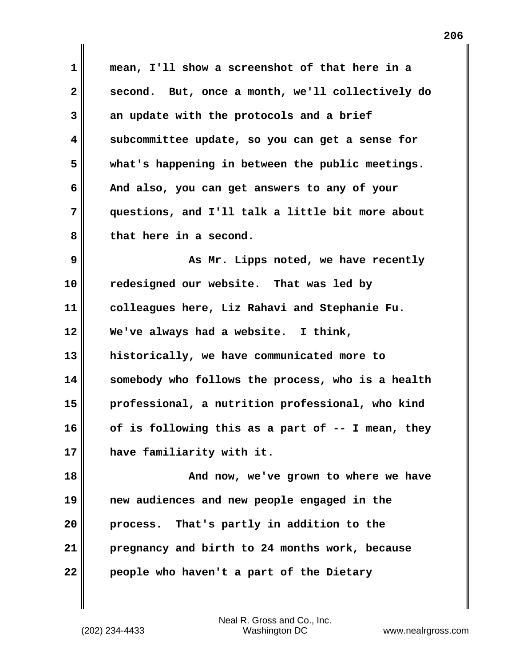**1 mean, I'll show a screenshot of that here in a 2 second. But, once a month, we'll collectively do 3 an update with the protocols and a brief 4 subcommittee update, so you can get a sense for 5 what's happening in between the public meetings. 6 And also, you can get answers to any of your 7 questions, and I'll talk a little bit more about 8 that here in a second. 9 As Mr.** Lipps noted, we have recently **10 redesigned our website. That was led by 11 colleagues here, Liz Rahavi and Stephanie Fu. 12 We've always had a website. I think, 13 historically, we have communicated more to 14 somebody who follows the process, who is a health 15 professional, a nutrition professional, who kind 16 of is following this as a part of -- I mean, they 17 have familiarity with it.** 18 **And now, we've grown to where we have 19 new audiences and new people engaged in the 20 process. That's partly in addition to the 21 pregnancy and birth to 24 months work, because 22 people who haven't a part of the Dietary**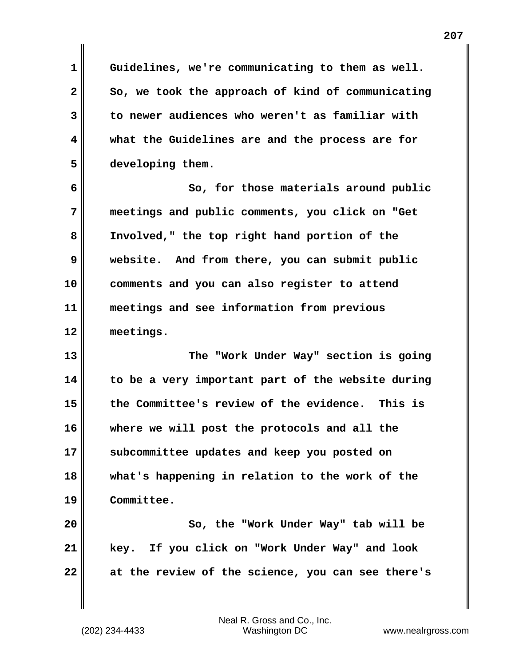**1 Guidelines, we're communicating to them as well.**  2 So, we took the approach of kind of communicating **3 to newer audiences who weren't as familiar with 4 what the Guidelines are and the process are for 5 developing them.**

**6 So, for those materials around public 7 meetings and public comments, you click on "Get 8 Involved," the top right hand portion of the 9 website. And from there, you can submit public 10 comments and you can also register to attend 11 meetings and see information from previous 12 meetings.**

**13 The "Work Under Way" section is going 14 to be a very important part of the website during 15 the Committee's review of the evidence. This is 16 where we will post the protocols and all the 17 subcommittee updates and keep you posted on 18 what's happening in relation to the work of the 19 Committee.**

**20** So, the "Work Under Way" tab will be **21 key. If you click on "Work Under Way" and look 22 at the review of the science, you can see there's**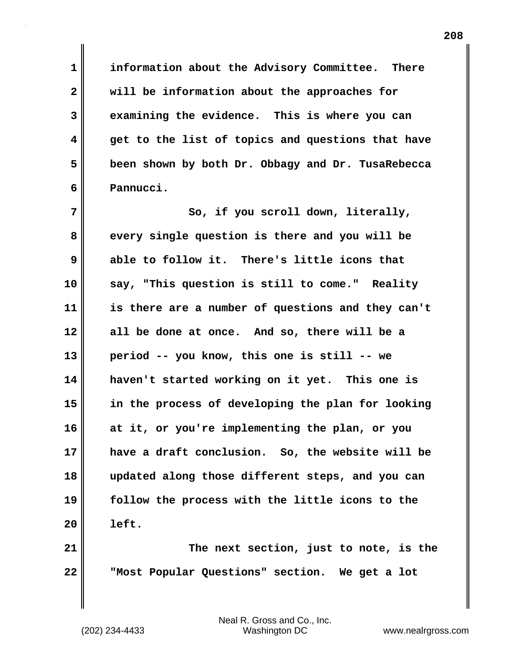**1 information about the Advisory Committee. There 2 will be information about the approaches for 3 examining the evidence. This is where you can 4 get to the list of topics and questions that have 5 been shown by both Dr. Obbagy and Dr. TusaRebecca 6 Pannucci.**

7 || So, if you scroll down, literally, **8 every single question is there and you will be 9 able to follow it. There's little icons that 10 say, "This question is still to come." Reality 11 is there are a number of questions and they can't 12 all be done at once. And so, there will be a 13 period -- you know, this one is still -- we 14 haven't started working on it yet. This one is 15 in the process of developing the plan for looking 16 at it, or you're implementing the plan, or you 17 have a draft conclusion. So, the website will be 18 updated along those different steps, and you can 19 follow the process with the little icons to the 20 left.**

**21 The next section, just to note, is the 22 "Most Popular Questions" section. We get a lot**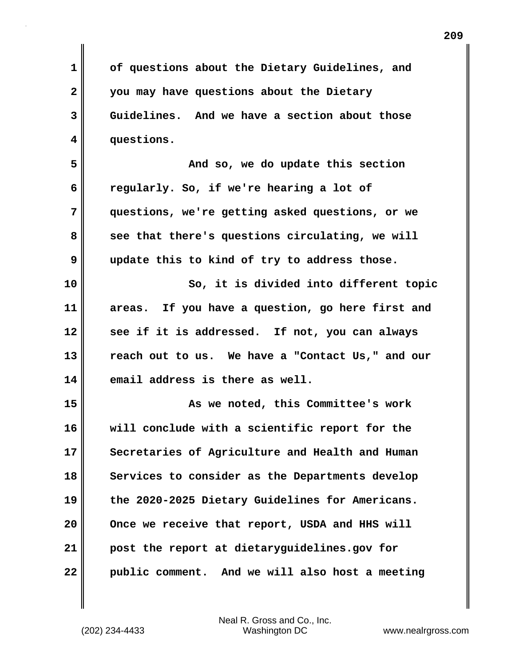**1 of questions about the Dietary Guidelines, and 2 you may have questions about the Dietary 3 Guidelines. And we have a section about those 4 questions. 5 And so, we do update this section 6 regularly. So, if we're hearing a lot of 7 questions, we're getting asked questions, or we** 8 see that there's questions circulating, we will **9 update this to kind of try to address those. 10 So, it is divided into different topic 11 areas. If you have a question, go here first and 12 see if it is addressed. If not, you can always 13 reach out to us. We have a "Contact Us," and our 14 email address is there as well. 15 As we noted, this Committee's work 16 will conclude with a scientific report for the 17 Secretaries of Agriculture and Health and Human 18 Services to consider as the Departments develop 19 the 2020-2025 Dietary Guidelines for Americans. 20 Once we receive that report, USDA and HHS will 21 post the report at dietaryguidelines.gov for 22 public comment. And we will also host a meeting**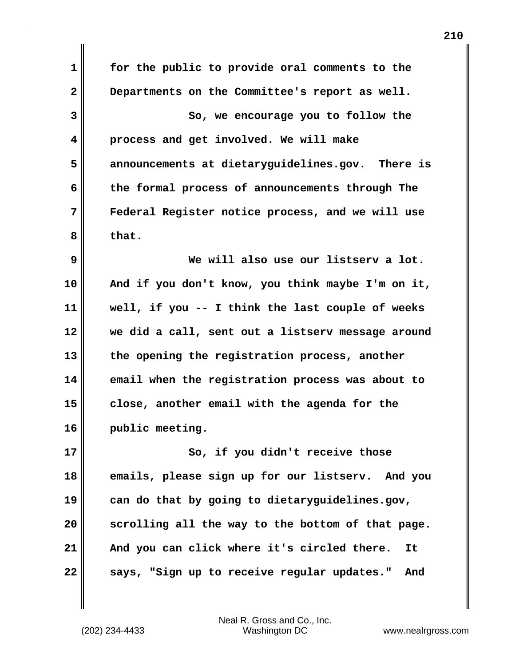| $\mathbf{1}$ | for the public to provide oral comments to the     |
|--------------|----------------------------------------------------|
| $\mathbf{2}$ | Departments on the Committee's report as well.     |
| 3            | So, we encourage you to follow the                 |
| 4            | process and get involved. We will make             |
| 5            | announcements at dietaryguidelines.gov. There is   |
| 6            | the formal process of announcements through The    |
| 7            | Federal Register notice process, and we will use   |
| 8            | that.                                              |
| 9            | We will also use our listserv a lot.               |
| 10           | And if you don't know, you think maybe I'm on it,  |
| 11           | well, if you -- I think the last couple of weeks   |
| 12           | we did a call, sent out a listserv message around  |
| 13           | the opening the registration process, another      |
| 14           | email when the registration process was about to   |
| 15           | close, another email with the agenda for the       |
| 16           | public meeting.                                    |
| 17           | So, if you didn't receive those                    |
| 18           | emails, please sign up for our listserv. And you   |
| 19           | can do that by going to dietaryguidelines.gov,     |
| 20           | scrolling all the way to the bottom of that page.  |
| 21           | And you can click where it's circled there.<br>It  |
| 22           | says, "Sign up to receive regular updates."<br>And |

(202) 234-4433 Washington DC www.nealrgross.com Neal R. Gross and Co., Inc.

 $\mathbf l$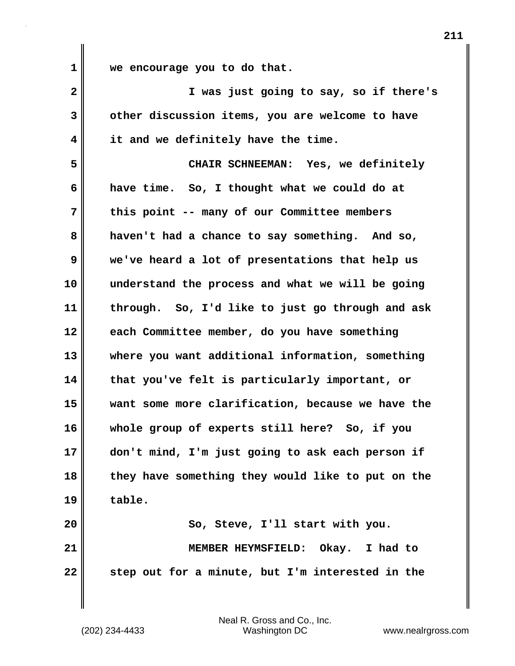**1 we encourage you to do that.**

| $\mathbf{2}$ | I was just going to say, so if there's            |
|--------------|---------------------------------------------------|
| 3            | other discussion items, you are welcome to have   |
| 4            | it and we definitely have the time.               |
| 5            | CHAIR SCHNEEMAN: Yes, we definitely               |
| 6            | have time. So, I thought what we could do at      |
| 7            | this point -- many of our Committee members       |
| 8            | haven't had a chance to say something. And so,    |
| 9            | we've heard a lot of presentations that help us   |
| 10           | understand the process and what we will be going  |
| 11           | through. So, I'd like to just go through and ask  |
| 12           | each Committee member, do you have something      |
| 13           | where you want additional information, something  |
| 14           | that you've felt is particularly important, or    |
| 15           | want some more clarification, because we have the |
| 16           | whole group of experts still here? So, if you     |
| 17           | don't mind, I'm just going to ask each person if  |
| 18           | they have something they would like to put on the |
| 19           | table.                                            |
| 20           | So, Steve, I'll start with you.                   |
| 21           | MEMBER HEYMSFIELD: Okay. I had to                 |
| 22           | step out for a minute, but I'm interested in the  |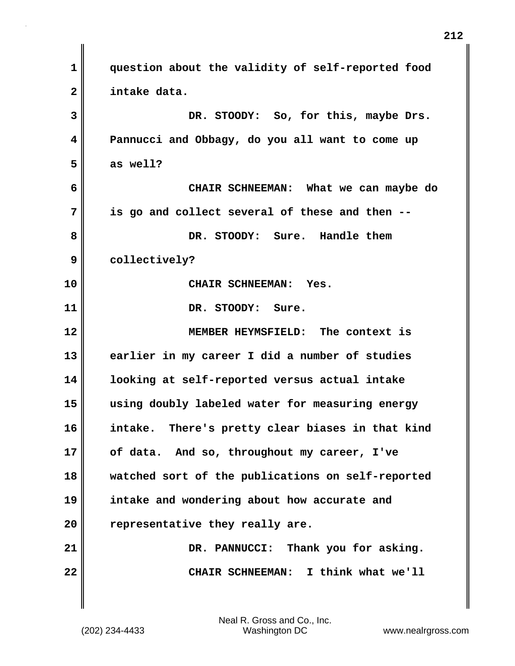| $\mathbf 1$             | question about the validity of self-reported food   |
|-------------------------|-----------------------------------------------------|
| $\overline{\mathbf{2}}$ | intake data.                                        |
| 3                       | DR. STOODY: So, for this, maybe Drs.                |
| 4                       | Pannucci and Obbagy, do you all want to come up     |
| 5                       | as well?                                            |
| 6                       | CHAIR SCHNEEMAN: What we can maybe do               |
| 7                       | is go and collect several of these and then --      |
| 8                       | DR. STOODY: Sure. Handle them                       |
| 9                       | collectively?                                       |
| 10                      | CHAIR SCHNEEMAN: Yes.                               |
| 11                      | DR. STOODY: Sure.                                   |
| 12                      | MEMBER HEYMSFIELD: The context is                   |
| 13                      | earlier in my career I did a number of studies      |
| 14                      | looking at self-reported versus actual intake       |
| 15                      | using doubly labeled water for measuring energy     |
| 16                      | There's pretty clear biases in that kind<br>intake. |
| 17                      | of data. And so, throughout my career, I've         |
| 18                      | watched sort of the publications on self-reported   |
| 19                      | intake and wondering about how accurate and         |
| 20                      | representative they really are.                     |
| 21                      | DR. PANNUCCI: Thank you for asking.                 |
| 22                      | CHAIR SCHNEEMAN: I think what we'll                 |
|                         |                                                     |

 $\mathsf I$ 

 $\mathbf{I}$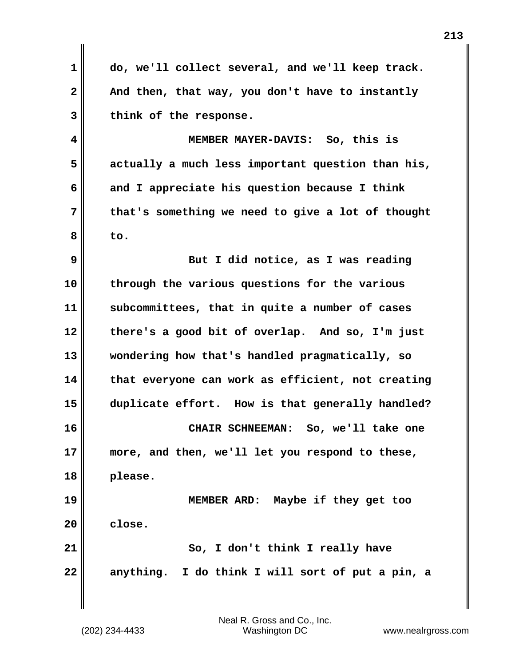**1 do, we'll collect several, and we'll keep track.**  2 **And then, that way, you don't have to instantly 3 think of the response.**

**4 MEMBER MAYER-DAVIS: So, this is 5 actually a much less important question than his, 6 and I appreciate his question because I think 7 that's something we need to give a lot of thought 8 to.**

**9** But I did notice, as I was reading **10 through the various questions for the various 11 subcommittees, that in quite a number of cases 12 there's a good bit of overlap. And so, I'm just 13 wondering how that's handled pragmatically, so 14 that everyone can work as efficient, not creating 15 duplicate effort. How is that generally handled? 16 CHAIR SCHNEEMAN: So, we'll take one 17 more, and then, we'll let you respond to these, 18 please. 19 MEMBER ARD: Maybe if they get too 20 close. 21** So, I don't think I really have **22 anything. I do think I will sort of put a pin, a**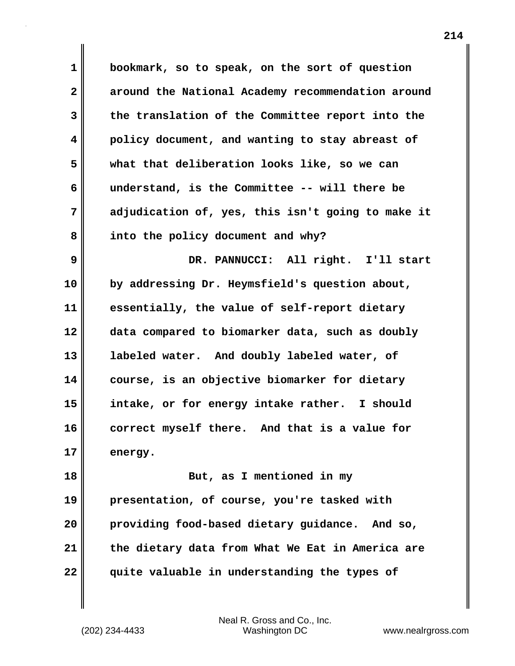| $\mathbf 1$  | bookmark, so to speak, on the sort of question    |
|--------------|---------------------------------------------------|
| $\mathbf{2}$ | around the National Academy recommendation around |
| 3            | the translation of the Committee report into the  |
| 4            | policy document, and wanting to stay abreast of   |
| 5            | what that deliberation looks like, so we can      |
| 6            | understand, is the Committee -- will there be     |
| 7            | adjudication of, yes, this isn't going to make it |
| 8            | into the policy document and why?                 |
| 9            | DR. PANNUCCI: All right. I'll start               |
| 10           | by addressing Dr. Heymsfield's question about,    |
| 11           | essentially, the value of self-report dietary     |
| 12           | data compared to biomarker data, such as doubly   |
| 13           | labeled water. And doubly labeled water, of       |
| 14           | course, is an objective biomarker for dietary     |
| 15           | intake, or for energy intake rather. I should     |
| 16           | correct myself there. And that is a value for     |
| 17           | energy.                                           |
| 18           | But, as I mentioned in my                         |
| 19           | presentation, of course, you're tasked with       |
| 20           | providing food-based dietary guidance.<br>And so, |
| 21           | the dietary data from What We Eat in America are  |
| 22           | quite valuable in understanding the types of      |

(202) 234-4433 Washington DC www.nealrgross.com Neal R. Gross and Co., Inc.

 $\mathbf l$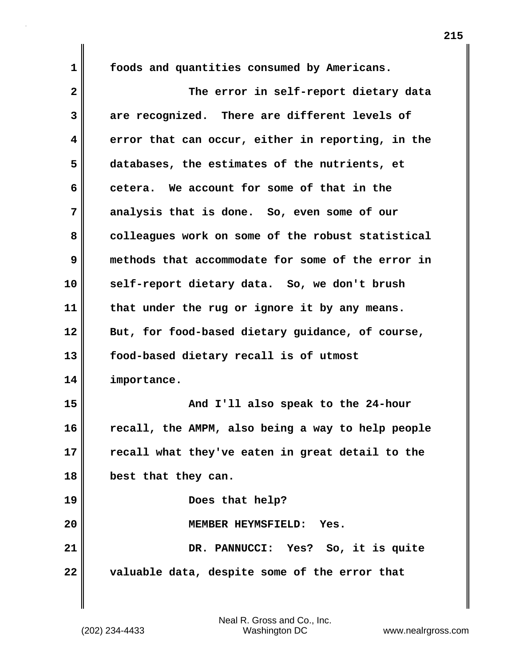**1 foods and quantities consumed by Americans.**

**2 The error in self-report dietary data 3 are recognized. There are different levels of 4 error that can occur, either in reporting, in the 5 databases, the estimates of the nutrients, et 6 cetera. We account for some of that in the 7 analysis that is done. So, even some of our** 8 colleagues work on some of the robust statistical **9 methods that accommodate for some of the error in 10 self-report dietary data. So, we don't brush 11 that under the rug or ignore it by any means. 12 But, for food-based dietary guidance, of course, 13 food-based dietary recall is of utmost 14 importance. 15 And I'll also speak to the 24-hour 16 recall, the AMPM, also being a way to help people 17 recall what they've eaten in great detail to the 18 best that they can. 19 Does that help? 20 MEMBER HEYMSFIELD: Yes. 21 DR. PANNUCCI: Yes? So, it is quite 22 valuable data, despite some of the error that**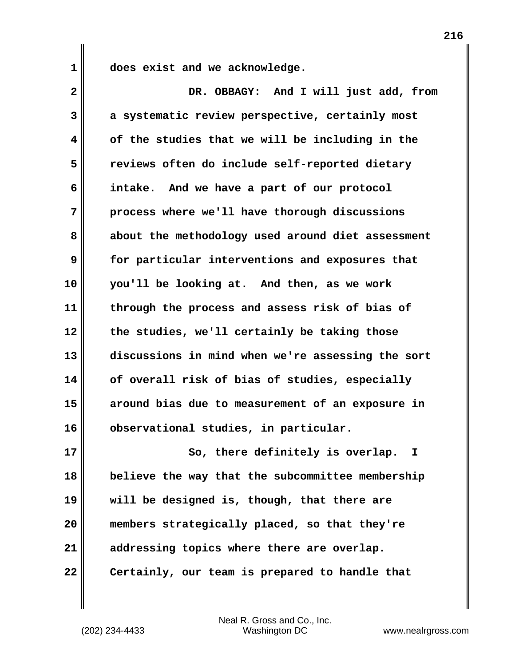**1 does exist and we acknowledge.**

| $\overline{\mathbf{2}}$ | DR. OBBAGY: And I will just add, from             |
|-------------------------|---------------------------------------------------|
| 3                       | a systematic review perspective, certainly most   |
| 4                       | of the studies that we will be including in the   |
| 5                       | reviews often do include self-reported dietary    |
| 6                       | intake. And we have a part of our protocol        |
| 7                       | process where we'll have thorough discussions     |
| 8                       | about the methodology used around diet assessment |
| 9                       | for particular interventions and exposures that   |
| 10                      | you'll be looking at. And then, as we work        |
| 11                      | through the process and assess risk of bias of    |
| 12                      | the studies, we'll certainly be taking those      |
| 13                      | discussions in mind when we're assessing the sort |
| 14                      | of overall risk of bias of studies, especially    |
| 15                      | around bias due to measurement of an exposure in  |
| 16                      | observational studies, in particular.             |
| 17                      | So, there definitely is overlap. I                |
| 18                      | believe the way that the subcommittee membership  |
| 19                      | will be designed is, though, that there are       |
| 20                      | members strategically placed, so that they're     |
| 21                      | addressing topics where there are overlap.        |
| 22                      | Certainly, our team is prepared to handle that    |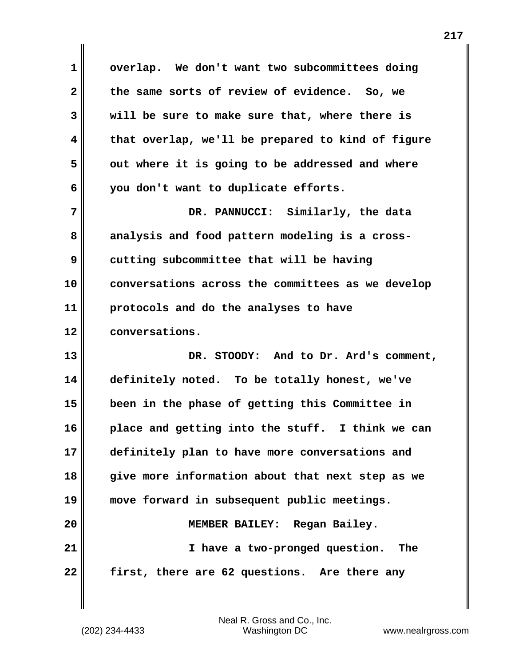**1 overlap. We don't want two subcommittees doing 2 the same sorts of review of evidence. So, we 3 will be sure to make sure that, where there is 4 that overlap, we'll be prepared to kind of figure 5 out where it is going to be addressed and where 6 you don't want to duplicate efforts. 7 DR. PANNUCCI: Similarly, the data 8 analysis and food pattern modeling is a cross-9** cutting subcommittee that will be having **10 conversations across the committees as we develop 11 protocols and do the analyses to have 12 conversations. 13 DR. STOODY: And to Dr. Ard's comment, 14 definitely noted. To be totally honest, we've 15 been in the phase of getting this Committee in 16 place and getting into the stuff. I think we can 17 definitely plan to have more conversations and 18 give more information about that next step as we 19 move forward in subsequent public meetings. 20 MEMBER BAILEY: Regan Bailey. 21 I have a two-pronged question. The 22 first, there are 62 questions. Are there any**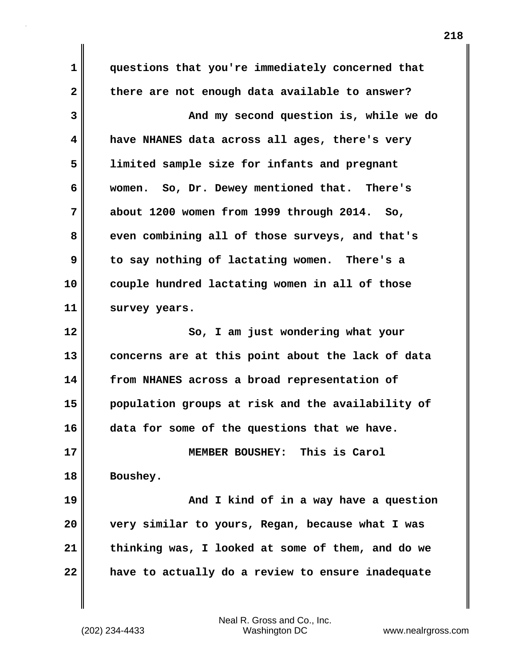**1 questions that you're immediately concerned that 2 there are not enough data available to answer? 3 And my second question is, while we do 4 have NHANES data across all ages, there's very 5 limited sample size for infants and pregnant 6 women. So, Dr. Dewey mentioned that. There's 7 about 1200 women from 1999 through 2014. So, 8 even combining all of those surveys, and that's 9 to say nothing of lactating women. There's a 10 couple hundred lactating women in all of those 11 survey years. 12** So, I am just wondering what your **13 concerns are at this point about the lack of data 14 from NHANES across a broad representation of 15 population groups at risk and the availability of 16 data for some of the questions that we have. 17 MEMBER BOUSHEY: This is Carol 18 Boushey. 19 And I kind of in a way have a question 20 very similar to yours, Regan, because what I was 21 thinking was, I looked at some of them, and do we 22 have to actually do a review to ensure inadequate**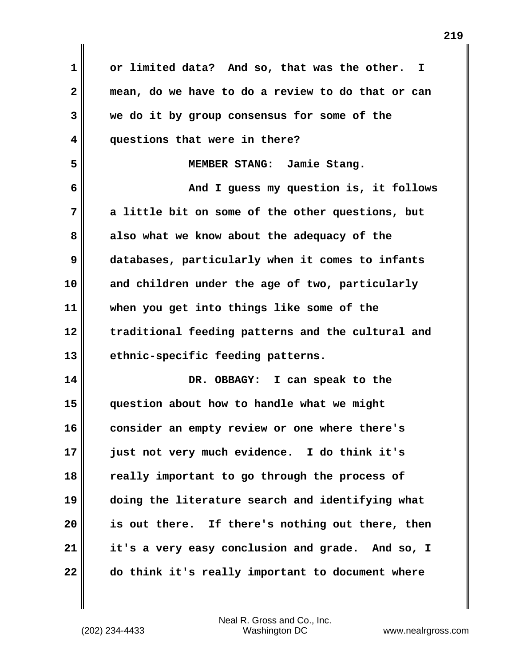**1 or limited data? And so, that was the other. I 2 mean, do we have to do a review to do that or can 3 we do it by group consensus for some of the 4 questions that were in there? 5 MEMBER STANG: Jamie Stang. 6 And I guess my question is, it follows 7 a little bit on some of the other questions, but 8 also what we know about the adequacy of the 9 databases, particularly when it comes to infants 10 and children under the age of two, particularly 11 when you get into things like some of the 12 traditional feeding patterns and the cultural and 13 ethnic-specific feeding patterns. 14 DR. OBBAGY: I can speak to the 15 question about how to handle what we might 16 consider an empty review or one where there's 17 just not very much evidence. I do think it's 18 really important to go through the process of 19 doing the literature search and identifying what 20 is out there. If there's nothing out there, then 21 it's a very easy conclusion and grade. And so, I 22 do think it's really important to document where**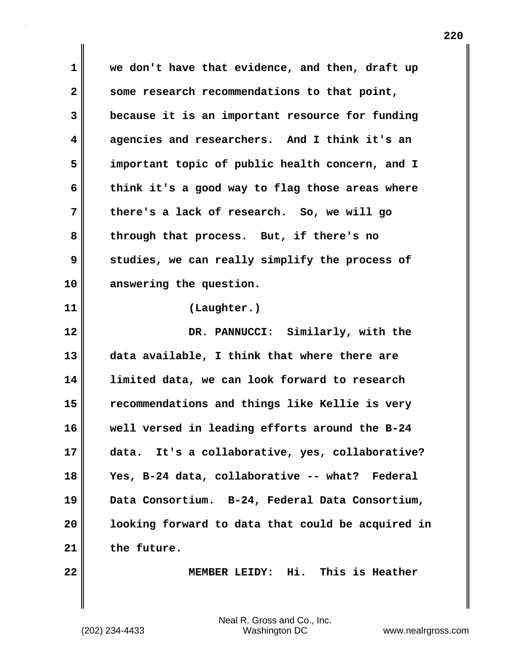**1 we don't have that evidence, and then, draft up 2 some research recommendations to that point, 3 because it is an important resource for funding 4 agencies and researchers. And I think it's an 5 important topic of public health concern, and I 6 think it's a good way to flag those areas where 7 there's a lack of research. So, we will go 8 through that process. But, if there's no 9 studies, we can really simplify the process of 10 answering the question. 11 (Laughter.) 12 DR. PANNUCCI: Similarly, with the 13 data available, I think that where there are 14 limited data, we can look forward to research 15 recommendations and things like Kellie is very 16 well versed in leading efforts around the B-24 17 data. It's a collaborative, yes, collaborative? 18 Yes, B-24 data, collaborative -- what? Federal 19 Data Consortium. B-24, Federal Data Consortium, 20 looking forward to data that could be acquired in 21 the future. 22 MEMBER LEIDY: Hi. This is Heather**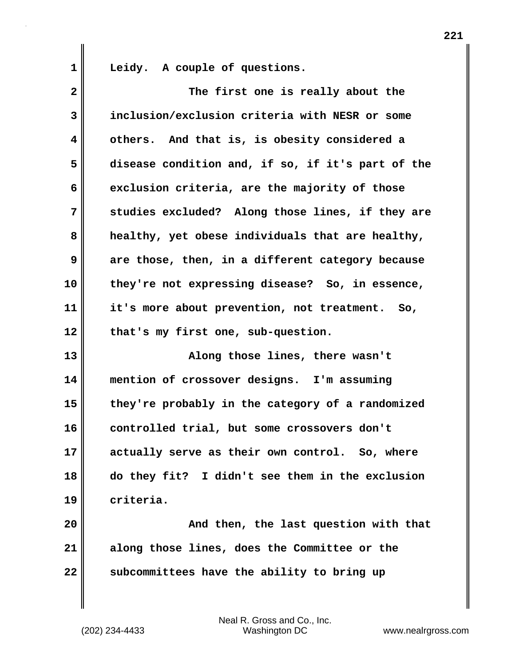1 Leidy. A couple of questions.

| $\mathbf{2}$ | The first one is really about the                 |
|--------------|---------------------------------------------------|
| 3            | inclusion/exclusion criteria with NESR or some    |
| 4            | others. And that is, is obesity considered a      |
| 5            | disease condition and, if so, if it's part of the |
| 6            | exclusion criteria, are the majority of those     |
| 7            | studies excluded? Along those lines, if they are  |
| 8            | healthy, yet obese individuals that are healthy,  |
| 9            | are those, then, in a different category because  |
| 10           | they're not expressing disease? So, in essence,   |
| 11           | it's more about prevention, not treatment. So,    |
| 12           | that's my first one, sub-question.                |
| 13           | Along those lines, there wasn't                   |
| 14           | mention of crossover designs. I'm assuming        |
| 15           | they're probably in the category of a randomized  |
| 16           | controlled trial, but some crossovers don't       |
| 17           | actually serve as their own control. So, where    |
| 18           | do they fit? I didn't see them in the exclusion   |
| 19           | criteria.                                         |
| 20           | And then, the last question with that             |
| 21           | along those lines, does the Committee or the      |
| 22           | subcommittees have the ability to bring up        |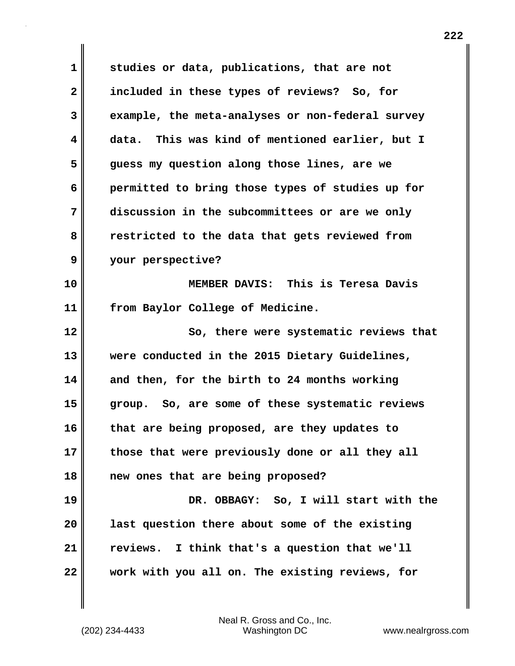**1 studies or data, publications, that are not 2 included in these types of reviews? So, for 3 example, the meta-analyses or non-federal survey 4 data. This was kind of mentioned earlier, but I 5 guess my question along those lines, are we 6 permitted to bring those types of studies up for 7 discussion in the subcommittees or are we only 8 restricted to the data that gets reviewed from 9 your perspective? 10 MEMBER DAVIS: This is Teresa Davis 11 from Baylor College of Medicine. 12 So, there were systematic reviews that 13 were conducted in the 2015 Dietary Guidelines, 14 and then, for the birth to 24 months working 15 group. So, are some of these systematic reviews 16 that are being proposed, are they updates to 17 those that were previously done or all they all 18 new ones that are being proposed? 19 DR. OBBAGY: So, I will start with the 20 last question there about some of the existing 21 reviews. I think that's a question that we'll 22 work with you all on. The existing reviews, for**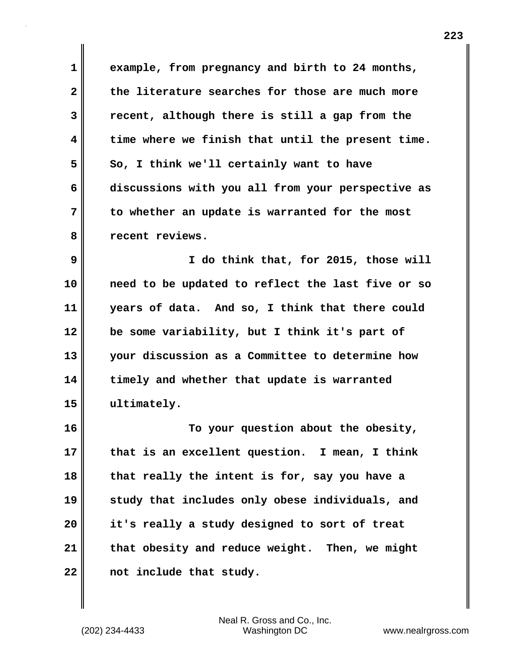**1 example, from pregnancy and birth to 24 months, 2 the literature searches for those are much more 3 recent, although there is still a gap from the 4 time where we finish that until the present time. 5** So, I think we'll certainly want to have **6 discussions with you all from your perspective as 7 to whether an update is warranted for the most 8 recent reviews.**

**9 I do think that, for 2015, those will 10 need to be updated to reflect the last five or so 11 years of data. And so, I think that there could 12 be some variability, but I think it's part of 13 your discussion as a Committee to determine how 14 timely and whether that update is warranted 15 ultimately.**

**16 To your question about the obesity, 17 that is an excellent question. I mean, I think 18 that really the intent is for, say you have a 19 study that includes only obese individuals, and 20 it's really a study designed to sort of treat 21 that obesity and reduce weight. Then, we might 22 not include that study.**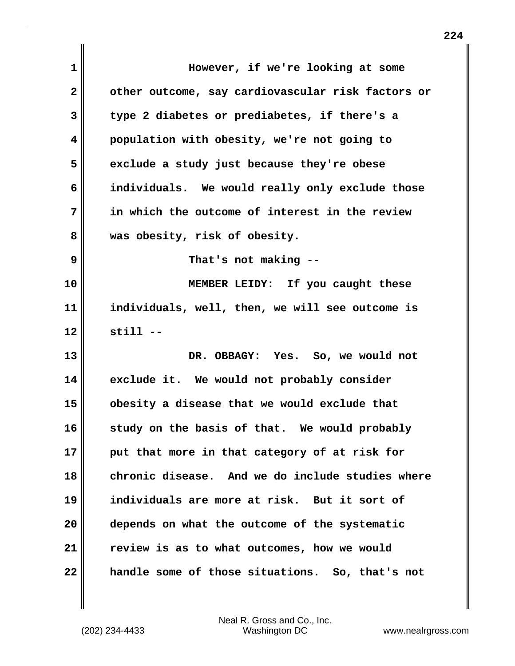| 1            | However, if we're looking at some                 |
|--------------|---------------------------------------------------|
| $\mathbf{2}$ | other outcome, say cardiovascular risk factors or |
| 3            | type 2 diabetes or prediabetes, if there's a      |
| 4            | population with obesity, we're not going to       |
| 5            | exclude a study just because they're obese        |
| 6            | individuals. We would really only exclude those   |
| 7            | in which the outcome of interest in the review    |
| 8            | was obesity, risk of obesity.                     |
| 9            | That's not making --                              |
| 10           | MEMBER LEIDY: If you caught these                 |
| 11           | individuals, well, then, we will see outcome is   |
| 12           | $still - -$                                       |
| 13           | DR. OBBAGY: Yes. So, we would not                 |
| 14           | exclude it. We would not probably consider        |
| 15           | obesity a disease that we would exclude that      |
| 16           | study on the basis of that. We would probably     |
| 17           | put that more in that category of at risk for     |
| 18           | chronic disease. And we do include studies where  |
| 19           | individuals are more at risk. But it sort of      |
| 20           | depends on what the outcome of the systematic     |
| 21           | review is as to what outcomes, how we would       |
| 22           | handle some of those situations. So, that's not   |

 $\mathbf{I}$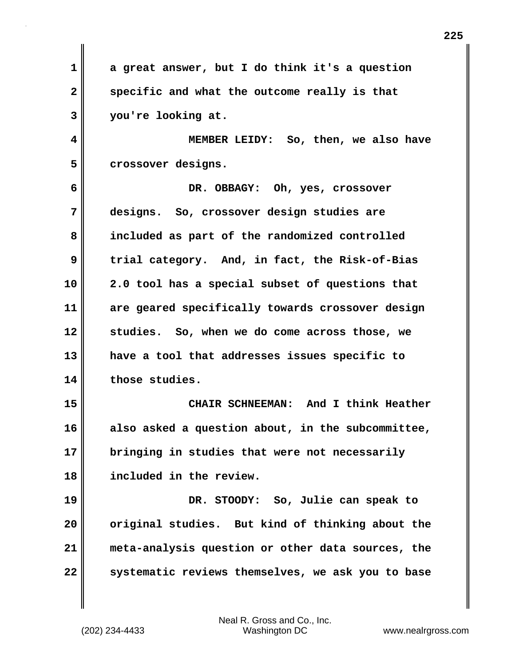**1 a great answer, but I do think it's a question 2 specific and what the outcome really is that 3 you're looking at.**

**4 MEMBER LEIDY: So, then, we also have 5 crossover designs.**

**6 DR. OBBAGY: Oh, yes, crossover 7 designs. So, crossover design studies are 8 included as part of the randomized controlled 9 trial category. And, in fact, the Risk-of-Bias 10 2.0 tool has a special subset of questions that 11 are geared specifically towards crossover design 12 studies. So, when we do come across those, we 13 have a tool that addresses issues specific to 14 those studies. 15 CHAIR SCHNEEMAN: And I think Heather**

**16 also asked a question about, in the subcommittee, 17 bringing in studies that were not necessarily 18 included in the review.**

**19 DR. STOODY: So, Julie can speak to 20 original studies. But kind of thinking about the 21 meta-analysis question or other data sources, the 22 systematic reviews themselves, we ask you to base**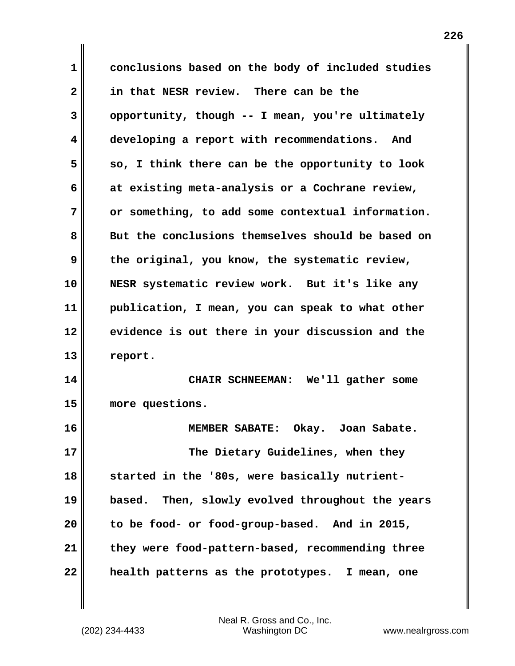**1 conclusions based on the body of included studies 2 in that NESR review. There can be the 3 opportunity, though -- I mean, you're ultimately 4 developing a report with recommendations. And 5 so, I think there can be the opportunity to look 6 at existing meta-analysis or a Cochrane review, 7 or something, to add some contextual information. 8 But the conclusions themselves should be based on 9 the original, you know, the systematic review, 10 NESR systematic review work. But it's like any 11 publication, I mean, you can speak to what other 12 evidence is out there in your discussion and the 13 report. 14 CHAIR SCHNEEMAN: We'll gather some 15 more questions. 16 MEMBER SABATE: Okay. Joan Sabate. 17 The Dietary Guidelines, when they 18 started in the '80s, were basically nutrient-19 based. Then, slowly evolved throughout the years 20 to be food- or food-group-based. And in 2015, 21 they were food-pattern-based, recommending three 22 health patterns as the prototypes. I mean, one**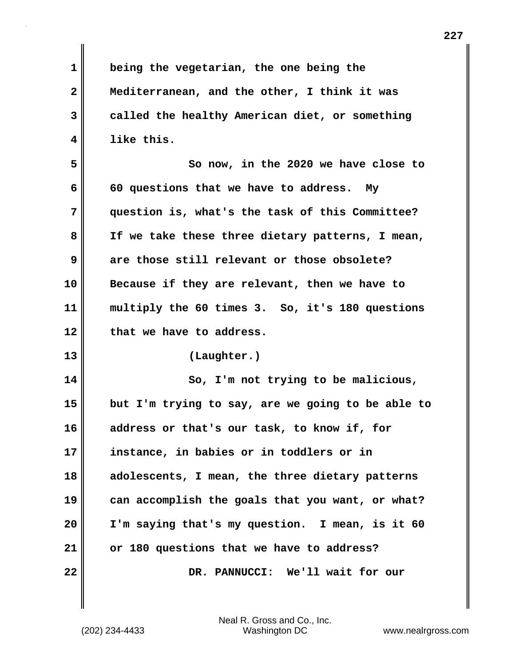**1 being the vegetarian, the one being the 2 Mediterranean, and the other, I think it was 3 called the healthy American diet, or something 4 like this. 5 So now, in the 2020 we have close to 6 60 questions that we have to address. My 7 question is, what's the task of this Committee? 8 If we take these three dietary patterns, I mean, 9 are those still relevant or those obsolete? 10 Because if they are relevant, then we have to 11 multiply the 60 times 3. So, it's 180 questions 12 that we have to address. 13 (Laughter.) 14 So, I'm not trying to be malicious, 15 but I'm trying to say, are we going to be able to 16 address or that's our task, to know if, for 17 instance, in babies or in toddlers or in 18 adolescents, I mean, the three dietary patterns 19 can accomplish the goals that you want, or what? 20 I'm saying that's my question. I mean, is it 60 21 or 180 questions that we have to address? 22 DR. PANNUCCI: We'll wait for our**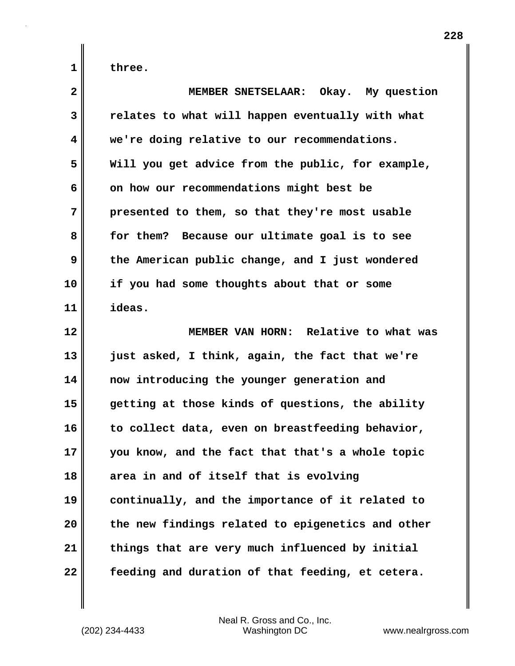**1 three.**

| $\overline{\mathbf{2}}$ | MEMBER SNETSELAAR: Okay. My question              |
|-------------------------|---------------------------------------------------|
| 3                       | relates to what will happen eventually with what  |
| 4                       | we're doing relative to our recommendations.      |
| 5                       | Will you get advice from the public, for example, |
| 6                       | on how our recommendations might best be          |
| 7                       | presented to them, so that they're most usable    |
| 8                       | for them? Because our ultimate goal is to see     |
| 9                       | the American public change, and I just wondered   |
| 10                      | if you had some thoughts about that or some       |
| 11                      | ideas.                                            |
| 12                      | MEMBER VAN HORN: Relative to what was             |
| 13                      | just asked, I think, again, the fact that we're   |
| 14                      | now introducing the younger generation and        |
| 15                      | getting at those kinds of questions, the ability  |
| 16                      | to collect data, even on breastfeeding behavior,  |
| 17                      | you know, and the fact that that's a whole topic  |
| 18                      | area in and of itself that is evolving            |
| 19                      | continually, and the importance of it related to  |
| 20                      | the new findings related to epigenetics and other |
| 21                      | things that are very much influenced by initial   |
| 22                      | feeding and duration of that feeding, et cetera.  |

**228**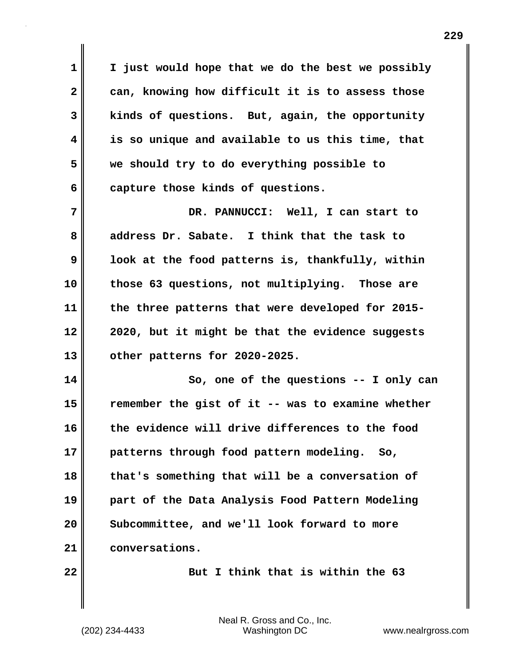**1 I just would hope that we do the best we possibly 2 can, knowing how difficult it is to assess those 3 kinds of questions. But, again, the opportunity 4 is so unique and available to us this time, that 5 we should try to do everything possible to 6 capture those kinds of questions.**

**7 DR. PANNUCCI: Well, I can start to 8 address Dr. Sabate. I think that the task to 9 look at the food patterns is, thankfully, within 10 those 63 questions, not multiplying. Those are 11 the three patterns that were developed for 2015- 12 2020, but it might be that the evidence suggests 13 other patterns for 2020-2025.**

**14 So, one of the questions -- I only can 15 remember the gist of it -- was to examine whether 16 the evidence will drive differences to the food 17 patterns through food pattern modeling. So, 18 that's something that will be a conversation of 19 part of the Data Analysis Food Pattern Modeling 20 Subcommittee, and we'll look forward to more 21 conversations.**

**22 But I think that is within the 63**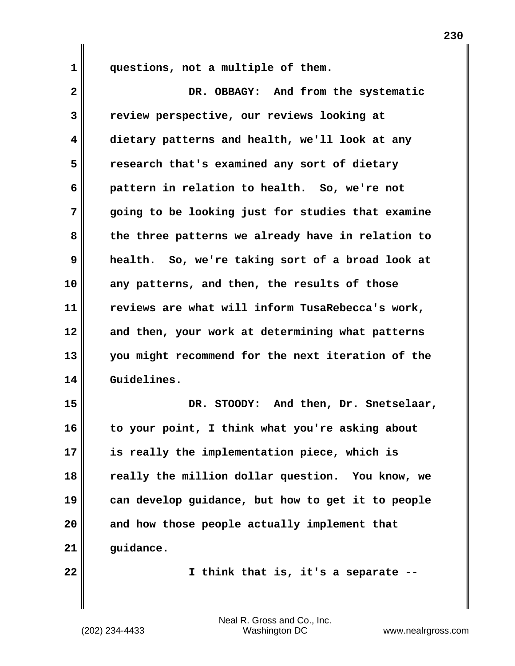**1 questions, not a multiple of them.**

| $\overline{2}$ | DR. OBBAGY: And from the systematic               |
|----------------|---------------------------------------------------|
| 3              | review perspective, our reviews looking at        |
| 4              | dietary patterns and health, we'll look at any    |
| 5              | research that's examined any sort of dietary      |
| 6              | pattern in relation to health. So, we're not      |
| 7              | going to be looking just for studies that examine |
| 8              | the three patterns we already have in relation to |
| 9              | health. So, we're taking sort of a broad look at  |
| 10             | any patterns, and then, the results of those      |
| 11             | reviews are what will inform TusaRebecca's work,  |
| 12             | and then, your work at determining what patterns  |
| 13             | you might recommend for the next iteration of the |
| 14             | Guidelines.                                       |
| 15             | DR. STOODY: And then, Dr. Snetselaar,             |
| 16             | to your point, I think what you're asking about   |
| 17             | is really the implementation piece, which is      |
| 18             | really the million dollar question. You know, we  |
| 19             | can develop guidance, but how to get it to people |
| 20             | and how those people actually implement that      |
| 21             | guidance.                                         |
| 22             | I think that is, it's a separate --               |
|                |                                                   |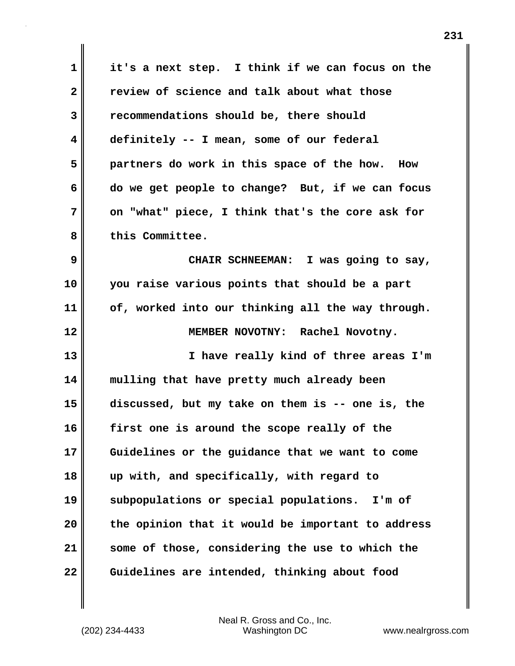**1 it's a next step. I think if we can focus on the 2 review of science and talk about what those 3 recommendations should be, there should 4 definitely -- I mean, some of our federal 5 partners do work in this space of the how. How 6 do we get people to change? But, if we can focus 7 on "what" piece, I think that's the core ask for 8 this Committee. 9 CHAIR SCHNEEMAN: I was going to say, 10 you raise various points that should be a part 11 of, worked into our thinking all the way through. 12 MEMBER NOVOTNY: Rachel Novotny. 13 I have really kind of three areas I'm 14 mulling that have pretty much already been 15 discussed, but my take on them is -- one is, the 16 first one is around the scope really of the 17 Guidelines or the guidance that we want to come 18 up with, and specifically, with regard to 19 subpopulations or special populations. I'm of 20 the opinion that it would be important to address 21 some of those, considering the use to which the 22 Guidelines are intended, thinking about food**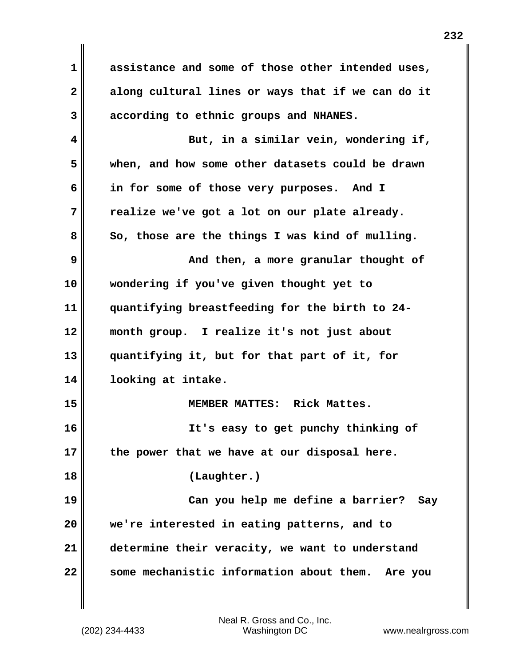**1 assistance and some of those other intended uses, 2 along cultural lines or ways that if we can do it 3 according to ethnic groups and NHANES. 4 But, in a similar vein, wondering if, 5 when, and how some other datasets could be drawn 6 in for some of those very purposes. And I 7 realize we've got a lot on our plate already.**  8 So, those are the things I was kind of mulling. **9 And then, a more granular thought of 10 wondering if you've given thought yet to 11 quantifying breastfeeding for the birth to 24- 12 month group. I realize it's not just about 13 quantifying it, but for that part of it, for 14 looking at intake. 15 MEMBER MATTES: Rick Mattes. 16 It's easy to get punchy thinking of 17 the power that we have at our disposal here. 18 (Laughter.) 19 Can you help me define a barrier? Say 20 we're interested in eating patterns, and to 21 determine their veracity, we want to understand 22 some mechanistic information about them. Are you**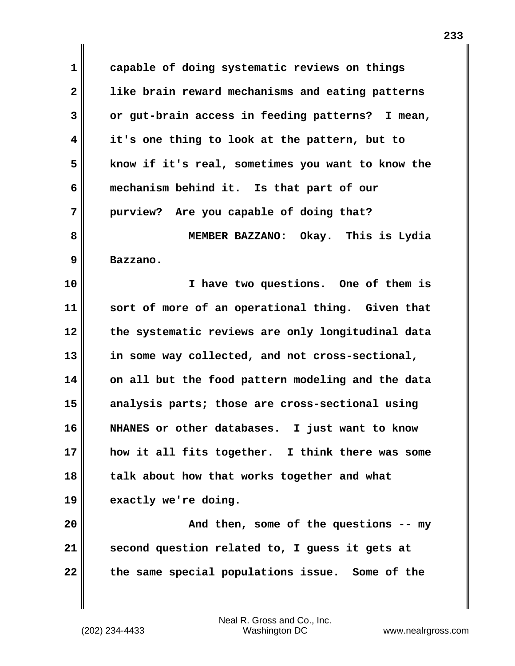**1 capable of doing systematic reviews on things 2 like brain reward mechanisms and eating patterns 3 or gut-brain access in feeding patterns? I mean, 4 it's one thing to look at the pattern, but to 5 know if it's real, sometimes you want to know the 6 mechanism behind it. Is that part of our 7 purview? Are you capable of doing that? 8 MEMBER BAZZANO: Okay. This is Lydia 9 Bazzano.**

**10 I have two questions. One of them is 11 sort of more of an operational thing. Given that 12 the systematic reviews are only longitudinal data 13 in some way collected, and not cross-sectional, 14 on all but the food pattern modeling and the data 15 analysis parts; those are cross-sectional using 16 NHANES or other databases. I just want to know 17 how it all fits together. I think there was some 18 talk about how that works together and what 19 exactly we're doing.**

**20 And then, some of the questions -- my 21 second question related to, I guess it gets at 22 the same special populations issue. Some of the**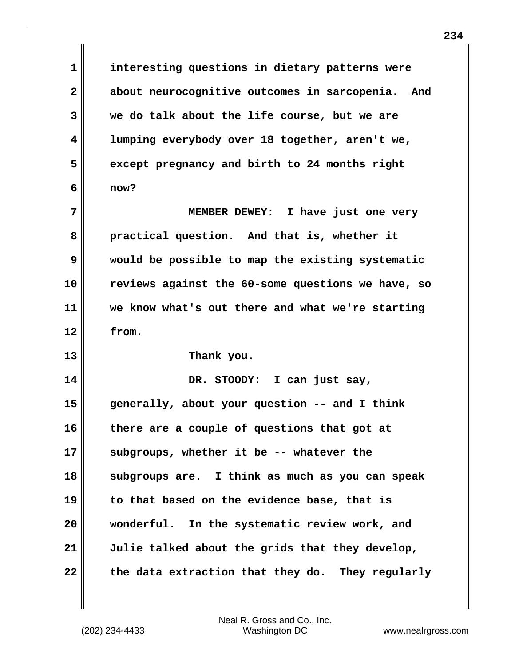**1 interesting questions in dietary patterns were 2 about neurocognitive outcomes in sarcopenia. And 3 we do talk about the life course, but we are 4 lumping everybody over 18 together, aren't we, 5 except pregnancy and birth to 24 months right 6 now?**

**7 MEMBER DEWEY: I have just one very 8 practical question. And that is, whether it 9 would be possible to map the existing systematic 10 reviews against the 60-some questions we have, so 11 we know what's out there and what we're starting 12 from.**

**13 Thank you.**

**14 DR. STOODY: I can just say, 15 generally, about your question -- and I think 16 there are a couple of questions that got at 17 subgroups, whether it be -- whatever the 18 subgroups are. I think as much as you can speak 19 to that based on the evidence base, that is 20 wonderful. In the systematic review work, and 21 Julie talked about the grids that they develop,** 22 the data extraction that they do. They regularly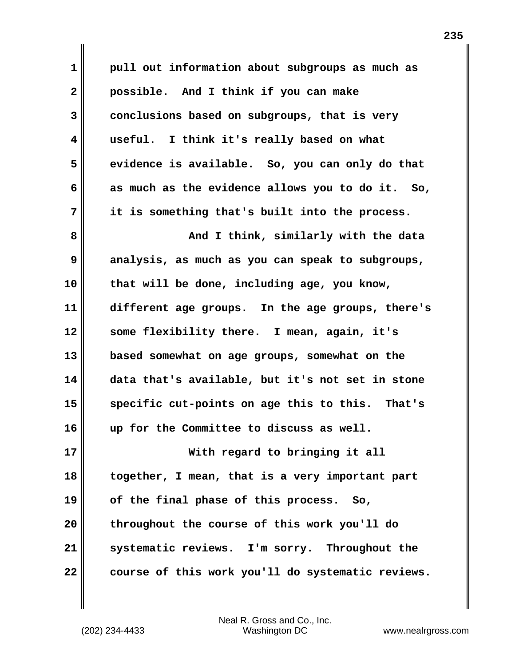**1 pull out information about subgroups as much as 2 possible. And I think if you can make 3 conclusions based on subgroups, that is very 4 useful. I think it's really based on what 5 evidence is available. So, you can only do that 6 as much as the evidence allows you to do it. So, 7 it is something that's built into the process. 8 And I think, similarly with the data 9 analysis, as much as you can speak to subgroups, 10 that will be done, including age, you know, 11 different age groups. In the age groups, there's 12 some flexibility there. I mean, again, it's 13 based somewhat on age groups, somewhat on the 14 data that's available, but it's not set in stone 15 specific cut-points on age this to this. That's 16 up for the Committee to discuss as well. 17 With regard to bringing it all 18 together, I mean, that is a very important part 19 of the final phase of this process. So, 20 throughout the course of this work you'll do 21 systematic reviews. I'm sorry. Throughout the 22 course of this work you'll do systematic reviews.**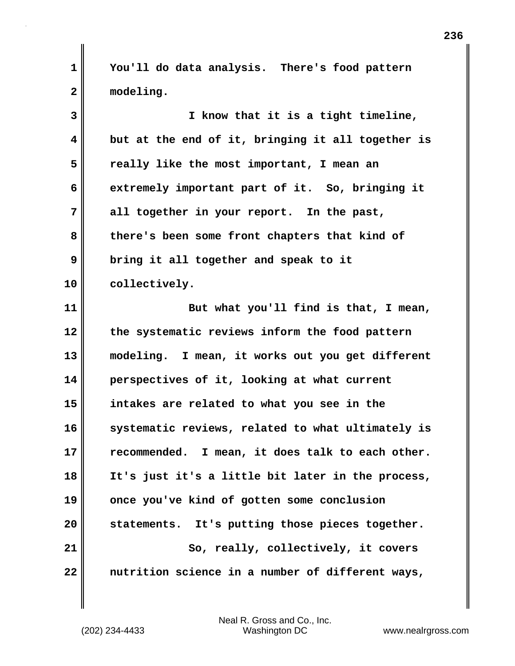**1 You'll do data analysis. There's food pattern 2 modeling.**

**3 I know that it is a tight timeline, 4 but at the end of it, bringing it all together is 5 really like the most important, I mean an 6 extremely important part of it. So, bringing it 7 all together in your report. In the past, 8 there's been some front chapters that kind of 9 bring it all together and speak to it 10 collectively. 11 But what you'll find is that, I mean, 12 the systematic reviews inform the food pattern 13 modeling. I mean, it works out you get different 14 perspectives of it, looking at what current 15 intakes are related to what you see in the 16 systematic reviews, related to what ultimately is 17 recommended. I mean, it does talk to each other. 18 It's just it's a little bit later in the process, 19 once you've kind of gotten some conclusion 20 statements. It's putting those pieces together.** 21 | So, really, collectively, it covers **22 nutrition science in a number of different ways,**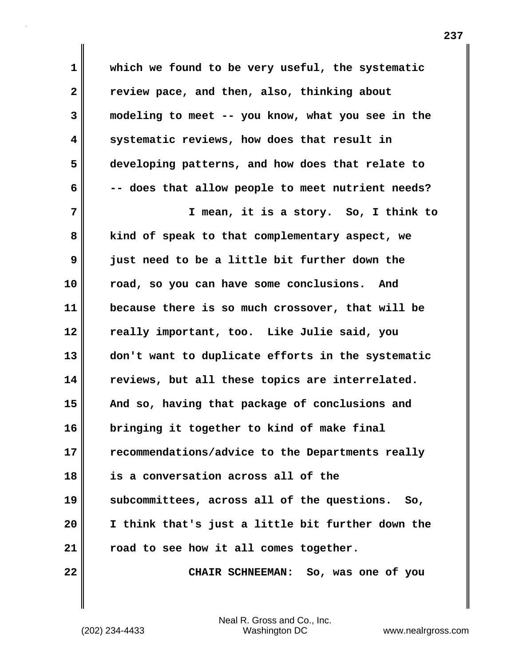**1 which we found to be very useful, the systematic 2 review pace, and then, also, thinking about 3 modeling to meet -- you know, what you see in the 4 systematic reviews, how does that result in 5 developing patterns, and how does that relate to 6 -- does that allow people to meet nutrient needs? 7 I mean, it is a story. So, I think to 8 kind of speak to that complementary aspect, we 9 just need to be a little bit further down the 10 road, so you can have some conclusions. And 11 because there is so much crossover, that will be 12 really important, too. Like Julie said, you 13 don't want to duplicate efforts in the systematic 14 reviews, but all these topics are interrelated. 15 And so, having that package of conclusions and 16 bringing it together to kind of make final 17 recommendations/advice to the Departments really 18 is a conversation across all of the 19 subcommittees, across all of the questions. So, 20 I think that's just a little bit further down the 21 road to see how it all comes together.**

**22 CHAIR SCHNEEMAN: So, was one of you**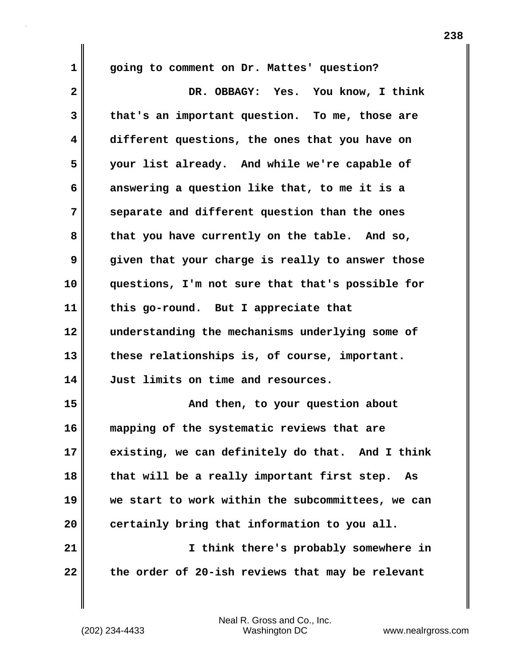**1 going to comment on Dr. Mattes' question? 2 DR. OBBAGY: Yes. You know, I think 3 that's an important question. To me, those are 4 different questions, the ones that you have on 5 your list already. And while we're capable of 6 answering a question like that, to me it is a 7 separate and different question than the ones 8 that you have currently on the table. And so, 9 given that your charge is really to answer those 10 questions, I'm not sure that that's possible for 11 this go-round. But I appreciate that 12 understanding the mechanisms underlying some of 13 these relationships is, of course, important. 14 Just limits on time and resources. 15 And then, to your question about 16 mapping of the systematic reviews that are 17 existing, we can definitely do that. And I think 18 that will be a really important first step. As 19 we start to work within the subcommittees, we can 20 certainly bring that information to you all. 21 I think there's probably somewhere in 22 the order of 20-ish reviews that may be relevant**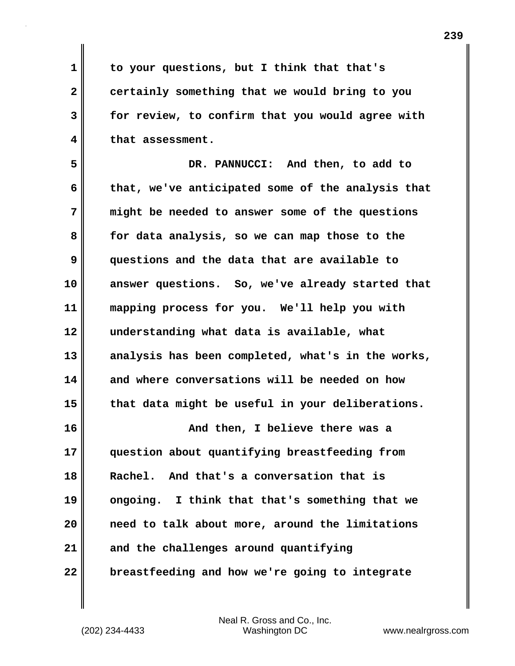**1 to your questions, but I think that that's 2 certainly something that we would bring to you 3 for review, to confirm that you would agree with 4 that assessment.**

**5 DR. PANNUCCI: And then, to add to 6 that, we've anticipated some of the analysis that 7 might be needed to answer some of the questions 8 for data analysis, so we can map those to the 9 questions and the data that are available to 10 answer questions. So, we've already started that 11 mapping process for you. We'll help you with 12 understanding what data is available, what 13 analysis has been completed, what's in the works, 14 and where conversations will be needed on how 15 that data might be useful in your deliberations. 16 And then, I believe there was a**

**17 question about quantifying breastfeeding from 18 Rachel. And that's a conversation that is 19 ongoing. I think that that's something that we 20 need to talk about more, around the limitations 21 and the challenges around quantifying 22 breastfeeding and how we're going to integrate**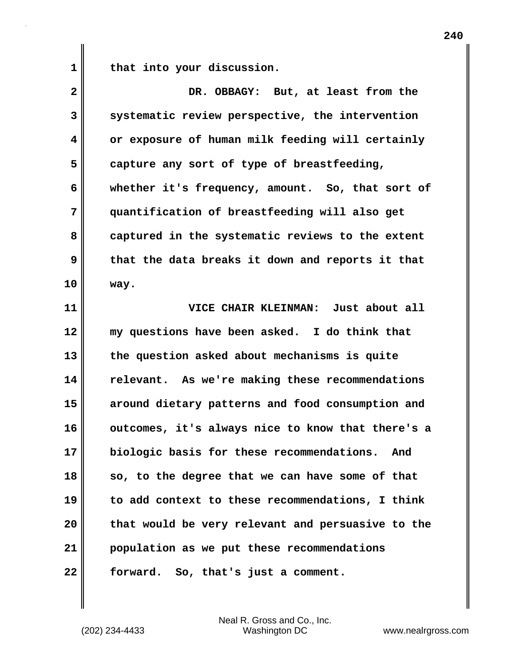1 **that into your discussion.** 

| $\overline{\mathbf{2}}$ | DR. OBBAGY: But, at least from the                |
|-------------------------|---------------------------------------------------|
| 3                       | systematic review perspective, the intervention   |
| 4                       | or exposure of human milk feeding will certainly  |
| 5                       | capture any sort of type of breastfeeding,        |
| 6                       | whether it's frequency, amount. So, that sort of  |
| 7                       | quantification of breastfeeding will also get     |
| 8                       | captured in the systematic reviews to the extent  |
| 9                       | that the data breaks it down and reports it that  |
| 10                      | way.                                              |
| 11                      | VICE CHAIR KLEINMAN: Just about all               |
| 12                      | my questions have been asked. I do think that     |
| 13                      | the question asked about mechanisms is quite      |
| 14                      | relevant. As we're making these recommendations   |
| 15                      | around dietary patterns and food consumption and  |
| 16                      | outcomes, it's always nice to know that there's a |
| 17                      | biologic basis for these recommendations.<br>And  |
| 18                      | so, to the degree that we can have some of that   |
| 19                      | to add context to these recommendations, I think  |
| 20                      | that would be very relevant and persuasive to the |
| 21                      | population as we put these recommendations        |
| 22                      | forward. So, that's just a comment.               |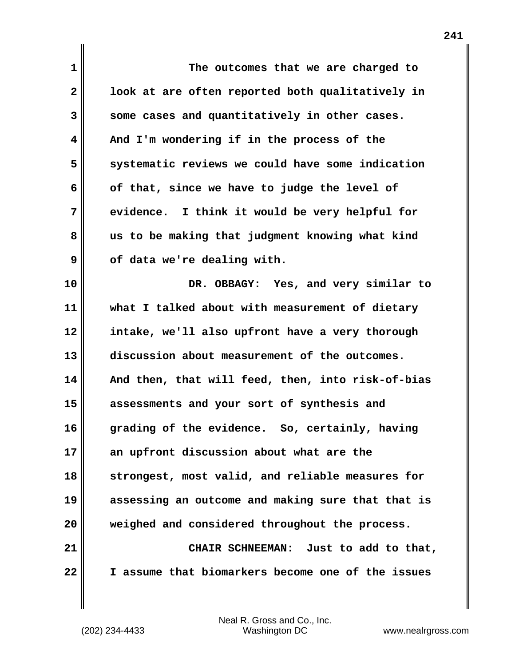| 1            | The outcomes that we are charged to               |
|--------------|---------------------------------------------------|
| $\mathbf{2}$ | look at are often reported both qualitatively in  |
| 3            | some cases and quantitatively in other cases.     |
| 4            | And I'm wondering if in the process of the        |
| 5            | systematic reviews we could have some indication  |
| 6            | of that, since we have to judge the level of      |
| 7            | evidence. I think it would be very helpful for    |
| 8            | us to be making that judgment knowing what kind   |
| 9            | of data we're dealing with.                       |
| 10           | DR. OBBAGY: Yes, and very similar to              |
| 11           | what I talked about with measurement of dietary   |
| 12           | intake, we'll also upfront have a very thorough   |
| 13           | discussion about measurement of the outcomes.     |
| 14           | And then, that will feed, then, into risk-of-bias |
| 15           | assessments and your sort of synthesis and        |
| 16           | grading of the evidence. So, certainly, having    |
| 17           | an upfront discussion about what are the          |
| 18           | strongest, most valid, and reliable measures for  |
| 19           | assessing an outcome and making sure that that is |
| 20           | weighed and considered throughout the process.    |
| 21           | CHAIR SCHNEEMAN: Just to add to that,             |
| 22           | I assume that biomarkers become one of the issues |

(202) 234-4433 Washington DC www.nealrgross.com Neal R. Gross and Co., Inc.

 $\mathbf{I}$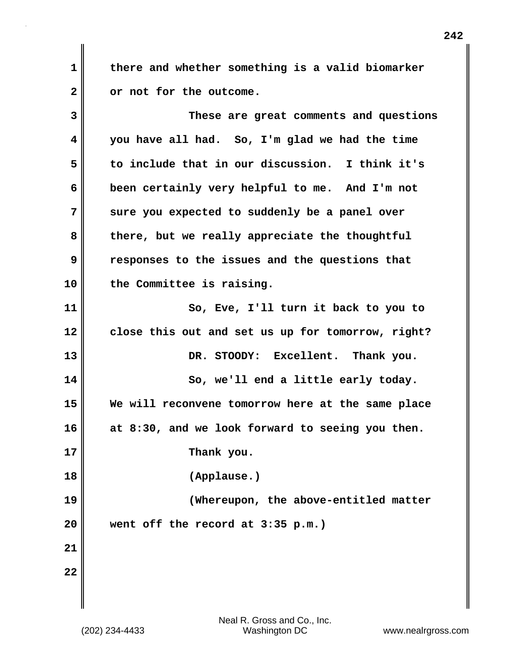**1 there and whether something is a valid biomarker 2 or not for the outcome.**

**3 These are great comments and questions 4 you have all had. So, I'm glad we had the time 5 to include that in our discussion. I think it's 6 been certainly very helpful to me. And I'm not 7 sure you expected to suddenly be a panel over 8 there, but we really appreciate the thoughtful 9 responses to the issues and the questions that 10 the Committee is raising. 11 So, Eve, I'll turn it back to you to 12 close this out and set us up for tomorrow, right?** 13 DR. STOODY: Excellent. Thank you. **14** So, we'll end a little early today. **15 We will reconvene tomorrow here at the same place 16 at 8:30, and we look forward to seeing you then. 17 Thank you. 18 (Applause.) 19 (Whereupon, the above-entitled matter 20 went off the record at 3:35 p.m.) 21 22**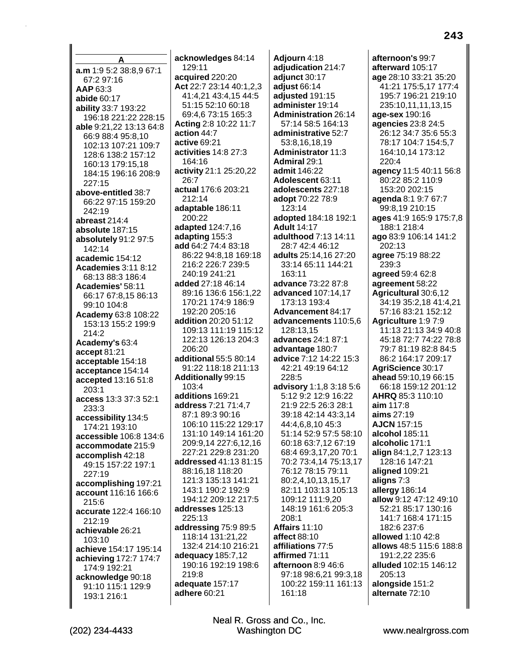A a.m 1:9 5:2 38:8.9 67:1 67:2 97:16 AAP 63:3 abide 60:17 **ability 33:7 193:22** 196:18 221:22 228:15 able 9:21,22 13:13 64:8 66:9 88:4 95:8,10 102:13 107:21 109:7 128:6 138:2 157:12 160:13 179:15.18 184:15 196:16 208:9 227:15 above-entitled 38:7 66:22 97:15 159:20 242:19 abreast 214:4 absolute 187:15 absolutely 91:2 97:5 142:14 academic 154:12 **Academies 3:11 8:12** 68:13 88:3 186:4 Academies' 58:11 66:17 67:8,15 86:13 99:10 104:8 Academy 63:8 108:22 153:13 155:2 199:9 214:2 Academy's 63:4 accept 81:21 acceptable 154:18 acceptance 154:14 accepted 13:16 51:8  $203.1$ access 13:3 37:3 52:1 233:3 accessibility 134:5 174:21 193:10 accessible 106:8 134:6 accommodate 215:9 accomplish 42:18 49:15 157:22 197:1 227:19 accomplishing 197:21 account 116:16 166:6  $215:6$ accurate 122:4 166:10 212:19 achievable 26:21 103:10 achieve 154:17 195:14 achieving 172:7 174:7 174:9 192:21 acknowledge 90:18 91:10 115:1 129:9 193:1 216:1

acknowledges 84:14 129:11 acquired 220:20 Act 22:7 23:14 40:1,2,3 41:4,21 43:4,15 44:5 51:15 52:10 60:18 69:4.6 73:15 165:3 Acting 2:8 10:22 11:7 action 44:7 active 69:21 activities 14:8 27:3 164:16 activity 21:1 25:20,22  $26:7$ actual 176:6 203:21 212:14 adaptable 186:11 200:22 adapted 124:7,16 adapting 155:3 add 64:2 74:4 83:18 86:22 94:8.18 169:18 216:2 226:7 239:5 240:19 241:21 added 27:18 46:14 89:16 136:6 156:1.22 170:21 174:9 186:9 192:20 205:16 **addition** 20:20 51:12 109:13 111:19 115:12 122:13 126:13 204:3 206:20 additional 55:5 80:14 91:22 118:18 211:13 **Additionally 99:15**  $103:4$ additions 169:21 address 7:21 71:4,7 87:1 89:3 90:16 106:10 115:22 129:17 131:10 149:14 161:20 209:9,14 227:6,12,16 227:21 229:8 231:20 addressed 41:13 81:15 88:16,18 118:20 121:3 135:13 141:21 143:1 190:2 192:9 194:12 209:12 217:5 addresses 125:13 225:13 addressing 75:9 89:5 118:14 131:21,22 132:4 214:10 216:21 adequacy 185:7,12 190:16 192:19 198:6 219:8 adequate 157:17 adhere 60:21

Adjourn 4:18 adjudication 214:7 adjunct 30:17 adjust 66:14 adjusted 191:15 administer 19:14 **Administration 26:14** 57:14 58:5 164:13 administrative 52:7 53:8,16,18,19 **Administrator 11:3 Admiral 29:1** admit 146:22 Adolescent 63:11 adolescents 227:18 adopt 70:22 78:9 123:14 adopted 184:18 192:1 **Adult 14:17** adulthood 7:13 14:11 28:7 42:4 46:12 adults 25:14,16 27:20 33:14 65:11 144:21  $163:11$ advance 73:22 87:8 advanced 107:14.17 173:13 193:4 **Advancement 84:17** advancements 110:5,6 128:13.15 advances 24:1 87:1 advantage 180:7 advice 7:12 14:22 15:3 42:21 49:19 64:12 228:5 advisory 1:1,8 3:18 5:6 5:12 9:2 12:9 16:22 21:9 22:5 26:3 28:1 39:18 42:14 43:3,14 44:4,6,8,10 45:3 51:14 52:9 57:5 58:10 60:18 63:7,12 67:19 68:4 69:3,17,20 70:1 70:2 73:4,14 75:13,17 76:12 78:15 79:11 80:2,4,10,13,15,17 82:11 103:13 105:13 109:12 111:9,20 148:19 161:6 205:3 208:1 Affairs 11:10 affect 88:10 affiliations 77:5 affirmed 71:11 afternoon 8:9 46:6 97:18 98:6,21 99:3,18 100:22 159:11 161:13 161:18

afternoon's 99:7 afterward 105:17 age 28:10 33:21 35:20 41:21 175:5,17 177:4 195:7 196:21 219:10 235:10,11,11,13,15 age-sex 190:16 agencies 23:8 24:5 26:12 34:7 35:6 55:3 78:17 104:7 154:5,7 164:10,14 173:12 220:4 agency 11:5 40:11 56:8 80:22 85:2 110:9 153:20 202:15 agenda 8:1 9:7 67:7 99:8,19 210:15 ages 41:9 165:9 175:7,8 188:1 218:4 ago 83:9 106:14 141:2 202:13 agree 75:19 88:22 239:3 agreed 59:4 62:8 agreement 58:22 Agricultural 30:6.12 34:19 35:2,18 41:4,21 57:16 83:21 152:12 Agriculture 1:9 7:9 11:13 21:13 34:9 40:8 45:18 72:7 74:22 78:8 79 7 81 19 82 8 84 5 86:2 164:17 209:17 AgriScience 30:17 ahead 59:10,19 66:15 66:18 159:12 201:12 AHRQ 85:3 110:10 aim 117:8 aims  $27:19$ **AJCN 157:15** alcohol 185:11 alcoholic 171:1 align 84:1,2,7 123:13 128:16 147:21 aligned 109:21 aligns 7:3 allergy 186:14 allow 9:12 47:12 49:10 52:21 85:17 130:16 141:7 168:4 171:15 182:6 237:6 allowed 1:10 42:8 allows 48:5 115:6 188:8 191:2,22 235:6 alluded 102:15 146:12 205:13 alongside 151:2 alternate 72:10

Neal R. Gross and Co., Inc.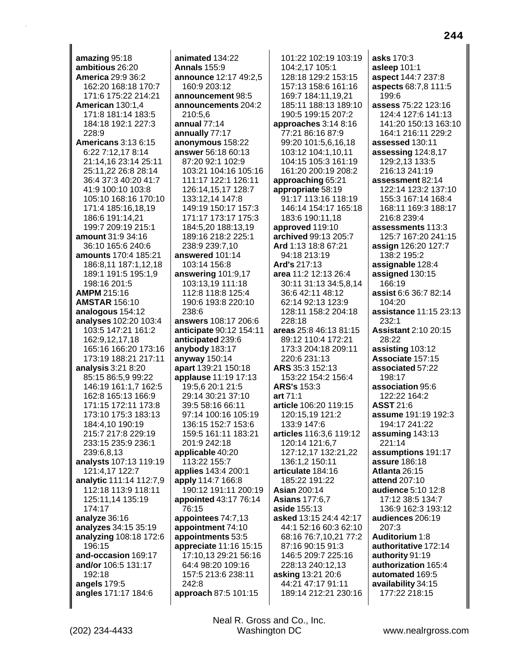amazing 95:18 ambitious 26:20 **America 29:9 36:2** 162:20 168:18 170:7 171:6 175:22 214:21 American 130:1.4 171:8 181:14 183:5 184:18 192:1 227:3 228:9 **Americans 3:13 6:15** 6:22 7:12,17 8:14 21:14,16 23:14 25:11 25:11,22 26:8 28:14 36:4 37:3 40:20 41:7 41:9 100:10 103:8 105:10 168:16 170:10 171:4 185:16,18,19 186:6 191:14,21 199:7 209:19 215:1 amount 31:9 34:16 36:10 165:6 240:6 amounts 170:4 185:21 186:8,11 187:1,12,18 189:1 191:5 195:1,9 198:16 201:5 **AMPM 215:16 AMSTAR 156:10** analogous 154:12 **analyses** 102:20 103:4 103:5 147:21 161:2 162:9.12.17.18 165:16 166:20 173:16 173:19 188:21 217:11 analysis  $3:21$   $8:20$ 85:15 86:5,9 99:22 146:19 161:1,7 162:5 162:8 165:13 166:9 171:15 172:11 173:8 173:10 175:3 183:13 184:4,10 190:19 215:7 217:8 229:19 233:15 235:9 236:1 239:6,8,13 analysts 107:13 119:19 121:4,17 122:7 analytic 111:14 112:7,9 112:18 113:9 118:11 125:11.14 135:19 174:17 analyze 36:16 analyzes 34:15 35:19 analyzing 108:18 172:6 196:15 and-occasion 169:17 and/or 106:5 131:17 192:18 angels 179:5 angles 171:17 184:6

animated 134:22 **Annals 155:9** announce 12:17 49:2,5 160:9 203:12 announcement 98:5 announcements 204:2 210:5.6 annual 77:14 annually 77:17 anonymous 158:22 answer 56:18 60:13 87:20 92:1 102:9 103:21 104:16 105:16 111:17 122:1 126:11 126:14,15,17 128:7 133:12,14 147:8 149:19 150:17 157:3 171:17 173:17 175:3 184:5,20 188:13,19 189:16 218:2 225:1 238:9 239:7,10 answered 101:14 103:14 156:8 answering 101:9,17 103:13,19 111:18 112:8 118:8 125:4 190:6 193:8 220:10 238:6 **answers** 108:17 206:6 anticipate 90:12 154:11 anticipated 239:6 anybody 183:17 anyway 150:14 apart 139:21 150:18 applause 11:19 17:13 19:5,6 20:1 21:5 29:14 30:21 37:10 39:5 58:16 66:11 97:14 100:16 105:19 136:15 152:7 153:6 159:5 161:11 183:21 201:9 242:18 applicable 40:20 113:22 155:7 applies 143:4 200:1 apply 114:7 166:8 190:12 191:11 200:19 appointed 43:17 76:14 76:15 appointees 74:7,13 appointment 74:10 appointments 53:5 appreciate 11:16 15:15 17:10,13 29:21 56:16 64:4 98:20 109:16 157:5 213:6 238:11 242:8 approach 87:5 101:15

101:22 102:19 103:19 104:2,17 105:1 128:18 129:2 153:15 157:13 158:6 161:16 169:7 184:11.19.21 185:11 188:13 189:10 190:5 199:15 207:2 approaches 3:14 8:16 77:21 86:16 87:9 99:20 101:5,6,16,18 103:12 104:1,10,11 104:15 105:3 161:19 161:20 200:19 208:2 approaching 65:21 appropriate 58:19 91:17 113:16 118:19 146:14 154:17 165:18 183:6 190:11.18 approved 119:10 archived 99:13 205:7 Ard 1:13 18:8 67:21 94:18 213:19 Ard's 217:13 area 11:2 12:13 26:4 30:11 31:13 34:5,8,14 36:6 42:11 48:12 62:14 92:13 123:9 128:11 158:2 204:18 228:18 areas 25:8 46:13 81:15 89:12 110:4 172:21 173:3 204:18 209:11 220:6 231:13 **ARS** 35:3 152:13 153:22 154:2 156:4 **ARS's 153:3** art 71:1 article 106:20 119:15 120:15,19 121:2 133:9 147:6 articles 116:3,6 119:12 120:14 121:6,7 127:12,17 132:21,22 136:1,2 150:11 articulate 184:16 185:22 191:22 **Asian 200:14 Asians 177:6.7** aside 155:13 asked 13:15 24:4 42:17 44:1 52:16 60:3 62:10 68:16 76:7,10,21 77:2 87:16 90:15 91:3 146:5 209:7 225:16 228:13 240:12,13 asking 13:21 20:6 44:21 47:17 91:11 189:14 212:21 230:16

asks 170:3 asleep 101:1 aspect 144:7 237:8 aspects 68:7,8 111:5 199:6 assess 75:22 123:16 124:4 127:6 141:13 141:20 150:13 163:10 164:1 216:11 229:2 assessed 130:11 assessing 124:8,17 129:2,13 133:5 216:13 241:19 assessment 82:14 122:14 123:2 137:10 155:3 167:14 168:4 168:11 169:3 188:17 216:8 239:4 assessments 113:3 125:7 167:20 241:15 assign 126:20 127:7 138:2 195:2 assignable 128:4 assigned  $130:15$ 166:19 assist 6:6 36:7 82:14  $104:20$ assistance 11:15 23:13 232:1 **Assistant 2:10 20:15** 28:22 assisting 103:12 Associate 157:15 associated 57:22 198:17 association 95:6 122:22 164:2 **ASST 21:6** assume 191:19 192:3 194:17 241:22 assuming 143:13 221:14 assumptions 191:17 **assure 186:18** Atlanta 26:15 attend 207:10 audience 5:10 12:8 17:12 38:5 134:7 136:9 162:3 193:12 audiences 206:19  $207:3$ Auditorium 1:8 authoritative 172:14 authority 91:19 authorization 165:4 automated 169:5 availability 34:15 177:22 218:15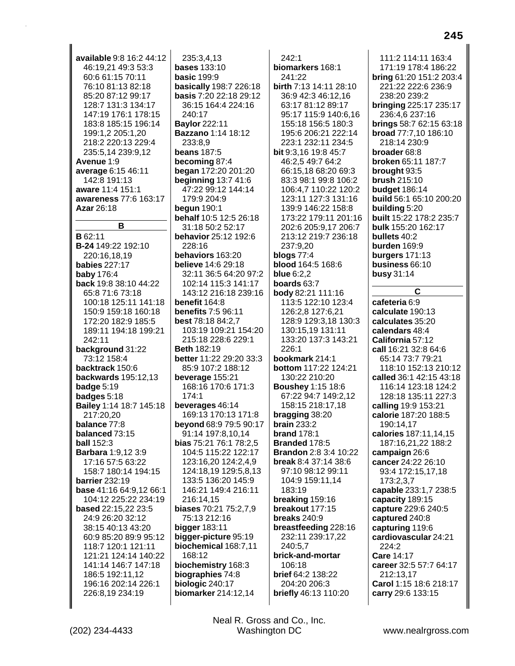available 9:8 16:2 44:12 46:19,21 49:3 53:3 60:6 61:15 70:11 76:10 81:13 82:18 85:20 87:12 99:17 128:7 131:3 134:17 147:19 176:1 178:15 183:8 185:15 196:14 199:1,2 205:1,20 218:2 220:13 229:4 235:5,14 239:9,12 Avenue 1:9 average 6:15 46:11 142:8 191:13 aware 11:4 151:1 awareness 77:6 163:17 Azar 26:18 B **B** 62:11 B-24 149:22 192:10 220:16.18.19 **babies 227:17 baby 176:4** back 19:8 38:10 44:22 65:8 71:6 73:18 100:18 125:11 141:18 150:9 159:18 160:18 172:20 182:9 185:5 189:11 194:18 199:21 242:11 background 31:22 73:12 158:4 backtrack 150:6 **backwards** 195:12.13 badge 5:19 badges 5:18 Bailey 1:14 18:7 145:18 217:20,20 balance 77:8 balanced 73:15 **ball 152:3** Barbara 1:9,12 3:9 17:16 57:5 63:22 158:7 180:14 194:15 **barrier** 232:19 base 41:16 64:9,12 66:1 104:12 225:22 234:19 based 22:15,22 23:5 24:9 26:20 32:12 38:15 40:13 43:20 60:9 85:20 89:9 95:12 118:7 120:1 121:11 121:21 124:14 140:22 141:14 146:7 147:18 186:5 192:11,12 196:16 202:14 226:1 226:8,19 234:19

235:3.4.13 **bases** 133:10 **basic 199:9** basically 198:7 226:18 basis 7:20 22:18 29:12 36:15 164:4 224:16  $240.17$ **Baylor 222:11 Bazzano 1:14 18:12** 233:8.9 **beans 187:5** becoming 87:4 began 172:20 201:20 **beginning 13:7 41:6** 47:22 99:12 144:14 179:9 204:9 begun  $190:1$ behalf 10:5 12:5 26:18 31:18 50:2 52:17 behavior 25:12 192:6 228:16 behaviors 163:20 **believe** 14:6 29:18 32:11 36:5 64:20 97:2 102:14 115:3 141:17 143:12 216:18 239:16 benefit 164:8 **benefits 7:5 96:11 best** 78:18 84:2,7 103:19 109:21 154:20 215:18 228:6 229:1 Beth 182:19 better 11:22 29:20 33:3 85:9 107:2 188:12 beverage 155:21 168:16 170:6 171:3  $174:1$ beverages 46:14 169:13 170:13 171:8 beyond 68:9 79:5 90:17 91:14 197:8,10,14 bias 75:21 76:1 78:2,5 104:5 115:22 122:17 123:16,20 124:2,4,9 124:18,19 129:5,8,13 133:5 136:20 145:9 146:21 149:4 216:11 216:14.15 biases 70:21 75:2,7,9 75:13 212:16 **bigger** 183:11 bigger-picture 95:19 biochemical 168:7,11 168:12 biochemistry 168:3 biographies 74:8 biologic 240:17 biomarker 214:12,14

 $242:1$ biomarkers 168:1 241:22 birth 7:13 14:11 28:10 36:9 42:3 46:12.16 63:17 81:12 89:17 95:17 115:9 140:6,16 155:18 156:5 180:3 195:6 206:21 222:14 223:1 232:11 234:5 bit 9:3,16 19:8 45:7 46:2,5 49:7 64:2 66:15,18 68:20 69:3 83:3 98:1 99:8 106:2 106:4,7 110:22 120:2 123:11 127:3 131:16 139:9 146:22 158:8 173:22 179:11 201:16 202:6 205:9,17 206:7 213:12 219:7 236:18 237:9,20 blogs 77:4 blood 164:5 168:6 **blue 6:2.2 boards** 63:7 body 82:21 111:16 113:5 122:10 123:4 126:2,8 127:6,21 128:9 129:3,18 130:3 130:15,19 131:11 133:20 137:3 143:21  $226.1$ bookmark 214:1 bottom 117:22 124:21 130:22 210:20 **Boushey 1:15 18:6** 67:22 94:7 149:2,12 158:15 218:17,18 bragging 38:20 brain  $233:2$ **brand 178:1** Branded 178:5 **Brandon** 2:8 3:4 10:22 **break 8:4 37:14 38:6** 97:10 98:12 99:11 104:9 159:11,14 183:19 breaking 159:16 breakout 177:15 breaks 240:9 breastfeeding 228:16 232:11 239:17,22 240:5,7 brick-and-mortar 106:18 brief 64:2 138:22 204:20 206:3 briefly 46:13 110:20

111:2 114:11 163:4 171:19 178:4 186:22 **bring 61:20 151:2 203:4** 221:22 222:6 236:9 238:20 239:2 bringing 225:17 235:17 236:4,6 237:16 **brings** 58:7 62:15 63:18 broad 77:7,10 186:10 218:14 230:9 broader 68:8 broken 65:11 187:7 brought 93:5 brush 215:10 **budget 186:14** build 56:1 65:10 200:20 building 5:20 built 15:22 178:2 235:7 bulk 155:20 162:17 bullets 40:2 burden 169:9 burgers 171:13 business 66:10 busy 31:14  $\mathbf C$ 

cafeteria 6:9 calculate 190:13 calculates 35:20 calendars 48:4 California 57:12 call 16:21 32:8 64:6 65:14 73:7 79:21 118:10 152:13 210:12 called 36:1 42:15 43:18 116:14 123:18 124:2 128:18 135:11 227:3 calling 19:9 153:21 calorie 187:20 188:5 190:14,17 calories 187:11,14,15 187:16,21,22 188:2 campaign 26:6 cancer 24:22 26:10 93:4 172:15,17,18 173:2,3,7 capable 233:1,7 238:5 capacity 189:15 capture 229:6 240:5 captured 240:8 capturing 119:6 cardiovascular 24:21 224:2 Care 14:17 career 32:5 57:7 64:17 212:13,17 Carol 1:15 18:6 218:17 carry 29:6 133:15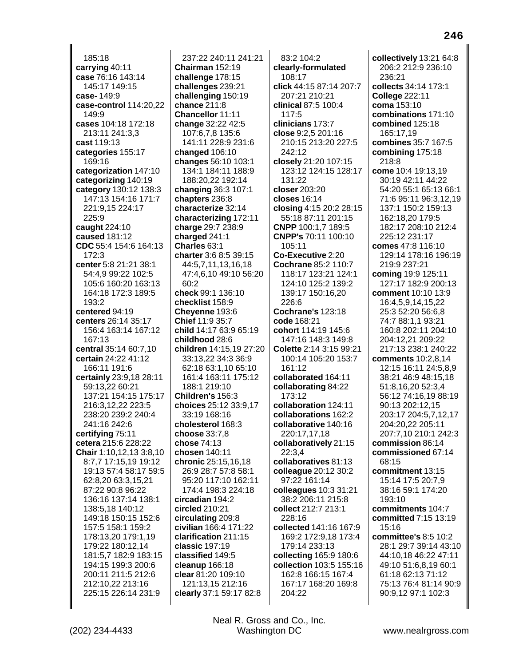$185:18$ carrying 40:11 case 76:16 143:14 145:17 149:15 case-149:9 case-control 114:20,22 149:9 cases 104:18 172:18 213:11 241:3.3 cast 119:13 categories 155:17 169:16 categorization 147:10 categorizing 140:19 category 130:12 138:3 147:13 154:16 171:7 221:9,15 224:17 225:9 caught 224:10 caused 181:12 CDC 55:4 154:6 164:13  $172:3$ center 5:8 21:21 38:1 54:4,9 99:22 102:5 105:6 160:20 163:13 164:18 172:3 189:5 193:2 centered 94:19 centers 26:14 35:17 156:4 163:14 167:12  $167.13$ central 35:14 60:7.10 certain 24:22 41:12 166:11 191:6 certainly 23:9,18 28:11 59:13,22 60:21 137:21 154:15 175:17 216:3,12,22 223:5 238:20 239:2 240:4 241:16 242:6 certifying 75:11 cetera 215:6 228:22 Chair 1:10,12,13 3:8,10 8:7,7 17:15,19 19:12 19:13 57:4 58:17 59:5 62:8,20 63:3,15,21 87:22 90:8 96:22 136:16 137:14 138:1 138:5.18 140:12 149:18 150:15 152:6 157:5 158:1 159:2 178:13,20 179:1,19 179:22 180:12,14 181:5,7 182:9 183:15 194:15 199:3 200:6 200:11 211:5 212:6 212:10,22 213:16 225:15 226:14 231:9

237:22 240:11 241:21 Chairman 152:19 challenge 178:15 challenges 239:21 challenging 150:19 chance  $211:8$ Chancellor 11:11 change 32:22 42:5 107:6,7,8 135:6 141:11 228:9 231:6 changed 106:10 changes 56:10 103:1 134:1 184:11 188:9 188:20,22 192:14 changing 36:3 107:1 chapters 236:8 characterize 32:14 characterizing 172:11 charge 29:7 238:9 charged 241:1 Charles 63:1 charter 3:6 8:5 39:15 44:5.7.11.13.16.18 47:4,6,10 49:10 56:20 60:2 check 99:1 136:10 checklist 158:9 Cheyenne 193:6 Chief 11:9 35:7 child 14:17 63:9 65:19 childhood 28:6 children 14:15.19 27:20 33:13,22 34:3 36:9 62:18 63:1,10 65:10 161:4 163:11 175:12 188:1 219:10 Children's 156:3 choices 25:12 33:9,17 33:19 168:16 cholesterol 168:3 choose 33:7.8 chose 74:13 chosen 140:11 chronic 25:15,16,18 26:9 28:7 57:8 58:1 95:20 117:10 162:11 174:4 198:3 224:18 circadian 194:2 circled 210:21 circulating 209:8 civilian 166:4 171:22 clarification 211:15 classic 197:19 classified 149:5 cleanup 166:18 clear 81:20 109:10 121:13,15 212:16 clearly 37:1 59:17 82:8

83:2 104:2 clearly-formulated 108:17 click 44:15 87:14 207:7 207:21 210:21 clinical 87:5 100:4  $117:5$ clinicians 173:7 close 9:2.5 201:16 210:15 213:20 227:5 242:12 closely 21:20 107:15 123:12 124:15 128:17 131:22 closer 203:20 closes 16:14 closing 4:15 20:2 28:15 55:18 87:11 201:15 CNPP 100:1,7 189:5 CNPP's 70:11 100:10 105:11 Co-Executive 2:20 Cochrane 85:2 110:7 118:17 123:21 124:1 124:10 125:2 139:2 139:17 150:16.20 226:6 **Cochrane's 123:18** code 168:21 cohort 114:19 145:6 147:16 148:3 149:8 Colette 2:14 3:15 99:21 100:14 105:20 153:7 161:12 collaborated 164:11 collaborating 84:22 173:12 collaboration 124:11 collaborations 162:2 collaborative 140:16 220:17,17,18 collaboratively 21:15  $22:3.4$ collaboratives 81:13 colleague 20:12 30:2 97:22 161:14 colleagues 10:3 31:21 38:2 206:11 215:8 collect 212:7 213:1 228:16 collected 141:16 167:9 169:2 172:9,18 173:4 179:14 233:13 collecting 165:9 180:6 collection 103:5 155:16 162:8 166:15 167:4 167:17 168:20 169:8 204:22

collectively 13:21 64:8 206:2 212:9 236:10 236:21 collects 34:14 173:1 **College 222:11** coma 153:10 combinations 171:10 combined 125:18 165:17.19 combines 35:7 167:5 combining 175:18 218:8 come 10:4 19:13,19 30:19 42:11 44:22 54:20 55:1 65:13 66:1 71:6 95:11 96:3,12,19 137:1 150:2 159:13 162:18,20 179:5 182:17 208:10 212:4 225:12 231:17 comes 47:8 116:10 129:14 178:16 196:19 219:9 237:21 coming 19:9 125:11 127:17 182:9 200:13 comment 10:10 13:9 16:4,5,9,14,15,22 25:3 52:20 56:6,8 74:7 88:1,1 93:21 160:8 202:11 204:10 204:12.21 209:22 217:13 238:1 240:22 **comments** 10:2,8,14 12:15 16:11 24:5,8,9 38:21 46:9 48:15.18 51:8,16,20 52:3,4 56:12 74:16,19 88:19 90:13 202:12,15 203:17 204:5.7.12.17 204:20,22 205:11 207:7,10 210:1 242:3 commission 86:14 commissioned 67:14 68:15 commitment 13:15 15:14 17:5 20:7,9 38:16 59:1 174:20 193:10 commitments 104:7 committed 7:15 13:19 15:16 committee's 8:5 10:2 28:1 29:7 39:14 43:10 44:10,18 46:22 47:11 49:10 51:6,8,19 60:1 61:18 62:13 71:12 75:13 76:4 81:14 90:9 90:9,12 97:1 102:3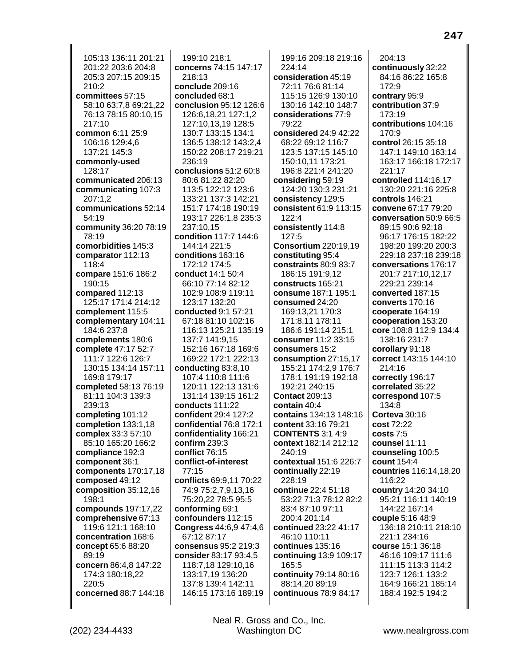105:13 136:11 201:21 201:22 203:6 204:8 205:3 207:15 209:15 210:2 committees 57:15 58:10 63:7,8 69:21,22 76:13 78:15 80:10,15 217:10 common 6:11 25:9 106:16 129:4,6 137:21 145:3 commonly-used 128:17 communicated 206:13 communicating 107:3 207:1,2 communications 52:14 54:19 community 36:20 78:19 78:19 comorbidities 145:3 comparator 112:13 118:4 compare 151:6 186:2 190:15 compared 112:13 125:17 171:4 214:12 complement 115:5 complementary 104:11 184:6 237:8 complements 180:6 complete 47:17 52:7 111:7 122:6 126:7 130:15 134:14 157:11 169:8 179:17 completed 58:13 76:19 81:11 104:3 139:3 239:13 completing 101:12 completion 133:1,18 complex 33:3 57:10 85:10 165:20 166:2 compliance 192:3 component 36:1 components 170:17,18 composed 49:12 composition 35:12,16 198:1 compounds 197:17,22 comprehensive 67:13 119:6 121:1 168:10 concentration 168:6 concept 65:6 88:20 89:19 concern 86:4,8 147:22 174:3 180:18,22 220:5 concerned 88:7 144:18

199:10 218:1 concerns 74:15 147:17 218:13 conclude 209:16 concluded 68:1 conclusion 95:12 126:6 126:6.18.21 127:1.2 127:10,13,19 128:5 130:7 133:15 134:1 136:5 138:12 143:2.4 150:22 208:17 219:21 236:19 conclusions 51:2 60:8 80:6 81:22 82:20 113:5 122:12 123:6 133:21 137:3 142:21 151:7 174:18 190:19 193:17 226:1,8 235:3 237:10,15 condition 117:7 144:6 144:14 221:5 conditions 163:16 172:12 174:5 conduct 14:1 50:4 66:10 77:14 82:12 102:9 108:9 119:11 123:17 132:20 conducted 9:1 57:21 67:18 81:10 102:16 116:13 125:21 135:19 137:7 141:9.15 152:16 167:18 169:6 169:22 172:1 222:13 conducting  $83:8,10$ 107:4 110:8 111:6 120:11 122:13 131:6 131:14 139:15 161:2 conducts 111:22 confident 29:4 127:2 confidential 76:8 172:1 confidentiality 166:21  $\text{confirm } 239:3$ conflict 76:15 conflict-of-interest 77:15 conflicts 69:9,11 70:22 74:9 75:2,7,9,13,16 75:20,22 78:5 95:5 conforming 69:1 confounders 112:15 Congress 44:6,9 47:4,6 67:12 87:17 consensus 95:2 219:3 consider 83:17 93:4,5 118:7,18 129:10,16 133:17,19 136:20 137:8 139:4 142:11 146:15 173:16 189:19

199:16 209:18 219:16 224:14 consideration 45:19 72:11 76:6 81:14 115:15 126:9 130:10 130:16 142:10 148:7 considerations 77:9 79:22 considered 24:9 42:22 68:22 69:12 116:7 123:5 137:15 145:10 150:10,11 173:21 196:8 221:4 241:20 considering 59:19 124:20 130:3 231:21 consistency 129:5 consistent 61:9 113:15 122:4 consistently 114:8 127:5 **Consortium 220:19,19** constituting 95:4 constraints 80:9 83:7 186:15 191:9,12 constructs 165:21 consume 187:1 195:1 consumed 24:20 169:13,21 170:3 171:8,11 178:11 186:6 191:14 215:1 consumer 11:2 33:15 consumers 15:2 consumption 27:15,17 155:21 174:2,9 176:7 178:1 191:19 192:18 192:21 240:15 **Contact 209:13** contain 40:4 contains 134:13 148:16 content 33:16 79:21 **CONTENTS 3:1 4:9** context 182:14 212:12 240:19 contextual 151:6 226:7 continually 22:19 228:19 continue 22:4 51:18 53:22 71:3 78:12 82:2 83:4 87:10 97:11 200:4 201:14 continued 23:22 41:17 46:10 110:11 continues 135:16 continuing 13:9 109:17 165:5 continuity 79:14 80:16 88:14,20 89:19 continuous 78:9 84:17

 $204:13$ continuously 32:22 84:16 86:22 165:8 172:9 contrary 95:9 contribution 37:9 173:19 contributions 104:16  $170.9$ control 26:15 35:18 147:1 149:10 163:14 163:17 166:18 172:17 221:17 controlled 114:16.17 130:20 221:16 225:8 controls 146:21 convene 67:17 79:20 conversation 50:9 66:5 89:15 90:6 92:18 96:17 176:15 182:22 198:20 199:20 200:3 229:18 237:18 239:18 conversations 176:17 201:7 217:10,12,17 229:21 239:14 converted 187:15 converts 170:16 cooperate 164:19 cooperation 153:20 core 108:8 112:9 134:4 138:16 231:7 corollary 91:18 correct 143:15 144:10 214:16 correctly 196:17 correlated 35:22 correspond 107:5 134:8 Corteva 30:16 cost 72:22 costs 7:5 counsel 11:11 counseling 100:5 count 154:4 countries 116:14,18,20 116:22 country 14:20 34:10 95:21 116:11 140:19 144:22 167:14 couple 5:16 48:9 136:18 210:11 218:10 221:1 234:16 course 15:1 36:18 46:16 109:17 111:6 111:15 113:3 114:2 123:7 126:1 133:2 164:9 166:21 185:14 188:4 192:5 194:2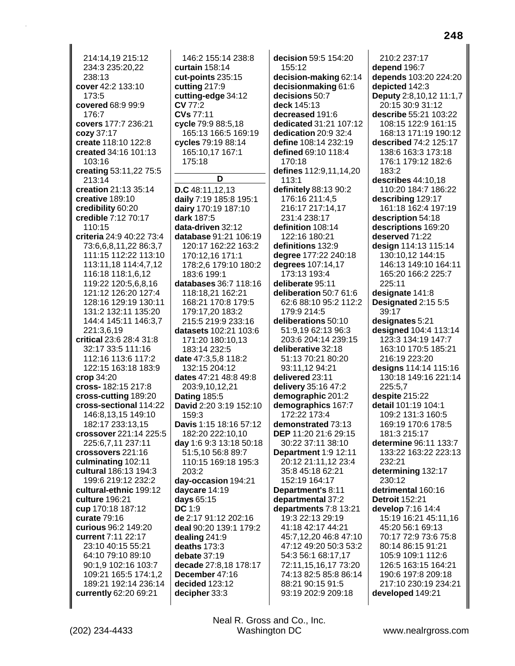214:14.19 215:12 234:3 235:20,22 238:13 cover 42:2 133:10 173:5 covered 68:9 99:9 176:7 covers 177:7 236:21 cozy 37:17 create 118:10 122:8 created 34:16 101:13 103:16 creating 53:11,22 75:5 213:14 creation 21:13 35:14 creative 189:10 credibility 60:20 credible 7:12 70:17 110:15 criteria 24:9 40:22 73:4 73:6,6,8,11,22 86:3,7 111:15 112:22 113:10 113:11.18 114:4.7.12 116:18 118:1,6,12 119:22 120:5,6,8,16 121:12 126:20 127:4 128:16 129:19 130:11 131:2 132:11 135:20 144:4 145:11 146:3,7 221:3.6.19 critical 23:6 28:4 31:8 32:17 33:5 111:16 112:16 113:6 117:2 122:15 163:18 183:9  $\mathbf{crop} 34:20$ cross-182:15 217:8 cross-cutting 189:20 cross-sectional 114:22 146:8,13,15 149:10 182:17 233:13.15 crossover 221:14 225:5 225:6,7,11 237:11 crossovers 221:16 culminating 102:11 cultural 186:13 194:3 199:6 219:12 232:2 cultural-ethnic 199:12 culture 196:21 cup 170:18 187:12 curate 79:16 curious 96:2 149:20 current 7:11 22:17 23:10 40:15 55:21 64:10 79:10 89:10 90:1,9 102:16 103:7 109:21 165:5 174:1,2 189:21 192:14 236:14 currently 62:20 69:21

146:2 155:14 238:8 curtain 158:14 cut-points 235:15 cutting  $217:9$ cutting-edge 34:12 **CV 77:2** CVs 77:11 cycle 79:9 88:5,18 165:13 166:5 169:19 cycles 79:19 88:14 165:10,17 167:1 175:18

D

D.C 48:11,12,13 daily 7:19 185:8 195:1 dairy 170:19 187:10 dark 187:5 data-driven 32:12 database 91:21 106:19 120:17 162:22 163:2 170:12.16 171:1 178:2,6 179:10 180:2 183:6 199:1 databases 36:7 118:16 118:18.21 162:21 168:21 170:8 179:5 179:17,20 183:2 215:5 219:9 233:16 datasets 102:21 103:6 171:20 180:10,13 183:14 232:5 date 47:3,5,8 118:2 132:15 204:12 dates 47:21 48:8 49:8 203:9,10,12,21 **Dating 185:5** David 2:20 3:19 152:10  $159.3$ Davis 1:15 18:16 57:12 182:20 222:10,10 day 1:6 9:3 13:18 50:18 51:5,10 56:8 89:7 110:15 169:18 195:3  $203.2$ day-occasion 194:21 daycare 14:19 days 65:15 DC 1:9 de 2:17 91:12 202:16 deal 90:20 139:1 179:2 dealing  $241:9$ deaths  $173:3$ debate 37:19 decade 27:8,18 178:17 December 47:16 decided 123:12 decipher 33:3

decision 59:5 154:20 155:12 decision-making 62:14 decisionmaking 61:6 decisions 50:7 deck 145:13 decreased 191:6 dedicated 31:21 107:12 dedication 20:9 32:4 define 108:14 232:19 defined 69:10 118:4 170:18 defines 112:9,11,14,20  $113:1$ definitely 88:13 90:2 176:16 211:4,5 216:17 217:14,17 231:4 238:17 definition 108:14 122:16 180:21 definitions 132:9 degree 177:22 240:18 degrees 107:14,17 173:13 193:4 deliberate 95:11 deliberation 50:7 61:6 62:6 88:10 95:2 112:2 179:9 214:5 deliberations 50:10 51:9,19 62:13 96:3 203:6 204:14 239:15 deliberative 32:18 51:13 70:21 80:20 93:11.12 94:21 delivered 23:11 delivery 35:16 47:2 demographic 201:2 demographics 167:7 172:22 173:4 demonstrated 73:13 DEP 11:20 21:6 29:15 30:22 37:11 38:10 Department 1:9 12:11 20:12 21:11.12 23:4 35:8 45:18 62:21 152:19 164:17 Department's 8:11 departmental 37:2 departments 7:8 13:21 19:3 22:13 29:19 41:18 42:17 44:21 45:7,12,20 46:8 47:10 47:12 49:20 50:3 53:2 54:3 56:1 68:17,17 72:11,15,16,17 73:20 74:13 82:5 85:8 86:14 88:21 90:15 91:5 93:19 202:9 209:18

210:2 237:17 depend 196:7 depends 103:20 224:20 depicted 142:3 Deputy 2:8,10,12 11:1,7 20:15 30:9 31:12 describe 55:21 103:22 108:15 122:9 161:15 168:13 171:19 190:12 described 74:2 125:17 138:6 163:3 173:18 176:1 179:12 182:6 183:2 describes 44:10.18 110:20 184:7 186:22 describing 129:17 161:18 162:4 197:19 description 54:18 descriptions 169:20 deserved 71:22 design 114:13 115:14 130:10.12 144:15 146:13 149:10 164:11 165:20 166:2 225:7 225:11 designate 141:8 Designated 2:15 5:5 39:17 designates 5:21 designed 104:4 113:14 123:3 134:19 147:7 163:10 170:5 185:21 216:19 223:20 designs 114:14 115:16 130:18 149:16 221:14 225:5.7 despite 215:22 detail 101:19 104:1 109:2 131:3 160:5 169:19 170:6 178:5 181:3 215:17 determine 96:11 133:7 133:22 163:22 223:13 232:21 determining 132:17 230:12 detrimental 160:16 **Detroit 152:21** develop 7:16 14:4 15:19 16:21 45:11,16 45:20 56:1 69:13 70:17 72:9 73:6 75:8 80:14 86:15 91:21 105:9 109:1 112:6 126:5 163:15 164:21 190:6 197:8 209:18 217:10 230:19 234:21 developed 149:21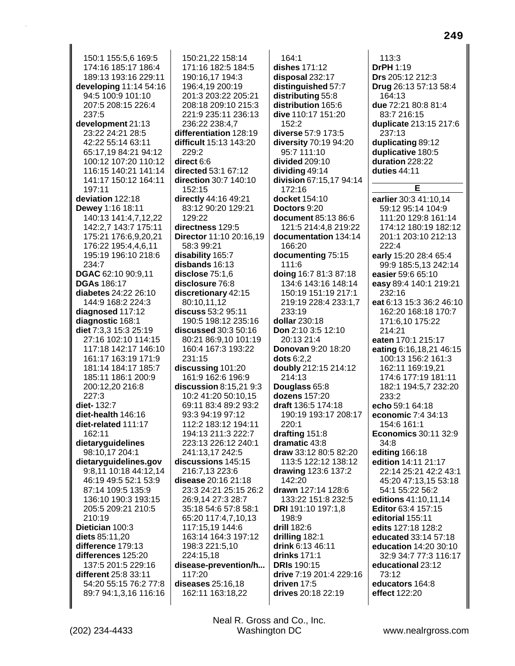150:1 155:5,6 169:5 174:16 185:17 186:4 189:13 193:16 229:11 developing 11:14 54:16 94:5 100:9 101:10 207:5 208:15 226:4 237:5 development 21:13 23:22 24:21 28:5 42:22 55:14 63:11 65:17,19 84:21 94:12 100:12 107:20 110:12 116:15 140:21 141:14 141:17 150:12 164:11 197:11 deviation 122:18 Dewey 1:16 18:11 140:13 141:4,7,12,22 142:2,7 143:7 175:11 175:21 176:6,9,20,21 176:22 195:4,4,6,11 195:19 196:10 218:6 234:7 DGAC 62:10 90:9,11 **DGAs 186:17** diabetes 24:22 26:10 144:9 168:2 224:3 diagnosed 117:12 diagnostic 168:1 diet 7:3.3 15:3 25:19 27:16 102:10 114:15 117:18 142:17 146:10 161:17 163:19 171:9 181:14 184:17 185:7 185:11 186:1 200:9 200:12,20 216:8  $227:3$ diet-132:7 diet-health 146:16 diet-related 111:17 162:11 dietaryguidelines 98:10,17 204:1 dietaryguidelines.gov 9:8,11 10:18 44:12,14 46:19 49:5 52:1 53:9 87:14 109:5 135:9 136:10 190:3 193:15 205:5 209:21 210:5 210:19 Dietician 100:3 diets 85:11,20 difference 179:13 differences 125:20 137:5 201:5 229:16 different 25:8 33:11 54:20 55:15 76:2 77:8 89:7 94:1,3,16 116:16

150:21.22 158:14 171:16 182:5 184:5 190:16,17 194:3 196:4.19 200:19 201:3 203:22 205:21 208:18 209:10 215:3 221:9 235:11 236:13 236:22 238:4,7 differentiation 128:19 difficult 15:13 143:20 229:2 direct 6:6 directed 53:1 67:12 direction 30:7 140:10 152:15 directly 44:16 49:21 83:12 90:20 129:21 129:22 directness 129:5 Director 11:10 20:16,19 58:3 99:21 disability 165:7 disbands 16:13 disclose 75:1.6 disclosure 76:8 discretionary 42:15 80:10.11.12 discuss 53:2 95:11 190:5 198:12 235:16 discussed  $30:350:16$ 80:21 86:9.10 101:19 160:4 167:3 193:22 231:15  $discussing$  101:20 161:9 162:6 196:9 discussion 8:15,21 9:3 10:2 41:20 50:10,15 69:11 83:4 89:2 93:2 93:3 94:19 97:12 112:2 183:12 194:11 194:13 211:3 222:7 223:13 226:12 240:1 241:13,17 242:5 discussions 145:15 216:7,13 223:6 disease 20:16 21:18 23:3 24:21 25:15 26:2 26:9,14 27:3 28:7 35:18 54:6 57:8 58:1 65:20 117:4,7,10,13 117:15,19 144:6 163:14 164:3 197:12 198:3 221:5,10 224:15,18 disease-prevention/h... 117:20 diseases 25:16,18 162:11 163:18,22

 $164:1$ dishes 171:12 disposal 232:17 distinguished 57:7 distributing 55:8 distribution 165:6 dive 110:17 151:20  $152:2$ diverse 57:9 173:5 diversity 70:19 94:20 95:7 111:10 divided 209:10 dividing 49:14 division 67:15,17 94:14  $172.16$ docket 154:10 Doctors 9:20 document 85:13 86:6 121:5 214:4,8 219:22 documentation 134:14 166:20 documenting 75:15 111:6 doing 16:7 81:3 87:18 134:6 143:16 148:14 150:19 151:19 217:1 219:19 228:4 233:1.7 233:19 dollar 230:18 Don 2:10 3:5 12:10  $20.13214$ **Donovan 9:20 18:20**  $dots 6:2.2$ doubly 212:15 214:12 214:13 Douglass 65:8 dozens 157:20 draft 136:5 174:18 190:19 193:17 208:17  $220:1$ drafting 151:8 dramatic 43:8 draw 33:12 80:5 82:20 113:5 122:12 138:12 drawing 123:6 137:2 142:20 drawn 127:14 128:6 133:22 151:8 232:5 DRI 191:10 197:1,8 198:9 drill 182:6 drilling 182:1 drink 6:13 46:11 drinks 171:1 **DRIs** 190:15 drive 7:19 201:4 229:16 driven 17:5 drives 20:18 22:19

 $113:3$ **DrPH 1:19** Drs 205:12 212:3 Drug 26:13 57:13 58:4 164:13 due 72:21 80:8 81:4 83:7 216:15 duplicate 213:15 217:6 237:13 duplicating 89:12 duplicative 180:5 duration 228:22 duties 44:11 E. earlier 30:3 41:10,14 59:12 95:14 104:9 111:20 129:8 161:14 174:12 180:19 182:12 201:1 203:10 212:13 222:4 early 15:20 28:4 65:4 99:9 185:5,13 242:14 easier 59:6 65:10 easy 89:4 140:1 219:21 232:16 eat 6:13 15:3 36:2 46:10 162:20 168:18 170:7 171:6.10 175:22  $214:21$ eaten 170:1 215:17 eating 6:16,18,21 46:15 100:13 156:2 161:3 162:11 169:19,21 174:6 177:19 181:11 182:1 194:5,7 232:20 233:2 echo 59:1 64:18 economic 7:4 34:13 154:6 161:1 **Economics 30:11 32:9** 34:8 editing 166:18 edition 14:11 21:17 22:14 25:21 42:2 43:1 45:20 47:13,15 53:18 54:1 55:22 56:2 editions 41:10,11,14 Editor 63:4 157:15 editorial 155:11 edits 127:18 128:2 educated 33:14 57:18 education 14:20 30:10 32:9 34:7 77:3 116:17 educational 23:12 73:12 educators 164:8 effect 122:20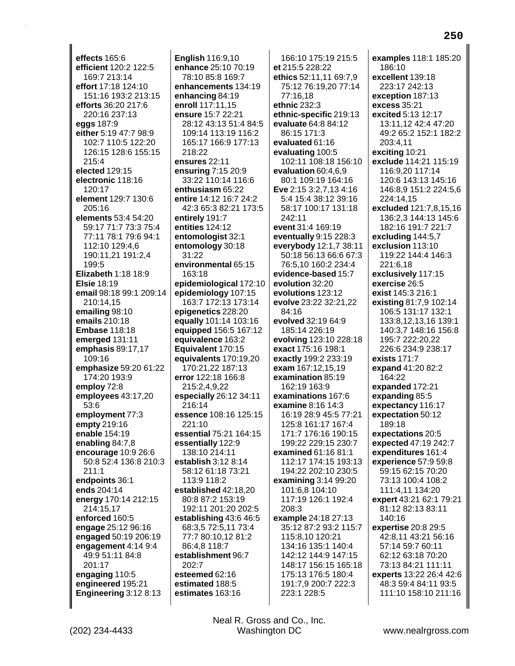effects 165:6 efficient 120:2 122:5 169:7 213:14 effort 17:18 124:10 151:16 193:2 213:15 efforts 36:20 217:6 220:16 237:13 eggs 187:9 either 5:19 47:7 98:9 102:7 110:5 122:20 126:15 128:6 155:15 215:4 elected 129:15 electronic 118:16  $120.17$ element 129:7 130:6 205:16 elements 53:4 54:20 59:17 71:7 73:3 75:4 77:11 78:1 79:6 94:1 112:10 129:4,6 190:11,21 191:2,4 199:5 Elizabeth 1:18 18:9 **Elsie 18:19** email 98:18 99:1 209:14 210:14,15 emailing 98:10 emails 210:18 **Embase 118:18** emerged 131:11 emphasis 89:17,17 109:16 emphasize 59:20 61:22 174:20 193:9 employ 72:8 employees 43:17,20 53:6 employment 77:3 empty 219:16 enable 154:19 enabling 84:7,8 encourage 10:9 26:6 50:8 52:4 136:8 210:3  $211.1$ endpoints 36:1 ends 204:14 energy 170:14 212:15 214:15.17 enforced 160:5 engage 25:12 96:16 engaged 50:19 206:19 engagement 4:14 9:4 49:9 51:11 84:8 201:17 engaging 110:5 engineered 195:21 Engineering 3:12 8:13

**English 116:9,10** enhance 25:10 70:19 78:10 85:8 169:7 enhancements 134:19 enhancing 84:19 enroll 117:11,15 ensure 15:7 22:21 28:12 43:13 51:4 84:5 109:14 113:19 116:2 165:17 166:9 177:13 218:22 ensures 22:11 ensuring 7:15 20:9 33:22 110:14 116:6 enthusiasm 65:22 entire 14:12 16:7 24:2 42:3 65:3 82:21 173:5 entirely 191:7 entities 124:12 entomologist 32:1 entomology 30:18  $31:22$ environmental 65:15 163:18 epidemiological 172:10 epidemiology 107:15 163:7 172:13 173:14 epigenetics 228:20 equally 101:14 103:16 equipped 156:5 167:12 equivalence 163:2 Equivalent 170:15 equivalents 170:19,20 170:21,22 187:13 error 122:18 166:8 215:2,4,9,22 especially 26:12 34:11 216:14 essence 108:16 125:15 221:10 essential 75:21 164:15 essentially 122:9 138:10 214:11 establish  $3:12$  8:14 58:12 61:18 73:21 113:9 118:2 established 42:18,20 80:8 87:2 153:19 192:11 201:20 202:5 establishing 43:6 46:5 68:3,5 72:5,11 73:4 77:7 80:10,12 81:2 86:4,8 118:7 establishment 96:7  $202 - 7$ esteemed 62:16 estimated 188:5 estimates 163:16

166:10 175:19 215:5 et 215:5 228:22 ethics 52:11,11 69:7,9 75:12 76:19,20 77:14 77:16.18 ethnic  $232:3$ ethnic-specific 219:13 evaluate 64:8 84:12 86:15 171:3 evaluated 61:16 evaluating 100:5 102:11 108:18 156:10 evaluation 60:4,6,9 80:1 109:19 164:16 Eve 2:15 3:2,7,13 4:16 5:4 15:4 38:12 39:16 58:17 100:17 131:18 242:11 event 31:4 169:19 eventually 9:15 228:3 everybody 12:1,7 38:11 50:18 56:13 66:6 67:3 76:5,10 160:2 234:4 evidence-based 15:7 evolution 32:20 evolutions 123:12 evolve 23:22 32:21.22 84:16 evolved 32:19 64:9 185:14 226:19 evolving 123:10 228:18 exact 175:16 198:1 exactly 199:2 233:19 exam 167:12,15,19 examination 85:19 162:19 163:9 examinations 167:6 **examine 8:16 14:3** 16:19 28:9 45:5 77:21 125:8 161:17 167:4 171:7 176:16 190:15 199:22 229:15 230:7 examined 61:16 81:1 112:17 174:15 193:13 194:22 202:10 230:5 examining 3:14 99:20 101:6.8 104:10 117:19 126:1 192:4 208:3 example 24:18 27:13 35:12 87:2 93:2 115:7 115:8,10 120:21 134:16 135:1 140:4 142:12 144:9 147:15 148:17 156:15 165:18 175:13 176:5 180:4 191:7,9 200:7 222:3 223:1 228:5

examples 118:1 185:20 186:10 excellent 139:18 223:17 242:13 exception 187:13 excess 35:21 excited 5:13 12:17 13:11,12 42:4 47:20 49:2 65:2 152:1 182:2 203:4.11 exciting 10:21 exclude 114:21 115:19 116:9,20 117:14 120:6 143:13 145:16 146:8.9 151:2 224:5.6 224:14,15 excluded 121:7,8,15,16 136:2.3 144:13 145:6 182:16 191:7 221:7 excluding 144:5,7 exclusion 113:10 119:22 144:4 146:3 221:6,18 exclusively 117:15 exercise 26:5 exist 145:3 216:1 existing 81:7,9 102:14 106:5 131:17 132:1 133:8,12,13,16 139:1 140:3.7 148:16 156:8 195:7 222:20.22 226 6 234 9 238 17 exists  $171:7$ expand 41:20 82:2 164:22 expanded 172:21 expanding 85:5 expectancy 116:17 expectation 50:12 189:18 expectations 20:5 expected 47:19 242:7 expenditures 161:4 experience 57:9 59:8 59:15 62:15 70:20 73:13 100:4 108:2 111:4,11 134:20 expert 43:21 62:1 79:21 81:12 82:13 83:11 140:16 expertise 20:8 29:5 42:8,11 43:21 56:16 57:14 59:7 60:11 62:12 63:18 70:20 73:13 84:21 111:11 experts 13:22 26:4 42:6 48:3 59:4 84:11 93:5 111:10 158:10 211:16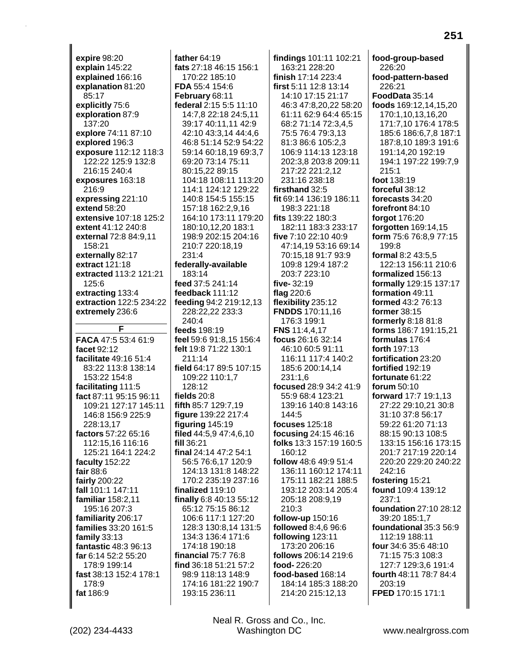**expire** 98:20 **explain** 145:22 **explained** 166:16 **explanation** 81:20 85:17 **explicitly** 75:6 **exploration** 87:9 137:20 **explore** 74:11 87:10 **explored** 196:3 **exposure** 112:12 118:3 122:22 125:9 132:8 216:15 240:4 **exposures** 163:18 216:9 **expressing** 221:10 **extend** 58:20 **extensive** 107:18 125:2 **extent** 41:12 240:8 **external** 72:8 84:9,11 158:21 **externally** 82:17 **extract** 121:18 **extracted** 113:2 121:21 125:6 **extracting** 133:4 **extraction** 122:5 234:22 **extremely** 236:6 **F FACA** 47:5 53:4 61:9 **facet** 92:12 **facilitate** 49:16 51:4 83:22 113:8 138:14 153:22 154:8 **facilitating** 111:5 **fact** 87:11 95:15 96:11 109:21 127:17 145:11 146:8 156:9 225:9 228:13,17 **factors** 57:22 65:16 112:15,16 116:16 125:21 164:1 224:2 **faculty** 152:22 **fair** 88:6 **fairly** 200:22 **fall** 101:1 147:11 **familiar** 158:2,11 195:16 207:3 **familiarity** 206:17 **families** 33:20 161:5 **family** 33:13 **fantastic** 48:3 96:13 **far** 6:14 52:2 55:20 178:9 199:14 **fast** 38:13 152:4 178:1 178:9 **fat** 186:9

**father** 64:19 **fats** 27:18 46:15 156:1 170:22 185:10 **FDA** 55:4 154:6 **February** 68:11 **federal** 2:15 5:5 11:10 14:7,8 22:18 24:5,11 39:17 40:11,11 42:9 42:10 43:3,14 44:4,6 46:8 51:14 52:9 54:22 59:14 60:18,19 69:3,7 69:20 73:14 75:11 80:15,22 89:15 104:18 108:11 113:20 114:1 124:12 129:22 140:8 154:5 155:15 157:18 162:2,9,16 164:10 173:11 179:20 180:10,12,20 183:1 198:9 202:15 204:16 210:7 220:18,19 231:4 **federally-available** 183:14 **feed** 37:5 241:14 **feedback** 111:12 **feeding** 94:2 219:12,13 228:22,22 233:3 240:4 **feeds** 198:19 **feel** 59:6 91:8,15 156:4 **felt** 19:8 71:22 130:1 211:14 **field** 64:17 89:5 107:15 109:22 110:1,7 128:12 **fields** 20:8 **fifth** 85:7 129:7,19 **figure** 139:22 217:4 **figuring** 145:19 **filed** 44:5,9 47:4,6,10 **fill** 36:21 **final** 24:14 47:2 54:1 56:5 76:6,17 120:9 124:13 131:8 148:22 170:2 235:19 237:16 **finalized** 119:10 **finally** 6:8 40:13 55:12 65:12 75:15 86:12 106:6 117:1 127:20 128:3 130:8,14 131:5 134:3 136:4 171:6 174:18 190:18 **financial** 75:7 76:8 **find** 36:18 51:21 57:2 98:9 118:13 148:9 174:16 181:22 190:7 193:15 236:11

**findings** 101:11 102:21 163:21 228:20 **finish** 17:14 223:4 **first** 5:11 12:8 13:14 14:10 17:15 21:17 46:3 47:8,20,22 58:20 61:11 62:9 64:4 65:15 68:2 71:14 72:3,4,5 75:5 76:4 79:3,13 81:3 86:6 105:2,3 106:9 114:13 123:18 202:3,8 203:8 209:11 217:22 221:2,12 231:16 238:18 **firsthand** 32:5 **fit** 69:14 136:19 186:11 198:3 221:18 **fits** 139:22 180:3 182:11 183:3 233:17 **five** 7:10 22:10 40:9 47:14,19 53:16 69:14 70:15,18 91:7 93:9 109:8 129:4 187:2 203:7 223:10 **five-** 32:19 **flag** 220:6 **flexibility** 235:12 **FNDDS** 170:11,16 176:3 199:1 **FNS** 11:4,4,17 **focus** 26:16 32:14 46:10 60:5 91:11 116:11 117:4 140:2 185:6 200:14,14 231:1,6 **focused** 28:9 34:2 41:9 55:9 68:4 123:21 139:16 140:8 143:16 144:5 **focuses** 125:18 **focusing** 24:15 46:16 **folks** 13:3 157:19 160:5 160:12 **follow** 48:6 49:9 51:4 136:11 160:12 174:11 175:11 182:21 188:5 193:12 203:14 205:4 205:18 208:9,19 210:3 **follow-up** 150:16 **followed** 8:4,6 96:6 **following** 123:11 173:20 206:16 **follows** 206:14 219:6 **food-** 226:20 **food-based** 168:14 184:14 185:3 188:20 214:20 215:12,13

**food-group-based** 226:20 **food-pattern-based** 226:21 **FoodData** 35:14 **foods** 169:12,14,15,20 170:1,10,13,16,20 171:7,10 176:4 178:5 185:6 186:6,7,8 187:1 187:8,10 189:3 191:6 191:14,20 192:19 194:1 197:22 199:7,9 215:1 **foot** 138:19 **forceful** 38:12 **forecasts** 34:20 **forefront** 84:10 **forgot** 176:20 **forgotten** 169:14,15 **form** 75:6 76:8,9 77:15 199:8 **formal** 8:2 43:5,5 122:13 156:11 210:6 **formalized** 156:13 **formally** 129:15 137:17 **formation** 49:11 **formed** 43:2 76:13 **former** 38:15 **formerly** 8:18 81:8 **forms** 186:7 191:15,21 **formulas** 176:4 **forth** 197:13 **fortification** 23:20 **fortified** 192:19 **fortunate** 61:22 **forum** 50:10 **forward** 17:7 19:1,13 27:22 29:10,21 30:8 31:10 37:8 56:17 59:22 61:20 71:13 88:15 90:13 108:5 133:15 156:16 173:15 201:7 217:19 220:14 220:20 229:20 240:22 242:16 **fostering** 15:21 **found** 109:4 139:12 237:1 **foundation** 27:10 28:12 39:20 185:1,7 **foundational** 35:3 56:9 112:19 188:11 **four** 34:6 35:6 48:10

**251**

71:15 75:3 108:3 127:7 129:3,6 191:4 **fourth** 48:11 78:7 84:4

**FPED** 170:15 171:1

203:19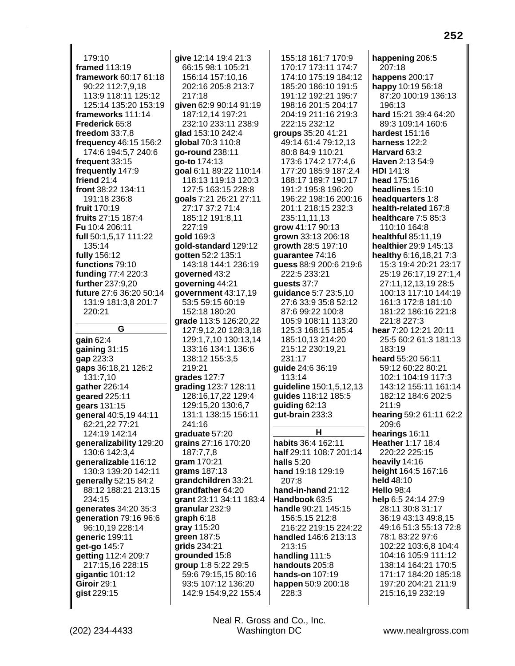179:10 framed 113:19 framework 60:17 61:18 90:22 112:7,9,18 113:9 118:11 125:12 125:14 135:20 153:19 frameworks 111:14 Frederick 65:8 freedom  $33:7.8$ frequency 46:15 156:2 174:6 194:5,7 240:6 frequent 33:15 frequently 147:9 friend 21:4 front 38:22 134:11 191:18 236:8 fruit 170:19 fruits 27:15 187:4 Fu 10:4 206:11 full 50:1,5,17 111:22 135:14 fully 156:12 functions 79:10 funding 77:4 220:3 further 237:9.20 future 27:6 36:20 50:14 131:9 181:3.8 201:7 220:21 G gain  $62:4$ gaining  $31:15$ qap 223:3 qaps 36:18,21 126:2 131:7.10 gather 226:14 geared 225:11 gears 131:15 general 40:5,19 44:11 62:21,22 77:21 124:19 142:14 generalizability 129:20 130:6 142:3,4 generalizable 116:12 130:3 139:20 142:11 generally 52:15 84:2 88:12 188:21 213:15 234:15 generates 34:20 35:3 generation 79:16 96:6 96:10.19 228:14 generic 199:11 get-go 145:7 getting 112:4 209:7 217:15,16 228:15 qiqantic 101:12 Giroir 29:1 gist 229:15

give 12:14 19:4 21:3 66:15 98:1 105:21 156:14 157:10,16 202:16 205:8 213:7  $217:18$ given 62:9 90:14 91:19 187:12,14 197:21 232:10 233:11 238:9 glad 153:10 242:4 global 70:3 110:8 go-round 238:11 go-to 174:13 goal 6:11 89:22 110:14 118:13 119:13 120:3 127:5 163:15 228:8 goals 7:21 26:21 27:11 27:17 37:2 71:4 185:12 191:8,11 227:19 gold 169:3 gold-standard 129:12 qotten 52:2 135:1 143:18 144:1 236:19 governed 43:2 governing 44:21 government 43:17.19 53:5 59:15 60:19 152:18 180:20 grade 113:5 126:20,22 127:9,12,20 128:3,18 129:1.7.10 130:13.14 133:16 134:1 136:6 138:12 155:3,5 219:21 grades 127:7 grading 123:7 128:11 128:16,17,22 129:4 129:15,20 130:6,7 131:1 138:15 156:11 241:16 graduate 57:20 grains 27:16 170:20 187:7,7,8 aram 170:21 grams 187:13 grandchildren 33:21 grandfather 64:20 grant 23:11 34:11 183:4 granular 232:9 graph  $6:18$ gray 115:20 green 187:5 grids 234:21 grounded 15:8 group 1:8 5:22 29:5 59:6 79:15,15 80:16 93:5 107:12 136:20 142:9 154:9,22 155:4

155:18 161:7 170:9 170:17 173:11 174:7 174:10 175:19 184:12 185:20 186:10 191:5 191:12 192:21 195:7 198:16 201:5 204:17 204:19 211:16 219:3 222:15 232:12 groups 35:20 41:21 49:14 61:4 79:12,13 80:8 84:9 110:21 173:6 174:2 177:4,6 177:20 185:9 187:2,4 188:17 189:7 190:17 191:2 195:8 196:20 196:22 198:16 200:16 201:1 218:15 232:3 235:11,11,13 grow 41:17 90:13 grown 33:13 206:18 growth 28:5 197:10 quarantee 74:16 quess 88:9 200:6 219:6 222:5 233:21 quests 37:7 quidance 5:7 23:5.10 27:6 33:9 35:8 52:12 87:6 99:22 100:8 105:9 108:11 113:20 125:3 168:15 185:4 185:10.13 214:20 215:12 230:19.21 231:17 guide 24:6 36:19 113:14 guideline 150:1,5,12,13 guides 118:12 185:5 guiding  $62:13$ qut-brain 233:3 н habits 36:4 162:11 half 29:11 108:7 201:14 **halls** 5:20 hand 19:18 129:19  $207.8$ hand-in-hand  $21:12$ Handbook 63:5 handle 90:21 145:15 156:5,15 212:8 216:22 219:15 224:22 handled 146:6 213:13 213:15 handling 111:5 handouts 205:8 hands-on 107:19 happen 50:9 200:18 228:3

happening 206:5 207:18 happens 200:17 happy 10:19 56:18 87:20 100:19 136:13  $196.13$ hard 15:21 39:4 64:20 89:3 109:14 160:6 hardest 151:16 harness 122:2 Harvard 63:2 Haven 2:13 54:9 HDI 141:8 head 175:16 headlines 15:10 headquarters 1:8 health-related 167:8 healthcare 7:5 85:3 110:10 164:8 healthful 85:11,19 healthier 29:9 145:13 healthy 6:16,18,21 7:3 15:3 19:4 20:21 23:17 25:19 26:17,19 27:1,4 27:11,12,13,19 28:5 100:13 117:10 144:19 161:3 172:8 181:10 181:22 186:16 221:8 221:8 227:3 hear 7:20 12:21 20:11 25:5 60:2 61:3 181:13  $183.19$ heard 55:20 56:11 59:12 60:22 80:21 102:1 104:19 117:3 143:12 155:11 161:14 182:12 184:6 202:5 211:9 hearing 59:2 61:11 62:2 209:6 hearings 16:11 Heather 1:17 18:4 220:22 225:15 heavily 14:16 height 164:5 167:16 held 48:10 Hello 98:4 help 6:5 24:14 27:9 28:11 30:8 31:17 36:19 43:13 49:8,15 49:16 51:3 55:13 72:8 78:1 83:22 97:6 102:22 103:6,8 104:4 104:16 105:9 111:12 138:14 164:21 170:5 171:17 184:20 185:18 197:20 204:21 211:9 215:16,19 232:19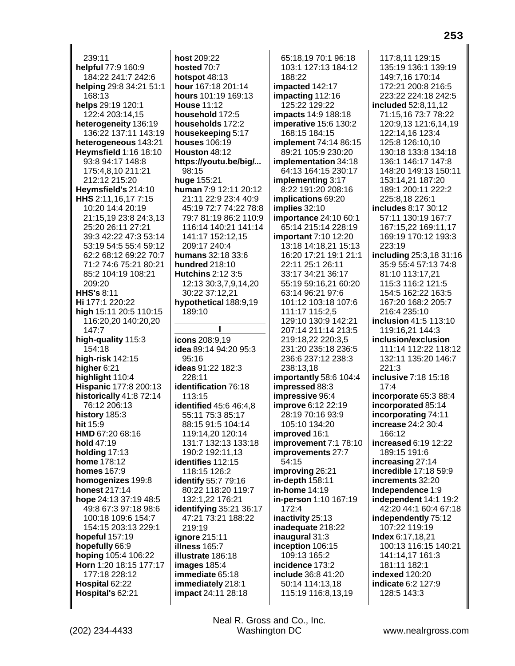239:11 **helpful** 77:9 160:9 184:22 241:7 242:6 **helping** 29:8 34:21 51:1 168:13 **helps** 29:19 120:1 122:4 203:14,15 **heterogeneity** 136:19 136:22 137:11 143:19 **heterogeneous** 143:21 **Heymsfield** 1:16 18:10 93:8 94:17 148:8 175:4,8,10 211:21 212:12 215:20 **Heymsfield's** 214:10 **HHS** 2:11,16,17 7:15 10:20 14:4 20:19 21:15,19 23:8 24:3,13 25:20 26:11 27:21 39:3 42:22 47:3 53:14 53:19 54:5 55:4 59:12 62:2 68:12 69:22 70:7 71:2 74:6 75:21 80:21 85:2 104:19 108:21 209:20 **HHS's** 8:11 **Hi** 177:1 220:22 **high** 15:11 20:5 110:15 116:20,20 140:20,20 147:7 **high-quality** 115:3 154:18 **high-risk** 142:15 **higher** 6:21 **highlight** 110:4 **Hispanic** 177:8 200:13 **historically** 41:8 72:14 76:12 206:13 **history** 185:3 **hit** 15:9 **HMD** 67:20 68:16 **hold** 47:19 **holding** 17:13 **home** 178:12 **homes** 167:9 **homogenizes** 199:8 **honest** 217:14 **hope** 24:13 37:19 48:5 49:8 67:3 97:18 98:6 100:18 109:6 154:7 154:15 203:13 229:1 **hopeful** 157:19 **hopefully** 66:9 **hoping** 105:4 106:22 **Horn** 1:20 18:15 177:17 177:18 228:12 **Hospital** 62:22 **Hospital's** 62:21

**host** 209:22 **hosted** 70:7 **hotspot** 48:13 **hour** 167:18 201:14 **hours** 101:19 169:13 **House** 11:12 **household** 172:5 **households** 172:2 **housekeeping** 5:17 **houses** 106:19 **Houston** 48:12 **https://youtu.be/big/...** 98:15 **huge** 155:21 **human** 7:9 12:11 20:12 21:11 22:9 23:4 40:9 45:19 72:7 74:22 78:8 79:7 81:19 86:2 110:9 116:14 140:21 141:14 141:17 152:12,15 209:17 240:4 **humans** 32:18 33:6 **hundred** 218:10 **Hutchins** 2:12 3:5 12:13 30:3,7,9,14,20 30:22 37:12,21 **hypothetical** 188:9,19 189:10 **I icons** 208:9,19 **idea** 89:14 94:20 95:3 95:16 **ideas** 91:22 182:3 228:11 **identification** 76:18 113:15 **identified** 45:6 46:4,8 55:11 75:3 85:17 88:15 91:5 104:14 119:14,20 120:14 131:7 132:13 133:18 190:2 192:11,13 **identifies** 112:15 118:15 126:2 **identify** 55:7 79:16 80:22 118:20 119:7 132:1,22 176:21 **identifying** 35:21 36:17 47:21 73:21 188:22 219:19 **ignore** 215:11 **illness** 165:7 **illustrate** 186:18 **images** 185:4 **immediate** 65:18 **immediately** 218:1 **impact** 24:11 28:18

65:18,19 70:1 96:18 103:1 127:13 184:12 188:22 **impacted** 142:17 **impacting** 112:16 125:22 129:22 **impacts** 14:9 188:18 **imperative** 15:6 130:2 168:15 184:15 **implement** 74:14 86:15 89:21 105:9 230:20 **implementation** 34:18 64:13 164:15 230:17 **implementing** 3:17 8:22 191:20 208:16 **implications** 69:20 **implies** 32:10 **importance** 24:10 60:1 65:14 215:14 228:19 **important** 7:10 12:20 13:18 14:18,21 15:13 16:20 17:21 19:1 21:1 22:11 25:1 26:11 33:17 34:21 36:17 55:19 59:16,21 60:20 63:14 96:21 97:6 101:12 103:18 107:6 111:17 115:2,5 129:10 130:9 142:21 207:14 211:14 213:5 219:18,22 220:3,5 231:20 235:18 236:5 236:6 237:12 238:3 238:13,18 **importantly** 58:6 104:4 **impressed** 88:3 **impressive** 96:4 **improve** 6:12 22:19 28:19 70:16 93:9 105:10 134:20 **improved** 16:1 **improvement** 7:1 78:10 **improvements** 27:7 54:15 **improving** 26:21 **in-depth** 158:11 **in-home** 14:19 **in-person** 1:10 167:19 172:4 **inactivity** 25:13 **inadequate** 218:22 **inaugural** 31:3 **inception** 106:15 109:13 165:2 **incidence** 173:2 **include** 36:8 41:20 50:14 114:13,18 115:19 116:8,13,19

117:8,11 129:15 135:19 136:1 139:19 149:7,16 170:14 172:21 200:8 216:5 223:22 224:18 242:5 **included** 52:8,11,12 71:15,16 73:7 78:22 120:9,13 121:6,14,19 122:14,16 123:4 125:8 126:10,10 130:18 133:8 134:18 136:1 146:17 147:8 148:20 149:13 150:11 153:14,21 187:20 189:1 200:11 222:2 225:8,18 226:1 **includes** 8:17 30:12 57:11 130:19 167:7 167:15,22 169:11,17 169:19 170:12 193:3 223:19 **including** 25:3,18 31:16 35:9 55:4 57:13 74:8 81:10 113:17,21 115:3 116:2 121:5 154:5 162:22 163:5 167:20 168:2 205:7 216:4 235:10 **inclusion** 41:5 113:10 119:16,21 144:3 **inclusion/exclusion** 111:14 112:22 118:12 132:11 135:20 146:7 221:3 **inclusive** 7:18 15:18 17:4 **incorporate** 65:3 88:4 **incorporated** 85:14 **incorporating** 74:11 **increase** 24:2 30:4 166:12 **increased** 6:19 12:22 189:15 191:6 **increasing** 27:14 **incredible** 17:18 59:9 **increments** 32:20 **Independence** 1:9 **independent** 14:1 19:2 42:20 44:1 60:4 67:18 **independently** 75:12 107:22 119:19 **Index** 6:17,18,21 100:13 116:15 140:21 141:14,17 161:3 181:11 182:1 **indexed** 120:20 **indicate** 6:2 127:9 128:5 143:3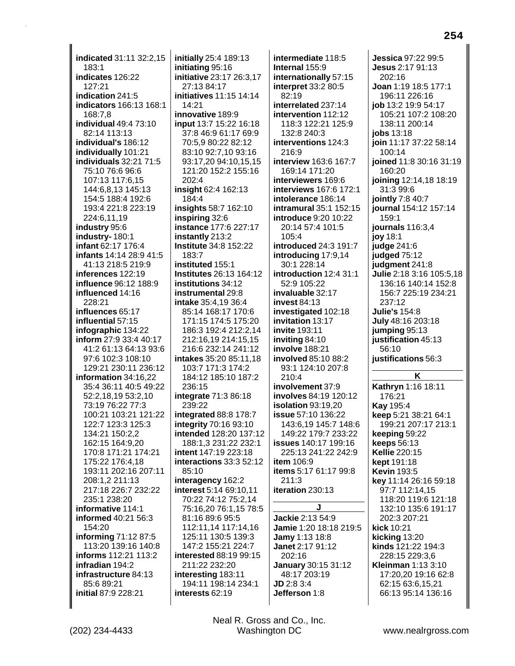**indicated** 31:11 32:2,15 183:1 **indicates** 126:22 127:21 **indication** 241:5 **indicators** 166:13 168:1 168:7,8 **individual** 49:4 73:10 82:14 113:13 **individual's** 186:12 **individually** 101:21 **individuals** 32:21 71:5 75:10 76:6 96:6 107:13 117:6,15 144:6,8,13 145:13 154:5 188:4 192:6 193:4 221:8 223:19 224:6,11,19 **industry** 95:6 **industry-** 180:1 **infant** 62:17 176:4 **infants** 14:14 28:9 41:5 41:13 218:5 219:9 **inferences** 122:19 **influence** 96:12 188:9 **influenced** 14:16 228:21 **influences** 65:17 **influential** 57:15 **infographic** 134:22 **inform** 27:9 33:4 40:17 41:2 61:13 64:13 93:6 97:6 102:3 108:10 129:21 230:11 236:12 **information** 34:16,22 35:4 36:11 40:5 49:22 52:2,18,19 53:2,10 73:19 76:22 77:3 100:21 103:21 121:22 122:7 123:3 125:3 134:21 150:2,2 162:15 164:9,20 170:8 171:21 174:21 175:22 176:4,18 193:11 202:16 207:11 208:1,2 211:13 217:18 226:7 232:22 235:1 238:20 **informative** 114:1 **informed** 40:21 56:3 154:20 **informing** 71:12 87:5 113:20 139:16 140:8 **informs** 112:21 113:2 **infradian** 194:2 **infrastructure** 84:13 85:6 89:21 **initial** 87:9 228:21

**initially** 25:4 189:13 **initiating** 95:16 **initiative** 23:17 26:3,17 27:13 84:17 **initiatives** 11:15 14:14 14:21 **innovative** 189:9 **input** 13:7 15:22 16:18 37:8 46:9 61:17 69:9 70:5,9 80:22 82:12 83:10 92:7,10 93:16 93:17,20 94:10,15,15 121:20 152:2 155:16 202:4 **insight** 62:4 162:13 184:4 **insights** 58:7 162:10 **inspiring** 32:6 **instance** 177:6 227:17 **instantly** 213:2 **Institute** 34:8 152:22 183:7 **instituted** 155:1 **Institutes** 26:13 164:12 **institutions** 34:12 **instrumental** 29:8 **intake** 35:4,19 36:4 85:14 168:17 170:6 171:15 174:5 175:20 186:3 192:4 212:2,14 212:16,19 214:15,15 216:6 232:14 241:12 **intakes** 35:20 85:11,18 103:7 171:3 174:2 184:12 185:10 187:2 236:15 **integrate** 71:3 86:18 239:22 **integrated** 88:8 178:7 **integrity** 70:16 93:10 **intended** 128:20 137:12 188:1,3 231:22 232:1 **intent** 147:19 223:18 **interactions** 33:3 52:12 85:10 **interagency** 162:2 **interest** 5:14 69:10,11 70:22 74:12 75:2,14 75:16,20 76:1,15 78:5 81:16 89:6 95:5 112:11,14 117:14,16 125:11 130:5 139:3 147:2 155:21 224:7 **interested** 88:19 99:15 211:22 232:20 **interesting** 183:11 194:11 198:14 234:1 **interests** 62:19

**intermediate** 118:5 **Internal** 155:9 **internationally** 57:15 **interpret** 33:2 80:5 82:19 **interrelated** 237:14 **intervention** 112:12 118:3 122:21 125:9 132:8 240:3 **interventions** 124:3 216:9 **interview** 163:6 167:7 169:14 171:20 **interviewers** 169:6 **interviews** 167:6 172:1 **intolerance** 186:14 **intramural** 35:1 152:15 **introduce** 9:20 10:22 20:14 57:4 101:5 105:4 **introduced** 24:3 191:7 **introducing** 17:9,14 30:1 228:14 **introduction** 12:4 31:1 52:9 105:22 **invaluable** 32:17 **invest** 84:13 **investigated** 102:18 **invitation** 13:17 **invite** 193:11 **inviting** 84:10 **involve** 188:21 **involved** 85:10 88:2 93:1 124:10 207:8 210:4 **involvement** 37:9 **involves** 84:19 120:12 **isolation** 93:19,20 **issue** 57:10 136:22 143:6,19 145:7 148:6 149:22 179:7 233:22 **issues** 140:17 199:16 225:13 241:22 242:9 **item** 106:9 **items** 5:17 61:17 99:8 211:3 **iteration** 230:13 **J Jackie** 2:13 54:9 **Jamie** 1:20 18:18 219:5 **Jamy** 1:13 18:8 **Janet** 2:17 91:12 202:16 **January** 30:15 31:12 48:17 203:19 **JD** 2:8 3:4 **Jefferson** 1:8

**Jessica** 97:22 99:5 **Jesus** 2:17 91:13 202:16 **Joan** 1:19 18:5 177:1 196:11 226:16 **job** 13:2 19:9 54:17 105:21 107:2 108:20 138:11 200:14 **jobs** 13:18 **join** 11:17 37:22 58:14 100:14 **joined** 11:8 30:16 31:19 160:20 **joining** 12:14,18 18:19 31:3 99:6 **jointly** 7:8 40:7 **journal** 154:12 157:14 159:1 **journals** 116:3,4 **joy** 18:1 **judge** 241:6 **judged** 75:12 **judgment** 241:8 **Julie** 2:18 3:16 105:5,18 136:16 140:14 152:8 156:7 225:19 234:21 237:12 **Julie's** 154:8 **July** 48:16 203:18 **jumping** 95:13 **justification** 45:13 56:10 **justifications** 56:3 **K Kathryn** 1:16 18:11 176:21 **Kay** 195:4 **keep** 5:21 38:21 64:1 199:21 207:17 213:1 **keeping** 59:22 **keeps** 56:13 **Kellie** 220:15 **kept** 191:18 **Kevin** 193:5 **key** 11:14 26:16 59:18 97:7 112:14,15 118:20 119:6 121:18 132:10 135:6 191:17 202:3 207:21 **kick** 10:21 **kicking** 13:20 **kinds** 121:22 194:3 228:15 229:3,6 **Kleinman** 1:13 3:10 17:20,20 19:16 62:8 62:15 63:6,15,21 66:13 95:14 136:16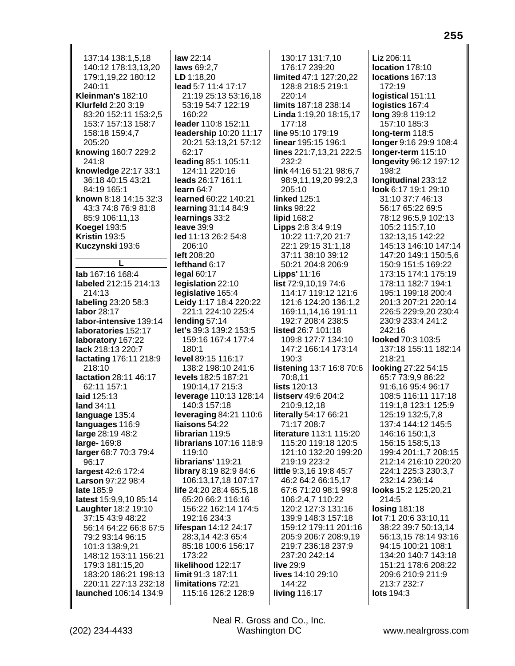137:14 138:1.5.18 140:12 178:13,13,20 179:1,19,22 180:12 240:11 Kleinman's 182:10 **Klurfeld 2:20 3:19** 83:20 152:11 153:2,5 153:7 157:13 158:7 158:18 159:4.7 205:20 knowing 160:7 229:2 241:8 knowledge 22:17 33:1 36:18 40:15 43:21 84:19 165:1 known 8:18 14:15 32:3 43:3 74:8 76:9 81:8 85:9 106:11,13 **Koegel 193:5** Kristin  $193.5$ Kuczynski 193:6 L **lab** 167:16 168:4 labeled 212:15 214:13 214:13 labeling 23:20 58:3 labor 28:17 labor-intensive 139:14 laboratories 152:17 laboratory 167:22 lack 218:13 220:7 lactating 176:11 218:9 218:10 lactation 28:11 46:17 62:11 157:1 laid 125:13 land 34:11 language 135:4 languages 116:9 large 28:19 48:2 large- 169:8 larger 68:7 70:3 79:4 96:17 largest 42:6 172:4 Larson 97:22 98:4 late 185:9 latest 15:9,9,10 85:14 Laughter 18:2 19:10 37:15 43:9 48:22 56:14 64:22 66:8 67:5 79:2 93:14 96:15 101:3 138:9.21 148:12 153:11 156:21 179:3 181:15,20 183:20 186:21 198:13 220:11 227:13 232:18 launched 106:14 134:9

law  $22:14$ laws 69:2,7 LD 1:18,20 lead 5:7 11:4 17:17 21:19 25:13 53:16.18 53:19 54:7 122:19 160:22 leader 110:8 152:11 leadership 10:20 11:17 20:21 53:13,21 57:12 62:17 leading 85:1 105:11 124:11 220:16 leads 26:17 161:1  $l**earn** 64.7$ learned 60:22 140:21 learning 31:14 84:9 learnings 33:2 leave  $39:9$ led 11:13 26:2 54:8 206:10 left 208:20 lefthand 6:17 legal  $60:17$ legislation 22:10 legislative 165:4 Leidy 1:17 18:4 220:22 221:1 224:10 225:4 lending  $57:14$ let's 39:3 139:2 153:5 159:16 167:4 177:4  $180:1$ level 89:15 116:17 138:2 198:10 241:6 levels 182:5 187:21 190:14,17 215:3 leverage 110:13 128:14 140:3 157:18 leveraging 84:21 110:6 liaisons 54:22 librarian 119:5 librarians 107:16 118:9 119:10 librarians' 119:21 library 8:19 82:9 84:6 106:13,17,18 107:17 life 24:20 28:4 65:5.18 65:20 66:2 116:16 156:22 162:14 174:5 192:16 234:3 lifespan 14:12 24:17 28:3,14 42:3 65:4 85:18 100:6 156:17 173:22 likelihood 122:17 limit 91:3 187:11 limitations 72:21 115:16 126:2 128:9

130:17 131:7,10 176:17 239:20 limited 47:1 127:20,22 128:8 218:5 219:1  $220.14$ limits 187:18 238:14 Linda 1:19,20 18:15,17 177:18 line 95:10 179:19 linear 195:15 196:1 lines 221:7,13,21 222:5 232:2 link 44:16 51:21 98:6.7 98:9,11,19,20 99:2,3  $205:10$ **linked** 125:1 **links 98:22 lipid 168:2** Lipps 2:8 3:4 9:19 10:22 11:7,20 21:7 22:1 29:15 31:1,18 37:11 38:10 39:12 50:21 204:8 206:9 **Lipps' 11:16 list** 72:9,10,19 74:6 114:17 119:12 121:6 121:6 124:20 136:1.2 169:11,14,16 191:11 192:7 208:4 238:5 **listed 26:7 101:18** 109:8 127:7 134:10 147:2 166:14 173:14 190:3 **listening 13:7 16:8 70:6** 70:8.11 lists  $120:13$ listserv 49:6 204:2 210:9,12,18 literally 54:17 66:21 71:17 208:7 literature 113:1 115:20 115:20 119:18 120:5 121:10 132:20 199:20 219:19 223:2 little 9:3,16 19:8 45:7 46:2 64:2 66:15,17 67:6 71:20 98:1 99:8 106:2,4,7 110:22 120:2 127:3 131:16 139:9 148:3 157:18 159:12 179:11 201:16 205:9 206:7 208:9,19 219:7 236:18 237:9 237:20 242:14 live 29:9 lives 14:10 29:10 144:22 living 116:17

Liz 206:11 location 178:10 locations 167:13 172:19 logistical 151:11 logistics 167:4 long 39:8 119:12 157:10 185:3 long-term 118:5 longer 9:16 29:9 108:4 longer-term 115:10 longevity 96:12 197:12 198:2 Iongitudinal 233:12 look 6:17 19:1 29:10 31:10 37:7 46:13 56:17 65:22 69:5 78:12 96:5,9 102:13 105:2 115:7,10 132:13,15 142:22 145:13 146:10 147:14 147:20 149:1 150:5.6 150:9 151:5 169:22 173:15 174:1 175:19 178:11 182:7 194:1 195:1 199:18 200:4 201:3 207:21 220:14 226:5 229:9,20 230:4 230:9 233:4 241:2 242:16 looked 70:3 103:5 137:18 155:11 182:14 218:21 looking 27:22 54:15 65:7 73:9,9 86:22 91:6,16 95:4 96:17 108:5 116:11 117:18 119:1,8 123:1 125:9 125:19 132:5.7.8 137:4 144:12 145:5 146:16 150:1,3 156:15 158:5,13 199:4 201:1,7 208:15 212:14 216:10 220:20 224:1 225:3 230:3,7 232:14 236:14 looks 15:2 125:20,21 214:5 **losing 181:18** lot 7:1 20:6 33:10,11 38:22 39:7 50:13,14 56:13,15 78:14 93:16 94:15 100:21 108:1 134:20 140:7 143:18 151:21 178:6 208:22 209:6 210:9 211:9 213:7 232:7 lots 194:3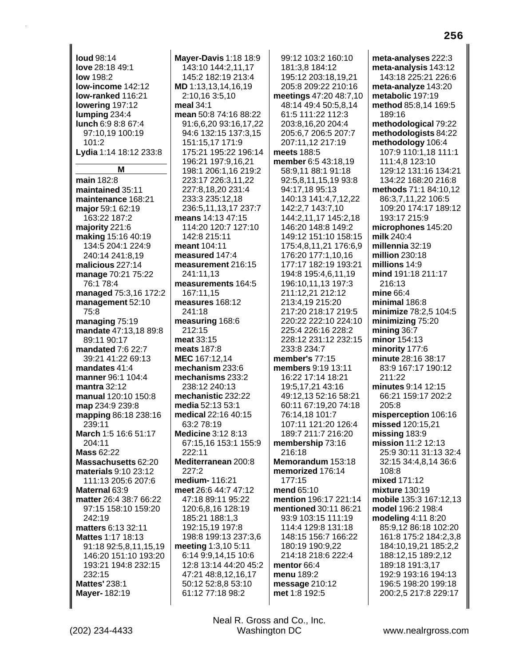**loud** 98:14 **love** 28:18 49:1 **low** 198:2 **low-income** 142:12 **low-ranked** 116:21 **lowering** 197:12 **lumping** 234:4 **lunch** 6:9 8:8 67:4 97:10,19 100:19  $101.2$ **Lydia** 1:14 18:12 233:8 **M main** 182:8 **maintained** 35:11 **maintenance** 168:21 **major** 59:1 62:19 163:22 187:2 **majority** 221:6 **making** 15:16 40:19 134:5 204:1 224:9 240:14 241:8,19 **malicious** 227:14 **manage** 70:21 75:22 76:1 78:4 **managed** 75:3,16 172:2 **management** 52:10 75:8 **managing** 75:19 **mandate** 47:13,18 89:8 89:11 90:17 **mandated** 7:6 22:7 39:21 41:22 69:13 **mandates** 41:4 **manner** 96:1 104:4 **mantra** 32:12 **manual** 120:10 150:8 **map** 234:9 239:8 **mapping** 86:18 238:16 239:11 **March** 1:5 16:6 51:17 204:11 **Mass** 62:22 **Massachusetts** 62:20 **materials** 9:10 23:12 111:13 205:6 207:6 **Maternal** 63:9 **matter** 26:4 38:7 66:22 97:15 158:10 159:20 242:19 **matters** 6:13 32:11 **Mattes** 1:17 18:13 91:18 92:5,8,11,15,19 146:20 151:10 193:20 193:21 194:8 232:15 232:15 **Mattes'** 238:1 **Mayer-** 182:19

**Mayer-Davis** 1:18 18:9 143:10 144:2,11,17 145:2 182:19 213:4 **MD** 1:13,13,14,16,19 2:10,16 3:5,10 **meal** 34:1 **mean** 50:8 74:16 88:22 91:6,6,20 93:16,17,22 94:6 132:15 137:3,15 151:15,17 171:9 175:21 195:22 196:14 196:21 197:9,16,21 198:1 206:1,16 219:2 223:17 226:3,11,22 227:8,18,20 231:4 233:3 235:12,18 236:5,11,13,17 237:7 **means** 14:13 47:15 114:20 120:7 127:10 142:8 215:11 **meant** 104:11 **measured** 147:4 **measurement** 216:15 241:11,13 **measurements** 164:5 167:11,15 **measures** 168:12 241:18 **measuring** 168:6 212:15 **meat** 33:15 **meats** 187:8 **MEC** 167:12,14 **mechanism** 233:6 **mechanisms** 233:2 238:12 240:13 **mechanistic** 232:22 **media** 52:13 53:1 **medical** 22:16 40:15 63:2 78:19 **Medicine** 3:12 8:13 67:15,16 153:1 155:9 222:11 **Mediterranean** 200:8  $227.2$ **medium-** 116:21 **meet** 26:6 44:7 47:12 47:18 89:11 95:22 120:6,8,16 128:19 185:21 188:1,3 192:15,19 197:8 198:8 199:13 237:3,6 **meeting** 1:3,10 5:11 6:14 9:9,14,15 10:6 12:8 13:14 44:20 45:2 47:21 48:8,12,16,17 50:12 52:8,8 53:10 61:12 77:18 98:2

99:12 103:2 160:10 181:3,8 184:12 195:12 203:18,19,21 205:8 209:22 210:16 **meetings** 47:20 48:7,10 48:14 49:4 50:5,8,14 61:5 111:22 112:3 203:8,16,20 204:4 205:6,7 206:5 207:7 207:11,12 217:19 **meets** 188:5 **member** 6:5 43:18,19 58:9,11 88:1 91:18 92:5,8,11,15,19 93:8 94:17,18 95:13 140:13 141:4,7,12,22 142:2,7 143:7,10 144:2,11,17 145:2,18 146:20 148:8 149:2 149:12 151:10 158:15 175:4,8,11,21 176:6,9 176:20 177:1,10,16 177:17 182:19 193:21 194:8 195:4,6,11,19 196:10,11,13 197:3 211:12,21 212:12 213:4,19 215:20 217:20 218:17 219:5 220:22 222:10 224:10 225:4 226:16 228:2 228:12 231:12 232:15 233:8 234:7 **member's** 77:15 **members** 9:19 13:11 16:22 17:14 18:21 19:5,17,21 43:16 49:12,13 52:16 58:21 60:11 67:19,20 74:18 76:14,18 101:7 107:11 121:20 126:4 189:7 211:7 216:20 **membership** 73:16 216:18 **Memorandum** 153:18 **memorized** 176:14 177:15 **mend** 65:10 **mention** 196:17 221:14 **mentioned** 30:11 86:21 93:9 103:15 111:19 114:4 129:8 131:18 148:15 156:7 166:22 180:19 190:9,22 214:18 218:6 222:4 **mentor** 66:4 **menu** 189:2 **message** 210:12 **met** 1:8 192:5

**meta-analyses** 222:3 **meta-analysis** 143:12 143:18 225:21 226:6 **meta-analyze** 143:20 **metabolic** 197:19 **method** 85:8,14 169:5 189:16 **methodological** 79:22 **methodologists** 84:22 **methodology** 106:4 107:9 110:1,18 111:1 111:4,8 123:10 129:12 131:16 134:21 134:22 168:20 216:8 **methods** 71:1 84:10,12 86:3,7,11,22 106:5 109:20 174:17 189:12 193:17 215:9 **microphones** 145:20 **milk** 240:4 **millennia** 32:19 **million** 230:18 **millions** 14:9 **mind** 191:18 211:17 216:13 **mine** 66:4 **minimal** 186:8 **minimize** 78:2,5 104:5 **minimizing** 75:20 **mining** 36:7 **minor** 154:13 **minority** 177:6 **minute** 28:16 38:17 83:9 167:17 190:12  $211:22$ **minutes** 9:14 12:15 66:21 159:17 202:2 205:8 **misperception** 106:16 **missed** 120:15,21 **missing** 183:9 **mission** 11:2 12:13 25:9 30:11 31:13 32:4 32:15 34:4,8,14 36:6 108:8 **mixed** 171:12 **mixture** 130:19 **mobile** 135:3 167:12,13 **model** 196:2 198:4 **modeling** 4:11 8:20 85:9,12 86:18 102:20 161:8 175:2 184:2,3,8 184:10,19,21 185:2,2 188:12,15 189:2,12 189:18 191:3,17 192:9 193:16 194:13 196:5 198:20 199:18 200:2,5 217:8 229:17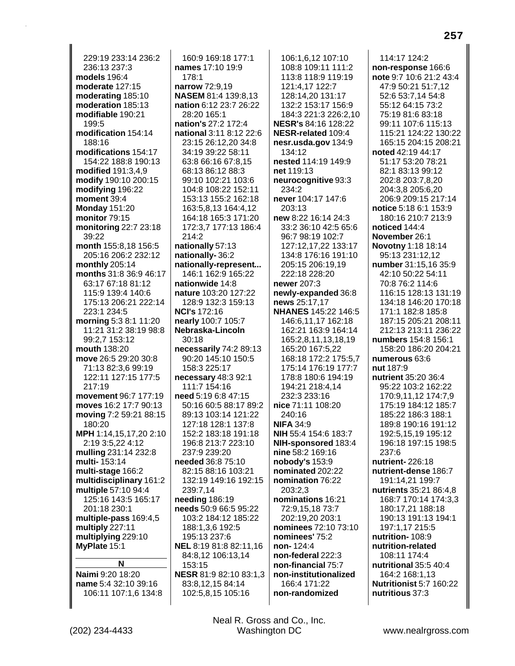229:19 233:14 236:2 236:13 237:3 **models** 196:4 **moderate** 127:15 **moderating** 185:10 **moderation** 185:13 **modifiable** 190:21 199:5 **modification** 154:14 188:16 **modifications** 154:17 154:22 188:8 190:13 **modified** 191:3,4,9 **modify** 190:10 200:15 **modifying** 196:22 **moment** 39:4 **Monday** 151:20 **monitor** 79:15 **monitoring** 22:7 23:18 39:22 **month** 155:8,18 156:5 205:16 206:2 232:12 **monthly** 205:14 **months** 31:8 36:9 46:17 63:17 67:18 81:12 115:9 139:4 140:6 175:13 206:21 222:14 223:1 234:5 **morning** 5:3 8:1 11:20 11:21 31:2 38:19 98:8 99:2,7 153:12 **mouth** 138:20 **move** 26:5 29:20 30:8 71:13 82:3,6 99:19 122:11 127:15 177:5 217:19 **movement** 96:7 177:19 **moves** 16:2 17:7 90:13 **moving** 7:2 59:21 88:15 180:20 **MPH** 1:14,15,17,20 2:10 2:19 3:5,22 4:12 **mulling** 231:14 232:8 **multi-** 153:14 **multi-stage** 166:2 **multidisciplinary** 161:2 **multiple** 57:10 94:4 125:16 143:5 165:17 201:18 230:1 **multiple-pass** 169:4,5 **multiply** 227:11 **multiplying** 229:10 **MyPlate** 15:1 **N Naimi** 9:20 18:20 **name** 5:4 32:10 39:16

160:9 169:18 177:1 **names** 17:10 19:9 178:1 **narrow** 72:9,19 **NASEM** 81:4 139:8,13 **nation** 6:12 23:7 26:22 28:20 165:1 **nation's** 27:2 172:4 **national** 3:11 8:12 22:6 23:15 26:12,20 34:8 34:19 39:22 58:11 63:8 66:16 67:8,15 68:13 86:12 88:3 99:10 102:21 103:6 104:8 108:22 152:11 153:13 155:2 162:18 163:5,8,13 164:4,12 164:18 165:3 171:20 172:3,7 177:13 186:4 214:2 **nationally** 57:13 **nationally-** 36:2 **nationally-represent...** 146:1 162:9 165:22 **nationwide** 14:8 **nature** 103:20 127:22 128:9 132:3 159:13 **NCI's** 172:16 **nearly** 100:7 105:7 **Nebraska-Lincoln** 30:18 **necessarily** 74:2 89:13 90:20 145:10 150:5 158:3 225:17 **necessary** 48:3 92:1 111:7 154:16 **need** 5:19 6:8 47:15 50:16 60:5 88:17 89:2 89:13 103:14 121:22 127:18 128:1 137:8 152:2 183:18 191:18 196:8 213:7 223:10 237:9 239:20 **needed** 36:8 75:10 82:15 88:16 103:21 132:19 149:16 192:15 239:7,14 **needing** 186:19 **needs** 50:9 66:5 95:22 103:2 184:12 185:22 188:1,3,6 192:5 195:13 237:6 **NEL** 8:19 81:8 82:11,16 84:8,12 106:13,14 153:15 **NESR** 81:9 82:10 83:1,3 83:8,12,15 84:14 102:5,8,15 105:16

106:1,6,12 107:10 108:8 109:11 111:2 113:8 118:9 119:19 121:4,17 122:7 128:14,20 131:17 132:2 153:17 156:9 184:3 221:3 226:2,10 **NESR's** 84:16 128:22 **NESR-related** 109:4 **nesr.usda.gov** 134:9 134:12 **nested** 114:19 149:9 **net** 119:13 **neurocognitive** 93:3 234:2 **never** 104:17 147:6 203:13 **new** 8:22 16:14 24:3 33:2 36:10 42:5 65:6 96:7 98:19 102:7 127:12,17,22 133:17 134:8 176:16 191:10 205:15 206:19,19 222:18 228:20 **newer** 207:3 **newly-expanded** 36:8 **news** 25:17,17 **NHANES** 145:22 146:5 146:6,11,17 162:18 162:21 163:9 164:14 165:2,8,11,13,18,19 165:20 167:5,22 168:18 172:2 175:5,7 175:14 176:19 177:7 178:8 180:6 194:19 194:21 218:4,14 232:3 233:16 **nice** 71:11 108:20 240:16 **NIFA** 34:9 **NIH** 55:4 154:6 183:7 **NIH-sponsored** 183:4 **nine** 58:2 169:16 **nobody's** 153:9 **nominated** 202:22 **nomination** 76:22  $203.23$ **nominations** 16:21 72:9,15,18 73:7 202:19,20 203:1 **nominees** 72:10 73:10 **nominees'** 75:2 **non-** 124:4 **non-federal** 222:3 **non-financial** 75:7 **non-institutionalized** 166:4 171:22 **non-randomized**

114:17 124:2 **non-response** 166:6 **note** 9:7 10:6 21:2 43:4 47:9 50:21 51:7,12 52:6 53:7,14 54:8 55:12 64:15 73:2 75:19 81:6 83:18 99:11 107:6 115:13 115:21 124:22 130:22 165:15 204:15 208:21 **noted** 42:19 44:17 51:17 53:20 78:21 82:1 83:13 99:12 202:8 203:7,8,20 204:3,8 205:6,20 206:9 209:15 217:14 **notice** 5:18 6:1 153:9 180:16 210:7 213:9 **noticed** 144:4 **November** 26:1 **Novotny** 1:18 18:14 95:13 231:12,12 **number** 31:15,16 35:9 42:10 50:22 54:11 70:8 76:2 114:6 116:15 128:13 131:19 134:18 146:20 170:18 171:1 182:8 185:8 187:15 205:21 208:11 212:13 213:11 236:22 **numbers** 154:8 156:1 158:20 186:20 204:21 **numerous** 63:6 **nut** 187:9 **nutrient** 35:20 36:4 95:22 103:2 162:22 170:9,11,12 174:7,9 175:19 184:12 185:7 185:22 186:3 188:1 189:8 190:16 191:12 192:5,15,19 195:12 196:18 197:15 198:5 237:6 **nutrient-** 226:18 **nutrient-dense** 186:7 191:14,21 199:7 **nutrients** 35:21 86:4,8 168:7 170:14 174:3,3 180:17,21 188:18 190:13 191:13 194:1 197:1,17 215:5 **nutrition-** 108:9 **nutrition-related** 108:11 174:4 **nutritional** 35:5 40:4 164:2 168:1,13 **Nutritionist** 5:7 160:22 **nutritious** 37:3

106:11 107:1,6 134:8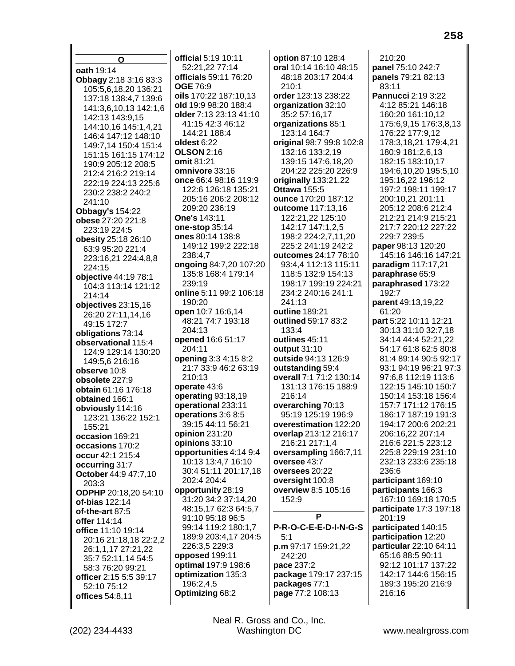O oath 19:14 Obbagy 2:18 3:16 83:3 105:5,6,18,20 136:21 137:18 138:4,7 139:6 141:3,6,10,13 142:1,6 142:13 143:9.15 144:10.16 145:1.4.21 146:4 147:12 148:10 149:7.14 150:4 151:4 151:15 161:15 174:12 190:9 205:12 208:5 212:4 216:2 219:14 222:19 224:13 225:6 230:2 238:2 240:2 241:10 **Obbagy's 154:22** obese 27:20 221:8 223:19 224:5 obesity 25:18 26:10 63:9 95:20 221:4 223:16,21 224:4,8,8 224:15 objective 44:19 78:1 104:3 113:14 121:12 214:14 objectives 23:15,16 26:20 27:11,14,16 49:15 172:7 obligations 73:14 observational 115:4 124:9 129:14 130:20 149:5,6 216:16 observe 10:8 obsolete 227:9 obtain 61:16 176:18 obtained 166:1 obviously 114:16 123:21 136:22 152:1  $155.21$ occasion 169:21 occasions 170:2 occur 42:1 215:4 occurring 31:7 **October 44:9 47:7.10** 203:3 **ODPHP** 20:18.20 54:10 of-bias  $122:14$ of-the-art 87:5 offer 114:14 office 11:10 19:14 20:16 21:18,18 22:2,2 26:1,1,17 27:21,22 35:7 52:11,14 54:5 58:3 76:20 99:21 officer 2:15 5:5 39:17 52:10 75:12 offices 54:8,11

official 5:19 10:11 52:21,22 77:14 officials 59:11 76:20 **OGE 76:9** oils 170:22 187:10.13 old 19:9 98:20 188:4 older 7:13 23:13 41:10 41:15 42:3 46:12 144:21 188:4 oldest 6:22 **OLSON 2:16** omit 81:21 omnivore 33:16 once 66:4 98:16 119:9 122:6 126:18 135:21 205:16 206:2 208:12 209:20 236:19 One's 143:11 one-stop 35:14 ones 80:14 138:8 149:12 199:2 222:18 238:4,7 ongoing 84:7,20 107:20 135:8 168:4 179:14 239:19 online 5:11 99:2 106:18 190:20 open 10:7 16:6,14 48:21 74:7 193:18 204:13 opened 16:6 51:17 204:11 **opening 3:3 4:15 8:2** 21:7 33:9 46:2 63:19  $210:13$ operate 43:6 operating 93:18,19 operational 233:11 operations 3:6 8:5 39:15 44:11 56:21 opinion 231:20 opinions 33:10 opportunities 4:14 9:4 10:13 13:4,7 16:10 30:4 51:11 201:17,18 202:4 204:4 opportunity 28:19 31:20 34:2 37:14,20 48:15,17 62:3 64:5,7 91:10 95:18 96:5 99:14 119:2 180:1,7 189:9 203:4,17 204:5 226:3,5 229:3 opposed 199:11 optimal 197:9 198:6 optimization 135:3 196:2,4,5 Optimizing 68:2

option 87:10 128:4 oral 10:14 16:10 48:15 48:18 203:17 204:4  $210:1$ order 123:13 238:22 organization 32:10 35:2 57:16,17 organizations 85:1 123:14 164:7 original 98:7 99:8 102:8 132:16 133:2,19 139:15 147:6,18,20 204:22 225:20 226:9 originally 133:21,22 **Ottawa 155:5** ounce 170:20 187:12 outcome 117:13,16 122:21,22 125:10 142:17 147:1,2,5 198:2 224:2,7,11,20 225:2 241:19 242:2 outcomes 24:17 78:10 93:4.4 112:13 115:11 118:5 132:9 154:13 198:17 199:19 224:21 234:2 240:16 241:1 241:13 outline 189:21 outlined 59:17 83:2  $133.4$ outlines 45:11 output 31:10 outside 94:13 126:9 outstanding 59:4 overall 7:1 71:2 130:14 131:13 176:15 188:9 216:14 overarching 70:13 95:19 125:19 196:9 overestimation 122:20 overlap 213:12 216:17 216:21 217:1,4 oversampling 166:7,11 oversee 43:7 oversees 20:22 oversight 100:8 overview 8:5 105:16 152:9 P P-R-O-C-E-E-D-I-N-G-S  $5:1$ p.m 97:17 159:21,22 242:20 pace 237:2 package 179:17 237:15 packages 77:1 page 77:2 108:13

 $210:20$ panel 75:10 242:7 panels 79:21 82:13 83:11 Pannucci 2:19 3:22 4:12 85:21 146:18 160:20 161:10,12 175:6,9,15 176:3,8,13 176:22 177:9,12 178:3,18,21 179:4,21 180:9 181:2,6,13 182:15 183:10,17 194:6,10,20 195:5,10 195:16,22 196:12 197:2 198:11 199:17 200:10,21 201:11 205:12 208:6 212:4 212:21 214:9 215:21 217:7 220:12 227:22 229:7 239:5 paper 98:13 120:20 145:16 146:16 147:21 paradigm 117:17,21 paraphrase 65:9 paraphrased 173:22 192:7 parent 49:13,19,22 61:20 **part** 5:22 10:11 12:21 30:13 31:10 32:7.18 34:14 44:4 52:21.22 54:17 61:8 62:5 80:8 81:4 89:14 90:5 92:17 93:1 94:19 96:21 97:3 97:6.8 112:19 113:6 122:15 145:10 150:7 150:14 153:18 156:4 157:7 171:12 176:15 186:17 187:19 191:3 194:17 200:6 202:21 206:16,22 207:14 216:6 221:5 223:12 225:8 229:19 231:10 232:13 233:6 235:18 236:6 participant 169:10 participants 166:3 167:10 169:18 170:5 participate 17:3 197:18 201:19 participated 140:15 participation 12:20 particular 22:10 64:11 65:16 88:5 90:11 92:12 101:17 137:22 142:17 144:6 156:15 189:3 195:20 216:9 216:16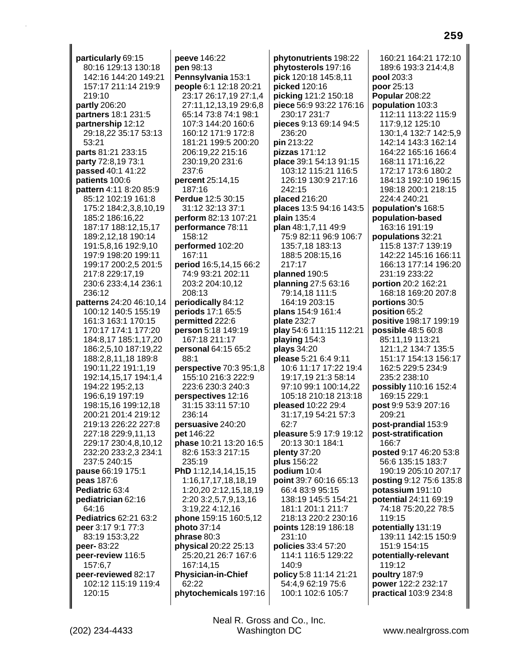**particularly** 69:15 80:16 129:13 130:18 142:16 144:20 149:21 157:17 211:14 219:9 219:10 **partly** 206:20 **partners** 18:1 231:5 **partnership** 12:12 29:18,22 35:17 53:13 53:21 **parts** 81:21 233:15 **party** 72:8,19 73:1 **passed** 40:1 41:22 **patients** 100:6 **pattern** 4:11 8:20 85:9 85:12 102:19 161:8 175:2 184:2,3,8,10,19 185:2 186:16,22 187:17 188:12,15,17 189:2,12,18 190:14 191:5,8,16 192:9,10 197:9 198:20 199:11 199:17 200:2,5 201:5 217:8 229:17,19 230:6 233:4,14 236:1 236:12 **patterns** 24:20 46:10,14 100:12 140:5 155:19 161:3 163:1 170:15 170:17 174:1 177:20 184:8,17 185:1,17,20 186:2,5,10 187:19,22 188:2,8,11,18 189:8 190:11,22 191:1,19 192:14,15,17 194:1,4 194:22 195:2,13 196:6,19 197:19 198:15,16 199:12,18 200:21 201:4 219:12 219:13 226:22 227:8 227:18 229:9,11,13 229:17 230:4,8,10,12 232:20 233:2,3 234:1 237:5 240:15 **pause** 66:19 175:1 **peas** 187:6 **Pediatric** 63:4 **pediatrician** 62:16 64:16 **Pediatrics** 62:21 63:2 **peer** 3:17 9:1 77:3 83:19 153:3,22 **peer-** 83:22 **peer-review** 116:5 157:6,7 **peer-reviewed** 82:17 102:12 115:19 119:4 120:15

**peeve** 146:22 **pen** 98:13 **Pennsylvania** 153:1 **people** 6:1 12:18 20:21 23:17 26:17,19 27:1,4 27:11,12,13,19 29:6,8 65:14 73:8 74:1 98:1 107:3 144:20 160:6 160:12 171:9 172:8 181:21 199:5 200:20 206:19,22 215:16 230:19,20 231:6 237:6 **percent** 25:14,15 187:16 **Perdue** 12:5 30:15 31:12 32:13 37:1 **perform** 82:13 107:21 **performance** 78:11 158:12 **performed** 102:20 167:11 **period** 16:5,14,15 66:2 74:9 93:21 202:11 203:2 204:10,12 208:13 **periodically** 84:12 **periods** 17:1 65:5 **permitted** 222:6 **person** 5:18 149:19 167:18 211:17 **personal** 64:15 65:2 88:1 **perspective** 70:3 95:1,8 155:10 216:3 222:9 223:6 230:3 240:3 **perspectives** 12:16 31:15 33:11 57:10 236:14 **persuasive** 240:20 **pet** 146:22 **phase** 10:21 13:20 16:5 82:6 153:3 217:15 235:19 **PhD** 1:12,14,14,15,15 1:16,17,17,18,18,19 1:20,20 2:12,15,18,19 2:20 3:2,5,7,9,13,16 3:19,22 4:12,16 **phone** 159:15 160:5,12 **photo** 37:14 **phrase** 80:3 **physical** 20:22 25:13 25:20,21 26:7 167:6 167:14,15 **Physician-in-Chief** 62:22 **phytochemicals** 197:16 **phytonutrients** 198:22 **phytosterols** 197:16 **pick** 120:18 145:8,11 **picked** 120:16 **picking** 121:2 150:18 **piece** 56:9 93:22 176:16 230:17 231:7 **pieces** 9:13 69:14 94:5 236:20 **pin** 213:22 **pizzas** 171:12 **place** 39:1 54:13 91:15 103:12 115:21 116:5 126:19 130:9 217:16  $242.15$ **placed** 216:20 **places** 13:5 94:16 143:5 **plain** 135:4 **plan** 48:1,7,11 49:9 75:9 82:11 96:9 106:7 135:7,18 183:13 188:5 208:15,16 217:17 **planned** 190:5 **planning** 27:5 63:16 79:14,18 111:5 164:19 203:15 **plans** 154:9 161:4 **plate** 232:7 **play** 54:6 111:15 112:21 **playing** 154:3 **plays** 34:20 **please** 5:21 6:4 9:11 10:6 11:17 17:22 19:4 19:17,19 21:3 58:14 97:10 99:1 100:14,22 105:18 210:18 213:18 **pleased** 10:22 29:4 31:17,19 54:21 57:3  $62.7$ **pleasure** 5:9 17:9 19:12 20:13 30:1 184:1 **plenty** 37:20 **plus** 156:22 **podium** 10:4 **point** 39:7 60:16 65:13 66:4 83:9 95:15 138:19 145:5 154:21 181:1 201:1 211:7 218:13 220:2 230:16 **points** 128:19 186:18 231:10 **policies** 33:4 57:20 114:1 116:5 129:22 140:9 **policy** 5:8 11:14 21:21 54:4,9 62:19 75:6 100:1 102:6 105:7

160:21 164:21 172:10 189:6 193:3 214:4,8 **pool** 203:3 **poor** 25:13 **Popular** 208:22 **population** 103:3 112:11 113:22 115:9 117:9,12 125:10 130:1,4 132:7 142:5,9 142:14 143:3 162:14 164:22 165:16 166:4 168:11 171:16,22 172:17 173:6 180:2 184:13 192:10 196:15 198:18 200:1 218:15 224:4 240:21 **population's** 168:5 **population-based** 163:16 191:19 **populations** 32:21 115:8 137:7 139:19 142:22 145:16 166:11 166:13 177:14 196:20 231:19 233:22 **portion** 20:2 162:21 168:18 169:20 207:8 **portions** 30:5 **position** 65:2 **positive** 198:17 199:19 **possible** 48:5 60:8 85:11,19 113:21 121:1,2 134:7 135:5 151:17 154:13 156:17 162:5 229:5 234:9 235:2 238:10 **possibly** 110:16 152:4 169:15 229:1 **post** 9:9 53:9 207:16 209:21 **post-prandial** 153:9 **post-stratification** 166:7 **posted** 9:17 46:20 53:8 56:6 135:15 183:7 190:19 205:10 207:17 **posting** 9:12 75:6 135:8 **potassium** 191:10 **potential** 24:11 69:19 74:18 75:20,22 78:5 119:15 **potentially** 131:19 139:11 142:15 150:9 151:9 154:15 **potentially-relevant** 119:12 **poultry** 187:9 **power** 122:2 232:17 **practical** 103:9 234:8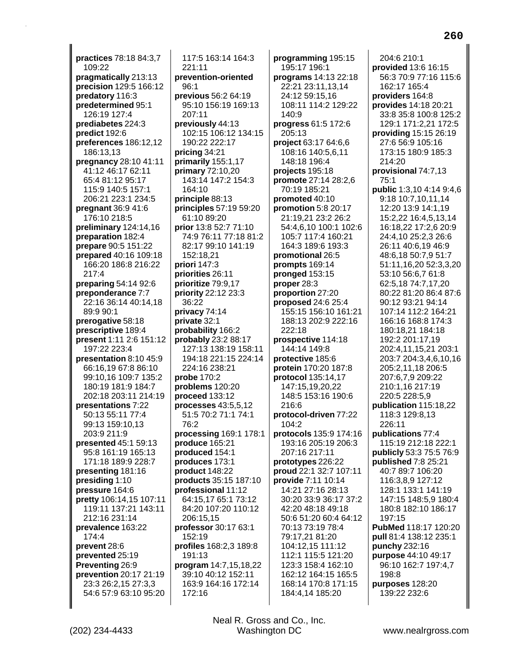practices 78:18 84:3,7 109:22 pragmatically 213:13 precision 129:5 166:12 predatory 116:3 predetermined 95:1 126:19 127:4 prediabetes 224:3 predict 192:6 preferences 186:12,12 186:13,13 pregnancy 28:10 41:11 41:12 46:17 62:11 65:4 81:12 95:17 115:9 140:5 157:1 206:21 223:1 234:5 pregnant 36:9 41:6 176:10 218:5 preliminary 124:14,16 preparation 182:4 prepare 90:5 151:22 prepared 40:16 109:18 166:20 186:8 216:22  $217:4$ preparing 54:14 92:6 preponderance 7:7 22:16 36:14 40:14.18 89:9 90:1 prerogative 58:18 prescriptive 189:4 present 1:11 2:6 151:12 197:22 223:4 presentation 8:10 45:9 66:16,19 67:8 86:10 99:10.16 109:7 135:2 180:19 181:9 184:7 202:18 203:11 214:19 presentations 7:22 50:13 55:11 77:4 99:13 159:10.13 203:9 211:9 presented 45:1 59:13 95:8 161:19 165:13 171:18 189:9 228:7 presenting 181:16 presiding 1:10 pressure 164:6 pretty 106:14,15 107:11 119:11 137:21 143:11 212:16 231:14 prevalence 163:22 174:4 prevent 28:6 prevented 25:19 Preventing 26:9 prevention 20:17 21:19 23:3 26:2,15 27:3,3 54:6 57:9 63:10 95:20

117:5 163:14 164:3  $221:11$ prevention-oriented 96:1 previous 56:2 64:19 95:10 156:19 169:13 207:11 previously 44:13 102:15 106:12 134:15 190:22 222:17 pricing 34:21 primarily 155:1,17 **primary 72:10,20** 143:14 147:2 154:3 164:10 principle 88:13 principles 57:19 59:20 61:10 89:20 prior 13:8 52:7 71:10 74:9 76:11 77:18 81:2 82:17 99:10 141:19 152:18,21 priori 147:3 priorities 26:11 prioritize 79:9,17 priority 22:12 23:3 36:22 privacy 74:14 **private** 32:1 probability 166:2 probably 23:2 88:17 127:13 138:19 158:11 194:18 221:15 224:14 224:16 238:21 **probe 170:2** problems 120:20 proceed 133:12 processes 43:5,5,12 51:5 70:2 71:1 74:1 76:2 processing 169:1 178:1 produce 165:21 produced 154:1 produces 173:1 product 148:22 products 35:15 187:10 professional 11:12 64:15.17 65:1 73:12 84:20 107:20 110:12 206:15.15 professor 30:17 63:1 152:19 profiles 168:2,3 189:8 191:13 program 14:7,15,18,22 39:10 40:12 152:11 163:9 164:16 172:14 172:16

programming 195:15 195:17 196:1 programs 14:13 22:18 22:21 23:11,13,14 24:12 59:15.16 108:11 114:2 129:22  $140.9$ progress 61:5 172:6 205:13 project 63:17 64:6.6 108:16 140:5,6,11 148:18 196:4 projects 195:18 promote 27:14 28:2,6 70:19 185:21 promoted 40:10 promotion 5:8 20:17 21:19.21 23:2 26:2 54:4,6,10 100:1 102:6 105:7 117:4 160:21 164:3 189:6 193:3 promotional 26:5 prompts 169:14 pronged  $153:15$ proper 28:3 proportion 27:20 proposed 24:6 25:4 155:15 156:10 161:21 188:13 202:9 222:16 222:18 prospective 114:18 144.14 149.8 protective 185:6 protein 170:20 187:8 **protocol** 135:14.17 147:15,19,20,22 148:5 153:16 190:6 216:6 protocol-driven 77:22  $104:2$ protocols 135:9 174:16 193:16 205:19 206:3 207:16 217:11 prototypes 226:22 proud 22:1 32:7 107:11 provide 7:11 10:14 14:21 27:16 28:13 30:20 33:9 36:17 37:2 42:20 48:18 49:18 50:6 51:20 60:4 64:12 70:13 73:19 78:4 79:17,21 81:20 104:12,15 111:12 112:1 115:5 121:20 123:3 158:4 162:10 162:12 164:15 165:5 168:14 170:8 171:15 184:4,14 185:20

204:6 210:1 provided 13:6 16:15 56:3 70:9 77:16 115:6 162:17 165:4 providers 164:8 provides 14:18 20:21 33:8 35:8 100:8 125:2 129:1 171:2,21 172:5 providing 15:15 26:19 27:6 56:9 105:16 173:15 180:9 185:3 214:20 provisional 74:7,13  $75:1$ public 1:3,10 4:14 9:4,6 9:18 10:7,10,11,14 12:20 13:9 14:1,19 15:2,22 16:4,5,13,14 16:18,22 17:2,6 20:9 24:4,10 25:2,3 26:6 26:11 40:6,19 46:9 48:6.18 50:7.9 51:7 51:11,16,20 52:3,3,20 53:10 56:6,7 61:8 62:5,18 74:7,17,20 80:22 81:20 86:4 87:6 90:12 93:21 94:14 107:14 112:2 164:21 166:16 168:8 174:3 180:18,21 184:18 192:2 201:17.19 202:4,11,15,21 203:1 203:7 204:3,4,6,10,16 205:2,11,18 206:5 207:6,7,9 209:22 210:1,16 217:19 220:5 228:5,9 publication 115:18,22 118:3 129:8,13 226:11 publications 77:4 115:19 212:18 222:1 publicly 53:3 75:5 76:9 published 7:8 25:21 40:7 89:7 106:20 116:3,8,9 127:12 128:1 133:1 141:19 147:15 148:5,9 180:4 180:8 182:10 186:17 197:15 PubMed 118:17 120:20 pull 81:4 138:12 235:1 punchy 232:16 purpose 44:10 49:17 96:10 162:7 197:4,7  $198.8$ purposes 128:20 139:22 232:6

(202) 234-4433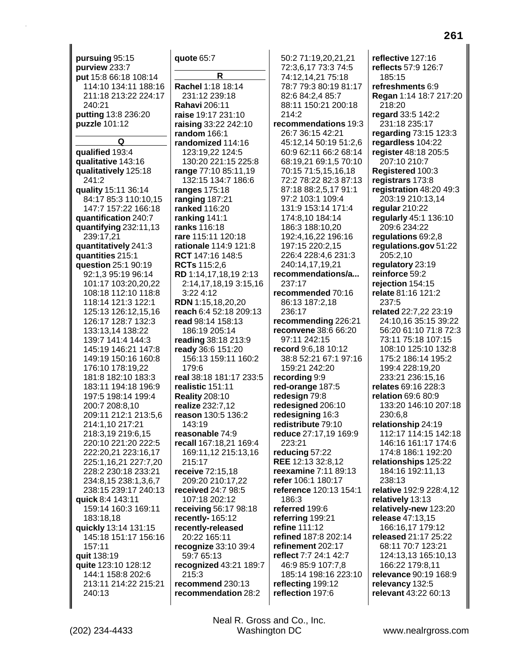pursuing 95:15 purview 233:7 put 15:8 66:18 108:14 114:10 134:11 188:16 211:18 213:22 224:17 240:21 putting 13:8 236:20 puzzle 101:12 Q qualified 193:4 qualitative 143:16 qualitatively 125:18 241:2 quality 15:11 36:14 84:17 85:3 110:10.15 147:7 157:22 166:18 quantification 240:7 quantifying  $232:11,13$ 239:17,21 quantitatively 241:3 quantities 215:1 question 25:1 90:19 92:1.3 95:19 96:14 101:17 103:20,20,22 108:18 112:10 118:8 118:14 121:3 122:1 125:13 126:12,15,16 126.17 128:7 132:3 133:13.14 138:22 139:7 141:4 144:3 145:19 146:21 147:8 149:19 150:16 160:8 176:10 178:19.22 181:8 182:10 183:3 183:11 194:18 196:9 197:5 198:14 199:4 200:7 208:8.10 209:11 212:1 213:5.6 214:1,10 217:21 218:3,19 219:6,15 220:10 221:20 222:5 222:20,21 223:16,17 225:1,16,21 227:7,20 228:2 230:18 233:21 234:8,15 238:1,3,6,7 238:15 239:17 240:13 quick 8:4 143:11 159:14 160:3 169:11 183:18,18 quickly 13:14 131:15 145:18 151:17 156:16 157:11 quit 138:19 quite 123:10 128:12 144:1 158:8 202:6 213:11 214:22 215:21 240:13

## quote 65:7 R Rachel 1:18 18:14 231:12 239:18 **Rahavi 206:11** raise 19:17 231:10 raising 33:22 242:10 random 166:1 randomized 114:16 123:19,22 124:5 130:20 221:15 225:8 range 77:10 85:11,19 132:15 134:7 186:6 ranges 175:18 ranging 187:21 ranked 116:20 ranking 141:1 ranks 116:18 rare 115:11 120:18 rationale 114:9 121:8 RCT 147:16 148:5 **RCTs** 115:2,6 RD 1:14,17,18,19 2:13 2:14,17,18,19 3:15,16  $3:224:12$ **RDN** 1:15.18.20.20 reach 6:4 52:18 209:13 read 98:14 158:13 186:19 205:14 reading 38:18 213:9 ready 36:6 151:20 156:13 159:11 160:2 179:6 real 38:18 181:17 233:5 realistic 151:11 **Reality 208:10** realize 232:7,12 reason 130:5 136:2 143:19 reasonable 74:9 recall 167:18,21 169:4 169:11,12 215:13,16 215:17 receive 72:15,18 209:20 210:17,22 received 24:7 98:5 107:18 202:12 receiving 56:17 98:18 recently-165:12 recently-released 20:22 165:11 recognize 33:10 39:4 59:7 65:13 recognized 43:21 189:7 215:3 recommend 230:13 recommendation 28:2

50:2 71:19.20.21.21 72:3,6,17 73:3 74:5 74:12,14,21 75:18 78:7 79:3 80:19 81:17 82:6 84:2.4 85:7 88:11 150:21 200:18 214:2 recommendations 19:3 26:7 36:15 42:21 45:12,14 50:19 51:2,6 60:9 62:11 66:2 68:14 68:19,21 69:1,5 70:10 70:15 71:5,15,16,18 72:2 78:22 82:3 87:13 87:18 88:2,5,17 91:1 97:2 103:1 109:4 131:9 153:14 171:4 174:8,10 184:14 186:3 188:10,20 192:4,16,22 196:16 197:15 220:2,15 226:4 228:4,6 231:3 240:14.17.19.21 recommendations/a... 237:17 recommended 70:16 86:13 187:2.18 236:17 recommending 226:21 **reconvene** 38:6 66:20 97.11 242.15 record 9:6.18 10:12 38:8 52:21 67:1 97:16 159:21 242:20 recording 9:9 red-orange 187:5 redesign 79:8 redesigned 206:10 redesigning 16:3 redistribute 79:10 reduce 27:17,19 169:9 223:21 reducing 57:22 REE 12:13 32:8.12 reexamine 7:11 89:13 refer 106:1 180:17 reference 120:13 154:1 186:3 referred 199:6 referring 199:21 refine 111:12 refined 187:8 202:14 refinement 202:17 reflect 7:7 24:1 42:7 46:9 85:9 107:7,8 185:14 198:16 223:10 reflecting 199:12 reflection 197:6

reflective 127:16 reflects 57:9 126:7 185:15 refreshments 6:9 Regan 1:14 18:7 217:20 218:20 regard 33:5 142:2 231:18 235:17 regarding 73:15 123:3 regardless 104:22 register 48:18 205:5 207:10 210:7 Registered 100:3 registrars 173:8 registration 48:20 49:3 203:19 210:13,14 regular 210:22 regularly 45:1 136:10 209:6 234:22 regulations 69:2,8 regulations.gov 51:22 205:2,10 requlatory 23:19 reinforce 59:2 relection 154:15 relate 81:16 121:2 237:5 related 22:7,22 23:19 24:10.16 35:15 39:22 56:20 61:10 71:8 72:3 73:11 75:18 107:15 108:10 125:10 132:8 175:2 186:14 195:2 199:4 228:19.20 233:21 236:15.16 relates 69:16 228:3 relation 69:6 80:9 133:20 146:10 207:18 230:6.8 relationship 24:19 112:17 114:15 142:18 146:16 161:17 174:6 174:8 186:1 192:20 relationships 125:22 184:16 192:11,13 238:13 relative 192:9 228:4.12 relatively 13:13 relatively-new 123:20 release 47:13,15 166:16,17 179:12 released 21:17 25:22 68:11 70:7 123:21 124:13,13 165:10,13 166:22 179:8,11 relevance 90:19 168:9 relevancy 132:5 relevant 43:22 60:13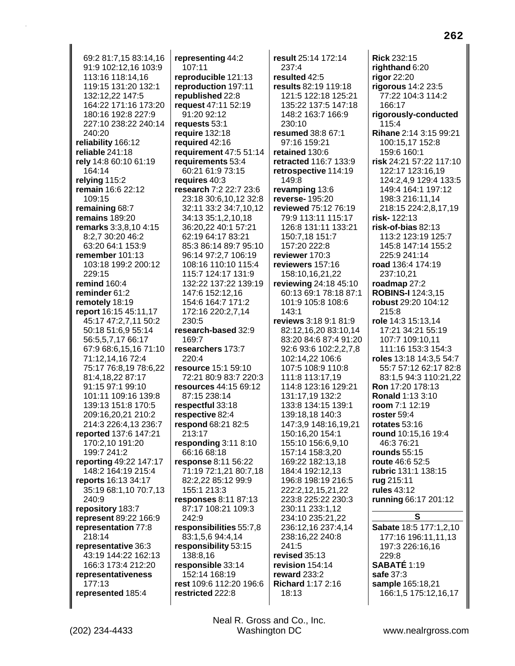69:2 81:7,15 83:14,16 91:9 102:12,16 103:9 113:16 118:14,16 119:15 131:20 132:1 132:12,22 147:5 164:22 171:16 173:20 180:16 192:8 227:9 227:10 238:22 240:14 240:20 **reliability** 166:12 **reliable** 241:18 **rely** 14:8 60:10 61:19 164:14 **relying** 115:2 **remain** 16:6 22:12 109:15 **remaining** 68:7 **remains** 189:20 **remarks** 3:3,8,10 4:15 8:2,7 30:20 46:2 63:20 64:1 153:9 **remember** 101:13 103:18 199:2 200:12 229:15 **remind** 160:4 **reminder** 61:2 **remotely** 18:19 **report** 16:15 45:11,17 45:17 47:2,7,11 50:2 50:18 51:6,9 55:14 56:5,5,7,17 66:17 67:9 68:6,15,16 71:10 71:12,14,16 72:4 75:17 76:8,19 78:6,22 81:4,18,22 87:17 91:15 97:1 99:10 101:11 109:16 139:8 139:13 151:8 170:5 209:16,20,21 210:2 214:3 226:4,13 236:7 **reported** 137:6 147:21 170:2,10 191:20 199:7 241:2 **reporting** 49:22 147:17 148:2 164:19 215:4 **reports** 16:13 34:17 35:19 68:1,10 70:7,13 240:9 **repository** 183:7 **represent** 89:22 166:9 **representation** 77:8 218:14 **representative** 36:3 43:19 144:22 162:13 166:3 173:4 212:20 **representativeness** 177:13 **represented** 185:4

**representing** 44:2 107:11 **reproducible** 121:13 **reproduction** 197:11 **republished** 22:8 **request** 47:11 52:19 91:20 92:12 **requests** 53:1 **require** 132:18 **required** 42:16 **requirement** 47:5 51:14 **requirements** 53:4 60:21 61:9 73:15 **requires** 40:3 **research** 7:2 22:7 23:6 23:18 30:6,10,12 32:8 32:11 33:2 34:7,10,12 34:13 35:1,2,10,18 36:20,22 40:1 57:21 62:19 64:17 83:21 85:3 86:14 89:7 95:10 96:14 97:2,7 106:19 108:16 110:10 115:4 115:7 124:17 131:9 132:22 137:22 139:19 147:6 152:12,16 154:6 164:7 171:2 172:16 220:2,7,14 230:5 **research-based** 32:9 169:7 **researchers** 173:7 220:4 **resource** 15:1 59:10 72:21 80:9 83:7 220:3 **resources** 44:15 69:12 87:15 238:14 **respectful** 33:18 **respective** 82:4 **respond** 68:21 82:5 213:17 **responding** 3:11 8:10 66:16 68:18 **response** 8:11 56:22 71:19 72:1,21 80:7,18 82:2,22 85:12 99:9 155:1 213:3 **responses** 8:11 87:13 87:17 108:21 109:3 242:9 **responsibilities** 55:7,8 83:1,5,6 94:4,14 **responsibility** 53:15 138:8,16 **responsible** 33:14 152:14 168:19 **rest** 109:6 112:20 196:6 **restricted** 222:8

**result** 25:14 172:14 237:4 **resulted** 42:5 **results** 82:19 119:18 121:5 122:18 125:21 135:22 137:5 147:18 148:2 163:7 166:9 230:10 **resumed** 38:8 67:1 97:16 159:21 **retained** 130:6 **retracted** 116:7 133:9 **retrospective** 114:19 149:8 **revamping** 13:6 **reverse-** 195:20 **reviewed** 75:12 76:19 79:9 113:11 115:17 126:8 131:11 133:21 150:7,18 151:7 157:20 222:8 **reviewer** 170:3 **reviewers** 157:16 158:10,16,21,22 **reviewing** 24:18 45:10 60:13 69:1 78:18 87:1 101:9 105:8 108:6 143:1 **reviews** 3:18 9:1 81:9 82:12,16,20 83:10,14 83:20 84:6 87:4 91:20 92:6 93:6 102:2,2,7,8 102:14,22 106:6 107:5 108:9 110:8 111:8 113:17,19 114:8 123:16 129:21 131:17,19 132:2 133:8 134:15 139:1 139:18,18 140:3 147:3,9 148:16,19,21 150:16,20 154:1 155:10 156:6,9,10 157:14 158:3,20 169:22 182:13,18 184:4 192:12,13 196:8 198:19 216:5 222:2,12,15,21,22 223:8 225:22 230:3 230:11 233:1,12 234:10 235:21,22 236:12,16 237:4,14 238:16,22 240:8 241:5 **revised** 35:13 **revision** 154:14 **reward** 233:2 **Richard** 1:17 2:16 18:13

**Rick** 232:15 **righthand** 6:20 **rigor** 22:20 **rigorous** 14:2 23:5 77:22 104:3 114:2 166:17 **rigorously-conducted** 115:4 **Rihane** 2:14 3:15 99:21 100:15,17 152:8 159:6 160:1 **risk** 24:21 57:22 117:10 122:17 123:16,19 124:2,4,9 129:4 133:5 149:4 164:1 197:12 198:3 216:11,14 218:15 224:2,8,17,19 **risk-** 122:13 **risk-of-bias** 82:13 113:2 123:19 125:7 145:8 147:14 155:2 225:9 241:14 **road** 136:4 174:19 237:10,21 **roadmap** 27:2 **ROBINS-I** 124:3,15 **robust** 29:20 104:12 215:8 **role** 14:3 15:13,14 17:21 34:21 55:19 107:7 109:10,11 111:16 153:3 154:3 **roles** 13:18 14:3,5 54:7 55:7 57:12 62:17 82:8 83:1,5 94:3 110:21,22 **Ron** 17:20 178:13 **Ronald** 1:13 3:10 **room** 7:1 12:19 **roster** 59:4 **rotates** 53:16 **round** 10:15,16 19:4 46:3 76:21 **rounds** 55:15 **route** 46:6 52:5 **rubric** 131:1 138:15 **rug** 215:11 **rules** 43:12 **running** 66:17 201:12 **S Sabate** 18:5 177:1,2,10 177:16 196:11,11,13 197:3 226:16,16 229:8

**SABATÉ** 1:19 **safe** 37:3 **sample** 165:18,21 166:1,5 175:12,16,17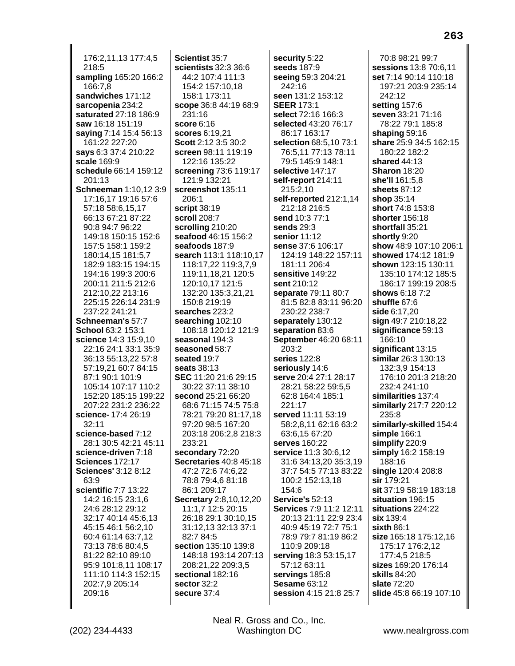176:2,11,13 177:4,5 218:5 sampling 165:20 166:2 166:7,8 sandwiches 171:12 sarcopenia 234:2 saturated 27:18 186:9 saw 16:18 151:19 saying 7:14 15:4 56:13 161:22 227:20 says 6:3 37:4 210:22 scale 169:9 schedule 66:14 159:12 201:13 Schneeman 1:10,12 3:9 17:16,17 19:16 57:6 57:18 58:6,15,17 66:13 67:21 87:22 90:8 94:7 96:22 149:18 150:15 152:6 157:5 158:1 159:2 180:14.15 181:5.7 182:9 183:15 194:15 194:16 199:3 200:6 200:11 211:5 212:6 212:10.22 213:16 225:15 226:14 231:9 237:22 241:21 Schneeman's 57:7 **School 63:2 153:1** science 14:3 15:9.10 22:16 24:1 33:1 35:9 36:13 55:13,22 57:8 57:19.21 60:7 84:15 87:1 90:1 101:9 105:14 107:17 110:2 152:20 185:15 199:22 207:22 231:2 236:22 science- 17:4 26:19  $32.11$ science-based 7:12 28:1 30:5 42:21 45:11 science-driven 7:18 **Sciences 172:17** Sciences' 3:12 8:12 63:9 scientific 7:7 13:22 14:2 16:15 23:1.6 24:6 28:12 29:12 32:17 40:14 45:6,13 45:15 46:1 56:2,10 60:4 61:14 63:7,12 73:13 78:6 80:4,5 81:22 82:10 89:10 95:9 101:8,11 108:17 111:10 114:3 152:15 202:7,9 205:14 209:16

Scientist 35:7 scientists 32:3 36:6 44:2 107:4 111:3 154:2 157:10,18 158:1 173:11 scope 36:8 44:19 68:9 231:16 score  $6:16$ scores 6:19.21 Scott 2:12 3:5 30:2 screen 98:11 119:19 122:16 135:22 screening 73:6 119:17 121:9 132:21 screenshot 135:11 206:1 script 38:19 scroll 208:7 scrolling 210:20 seafood 46:15 156:2 seafoods 187:9 search 113:1 118:10.17 118:17,22 119:3,7,9 119:11,18,21 120:5 120:10,17 121:5 132:20 135:3.21.21 150:8 219:19 searches 223:2 searching 102:10 108:18 120:12 121:9 seasonal 194:3 seasoned  $58.7$ seated 19:7 **seats** 38:13 SEC 11:20 21:6 29:15 30:22 37:11 38:10 second 25:21 66:20 68:6 71:15 74:5 75:8 78:21 79:20 81:17,18 97:20 98:5 167:20 203:18 206:2,8 218:3 233:21 secondary 72:20 **Secretaries 40:8 45:18** 47:2 72:6 74:6,22 78:8 79:4,6 81:18 86:1 209:17 Secretary 2:8,10,12,20 11:1,7 12:5 20:15 26:18 29:1 30:10,15 31:12,13 32:13 37:1 82:7 84:5 section 135:10 139:8 148:18 193:14 207:13 208:21,22 209:3,5 sectional 182:16 sector 32:2 secure 37:4

security 5:22 seeds 187:9 seeing 59:3 204:21 242:16 seen 131:2 153:12 **SEER 173:1** select 72:16 166:3 selected 43:20 76:17 86:17 163:17 selection 68:5,10 73:1 76:5,11 77:13 78:11 79:5 145:9 148:1 selective 147:17 self-report 214:11 215:2,10 self-reported 212:1,14 212:18 216:5 send 10:3 77:1 sends  $29:3$ senior 11:12 sense 37:6 106:17 124:19 148:22 157:11 181:11 206:4 sensitive 149:22 sent 210:12 separate 79:11 80:7 81:5 82:8 83:11 96:20 230:22 238:7 separately 130:12 separation 83:6 September 46:20 68:11  $203.2$ series 122:8 seriously 14:6 serve 20:4 27:1 28:17 28:21 58:22 59:5,5 62:8 164:4 185:1 221:17 served 11:11 53:19 58:2,8,11 62:16 63:2 63:6,15 67:20 serves 160:22 service 11:3 30:6,12 31:6 34:13,20 35:3,19 37:7 54:5 77:13 83:22 100:2 152:13,18 154:6 **Service's 52:13** Services 7:9 11:2 12:11 20:13 21:11 22:9 23:4 40:9 45:19 72:7 75:1 78:9 79:7 81:19 86:2 110:9 209:18 serving 18:3 53:15,17 57:12 63:11 servings 185:8 **Sesame 63:12** session 4:15 21:8 25:7

70:8 98:21 99:7 sessions 13:8 70:6.11 set 7:14 90:14 110:18 197:21 203:9 235:14 242:12 setting 157:6 seven 33:21 71:16 78:22 79:1 185:8 shaping 59:16 share 25:9 34:5 162:15 180:22 182:2 shared 44:13 **Sharon 18:20** she'll 161:5.8 sheets 87:12 shop 35:14 short 74:8 153:8 shorter 156:18 shortfall 35:21 shortly 9:20 show 48:9 107:10 206:1 showed 174:12 181:9 shown 123:15 130:11 135:10 174:12 185:5 186:17 199:19 208:5 shows 6:18 7:2 shuffle 67:6 side 6:17,20 sign 49:7 210:18,22 significance 59:13 166:10 significant 13:15 similar 26:3 130:13 132:3,9 154:13 176:10 201:3 218:20 232:4 241:10 similarities 137:4 similarly 217:7 220:12 235:8 similarly-skilled 154:4 simple 166:1 simplify 220:9 simply 16:2 158:19 188:16 single 120:4 208:8 **sir** 179:21 sit 37:19 58:19 183:18 situation 196:15 situations 224:22 six 139:4  $s$ ixth  $86:1$ size 165:18 175:12,16 175:17 176:2,12 177:4,5 218:5 sizes 169:20 176:14 **skills 84:20** slate 72:20 slide 45:8 66:19 107:10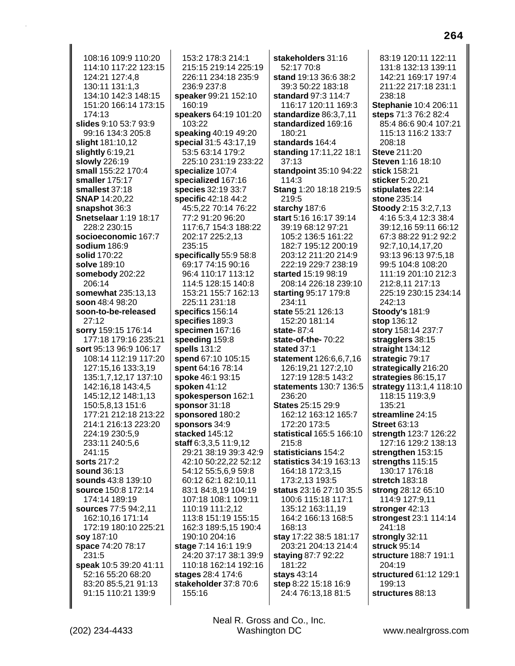108:16 109:9 110:20 114:10 117:22 123:15 124:21 127:4,8 130:11 131:1,3 134:10 142:3 148:15 151:20 166:14 173:15 174:13 slides 9:10 53:7 93:9 99:16 134:3 205:8 slight 181:10,12 slightly  $6:19,21$ slowly 226:19 small 155:22 170:4 smaller 175:17 smallest 37:18 **SNAP 14:20,22** snapshot 36:3 **Snetselaar 1:19 18:17** 228:2 230:15 socioeconomic 167:7 sodium 186:9 solid 170:22 solve 189:10 somebody 202:22 206:14 somewhat 235:13.13 soon 48:4 98:20 soon-to-be-released  $27:12$ sorry 159:15 176:14 177:18 179:16 235:21 sort 95:13 96:9 106:17 108:14 112:19 117:20 127:15,16 133:3,19 135:1,7,12,17 137:10 142:16,18 143:4,5 145:12,12 148:1,13 150:5,8,13 151:6 177:21 212:18 213:22 214:1 216:13 223:20 224:19 230:5,9 233:11 240:5,6 241:15 sorts 217:2 sound 36:13 sounds 43:8 139:10 source 150:8 172:14 174:14 189:19 sources 77:5 94:2.11 162:10,16 171:14 172:19 180:10 225:21 soy 187:10 space 74:20 78:17 231:5 speak 10:5 39:20 41:11 52:16 55:20 68:20 83:20 85:5,21 91:13 91:15 110:21 139:9

153:2 178:3 214:1 215:15 219:14 225:19 226:11 234:18 235:9 236:9 237:8 speaker 99:21 152:10 160:19 speakers 64:19 101:20 103:22 speaking 40:19 49:20 special 31:5 43:17,19 53:5 63:14 179:2 225:10 231:19 233:22 specialize 107:4 specialized 167:16 species 32:19 33:7 **specific** 42:18 44:2 45:5,22 70:14 76:22 77:2 91:20 96:20 117:6,7 154:3 188:22 202:17 225:2,13 235:15 specifically 55:9 58:8 69:17 74:15 90:16 96:4 110:17 113:12 114:5 128:15 140:8 153:21 155:7 162:13 225:11 231:18 specifics 156:14 specifies 189:3 specimen 167:16 speeding 159:8 spells 131:2 spend 67:10 105:15 spent 64:16 78:14 spoke 46:1 93:15 spoken  $41:12$ spokesperson 162:1 sponsor 31:18 sponsored 180:2 sponsors 34:9 stacked 145:12 staff 6:3,3,5 11:9,12 29:21 38:19 39:3 42:9 42:10 50:22,22 52:12 54:12 55:5,6,9 59:8 60:12 62:1 82:10,11 83:1 84:8,19 104:19 107:18 108:1 109:11 110:19 111:2.12 113:8 151:19 155:15 162:3 189:5,15 190:4 190:10 204:16 stage 7:14 16:1 19:9 24:20 37:17 38:1 39:9 110:18 162:14 192:16 stages 28:4 174:6 stakeholder 37:8 70:6 155:16

stakeholders 31:16 52:17 70:8 stand 19:13 36:6 38:2 39:3 50:22 183:18 standard 97:3 114:7 116:17 120:11 169:3 standardize 86:3,7,11 standardized 169:16 180:21 standards 164:4 standing 17:11,22 18:1 37:13 standpoint 35:10 94:22  $114:3$ Stang 1:20 18:18 219:5 219:5 starchy 187:6 start 5:16 16:17 39:14 39:19 68:12 97:21 105:2 136:5 161:22 182:7 195:12 200:19 203:12 211:20 214:9 222:19 229:7 238:19 started 15:19 98:19 208:14 226:18 239:10 starting 95:17 179:8 234:11 state 55:21 126:13 152:20 181:14 state- $87:4$ state-of-the-70:22 stated  $37.1$ statement 126:6,6,7,16 126:19,21 127:2,10 127:19 128:5 143:2 statements 130:7 136:5 236:20 **States 25:15 29:9** 162:12 163:12 165:7 172:20 173:5 statistical 165:5 166:10 215:8 statisticians 154:2 statistics 34:19 163:13 164:18 172:3,15 173:2,13 193:5 status 23:16 27:10 35:5 100:6 115:18 117:1 135:12 163:11.19 164:2 166:13 168:5 168:13 stay 17:22 38:5 181:17 203:21 204:13 214:4 staying 87:7 92:22 181:22 stays 43:14 step 8:22 15:18 16:9 24:4 76:13,18 81:5

83:19 120:11 122:11 131:8 132:13 139:11 142:21 169:17 197:4 211:22 217:18 231:1 238:18 Stephanie 10:4 206:11 steps 71:3 76:2 82:4 85:4 86:6 90:4 107:21 115:13 116:2 133:7  $208:18$ **Steve 211:20** Steven 1:16 18:10 stick 158:21 sticker 5:20,21 stipulates 22:14 stone 235:14 Stoody 2:15 3:2,7,13 4:16 5:3,4 12:3 38:4 39:12,16 59:11 66:12 67:3 88:22 91:2 92:2 92:7,10,14,17,20 93:13 96:13 97:5.18 99:5 104:8 108:20 111:19 201:10 212:3 212:8.11 217:13 225:19 230:15 234:14 242:13 **Stoody's 181:9 stop** 136:12 story 158:14 237:7 stragglers 38:15 straight 134:12 strategic 79:17 strategically 216:20 strategies 86:15,17 strategy 113:1,4 118:10 118:15 119:3,9 135:21 streamline 24:15 **Street 63:13** strength 123:7 126:22 127:16 129:2 138:13 strengthen 153:15 strengths 115:15 130:17 176:18 stretch 183:18 strong 28:12 65:10 114:9 127:9,11 stronger 42:13 strongest 23:1 114:14 241:18 strongly 32:11 struck 95:14 structure 188:7 191:1 204:19 structured 61:12 129:1 199:13 structures 88:13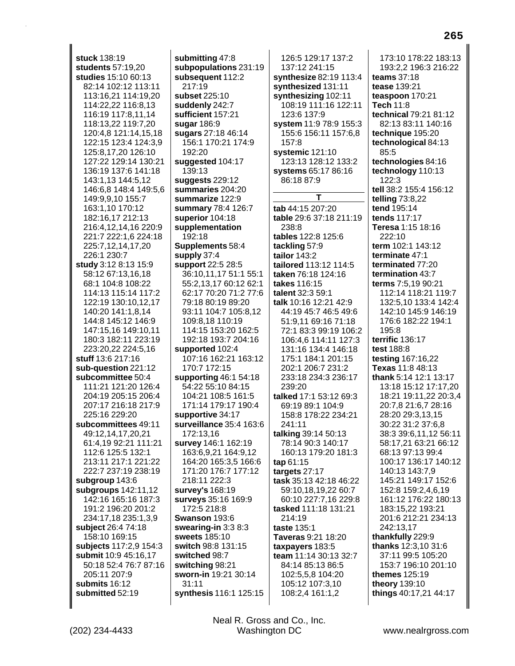**stuck** 138:19 **students** 57:19,20 **studies** 15:10 60:13 82:14 102:12 113:11 113:16,21 114:19,20 114:22,22 116:8,13 116:19 117:8,11,14 118:13,22 119:7,20 120:4,8 121:14,15,18 122:15 123:4 124:3,9 125:8,17,20 126:10 127:22 129:14 130:21 136:19 137:6 141:18 143:1,13 144:5,12 146:6,8 148:4 149:5,6 149:9,9,10 155:7 163:1,10 170:12 182:16,17 212:13 216:4,12,14,16 220:9 221:7 222:1,6 224:18 225:7,12,14,17,20 226:1 230:7 **study** 3:12 8:13 15:9 58:12 67:13,16,18 68:1 104:8 108:22 114:13 115:14 117:2 122:19 130:10,12,17 140:20 141:1,8,14 144:8 145:12 146:9 147:15,16 149:10,11 180:3 182:11 223:19 223:20,22 224:5,16 **stuff** 13:6 217:16 **sub-question** 221:12 **subcommittee** 50:4 111:21 121:20 126:4 204:19 205:15 206:4 207:17 216:18 217:9 225:16 229:20 **subcommittees** 49:11 49:12,14,17,20,21 61:4,19 92:21 111:21 112:6 125:5 132:1 213:11 217:1 221:22 222:7 237:19 238:19 **subgroup** 143:6 **subgroups** 142:11,12 142:16 165:16 187:3 191:2 196:20 201:2 234:17,18 235:1,3,9 **subject** 26:4 74:18 158:10 169:15 **subjects** 117:2,9 154:3 **submit** 10:9 45:16,17 50:18 52:4 76:7 87:16 205:11 207:9 **submits** 16:12 **submitted** 52:19

**submitting** 47:8 **subpopulations** 231:19 **subsequent** 112:2 217:19 **subset** 225:10 **suddenly** 242:7 **sufficient** 157:21 **sugar** 186:9 **sugars** 27:18 46:14 156:1 170:21 174:9 192:20 **suggested** 104:17 139:13 **suggests** 229:12 **summaries** 204:20 **summarize** 122:9 **summary** 78:4 126:7 **superior** 104:18 **supplementation** 192:18 **Supplements** 58:4 **supply** 37:4 **support** 22:5 28:5 36:10,11,17 51:1 55:1 55:2,13,17 60:12 62:1 62:17 70:20 71:2 77:6 79:18 80:19 89:20 93:11 104:7 105:8,12 109:8,18 110:19 114:15 153:20 162:5 192:18 193:7 204:16 **supported** 102:4 107:16 162:21 163:12 170:7 172:15 **supporting** 46:1 54:18 54:22 55:10 84:15 104:21 108:5 161:5 171:14 179:17 190:4 **supportive** 34:17 **surveillance** 35:4 163:6 172:13,16 **survey** 146:1 162:19 163:6,9,21 164:9,12 164:20 165:3,5 166:6 171:20 176:7 177:12 218:11 222:3 **survey's** 168:19 **surveys** 35:16 169:9 172:5 218:8 **Swanson** 193:6 **swearing-in** 3:3 8:3 **sweets** 185:10 **switch** 98:8 131:15 **switched** 98:7 **switching** 98:21 **sworn-in** 19:21 30:14 31:11 **synthesis** 116:1 125:15

126:5 129:17 137:2 137:12 241:15 **synthesize** 82:19 113:4 **synthesized** 131:11 **synthesizing** 102:11 108:19 111:16 122:11 123:6 137:9 **system** 11:9 78:9 155:3 155:6 156:11 157:6,8 157:8 **systemic** 121:10 123:13 128:12 133:2 **systems** 65:17 86:16 86:18 87:9 **T tab** 44:15 207:20 **table** 29:6 37:18 211:19 238:8 **tables** 122:8 125:6 **tackling** 57:9 **tailor** 143:2 **tailored** 113:12 114:5 **taken** 76:18 124:16 **takes** 116:15 **talent** 32:3 59:1 **talk** 10:16 12:21 42:9 44:19 45:7 46:5 49:6 51:9,11 69:16 71:18 72:1 83:3 99:19 106:2 106:4,6 114:11 127:3 131:16 134:4 146:18 175:1 184:1 201:15 202:1 206:7 231:2 233:18 234:3 236:17 239:20 **talked** 17:1 53:12 69:3 69:19 89:1 104:9 158:8 178:22 234:21 241:11 **talking** 39:14 50:13 78:14 90:3 140:17 160:13 179:20 181:3 **tap** 61:15 **targets** 27:17 **task** 35:13 42:18 46:22 59:10,18,19,22 60:7 60:10 227:7,16 229:8 **tasked** 111:18 131:21 214:19 **taste** 135:1 **Taveras** 9:21 18:20 **taxpayers** 183:5 **team** 11:14 30:13 32:7 84:14 85:13 86:5 102:5,5,8 104:20 105:12 107:3,10 108:2,4 161:1,2

173:10 178:22 183:13 193:2,2 196:3 216:22 **teams** 37:18 **tease** 139:21 **teaspoon** 170:21 **Tech** 11:8 **technical** 79:21 81:12 82:13 83:11 140:16 **technique** 195:20 **technological** 84:13 85:5 **technologies** 84:16 **technology** 110:13 122:3 **tell** 38:2 155:4 156:12 **telling** 73:8,22 **tend** 195:14 **tends** 117:17 **Teresa** 1:15 18:16 222:10 **term** 102:1 143:12 **terminate** 47:1 **terminated** 77:20 **termination** 43:7 **terms** 7:5,19 90:21 112:14 118:21 119:7 132:5,10 133:4 142:4 142:10 145:9 146:19 176:6 182:22 194:1 195:8 **terrific** 136:17 **test** 188:8 **testing** 167:16,22 **Texas** 11:8 48:13 **thank** 5:14 12:1 13:17 13:18 15:12 17:17,20 18:21 19:11,22 20:3,4 20:7,8 21:6,7 28:16 28:20 29:3,13,15 30:22 31:2 37:6,8 38:3 39:6,11,12 56:11 58:17,21 63:21 66:12 68:13 97:13 99:4 100:17 136:17 140:12 140:13 143:7,9 145:21 149:17 152:6 152:8 159:2,4,6,19 161:12 176:22 180:13 183:15,22 193:21 201:6 212:21 234:13 242:13,17 **thankfully** 229:9 **thanks** 12:3,10 31:6 37:11 99:5 105:20 153:7 196:10 201:10 **themes** 125:19 **theory** 139:10 **things** 40:17,21 44:17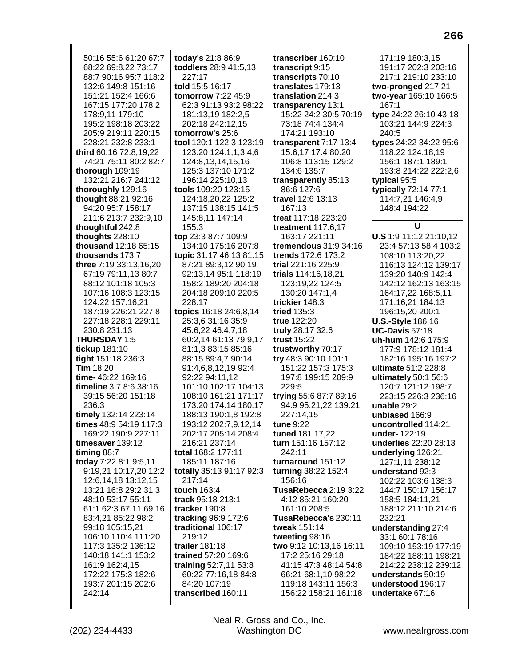50:16 55:6 61:20 67:7 68:22 69:8,22 73:17 88:7 90:16 95:7 118:2 132:6 149:8 151:16 151:21 152:4 166:6 167:15 177:20 178:2 178:9,11 179:10 195:2 198:18 203:22 205:9 219:11 220:15 228:21 232:8 233:1 third 60:16 72:8,19,22 74:21 75:11 80:2 82:7 thorough 109:19 132:21 216:7 241:12 thoroughly 129:16 thought 88:21 92:16 94:20 95:7 158:17 211:6 213:7 232:9,10 thoughtful 242:8 thoughts  $228:10$ thousand 12:18 65:15 thousands 173:7 three 7:19 33:13,16,20 67:19 79:11,13 80:7 88:12 101:18 105:3 107:16 108:3 123:15 124:22 157:16.21 187:19 226:21 227:8 227:18 228:1 229:11 230:8 231:13 **THURSDAY 1:5** tickup 181:10 tight 151:18 236:3 **Tim 18:20** time-46:22 169:16 timeline 3:7 8:6 38:16 39:15 56:20 151:18 236:3 timely 132:14 223:14 times 48:9 54:19 117:3 169:22 190:9 227:11 timesaver 139:12 timing 88:7 today 7:22 8:1 9:5,11 9:19,21 10:17,20 12:2 12:6,14,18 13:12,15 13:21 16:8 29:2 31:3 48:10 53:17 55:11 61:1 62:3 67:11 69:16 83:4,21 85:22 98:2 99:18 105:15,21 106:10 110:4 111:20 117:3 135:2 136:12 140:18 141:1 153:2 161:9 162:4,15 172:22 175:3 182:6 193:7 201:15 202:6 242:14

today's 21:8 86:9 toddlers 28:9 41:5,13 227:17 told 15:5 16:17 **tomorrow 7:22 45:9** 62:3 91:13 93:2 98:22 181:13,19 182:2,5 202:18 242:12,15 tomorrow's 25:6 tool 120:1 122:3 123:19 123:20 124:1,1,3,4,6 124:8,13,14,15,16 125:3 137:10 171:2 196:14 225:10.13 tools 109:20 123:15 124:18,20,22 125:2 137:15 138:15 141:5 145:8,11 147:14 155:3 top 23:3 87:7 109:9 134:10 175:16 207:8 topic 31:17 46:13 81:15 87:21 89:3,12 90:19 92:13,14 95:1 118:19 158:2 189:20 204:18 204:18 209:10 220:5 228:17 topics 16:18 24:6,8,14 25:3,6 31:16 35:9 45:6,22 46:4,7,18 60:2,14 61:13 79:9,17 81:1.3 83:15 85:16 88:15 89:4,7 90:14 91:4,6,8,12,19 92:4 92:22 94:11.12 101:10 102:17 104:13 108:10 161:21 171:17 173:20 174:14 180:17 188:13 190:1.8 192:8 193:12 202:7,9,12,14 202:17 205:14 208:4 216:21 237:14 total 168:2 177:11 185:11 187:16 totally 35:13 91:17 92:3 217:14 touch 163:4 track 95:18 213:1 tracker 190:8 tracking 96:9 172:6 traditional 106:17 219:12 trailer 181:18 trained 57:20 169:6 training 52:7,11 53:8 60:22 77:16.18 84:8 84:20 107:19 transcribed 160:11

transcriber 160:10 transcript 9:15 transcripts 70:10 translates 179:13 translation 214:3 transparency 13:1 15:22 24:2 30:5 70:19 73:18 74:4 134:4 174:21 193:10 transparent 7:17 13:4 15:6,17 17:4 80:20 106:8 113:15 129:2 134:6 135:7 transparently 85:13 86:6 127:6 travel 12:6 13:13 167:13 treat 117:18 223:20 treatment 117:6,17 163:17 221:11 tremendous 31:9 34:16 trends 172:6 173:2 trial 221:16 225:9 trials 114:16,18,21 123:19,22 124:5 130:20 147:1.4 trickier 148:3 tried 135:3 true 122:20 truly 28:17 32:6 trust 15:22 trustworthy 70:17 try 48:3 90:10 101:1 151:22 157:3 175:3 197:8 199:15 209:9 229:5 trying 55:6 87:7 89:16 94:9 95:21,22 139:21 227:14.15 tune 9:22 tuned 181:17,22 turn 151:16 157:12 242:11 turnaround 151:12 turning 38:22 152:4 156:16 TusaRebecca 2:19 3:22 4:12 85:21 160:20 161:10 208:5 TusaRebecca's 230:11 tweak 151:14 tweeting 98:16 two 9:12 10:13,16 16:11 17:2 25:16 29:18 41:15 47:3 48:14 54:8 66:21 68:1,10 98:22 119:18 143:11 156:3 156:22 158:21 161:18

171:19 180:3.15 191:17 202:3 203:16 217:1 219:10 233:10 two-pronged 217:21 two-year 165:10 166:5  $167:1$ type 24:22 26:10 43:18 103:21 144:9 224:3 240:5 types 24:22 34:22 95:6 118:22 124:18,19 156:1 187:1 189:1 193:8 214:22 222:2.6 typical 95:5 typically 72:14 77:1 114:7,21 146:4,9 148:4 194:22  $\mathbf{U}$ **U.S** 1:9 11:12 21:10,12 23:4 57:13 58:4 103:2 108:10 113:20.22 116:13 124:12 139:17 139:20 140:9 142:4 142:12 162:13 163:15 164:17,22 168:5,11 171:16,21 184:13 196:15,20 200:1 **U.S.-Style 186:16 UC-Davis 57:18** uh-hum 142:6 175:9 177:9 178:12 181:4 182:16 195:16 197:2 ultimate 51:2 228:8 ultimately 50:1 56:6 120:7 121:12 198:7 223:15 226:3 236:16 unable 29:2 unbiased 166:9 uncontrolled 114:21 under-122:19 underlies 22:20 28:13 underlying 126:21 127:1.11 238:12 understand 92:3 102:22 103:6 138:3 144:7 150:17 156:17 158:5 184:11.21 188:12 211:10 214:6 232:21 understanding 27:4 33:1 60:1 78:16 109:10 153:19 177:19 184:22 188:11 198:21 214:22 238:12 239:12 understands 50:19 understood 196:17 undertake 67:16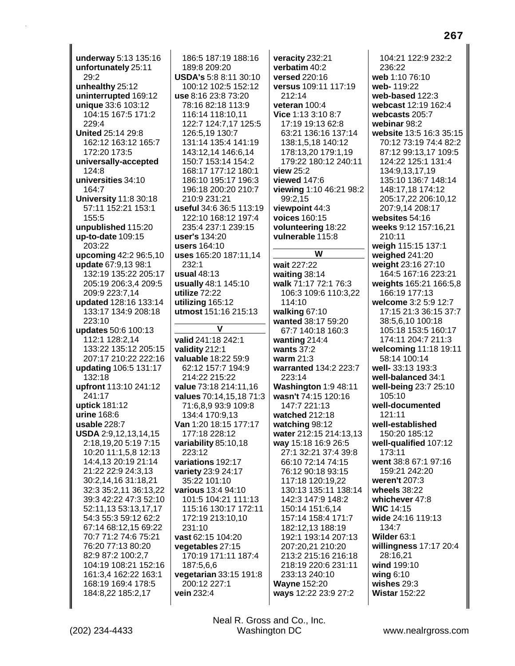underway 5:13 135:16 unfortunately 25:11 29:2 unhealthy 25:12 uninterrupted 169:12 unique 33:6 103:12 104:15 167:5 171:2 229:4 **United 25:14 29:8** 162:12 163:12 165:7 172:20 173:5 universally-accepted 124:8 universities 34:10 164:7 **University 11:8 30:18** 57:11 152:21 153:1 155:5 unpublished 115:20 up-to-date  $109:15$ 203:22 upcoming 42:2 96:5,10 update 67:9,13 98:1 132:19 135:22 205:17 205:19 206:3.4 209:5 209:9 223:7.14 updated 128:16 133:14 133:17 134:9 208:18 223:10 updates 50:6 100:13 112:1 128:2.14 133:22 135:12 205:15 207:17 210:22 222:16 updating 106:5 131:17 132:18 upfront 113:10 241:12 241:17 uptick 181:12 urine 168:6 usable 228:7 USDA 2:9,12,13,14,15 2:18,19,20 5:19 7:15 10:20 11:1,5,8 12:13 14:4,13 20:19 21:14 21:22 22:9 24:3,13 30:2,14,16 31:18,21 32:3 35:2,11 36:13,22 39:3 42:22 47:3 52:10 52:11,13 53:13,17,17 54:3 55:3 59:12 62:2 67:14 68:12,15 69:22 70:7 71:2 74:6 75:21 76:20 77:13 80:20 82:9 87:2 100:2,7 104:19 108:21 152:16 161:3.4 162:22 163:1 168:19 169:4 178:5 184:8,22 185:2,17

186:5 187:19 188:16 189:8 209:20 **USDA's 5:8 8:11 30:10** 100:12 102:5 152:12 use 8:16 23:8 73:20 78:16 82:18 113:9 116:14 118:10,11 122:7 124:7,17 125:5 126:5,19 130:7 131:14 135:4 141:19 143:12,14 146:6,14 150:7 153:14 154:2 168:17 177:12 180:1 186:10 195:17 196:3 196:18 200:20 210:7 210:9 231:21 useful 34:6 36:5 113:19 122:10 168:12 197:4 235:4 237:1 239:15 user's 134:20 users 164:10 uses 165:20 187:11,14  $232:1$ usual 48:13 usually 48:1 145:10 utilize 72:22 utilizing 165:12 utmost 151:16 215:13  $\mathbf v$ valid 241:18 242:1 validity 212:1 valuable 18:22 59:9 62:12 157:7 194:9 214:22 215:22 value 73:18 214:11,16 values 70:14,15,18 71:3 71:6,8,9 93:9 109:8 134:4 170:9,13 Van 1:20 18:15 177:17 177:18 228:12 variability 85:10,18 223:12 variations 192:17 variety 23:9 24:17 35:22 101:10 various 13:4 94:10 101:5 104:21 111:13 115:16 130:17 172:11 172:19 213:10,10 231:10 vast 62:15 104:20 vegetables 27:15 170:19 171:11 187:4 187:5,6,6 vegetarian 33:15 191:8 200:12 227:1

veracity 232:21 verbatim 40:2 versed 220:16 versus 109:11 117:19 212:14 veteran 100:4 Vice 1:13 3:10 8:7 17:19 19:13 62:8 63:21 136:16 137:14 138:1,5,18 140:12 178:13,20 179:1,19 179:22 180:12 240:11 view 25:2 viewed 147:6 viewing 1:10 46:21 98:2 99:2,15 viewpoint 44:3 voices 160:15 volunteering 18:22 vulnerable 115:8 W wait 227:22 waiting  $38:14$ walk 71:17 72:1 76:3 106:3 109:6 110:3.22 114:10 walking  $67:10$ wanted 38:17 59:20 67:7 140:18 160:3 wanting  $214:4$ wants  $37:2$ warm  $21:3$ warranted 134:2 223:7 223:14 Washington 1:9 48:11 wasn't 74:15 120:16 147:7 221:13 watched 212:18 watching 98:12 water 212:15 214:13,13 way 15:18 16:9 26:5 27:1 32:21 37:4 39:8 66:10 72:14 74:15 76:12 90:18 93:15 117:18 120:19,22 130:13 135:11 138:14 142:3 147:9 148:2 150:14 151:6,14 157:14 158:4 171:7 182:12,13 188:19 192:1 193:14 207:13 207:20.21 210:20 213:2 215:16 216:18 218:19 220:6 231:11 233:13 240:10 **Wayne 152:20** ways 12:22 23:9 27:2

104:21 122:9 232:2 236:22 web 1:10 76:10 web-119:22 web-based 122:3 webcast 12:19 162:4 webcasts 205:7 webinar 98:2 website 13:5 16:3 35:15 70:12 73:19 74:4 82:2 87:12 99:13,17 109:5 124:22 125:1 131:4 134:9,13,17,19 135:10 136:7 148:14 148:17,18 174:12 205:17,22 206:10,12 207:9,14 208:17 websites 54:16 weeks 9:12 157:16,21 210:11 weigh 115:15 137:1 weighed 241:20 weight 23:16 27:10 164:5 167:16 223:21 weights 165:21 166:5,8 166:19 177:13 welcome 3:2 5:9 12:7 17:15 21:3 36:15 37:7 38:5,6,10 100:18 105:18 153:5 160:17 174:11 204:7 211:3 welcoming 11:18 19:11 58:14 100:14 well- 33:13 193:3 well-balanced 34:1 well-being 23:7 25:10 105:10 well-documented 121:11 well-established 150:20 185:12 well-qualified 107:12 173:11 went 38:8 67:1 97:16 159:21 242:20 weren't 207:3 wheels 38:22 whichever 47:8 **WIC 14:15** wide 24:16 119:13 134:7 Wilder 63:1 willingness 17:17 20:4 28:16,21 wind 199:10 wing  $6:10$ wishes  $29:3$ **Wistar 152:22** 

Neal R. Gross and Co., Inc. Washington DC

vein 232:4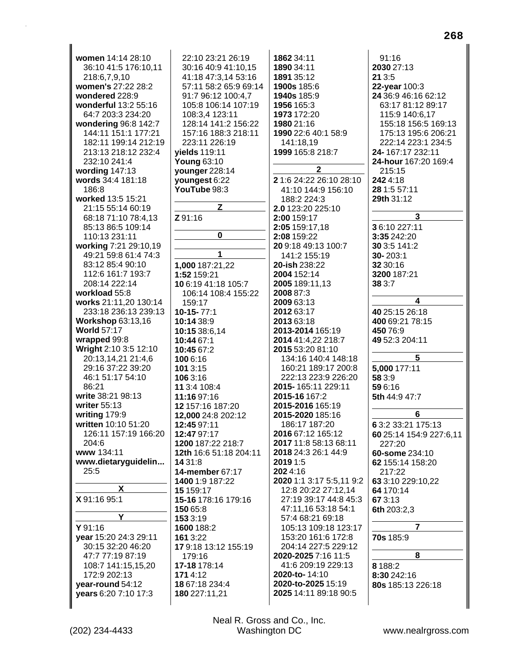**women** 14:14 28:10 36:10 41:5 176:10,11 218:6,7,9,10 **women's** 27:22 28:2 **wondered** 228:9 **wonderful** 13:2 55:16 64:7 203:3 234:20 **wondering** 96:8 142:7 144:11 151:1 177:21 182:11 199:14 212:19 213:13 218:12 232:4 232:10 241:4 **wording** 147:13 **words** 34:4 181:18 186:8 **worked** 13:5 15:21 21:15 55:14 60:19 68:18 71:10 78:4,13 85:13 86:5 109:14 110:13 231:11 **working** 7:21 29:10,19 49:21 59:8 61:4 74:3 83:12 85:4 90:10 112:6 161:7 193:7 208:14 222:14 **workload** 55:8 **works** 21:11,20 130:14 233:18 236:13 239:13 **Workshop** 63:13,16 **World** 57:17 **wrapped** 99:8 **Wright** 2:10 3:5 12:10 20:13,14,21 21:4,6 29:16 37:22 39:20 46:1 51:17 54:10 86:21 **write** 38:21 98:13 **writer** 55:13 **writing** 179:9 **written** 10:10 51:20 126:11 157:19 166:20 204:6 **www** 134:11 **www.dietaryguidelin...** 25:5 **X X** 91:16 95:1 **Y Y** 91:16 **year** 15:20 24:3 29:11 30:15 32:20 46:20 47:7 77:19 87:19 108:7 141:15,15,20 172:9 202:13 **year-round** 54:12 **years** 6:20 7:10 17:3 22:10 23:21 26:19 30:16 40:9 41:10,15 41:18 47:3,14 53:16 57:11 58:2 65:9 69:14 91:7 96:12 100:4,7 105:8 106:14 107:19 108:3,4 123:11 128:14 141:2 156:22 157:16 188:3 218:11 223:11 226:19 **yields** 119:11 **Young** 63:10 **younger** 228:14 **youngest** 6:22 **YouTube** 98:3 **Z Z** 91:16 **0 1 1,000** 187:21,22 **1:52** 159:21 **10** 6:19 41:18 105:7 106:14 108:4 155:22 159:17 **10-15-** 77:1 **10:14** 38:9 **10:15** 38:6,14 **10:44** 67:1 **10:45** 67:2 **100** 6:16 **101** 3:15 **106** 3:16 **11** 3:4 108:4 **11:16** 97:16 **12** 157:16 187:20 **12,000** 24:8 202:12 **12:45** 97:11 **12:47** 97:17 **1200** 187:22 218:7 **12th** 16:6 51:18 204:11 **14** 31:8 **14-member** 67:17 **1400** 1:9 187:22 **15** 159:17 **15-16** 178:16 179:16 **150** 65:8 **153** 3:19 **1600** 188:2 **161** 3:22 **17** 9:18 13:12 155:19 179:16 **17-18** 178:14 **171** 4:12 **18** 67:18 234:4 **180** 227:11,21 **1862** 34:11 **1890** 34:11 **1891** 35:12 **1900s** 185:6 **1940s** 185:9 **1956** 165:3 **1973** 172:20 **1980** 21:16 **1990** 22:6 40:1 58:9 141:18,19 **1999** 165:8 218:7 **2 2** 1:6 24:22 26:10 28:10 41:10 144:9 156:10 188:2 224:3 **2.0** 123:20 225:10 **2:00** 159:17 **2:05** 159:17,18 **2:08** 159:22 **20** 9:18 49:13 100:7 141:2 155:19 **20-ish** 238:22 **2004** 152:14 **2005** 189:11,13 **2008** 87:3 **2009** 63:13 **2012** 63:17 **2013** 63:18 **2013-2014** 165:19 **2014** 41:4,22 218:7 **2015** 53:20 81:10 134:16 140:4 148:18 160:21 189:17 200:8 222:13 223:9 226:20 **2015-** 165:11 229:11 **2015-16** 167:2 **2015-2016** 165:19 **2015-2020** 185:16 186:17 187:20 **2016** 67:12 165:12 **2017** 11:8 58:13 68:11 **2018** 24:3 26:1 44:9 **2019** 1:5 **202** 4:16 **2020** 1:1 3:17 5:5,11 9:2 12:8 20:22 27:12,14 27:19 39:17 44:8 45:3 47:11,16 53:18 54:1 57:4 68:21 69:18 105:13 109:18 123:17 153:20 161:6 172:8 204:14 227:5 229:12 **2020-2025** 7:16 11:5 41:6 209:19 229:13 **2020-to-** 14:10 **2020-to-2025** 15:19 **2025** 14:11 89:18 90:5 91:16 **2030** 27:13 **21** 3:5 **22-year** 100:3 **24** 36:9 46:16 62:12 63:17 81:12 89:17 115:9 140:6,17 155:18 156:5 169:13 175:13 195:6 206:21 222:14 223:1 234:5 **24-** 167:17 232:11 **24-hour** 167:20 169:4 215:15 **242** 4:18 **28** 1:5 57:11 **29th** 31:12 **3 3** 6:10 227:11 **3:35** 242:20 **30** 3:5 141:2 **30-** 203:1 **32** 30:16 **3200** 187:21 **38** 3:7 **4 40** 25:15 26:18 **400** 69:21 78:15 **450** 76:9 **49** 52:3 204:11 **5 5,000** 177:11 **58** 3:9 **59** 6:16 **5th** 44:9 47:7 **6 6** 3:2 33:21 175:13 **60** 25:14 154:9 227:6,11 227:20 **60-some** 234:10 **62** 155:14 158:20 217:22 **63** 3:10 229:10,22 **64** 170:14 **67** 3:13 **6th** 203:2,3 **7 70s** 185:9 **8 8** 188:2 **8:30** 242:16 **80s** 185:13 226:18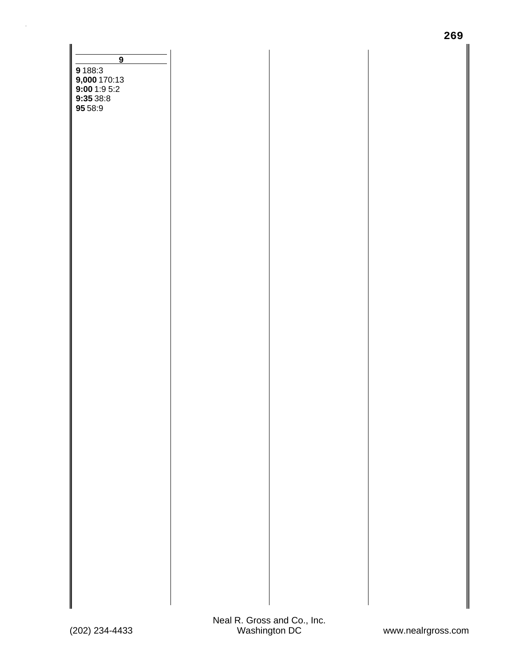| $\overline{9}$<br>9 188:3<br>9,000 170:13<br>9:00 1:9 5:2<br>9:35 38:8<br>95 58:9 |  |  |
|-----------------------------------------------------------------------------------|--|--|
|                                                                                   |  |  |
|                                                                                   |  |  |
|                                                                                   |  |  |
|                                                                                   |  |  |
|                                                                                   |  |  |